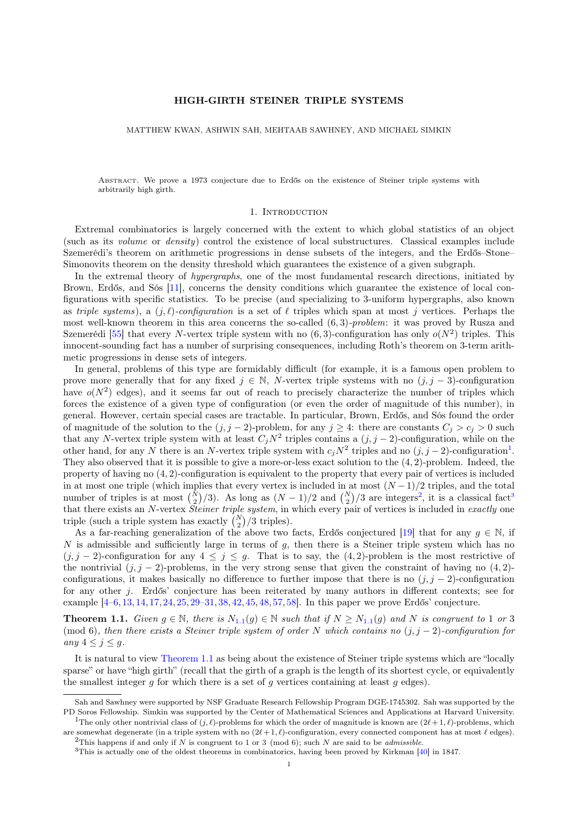# HIGH-GIRTH STEINER TRIPLE SYSTEMS

MATTHEW KWAN, ASHWIN SAH, MEHTAAB SAWHNEY, AND MICHAEL SIMKIN

Abstract. We prove a 1973 conjecture due to Erdős on the existence of Steiner triple systems with arbitrarily high girth.

#### 1. INTRODUCTION

Extremal combinatorics is largely concerned with the extent to which global statistics of an object (such as its volume or density) control the existence of local substructures. Classical examples include Szemerédi's theorem on arithmetic progressions in dense subsets of the integers, and the Erdős–Stone– Simonovits theorem on the density threshold which guarantees the existence of a given subgraph.

In the extremal theory of *hypergraphs*, one of the most fundamental research directions, initiated by Brown, Erdős, and Sós [\[11\]](#page-50-0), concerns the density conditions which guarantee the existence of local configurations with specific statistics. To be precise (and specializing to 3-uniform hypergraphs, also known as triple systems), a  $(j, \ell)$ -configuration is a set of  $\ell$  triples which span at most j vertices. Perhaps the most well-known theorem in this area concerns the so-called  $(6, 3)$ -problem: it was proved by Rusza and Szemerédi [\[55\]](#page-51-0) that every N-vertex triple system with no  $(6,3)$ -configuration has only  $o(N^2)$  triples. This innocent-sounding fact has a number of surprising consequences, including Roth's theorem on 3-term arithmetic progressions in dense sets of integers.

In general, problems of this type are formidably difficult (for example, it is a famous open problem to prove more generally that for any fixed  $j \in \mathbb{N}$ , N-vertex triple systems with no  $(j, j - 3)$ -configuration have  $o(N^2)$  edges), and it seems far out of reach to precisely characterize the number of triples which forces the existence of a given type of configuration (or even the order of magnitude of this number), in general. However, certain special cases are tractable. In particular, Brown, Erdős, and Sós found the order of magnitude of the solution to the  $(j, j - 2)$ -problem, for any  $j \geq 4$ : there are constants  $C_j > c_j > 0$  such that any N-vertex triple system with at least  $C_j N^2$  triples contains a  $(j, j - 2)$ -configuration, while on the other hand, for any N there is an N-vertex triple system with  $c_jN^2$  triples and no  $(j, j-2)$ -configuration<sup>[1](#page-0-0)</sup>. They also observed that it is possible to give a more-or-less exact solution to the (4, 2)-problem. Indeed, the property of having no (4, 2)-configuration is equivalent to the property that every pair of vertices is included in at most one triple (which implies that every vertex is included in at most  $(N-1)/2$  triples, and the total number of triples is at most  $\binom{N}{2}/3$  $\binom{N}{2}/3$  $\binom{N}{2}/3$  $\binom{N}{2}/3$ . As long as  $(N-1)/2$  and  $\binom{N}{2}/3$  are integers<sup>2</sup>, it is a classical fact<sup>3</sup> that there exists an N-vertex *Steiner triple system*, in which every pair of vertices is included in exactly one triple (such a triple system has exactly  $\binom{N}{2}/3$  triples).

As a far-reaching generalization of the above two facts, Erdős conjectured [\[19\]](#page-50-1) that for any  $g \in \mathbb{N}$ , if N is admissible and sufficiently large in terms of  $g$ , then there is a Steiner triple system which has no  $(j, j - 2)$ -configuration for any  $4 \leq j \leq g$ . That is to say, the  $(4, 2)$ -problem is the most restrictive of the nontrivial  $(j, j - 2)$ -problems, in the very strong sense that given the constraint of having no  $(4, 2)$ configurations, it makes basically no difference to further impose that there is no  $(j, j - 2)$ -configuration for any other j. Erdős' conjecture has been reiterated by many authors in different contexts; see for example [\[4–](#page-49-0)[6,](#page-49-1) [13,](#page-50-2) [14,](#page-50-3) [17,](#page-50-4) [24,](#page-50-5) [25,](#page-50-6) [29–](#page-50-7)[31,](#page-50-8) [38,](#page-50-9) [42,](#page-50-10) [45,](#page-50-11) [48,](#page-50-12) [57,](#page-51-1) [58\]](#page-51-2). In this paper we prove Erdős' conjecture.

<span id="page-0-3"></span>**Theorem [1](#page-0-3).1.** Given  $g \in \mathbb{N}$ , there is  $N_{1.1}(g) \in \mathbb{N}$  such that if  $N \geq N_{1.1}(g)$  and N is congruent to 1 or 3 (mod 6), then there exists a Steiner triple system of order N which contains no  $(j, j - 2)$ -configuration for any  $4 \leq j \leq g$ .

It is natural to view [Theorem 1.1](#page-0-3) as being about the existence of Steiner triple systems which are "locally sparse" or have "high girth" (recall that the girth of a graph is the length of its shortest cycle, or equivalently the smallest integer  $g$  for which there is a set of  $g$  vertices containing at least  $g$  edges).

<span id="page-0-4"></span>Sah and Sawhney were supported by NSF Graduate Research Fellowship Program DGE-1745302. Sah was supported by the PD Soros Fellowship. Simkin was supported by the Center of Mathematical Sciences and Applications at Harvard University. <sup>1</sup>The only other nontrivial class of  $(j, \ell)$ -problems for which the order of magnitude is known are  $(2\ell + 1, \ell)$ -problems, which

<span id="page-0-0"></span>are somewhat degenerate (in a triple system with no  $(2\ell + 1, \ell)$ -configuration, every connected component has at most  $\ell$  edges). <sup>2</sup>This happens if and only if N is congruent to 1 or 3 (mod 6); such N are said to be *admissible*.

<span id="page-0-2"></span><span id="page-0-1"></span><sup>&</sup>lt;sup>3</sup>This is actually one of the oldest theorems in combinatorics, having been proved by Kirkman [\[40\]](#page-50-13) in 1847.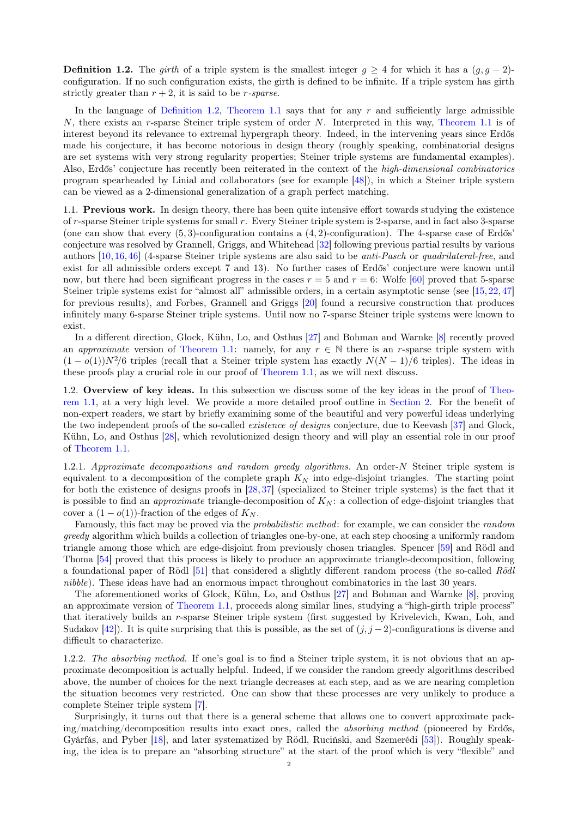**Definition 1.2.** The girth of a triple system is the smallest integer  $q > 4$  for which it has a  $(q, q - 2)$ configuration. If no such configuration exists, the girth is defined to be infinite. If a triple system has girth strictly greater than  $r + 2$ , it is said to be *r*-sparse.

In the language of [Definition 1.2,](#page-0-4) [Theorem 1.1](#page-0-3) says that for any r and sufficiently large admissible  $N$ , there exists an r-sparse Steiner triple system of order  $N$ . Interpreted in this way, [Theorem 1.1](#page-0-3) is of interest beyond its relevance to extremal hypergraph theory. Indeed, in the intervening years since Erdős made his conjecture, it has become notorious in design theory (roughly speaking, combinatorial designs are set systems with very strong regularity properties; Steiner triple systems are fundamental examples). Also, Erdős' conjecture has recently been reiterated in the context of the high-dimensional combinatorics program spearheaded by Linial and collaborators (see for example [\[48\]](#page-50-12)), in which a Steiner triple system can be viewed as a 2-dimensional generalization of a graph perfect matching.

1.1. Previous work. In design theory, there has been quite intensive effort towards studying the existence of r-sparse Steiner triple systems for small r. Every Steiner triple system is 2-sparse, and in fact also 3-sparse (one can show that every  $(5, 3)$ -configuration contains a  $(4, 2)$ -configuration). The 4-sparse case of Erdős' conjecture was resolved by Grannell, Griggs, and Whitehead [\[32\]](#page-50-14) following previous partial results by various authors [\[10,](#page-50-15) [16,](#page-50-16) [46\]](#page-50-17) (4-sparse Steiner triple systems are also said to be anti-Pasch or quadrilateral-free, and exist for all admissible orders except 7 and 13). No further cases of Erdős' conjecture were known until now, but there had been significant progress in the cases  $r = 5$  and  $r = 6$ : Wolfe [\[60\]](#page-51-3) proved that 5-sparse Steiner triple systems exist for "almost all" admissible orders, in a certain asymptotic sense (see [\[15,](#page-50-18) [22,](#page-50-19) [47\]](#page-50-20) for previous results), and Forbes, Grannell and Griggs [\[20\]](#page-50-21) found a recursive construction that produces infinitely many 6-sparse Steiner triple systems. Until now no 7-sparse Steiner triple systems were known to exist.

In a different direction, Glock, Kühn, Lo, and Osthus [\[27\]](#page-50-22) and Bohman and Warnke [\[8\]](#page-49-2) recently proved an approximate version of [Theorem 1.1:](#page-0-3) namely, for any  $r \in \mathbb{N}$  there is an r-sparse triple system with  $(1-o(1))N<sup>2</sup>/6$  triples (recall that a Steiner triple system has exactly  $N(N-1)/6$  triples). The ideas in these proofs play a crucial role in our proof of [Theorem 1.1,](#page-0-3) as we will next discuss.

1.2. Overview of key ideas. In this subsection we discuss some of the key ideas in the proof of [Theo](#page-0-3)[rem 1.1,](#page-0-3) at a very high level. We provide a more detailed proof outline in [Section 2.](#page-5-0) For the benefit of non-expert readers, we start by briefly examining some of the beautiful and very powerful ideas underlying the two independent proofs of the so-called *existence of designs* conjecture, due to Keevash [\[37\]](#page-50-23) and Glock, Kühn, Lo, and Osthus [\[28\]](#page-50-24), which revolutionized design theory and will play an essential role in our proof of [Theorem 1.1.](#page-0-3)

<span id="page-1-0"></span>1.2.1. Approximate decompositions and random greedy algorithms. An order-N Steiner triple system is equivalent to a decomposition of the complete graph  $K_N$  into edge-disjoint triangles. The starting point for both the existence of designs proofs in [\[28,](#page-50-24) [37\]](#page-50-23) (specialized to Steiner triple systems) is the fact that it is possible to find an *approximate* triangle-decomposition of  $K_N$ : a collection of edge-disjoint triangles that cover a  $(1-o(1))$ -fraction of the edges of  $K_N$ .

Famously, this fact may be proved via the probabilistic method: for example, we can consider the random greedy algorithm which builds a collection of triangles one-by-one, at each step choosing a uniformly random triangle among those which are edge-disjoint from previously chosen triangles. Spencer [\[59\]](#page-51-4) and Rödl and Thoma [\[54\]](#page-51-5) proved that this process is likely to produce an approximate triangle-decomposition, following a foundational paper of Rödl [\[51\]](#page-51-6) that considered a slightly different random process (the so-called Rödl nibble). These ideas have had an enormous impact throughout combinatorics in the last 30 years.

The aforementioned works of Glock, Kühn, Lo, and Osthus [\[27\]](#page-50-22) and Bohman and Warnke [\[8\]](#page-49-2), proving an approximate version of [Theorem 1.1,](#page-0-3) proceeds along similar lines, studying a "high-girth triple process" that iteratively builds an r-sparse Steiner triple system (first suggested by Krivelevich, Kwan, Loh, and Sudakov [\[42\]](#page-50-10)). It is quite surprising that this is possible, as the set of  $(j, j - 2)$ -configurations is diverse and difficult to characterize.

<span id="page-1-1"></span>1.2.2. The absorbing method. If one's goal is to find a Steiner triple system, it is not obvious that an approximate decomposition is actually helpful. Indeed, if we consider the random greedy algorithms described above, the number of choices for the next triangle decreases at each step, and as we are nearing completion the situation becomes very restricted. One can show that these processes are very unlikely to produce a complete Steiner triple system [\[7\]](#page-49-3).

Surprisingly, it turns out that there is a general scheme that allows one to convert approximate packing/matching/decomposition results into exact ones, called the absorbing method (pioneered by Erdős, Gyárfás, and Pyber [\[18\]](#page-50-25), and later systematized by Rödl, Ruciński, and Szemerédi [\[53\]](#page-51-7)). Roughly speaking, the idea is to prepare an "absorbing structure" at the start of the proof which is very "flexible" and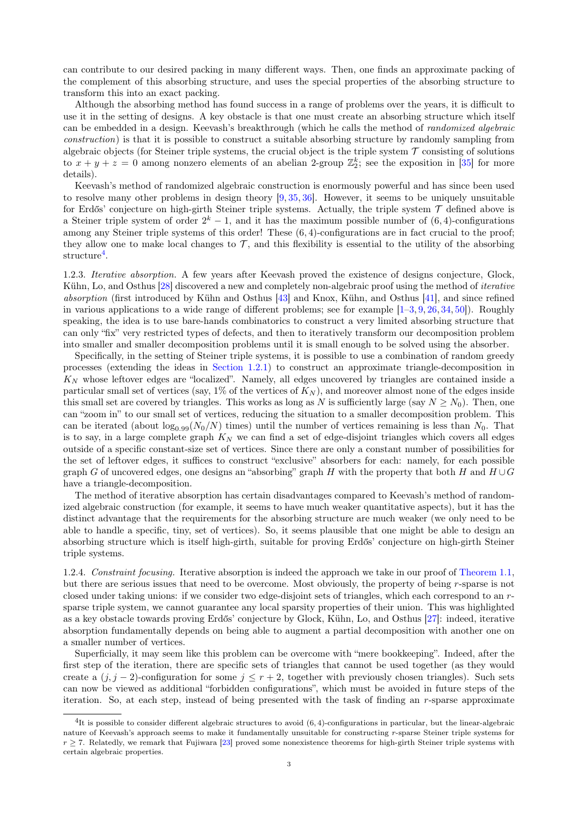can contribute to our desired packing in many different ways. Then, one finds an approximate packing of the complement of this absorbing structure, and uses the special properties of the absorbing structure to transform this into an exact packing.

Although the absorbing method has found success in a range of problems over the years, it is difficult to use it in the setting of designs. A key obstacle is that one must create an absorbing structure which itself can be embedded in a design. Keevash's breakthrough (which he calls the method of randomized algebraic construction) is that it is possible to construct a suitable absorbing structure by randomly sampling from algebraic objects (for Steiner triple systems, the crucial object is the triple system  $\mathcal T$  consisting of solutions to  $x + y + z = 0$  among nonzero elements of an abelian 2-group  $\mathbb{Z}_2^k$ ; see the exposition in [\[35\]](#page-50-26) for more details).

Keevash's method of randomized algebraic construction is enormously powerful and has since been used to resolve many other problems in design theory  $[9, 35, 36]$  $[9, 35, 36]$  $[9, 35, 36]$  $[9, 35, 36]$  $[9, 35, 36]$ . However, it seems to be uniquely unsuitable for Erdős' conjecture on high-girth Steiner triple systems. Actually, the triple system  $\mathcal T$  defined above is a Steiner triple system of order  $2^k - 1$ , and it has the maximum possible number of  $(6, 4)$ -configurations among any Steiner triple systems of this order! These  $(6, 4)$ -configurations are in fact crucial to the proof; they allow one to make local changes to  $\mathcal{T}$ , and this flexibility is essential to the utility of the absorbing  $structure<sup>4</sup>.$  $structure<sup>4</sup>.$  $structure<sup>4</sup>.$ 

1.2.3. Iterative absorption. A few years after Keevash proved the existence of designs conjecture, Glock, Kühn, Lo, and Osthus [\[28\]](#page-50-24) discovered a new and completely non-algebraic proof using the method of *iterative* absorption (first introduced by Kühn and Osthus [\[43\]](#page-50-28) and Knox, Kühn, and Osthus [\[41\]](#page-50-29), and since refined in various applications to a wide range of different problems; see for example  $[1-3, 9, 26, 34, 50]$  $[1-3, 9, 26, 34, 50]$  $[1-3, 9, 26, 34, 50]$  $[1-3, 9, 26, 34, 50]$  $[1-3, 9, 26, 34, 50]$  $[1-3, 9, 26, 34, 50]$  $[1-3, 9, 26, 34, 50]$  $[1-3, 9, 26, 34, 50]$  $[1-3, 9, 26, 34, 50]$  $[1-3, 9, 26, 34, 50]$ . Roughly speaking, the idea is to use bare-hands combinatorics to construct a very limited absorbing structure that can only "fix" very restricted types of defects, and then to iteratively transform our decomposition problem into smaller and smaller decomposition problems until it is small enough to be solved using the absorber.

Specifically, in the setting of Steiner triple systems, it is possible to use a combination of random greedy processes (extending the ideas in [Section 1.2.1\)](#page-1-0) to construct an approximate triangle-decomposition in  $K_N$  whose leftover edges are "localized". Namely, all edges uncovered by triangles are contained inside a particular small set of vertices (say,  $1\%$  of the vertices of  $K_N$ ), and moreover almost none of the edges inside this small set are covered by triangles. This works as long as N is sufficiently large (say  $N \ge N_0$ ). Then, one can "zoom in" to our small set of vertices, reducing the situation to a smaller decomposition problem. This can be iterated (about  $\log_{0.99}(N_0/N)$  times) until the number of vertices remaining is less than  $N_0$ . That is to say, in a large complete graph  $K_N$  we can find a set of edge-disjoint triangles which covers all edges outside of a specific constant-size set of vertices. Since there are only a constant number of possibilities for the set of leftover edges, it suffices to construct "exclusive" absorbers for each: namely, for each possible graph G of uncovered edges, one designs an "absorbing" graph H with the property that both H and  $H \cup G$ have a triangle-decomposition.

The method of iterative absorption has certain disadvantages compared to Keevash's method of randomized algebraic construction (for example, it seems to have much weaker quantitative aspects), but it has the distinct advantage that the requirements for the absorbing structure are much weaker (we only need to be able to handle a specific, tiny, set of vertices). So, it seems plausible that one might be able to design an absorbing structure which is itself high-girth, suitable for proving Erdős' conjecture on high-girth Steiner triple systems.

<span id="page-2-1"></span>1.2.4. Constraint focusing. Iterative absorption is indeed the approach we take in our proof of [Theorem 1.1,](#page-0-3) but there are serious issues that need to be overcome. Most obviously, the property of being r-sparse is not closed under taking unions: if we consider two edge-disjoint sets of triangles, which each correspond to an rsparse triple system, we cannot guarantee any local sparsity properties of their union. This was highlighted as a key obstacle towards proving Erdős' conjecture by Glock, Kühn, Lo, and Osthus [\[27\]](#page-50-22): indeed, iterative absorption fundamentally depends on being able to augment a partial decomposition with another one on a smaller number of vertices.

Superficially, it may seem like this problem can be overcome with "mere bookkeeping". Indeed, after the first step of the iteration, there are specific sets of triangles that cannot be used together (as they would create a  $(j, j - 2)$ -configuration for some  $j \le r + 2$ , together with previously chosen triangles). Such sets can now be viewed as additional "forbidden configurations", which must be avoided in future steps of the iteration. So, at each step, instead of being presented with the task of finding an r-sparse approximate

<span id="page-2-0"></span><sup>&</sup>lt;sup>4</sup>It is possible to consider different algebraic structures to avoid (6, 4)-configurations in particular, but the linear-algebraic nature of Keevash's approach seems to make it fundamentally unsuitable for constructing r-sparse Steiner triple systems for  $r \geq 7$ . Relatedly, we remark that Fujiwara [\[23\]](#page-50-33) proved some nonexistence theorems for high-girth Steiner triple systems with certain algebraic properties.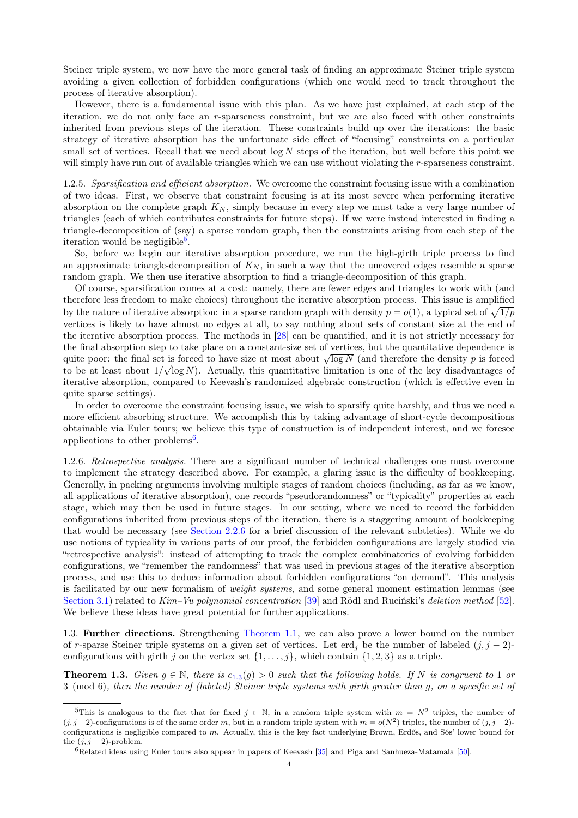Steiner triple system, we now have the more general task of finding an approximate Steiner triple system avoiding a given collection of forbidden configurations (which one would need to track throughout the process of iterative absorption).

However, there is a fundamental issue with this plan. As we have just explained, at each step of the iteration, we do not only face an r-sparseness constraint, but we are also faced with other constraints inherited from previous steps of the iteration. These constraints build up over the iterations: the basic strategy of iterative absorption has the unfortunate side effect of "focusing" constraints on a particular small set of vertices. Recall that we need about  $\log N$  steps of the iteration, but well before this point we will simply have run out of available triangles which we can use without violating the r-sparseness constraint.

<span id="page-3-3"></span>1.2.5. Sparsification and efficient absorption. We overcome the constraint focusing issue with a combination of two ideas. First, we observe that constraint focusing is at its most severe when performing iterative absorption on the complete graph  $K_N$ , simply because in every step we must take a very large number of triangles (each of which contributes constraints for future steps). If we were instead interested in finding a triangle-decomposition of (say) a sparse random graph, then the constraints arising from each step of the iteration would be negligible<sup>[5](#page-3-0)</sup>.

So, before we begin our iterative absorption procedure, we run the high-girth triple process to find an approximate triangle-decomposition of  $K_N$ , in such a way that the uncovered edges resemble a sparse random graph. We then use iterative absorption to find a triangle-decomposition of this graph.

Of course, sparsification comes at a cost: namely, there are fewer edges and triangles to work with (and therefore less freedom to make choices) throughout the iterative absorption process. This issue is amplified by the nature of iterative absorption: in a sparse random graph with density  $p = o(1)$ , a typical set of  $\sqrt{1/p}$ vertices is likely to have almost no edges at all, to say nothing about sets of constant size at the end of the iterative absorption process. The methods in [\[28\]](#page-50-24) can be quantified, and it is not strictly necessary for the final absorption step to take place on a constant-size set of vertices, but the quantitative dependence is quite poor: the final set is forced to have size at most about  $\sqrt{\log N}$  (and therefore the density p is forced  $\sqrt{\log N}$ ) to be at least about  $1/\sqrt{\log N}$ . Actually, this quantitative limitation is one of the key disadvantages of iterative absorption, compared to Keevash's randomized algebraic construction (which is effective even in quite sparse settings).

In order to overcome the constraint focusing issue, we wish to sparsify quite harshly, and thus we need a more efficient absorbing structure. We accomplish this by taking advantage of short-cycle decompositions obtainable via Euler tours; we believe this type of construction is of independent interest, and we foresee applications to other problems<sup>[6](#page-3-1)</sup>.

1.2.6. Retrospective analysis. There are a significant number of technical challenges one must overcome to implement the strategy described above. For example, a glaring issue is the difficulty of bookkeeping. Generally, in packing arguments involving multiple stages of random choices (including, as far as we know, all applications of iterative absorption), one records "pseudorandomness" or "typicality" properties at each stage, which may then be used in future stages. In our setting, where we need to record the forbidden configurations inherited from previous steps of the iteration, there is a staggering amount of bookkeeping that would be necessary (see [Section 2.2.6](#page-8-0) for a brief discussion of the relevant subtleties). While we do use notions of typicality in various parts of our proof, the forbidden configurations are largely studied via "retrospective analysis": instead of attempting to track the complex combinatorics of evolving forbidden configurations, we "remember the randomness" that was used in previous stages of the iterative absorption process, and use this to deduce information about forbidden configurations "on demand". This analysis is facilitated by our new formalism of *weight systems*, and some general moment estimation lemmas (see [Section 3.1\)](#page-9-0) related to Kim–Vu polynomial concentration [\[39\]](#page-50-34) and Rödl and Ruciński's deletion method [\[52\]](#page-51-8). We believe these ideas have great potential for further applications.

1.3. Further directions. Strengthening [Theorem 1.1,](#page-0-3) we can also prove a lower bound on the number of r-sparse Steiner triple systems on a given set of vertices. Let erd<sub>i</sub> be the number of labeled  $(j, j - 2)$ configurations with girth j on the vertex set  $\{1, \ldots, j\}$ , which contain  $\{1, 2, 3\}$  as a triple.

<span id="page-3-2"></span>**Theorem [1](#page-3-2).3.** Given  $g \in \mathbb{N}$ , there is  $c_{1,3}(g) > 0$  such that the following holds. If N is congruent to 1 or 3 (mod 6), then the number of (labeled) Steiner triple systems with girth greater than g, on a specific set of

<span id="page-3-0"></span><sup>&</sup>lt;sup>5</sup>This is analogous to the fact that for fixed  $j \in \mathbb{N}$ , in a random triple system with  $m = N^2$  triples, the number of  $(j, j - 2)$ -configurations is of the same order m, but in a random triple system with  $m = o(N^2)$  triples, the number of  $(j, j - 2)$ configurations is negligible compared to  $m$ . Actually, this is the key fact underlying Brown, Erdős, and Sós' lower bound for the  $(i, i - 2)$ -problem.

<span id="page-3-1"></span> $6R$ elated ideas using Euler tours also appear in papers of Keevash [\[35\]](#page-50-26) and Piga and Sanhueza-Matamala [\[50\]](#page-50-32).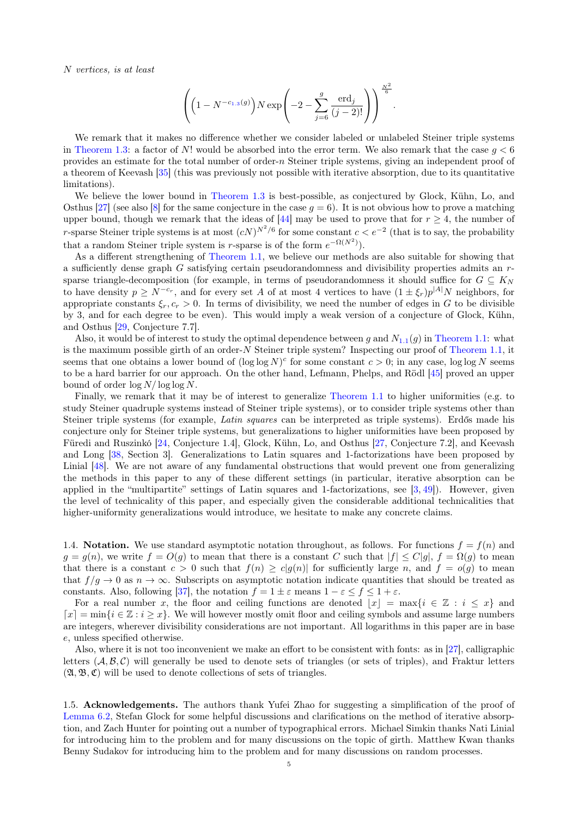N vertices, is at least

$$
\left( \left( 1 - N^{-c_{1.3}(g)} \right) N \exp \left( -2 - \sum_{j=6}^{g} \frac{\text{erd}_j}{(j-2)!} \right) \right)^{\frac{N^2}{6}}.
$$

We remark that it makes no difference whether we consider labeled or unlabeled Steiner triple systems in [Theorem 1.3:](#page-3-2) a factor of N! would be absorbed into the error term. We also remark that the case  $q < 6$ provides an estimate for the total number of order-n Steiner triple systems, giving an independent proof of a theorem of Keevash [\[35\]](#page-50-26) (this was previously not possible with iterative absorption, due to its quantitative limitations).

We believe the lower bound in [Theorem 1.3](#page-3-2) is best-possible, as conjectured by Glock, Kühn, Lo, and Osthus [\[27\]](#page-50-22) (see also [\[8\]](#page-49-2) for the same conjecture in the case  $q = 6$ ). It is not obvious how to prove a matching upper bound, though we remark that the ideas of [\[44\]](#page-50-35) may be used to prove that for  $r \geq 4$ , the number of r-sparse Steiner triple systems is at most  $(cN)^{N^2/6}$  for some constant  $c < e^{-2}$  (that is to say, the probability that a random Steiner triple system is r-sparse is of the form  $e^{-\Omega(N^2)}$ .

As a different strengthening of [Theorem 1.1,](#page-0-3) we believe our methods are also suitable for showing that a sufficiently dense graph G satisfying certain pseudorandomness and divisibility properties admits an rsparse triangle-decomposition (for example, in terms of pseudorandomness it should suffice for  $G \subseteq K_N$ to have density  $p \ge N^{-c_r}$ , and for every set A of at most 4 vertices to have  $(1 \pm \xi_r)p^{|A|}N$  neighbors, for appropriate constants  $\xi_r, c_r > 0$ . In terms of divisibility, we need the number of edges in G to be divisible by 3, and for each degree to be even). This would imply a weak version of a conjecture of Glock, Kühn, and Osthus [\[29,](#page-50-7) Conjecture 7.7].

Also, it would be of interest to study the optimal dependence between g and  $N_{1,1}(g)$  $N_{1,1}(g)$  $N_{1,1}(g)$  in [Theorem 1.1:](#page-0-3) what is the maximum possible girth of an order- $N$  Steiner triple system? Inspecting our proof of [Theorem 1.1,](#page-0-3) it seems that one obtains a lower bound of  $(\log \log N)^c$  for some constant  $c > 0$ ; in any case,  $\log \log N$  seems to be a hard barrier for our approach. On the other hand, Lefmann, Phelps, and Rödl [\[45\]](#page-50-11) proved an upper bound of order  $\log N / \log \log N$ .

Finally, we remark that it may be of interest to generalize [Theorem 1.1](#page-0-3) to higher uniformities (e.g. to study Steiner quadruple systems instead of Steiner triple systems), or to consider triple systems other than Steiner triple systems (for example, Latin squares can be interpreted as triple systems). Erdős made his conjecture only for Steiner triple systems, but generalizations to higher uniformities have been proposed by Füredi and Ruszinkó [\[24,](#page-50-5) Conjecture 1.4], Glock, Kühn, Lo, and Osthus [\[27,](#page-50-22) Conjecture 7.2], and Keevash and Long [\[38,](#page-50-9) Section 3]. Generalizations to Latin squares and 1-factorizations have been proposed by Linial [\[48\]](#page-50-12). We are not aware of any fundamental obstructions that would prevent one from generalizing the methods in this paper to any of these different settings (in particular, iterative absorption can be applied in the "multipartite" settings of Latin squares and 1-factorizations, see  $[3, 49]$  $[3, 49]$  $[3, 49]$ ). However, given the level of technicality of this paper, and especially given the considerable additional technicalities that higher-uniformity generalizations would introduce, we hesitate to make any concrete claims.

1.4. Notation. We use standard asymptotic notation throughout, as follows. For functions  $f = f(n)$  and  $g = g(n)$ , we write  $f = O(g)$  to mean that there is a constant C such that  $|f| \leq C|g|$ ,  $f = \Omega(g)$  to mean that there is a constant  $c > 0$  such that  $f(n) \ge c|g(n)|$  for sufficiently large n, and  $f = o(g)$  to mean that  $f/q \to 0$  as  $n \to \infty$ . Subscripts on asymptotic notation indicate quantities that should be treated as constants. Also, following [\[37\]](#page-50-23), the notation  $f = 1 \pm \varepsilon$  means  $1 - \varepsilon \le f \le 1 + \varepsilon$ .

For a real number x, the floor and ceiling functions are denoted  $|x| = \max\{i \in \mathbb{Z} : i \leq x\}$  and  $\lceil x \rceil = \min\{i \in \mathbb{Z} : i \geq x\}.$  We will however mostly omit floor and ceiling symbols and assume large numbers are integers, wherever divisibility considerations are not important. All logarithms in this paper are in base e, unless specified otherwise.

Also, where it is not too inconvenient we make an effort to be consistent with fonts: as in [\[27\]](#page-50-22), calligraphic letters  $(A, \mathcal{B}, \mathcal{C})$  will generally be used to denote sets of triangles (or sets of triples), and Fraktur letters  $(\mathfrak{A}, \mathfrak{B}, \mathfrak{C})$  will be used to denote collections of sets of triangles.

1.5. Acknowledgements. The authors thank Yufei Zhao for suggesting a simplification of the proof of [Lemma 6.2,](#page-16-0) Stefan Glock for some helpful discussions and clarifications on the method of iterative absorption, and Zach Hunter for pointing out a number of typographical errors. Michael Simkin thanks Nati Linial for introducing him to the problem and for many discussions on the topic of girth. Matthew Kwan thanks Benny Sudakov for introducing him to the problem and for many discussions on random processes.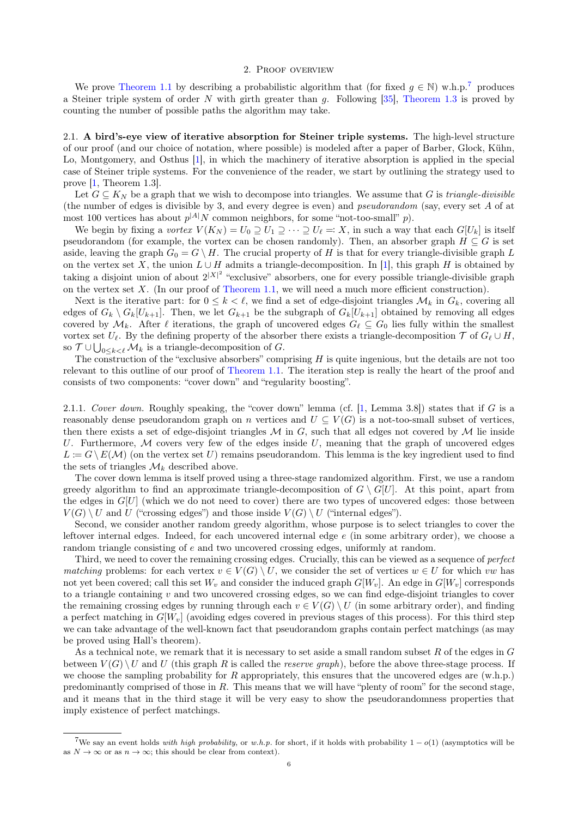### 2. Proof overview

<span id="page-5-0"></span>We prove [Theorem 1.1](#page-0-3) by describing a probabilistic algorithm that (for fixed  $g \in \mathbb{N}$ ) w.h.p.<sup>[7](#page-5-1)</sup> produces a Steiner triple system of order  $N$  with girth greater than  $g$ . Following [\[35\]](#page-50-26), [Theorem 1.3](#page-3-2) is proved by counting the number of possible paths the algorithm may take.

<span id="page-5-3"></span>2.1. A bird's-eye view of iterative absorption for Steiner triple systems. The high-level structure of our proof (and our choice of notation, where possible) is modeled after a paper of Barber, Glock, Kühn, Lo, Montgomery, and Osthus [\[1\]](#page-49-5), in which the machinery of iterative absorption is applied in the special case of Steiner triple systems. For the convenience of the reader, we start by outlining the strategy used to prove [\[1,](#page-49-5) Theorem 1.3].

Let  $G \subseteq K_N$  be a graph that we wish to decompose into triangles. We assume that G is *triangle-divisible* (the number of edges is divisible by 3, and every degree is even) and pseudorandom (say, every set A of at most 100 vertices has about  $p^{|A|}N$  common neighbors, for some "not-too-small" p).

We begin by fixing a vortex  $V(K_N) = U_0 \supseteq U_1 \supseteq \cdots \supseteq U_\ell =: X$ , in such a way that each  $G[U_k]$  is itself pseudorandom (for example, the vortex can be chosen randomly). Then, an absorber graph  $H \subseteq G$  is set aside, leaving the graph  $G_0 = G \setminus H$ . The crucial property of H is that for every triangle-divisible graph L on the vertex set X, the union  $L \cup H$  admits a triangle-decomposition. In [\[1\]](#page-49-5), this graph H is obtained by taking a disjoint union of about  $2^{|X|^2}$  "exclusive" absorbers, one for every possible triangle-divisible graph on the vertex set X. (In our proof of [Theorem 1.1,](#page-0-3) we will need a much more efficient construction).

Next is the iterative part: for  $0 \leq k \leq \ell$ , we find a set of edge-disjoint triangles  $\mathcal{M}_k$  in  $G_k$ , covering all edges of  $G_k \setminus G_k[U_{k+1}]$ . Then, we let  $G_{k+1}$  be the subgraph of  $G_k[U_{k+1}]$  obtained by removing all edges covered by  $\mathcal{M}_k$ . After  $\ell$  iterations, the graph of uncovered edges  $G_\ell \subseteq G_0$  lies fully within the smallest vortex set  $U_{\ell}$ . By the defining property of the absorber there exists a triangle-decomposition  $\mathcal T$  of  $G_{\ell} \cup H$ , so  $\mathcal{T} \cup \bigcup_{0 \leq k < \ell} \mathcal{M}_k$  is a triangle-decomposition of G.

The construction of the "exclusive absorbers" comprising  $H$  is quite ingenious, but the details are not too relevant to this outline of our proof of [Theorem 1.1.](#page-0-3) The iteration step is really the heart of the proof and consists of two components: "cover down" and "regularity boosting".

<span id="page-5-2"></span>2.1.1. Cover down. Roughly speaking, the "cover down" lemma (cf.  $[1, \text{ Lemma } 3.8]$  $[1, \text{ Lemma } 3.8]$ ) states that if G is a reasonably dense pseudorandom graph on n vertices and  $U \subseteq V(G)$  is a not-too-small subset of vertices, then there exists a set of edge-disjoint triangles  $M$  in  $G$ , such that all edges not covered by  $M$  lie inside U. Furthermore,  $M$  covers very few of the edges inside U, meaning that the graph of uncovered edges  $L := G \setminus E(\mathcal{M})$  (on the vertex set U) remains pseudorandom. This lemma is the key ingredient used to find the sets of triangles  $\mathcal{M}_k$  described above.

The cover down lemma is itself proved using a three-stage randomized algorithm. First, we use a random greedy algorithm to find an approximate triangle-decomposition of  $G \setminus G[U]$ . At this point, apart from the edges in  $G[U]$  (which we do not need to cover) there are two types of uncovered edges: those between  $V(G) \setminus U$  and U ("crossing edges") and those inside  $V(G) \setminus U$  ("internal edges").

Second, we consider another random greedy algorithm, whose purpose is to select triangles to cover the leftover internal edges. Indeed, for each uncovered internal edge e (in some arbitrary order), we choose a random triangle consisting of e and two uncovered crossing edges, uniformly at random.

Third, we need to cover the remaining crossing edges. Crucially, this can be viewed as a sequence of perfect matching problems: for each vertex  $v \in V(G) \setminus U$ , we consider the set of vertices  $w \in U$  for which vw has not yet been covered; call this set  $W_v$  and consider the induced graph  $G[W_v]$ . An edge in  $G[W_v]$  corresponds to a triangle containing  $v$  and two uncovered crossing edges, so we can find edge-disjoint triangles to cover the remaining crossing edges by running through each  $v \in V(G) \setminus U$  (in some arbitrary order), and finding a perfect matching in  $G[W_v]$  (avoiding edges covered in previous stages of this process). For this third step we can take advantage of the well-known fact that pseudorandom graphs contain perfect matchings (as may be proved using Hall's theorem).

As a technical note, we remark that it is necessary to set aside a small random subset  $R$  of the edges in  $G$ between  $V(G) \setminus U$  and U (this graph R is called the *reserve graph*), before the above three-stage process. If we choose the sampling probability for R appropriately, this ensures that the uncovered edges are  $(w.h.p.)$ predominantly comprised of those in R. This means that we will have "plenty of room" for the second stage, and it means that in the third stage it will be very easy to show the pseudorandomness properties that imply existence of perfect matchings.

<span id="page-5-1"></span><sup>&</sup>lt;sup>7</sup>We say an event holds with high probability, or w.h.p. for short, if it holds with probability  $1 - o(1)$  (asymptotics will be as  $N \to \infty$  or as  $n \to \infty$ ; this should be clear from context).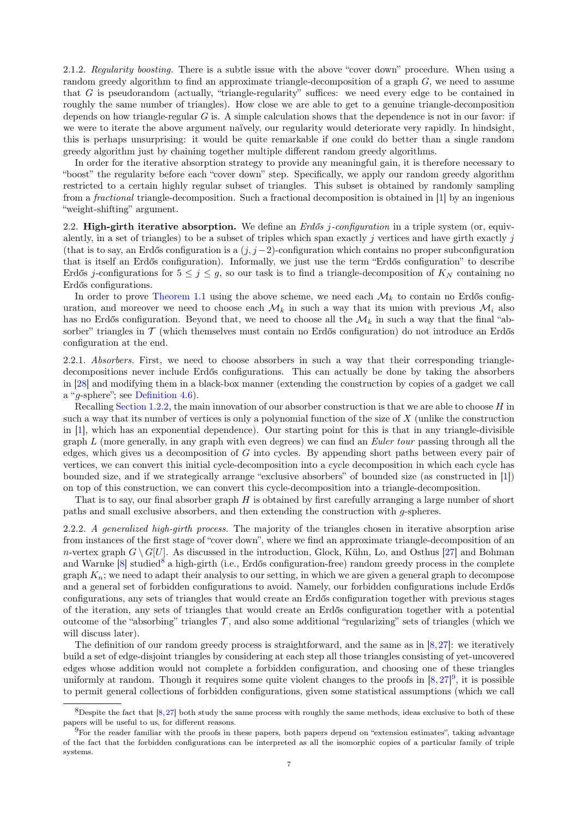<span id="page-6-2"></span>2.1.2. Regularity boosting. There is a subtle issue with the above "cover down" procedure. When using a random greedy algorithm to find an approximate triangle-decomposition of a graph G, we need to assume that G is pseudorandom (actually, "triangle-regularity" suffices: we need every edge to be contained in roughly the same number of triangles). How close we are able to get to a genuine triangle-decomposition depends on how triangle-regular  $G$  is. A simple calculation shows that the dependence is not in our favor: if we were to iterate the above argument naïvely, our regularity would deteriorate very rapidly. In hindsight, this is perhaps unsurprising: it would be quite remarkable if one could do better than a single random greedy algorithm just by chaining together multiple different random greedy algorithms.

In order for the iterative absorption strategy to provide any meaningful gain, it is therefore necessary to "boost" the regularity before each "cover down" step. Specifically, we apply our random greedy algorithm restricted to a certain highly regular subset of triangles. This subset is obtained by randomly sampling from a fractional triangle-decomposition. Such a fractional decomposition is obtained in [\[1\]](#page-49-5) by an ingenious "weight-shifting" argument.

2.2. High-girth iterative absorption. We define an  $Erd\delta s$  *j*-configuration in a triple system (or, equivalently, in a set of triangles) to be a subset of triples which span exactly  $j$  vertices and have girth exactly  $j$ (that is to say, an Erdős configuration is a  $(j, j - 2)$ -configuration which contains no proper subconfiguration that is itself an Erdős configuration). Informally, we just use the term "Erdős configuration" to describe Erdős j-configurations for  $5 \leq j \leq g$ , so our task is to find a triangle-decomposition of  $K_N$  containing no Erdős configurations.

In order to prove [Theorem 1.1](#page-0-3) using the above scheme, we need each  $\mathcal{M}_k$  to contain no Erdős configuration, and moreover we need to choose each  $\mathcal{M}_k$  in such a way that its union with previous  $\mathcal{M}_i$  also has no Erdős configuration. Beyond that, we need to choose all the  $\mathcal{M}_k$  in such a way that the final "absorber" triangles in  $\mathcal T$  (which themselves must contain no Erdős configuration) do not introduce an Erdős configuration at the end.

2.2.1. Absorbers. First, we need to choose absorbers in such a way that their corresponding triangledecompositions never include Erdős configurations. This can actually be done by taking the absorbers in [\[28\]](#page-50-24) and modifying them in a black-box manner (extending the construction by copies of a gadget we call a "g-sphere"; see [Definition 4.6\)](#page-12-0).

Recalling [Section 1.2.2,](#page-1-1) the main innovation of our absorber construction is that we are able to choose  $H$  in such a way that its number of vertices is only a polynomial function of the size of X (unlike the construction in [\[1\]](#page-49-5), which has an exponential dependence). Our starting point for this is that in any triangle-divisible graph  $L$  (more generally, in any graph with even degrees) we can find an *Euler tour* passing through all the edges, which gives us a decomposition of  $G$  into cycles. By appending short paths between every pair of vertices, we can convert this initial cycle-decomposition into a cycle decomposition in which each cycle has bounded size, and if we strategically arrange "exclusive absorbers" of bounded size (as constructed in [\[1\]](#page-49-5)) on top of this construction, we can convert this cycle-decomposition into a triangle-decomposition.

That is to say, our final absorber graph  $H$  is obtained by first carefully arranging a large number of short paths and small exclusive absorbers, and then extending the construction with g-spheres.

<span id="page-6-3"></span>2.2.2. A generalized high-girth process. The majority of the triangles chosen in iterative absorption arise from instances of the first stage of "cover down", where we find an approximate triangle-decomposition of an n-vertex graph  $G \setminus G[U]$ . As discussed in the introduction, Glock, Kühn, Lo, and Osthus [\[27\]](#page-50-22) and Bohman and Warnke [\[8\]](#page-49-2) studied<sup>[8](#page-6-0)</sup> a high-girth (i.e., Erdős configuration-free) random greedy process in the complete graph  $K_n$ ; we need to adapt their analysis to our setting, in which we are given a general graph to decompose and a general set of forbidden configurations to avoid. Namely, our forbidden configurations include Erdős configurations, any sets of triangles that would create an Erdős configuration together with previous stages of the iteration, any sets of triangles that would create an Erdős configuration together with a potential outcome of the "absorbing" triangles  $\mathcal{T}$ , and also some additional "regularizing" sets of triangles (which we will discuss later).

The definition of our random greedy process is straightforward, and the same as in [\[8,](#page-49-2)[27\]](#page-50-22): we iteratively build a set of edge-disjoint triangles by considering at each step all those triangles consisting of yet-uncovered edges whose addition would not complete a forbidden configuration, and choosing one of these triangles uniformly at random. Though it requires some quite violent changes to the proofs in  $[8,27]^9$  $[8,27]^9$  $[8,27]^9$  $[8,27]^9$ , it is possible to permit general collections of forbidden configurations, given some statistical assumptions (which we call

<span id="page-6-0"></span> $8$ Despite the fact that  $[8,27]$  $[8,27]$  both study the same process with roughly the same methods, ideas exclusive to both of these papers will be useful to us, for different reasons.

<span id="page-6-1"></span> $^{9}$ For the reader familiar with the proofs in these papers, both papers depend on "extension estimates", taking advantage of the fact that the forbidden configurations can be interpreted as all the isomorphic copies of a particular family of triple systems.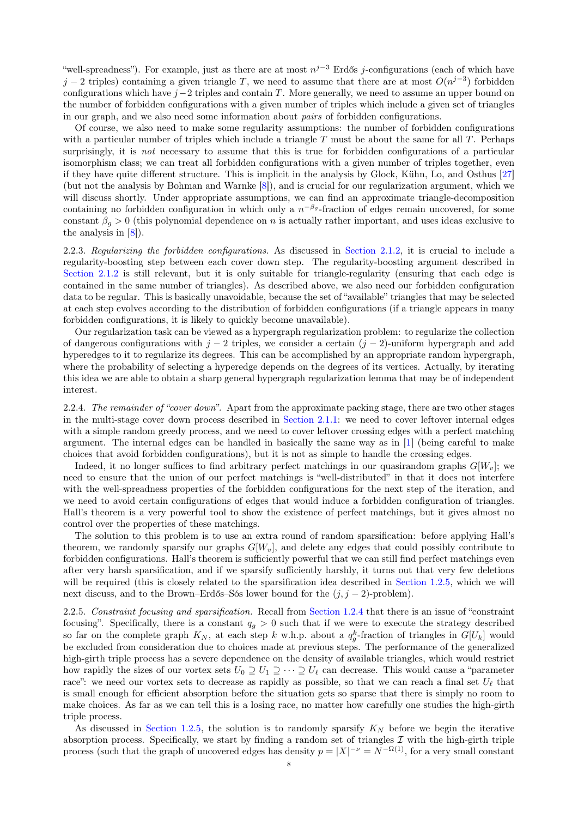"well-spreadness"). For example, just as there are at most  $n^{j-3}$  Erdős j-configurations (each of which have j − 2 triples) containing a given triangle T, we need to assume that there are at most  $O(n^{j-3})$  forbidden configurations which have  $j-2$  triples and contain T. More generally, we need to assume an upper bound on the number of forbidden configurations with a given number of triples which include a given set of triangles in our graph, and we also need some information about pairs of forbidden configurations.

Of course, we also need to make some regularity assumptions: the number of forbidden configurations with a particular number of triples which include a triangle  $T$  must be about the same for all  $T$ . Perhaps surprisingly, it is *not* necessary to assume that this is true for forbidden configurations of a particular isomorphism class; we can treat all forbidden configurations with a given number of triples together, even if they have quite different structure. This is implicit in the analysis by Glock, Kühn, Lo, and Osthus [\[27\]](#page-50-22) (but not the analysis by Bohman and Warnke [\[8\]](#page-49-2)), and is crucial for our regularization argument, which we will discuss shortly. Under appropriate assumptions, we can find an approximate triangle-decomposition containing no forbidden configuration in which only a  $n^{-\beta_g}$ -fraction of edges remain uncovered, for some constant  $\beta_g > 0$  (this polynomial dependence on n is actually rather important, and uses ideas exclusive to the analysis in [\[8\]](#page-49-2)).

2.2.3. Regularizing the forbidden configurations. As discussed in [Section 2.1.2,](#page-6-2) it is crucial to include a regularity-boosting step between each cover down step. The regularity-boosting argument described in [Section 2.1.2](#page-6-2) is still relevant, but it is only suitable for triangle-regularity (ensuring that each edge is contained in the same number of triangles). As described above, we also need our forbidden configuration data to be regular. This is basically unavoidable, because the set of "available" triangles that may be selected at each step evolves according to the distribution of forbidden configurations (if a triangle appears in many forbidden configurations, it is likely to quickly become unavailable).

Our regularization task can be viewed as a hypergraph regularization problem: to regularize the collection of dangerous configurations with  $j - 2$  triples, we consider a certain  $(j - 2)$ -uniform hypergraph and add hyperedges to it to regularize its degrees. This can be accomplished by an appropriate random hypergraph, where the probability of selecting a hyperedge depends on the degrees of its vertices. Actually, by iterating this idea we are able to obtain a sharp general hypergraph regularization lemma that may be of independent interest.

2.2.4. The remainder of "cover down". Apart from the approximate packing stage, there are two other stages in the multi-stage cover down process described in [Section 2.1.1:](#page-5-2) we need to cover leftover internal edges with a simple random greedy process, and we need to cover leftover crossing edges with a perfect matching argument. The internal edges can be handled in basically the same way as in [\[1\]](#page-49-5) (being careful to make choices that avoid forbidden configurations), but it is not as simple to handle the crossing edges.

Indeed, it no longer suffices to find arbitrary perfect matchings in our quasirandom graphs  $G[W_v]$ ; we need to ensure that the union of our perfect matchings is "well-distributed" in that it does not interfere with the well-spreadness properties of the forbidden configurations for the next step of the iteration, and we need to avoid certain configurations of edges that would induce a forbidden configuration of triangles. Hall's theorem is a very powerful tool to show the existence of perfect matchings, but it gives almost no control over the properties of these matchings.

The solution to this problem is to use an extra round of random sparsification: before applying Hall's theorem, we randomly sparsify our graphs  $G[W_v]$ , and delete any edges that could possibly contribute to forbidden configurations. Hall's theorem is sufficiently powerful that we can still find perfect matchings even after very harsh sparsification, and if we sparsify sufficiently harshly, it turns out that very few deletions will be required (this is closely related to the sparsification idea described in [Section 1.2.5,](#page-3-3) which we will next discuss, and to the Brown–Erdős–Sós lower bound for the  $(j, j - 2)$ -problem).

<span id="page-7-0"></span>2.2.5. Constraint focusing and sparsification. Recall from [Section 1.2.4](#page-2-1) that there is an issue of "constraint focusing". Specifically, there is a constant  $q<sub>g</sub> > 0$  such that if we were to execute the strategy described so far on the complete graph  $K_N$ , at each step k w.h.p. about a  $q_g^k$ -fraction of triangles in  $G[U_k]$  would be excluded from consideration due to choices made at previous steps. The performance of the generalized high-girth triple process has a severe dependence on the density of available triangles, which would restrict how rapidly the sizes of our vortex sets  $U_0 \supseteq U_1 \supseteq \cdots \supseteq U_\ell$  can decrease. This would cause a "parameter race": we need our vortex sets to decrease as rapidly as possible, so that we can reach a final set  $U_{\ell}$  that is small enough for efficient absorption before the situation gets so sparse that there is simply no room to make choices. As far as we can tell this is a losing race, no matter how carefully one studies the high-girth triple process.

As discussed in [Section 1.2.5,](#page-3-3) the solution is to randomly sparsify  $K_N$  before we begin the iterative absorption process. Specifically, we start by finding a random set of triangles  $\mathcal I$  with the high-girth triple process (such that the graph of uncovered edges has density  $p = |X|^{-\nu} = N^{-\Omega(1)}$ , for a very small constant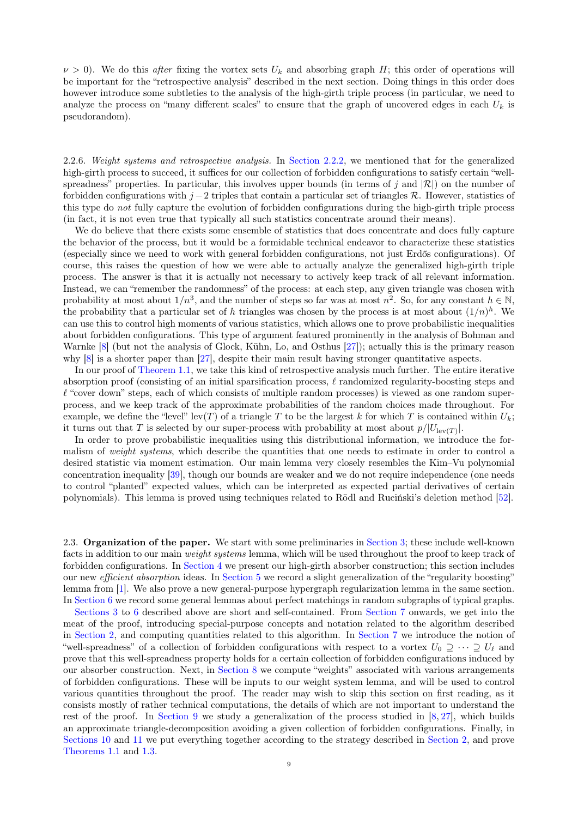$\nu > 0$ ). We do this after fixing the vortex sets  $U_k$  and absorbing graph H; this order of operations will be important for the "retrospective analysis" described in the next section. Doing things in this order does however introduce some subtleties to the analysis of the high-girth triple process (in particular, we need to analyze the process on "many different scales" to ensure that the graph of uncovered edges in each  $U_k$  is pseudorandom).

<span id="page-8-0"></span>2.2.6. Weight systems and retrospective analysis. In [Section 2.2.2,](#page-6-3) we mentioned that for the generalized high-girth process to succeed, it suffices for our collection of forbidden configurations to satisfy certain "wellspreadness" properties. In particular, this involves upper bounds (in terms of j and  $|\mathcal{R}|$ ) on the number of forbidden configurations with  $j-2$  triples that contain a particular set of triangles R. However, statistics of this type do not fully capture the evolution of forbidden configurations during the high-girth triple process (in fact, it is not even true that typically all such statistics concentrate around their means).

We do believe that there exists some ensemble of statistics that does concentrate and does fully capture the behavior of the process, but it would be a formidable technical endeavor to characterize these statistics (especially since we need to work with general forbidden configurations, not just Erdős configurations). Of course, this raises the question of how we were able to actually analyze the generalized high-girth triple process. The answer is that it is actually not necessary to actively keep track of all relevant information. Instead, we can "remember the randomness" of the process: at each step, any given triangle was chosen with probability at most about  $1/n^3$ , and the number of steps so far was at most  $n^2$ . So, for any constant  $h \in \mathbb{N}$ , the probability that a particular set of h triangles was chosen by the process is at most about  $(1/n)^h$ . We can use this to control high moments of various statistics, which allows one to prove probabilistic inequalities about forbidden configurations. This type of argument featured prominently in the analysis of Bohman and Warnke [\[8\]](#page-49-2) (but not the analysis of Glock, Kühn, Lo, and Osthus [\[27\]](#page-50-22)); actually this is the primary reason why [\[8\]](#page-49-2) is a shorter paper than [\[27\]](#page-50-22), despite their main result having stronger quantitative aspects.

In our proof of [Theorem 1.1,](#page-0-3) we take this kind of retrospective analysis much further. The entire iterative absorption proof (consisting of an initial sparsification process,  $\ell$  randomized regularity-boosting steps and  $\ell$  "cover down" steps, each of which consists of multiple random processes) is viewed as one random superprocess, and we keep track of the approximate probabilities of the random choices made throughout. For example, we define the "level" lev(T) of a triangle T to be the largest k for which T is contained within  $U_k$ ; it turns out that T is selected by our super-process with probability at most about  $p/|U_{\text{lev}(T)}|$ .

In order to prove probabilistic inequalities using this distributional information, we introduce the formalism of weight systems, which describe the quantities that one needs to estimate in order to control a desired statistic via moment estimation. Our main lemma very closely resembles the Kim–Vu polynomial concentration inequality [\[39\]](#page-50-34), though our bounds are weaker and we do not require independence (one needs to control "planted" expected values, which can be interpreted as expected partial derivatives of certain polynomials). This lemma is proved using techniques related to Rödl and Ruciński's deletion method [\[52\]](#page-51-8).

2.3. Organization of the paper. We start with some preliminaries in [Section 3;](#page-9-1) these include well-known facts in addition to our main weight systems lemma, which will be used throughout the proof to keep track of forbidden configurations. In [Section 4](#page-11-0) we present our high-girth absorber construction; this section includes our new efficient absorption ideas. In [Section 5](#page-14-0) we record a slight generalization of the "regularity boosting" lemma from [\[1\]](#page-49-5). We also prove a new general-purpose hypergraph regularization lemma in the same section. In [Section 6](#page-16-1) we record some general lemmas about perfect matchings in random subgraphs of typical graphs.

[Sections 3](#page-9-1) to [6](#page-16-1) described above are short and self-contained. From [Section 7](#page-17-0) onwards, we get into the meat of the proof, introducing special-purpose concepts and notation related to the algorithm described in [Section 2,](#page-5-0) and computing quantities related to this algorithm. In [Section 7](#page-17-0) we introduce the notion of "well-spreadness" of a collection of forbidden configurations with respect to a vortex  $U_0 \supseteq \cdots \supseteq U_\ell$  and prove that this well-spreadness property holds for a certain collection of forbidden configurations induced by our absorber construction. Next, in [Section 8](#page-20-0) we compute "weights" associated with various arrangements of forbidden configurations. These will be inputs to our weight system lemma, and will be used to control various quantities throughout the proof. The reader may wish to skip this section on first reading, as it consists mostly of rather technical computations, the details of which are not important to understand the rest of the proof. In [Section 9](#page-31-0) we study a generalization of the process studied in  $[8, 27]$  $[8, 27]$  $[8, 27]$ , which builds an approximate triangle-decomposition avoiding a given collection of forbidden configurations. Finally, in [Sections 10](#page-41-0) and [11](#page-49-7) we put everything together according to the strategy described in [Section 2,](#page-5-0) and prove [Theorems 1.1](#page-0-3) and [1.3.](#page-3-2)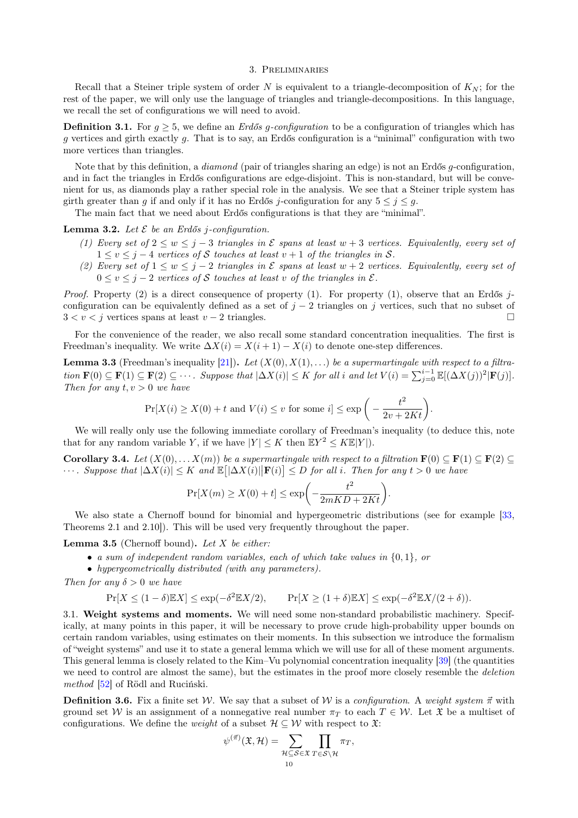### 3. Preliminaries

<span id="page-9-1"></span>Recall that a Steiner triple system of order N is equivalent to a triangle-decomposition of  $K_N$ ; for the rest of the paper, we will only use the language of triangles and triangle-decompositions. In this language, we recall the set of configurations we will need to avoid.

**Definition 3.1.** For  $g \geq 5$ , we define an *Erdős g-configuration* to be a configuration of triangles which has g vertices and girth exactly g. That is to say, an Erdős configuration is a "minimal" configuration with two more vertices than triangles.

Note that by this definition, a *diamond* (pair of triangles sharing an edge) is not an Erdős *q*-configuration, and in fact the triangles in Erdős configurations are edge-disjoint. This is non-standard, but will be convenient for us, as diamonds play a rather special role in the analysis. We see that a Steiner triple system has girth greater than g if and only if it has no Erdős j-configuration for any  $5 \leq j \leq g$ .

The main fact that we need about Erdős configurations is that they are "minimal".

<span id="page-9-2"></span>**Lemma 3.2.** Let  $\mathcal E$  be an Erdős *j*-configuration.

- (1) Every set of  $2 \leq w \leq j-3$  triangles in  $\mathcal E$  spans at least  $w+3$  vertices. Equivalently, every set of  $1 \le v \le j-4$  vertices of S touches at least  $v+1$  of the triangles in S.
- (2) Every set of  $1 \leq w \leq j-2$  triangles in  $\mathcal E$  spans at least  $w+2$  vertices. Equivalently, every set of  $0 \le v \le j-2$  vertices of S touches at least v of the triangles in  $\mathcal{E}$ .

*Proof.* Property (2) is a direct consequence of property (1). For property (1), observe that an Erdős jconfiguration can be equivalently defined as a set of  $j - 2$  triangles on j vertices, such that no subset of  $3 < v < j$  vertices spans at least  $v - 2$  triangles.

For the convenience of the reader, we also recall some standard concentration inequalities. The first is Freedman's inequality. We write  $\Delta X(i) = X(i+1) - X(i)$  to denote one-step differences.

**Lemma 3.3** (Freedman's inequality [\[21\]](#page-50-37)). Let  $(X(0), X(1), ...)$  be a supermartingale with respect to a filtration  $\mathbf{F}(0) \subseteq \mathbf{F}(1) \subseteq \mathbf{F}(2) \subseteq \cdots$ . Suppose that  $|\Delta X(i)| \leq K$  for all i and let  $V(i) = \sum_{j=0}^{i-1} \mathbb{E}[(\Delta X(j))^2 | \mathbf{F}(j)]$ . Then for any  $t, v > 0$  we have

$$
\Pr[X(i) \ge X(0) + t \text{ and } V(i) \le v \text{ for some } i] \le \exp\bigg(-\frac{t^2}{2v + 2Kt}\bigg).
$$

We will really only use the following immediate corollary of Freedman's inequality (to deduce this, note that for any random variable Y, if we have  $|Y| \leq K$  then  $\mathbb{E}Y^2 \leq K \mathbb{E}|Y|$ .

<span id="page-9-5"></span>Corollary 3.4. Let  $(X(0), \ldots X(m))$  be a supermartingale with respect to a filtration  $\mathbf{F}(0) \subseteq \mathbf{F}(1) \subseteq \mathbf{F}(2) \subseteq \mathbf{F}(3)$  $\cdots$ . Suppose that  $|\Delta X(i)| \leq K$  and  $\mathbb{E} [|\Delta X(i)| | \mathbf{F}(i)] \leq D$  for all i. Then for any  $t > 0$  we have

$$
\Pr[X(m) \ge X(0) + t] \le \exp\biggl(-\frac{t^2}{2mKD + 2Kt}\biggr).
$$

We also state a Chernoff bound for binomial and hypergeometric distributions (see for example [\[33,](#page-50-38) Theorems 2.1 and 2.10]). This will be used very frequently throughout the paper.

<span id="page-9-3"></span>**Lemma 3.5** (Chernoff bound). Let  $X$  be either:

- a sum of independent random variables, each of which take values in  $\{0, 1\}$ , or
- hypergeometrically distributed (with any parameters).

Then for any  $\delta > 0$  we have

$$
\Pr[X \le (1 - \delta) \mathbb{E}[X] \le \exp(-\delta^2 \mathbb{E}[X/2]), \qquad \Pr[X \ge (1 + \delta) \mathbb{E}[X] \le \exp(-\delta^2 \mathbb{E}[X/(2 + \delta))).
$$

<span id="page-9-0"></span>3.1. Weight systems and moments. We will need some non-standard probabilistic machinery. Specifically, at many points in this paper, it will be necessary to prove crude high-probability upper bounds on certain random variables, using estimates on their moments. In this subsection we introduce the formalism of "weight systems" and use it to state a general lemma which we will use for all of these moment arguments. This general lemma is closely related to the Kim–Vu polynomial concentration inequality [\[39\]](#page-50-34) (the quantities we need to control are almost the same), but the estimates in the proof more closely resemble the *deletion* method [\[52\]](#page-51-8) of Rödl and Ruciński.

<span id="page-9-4"></span>**Definition 3.6.** Fix a finite set W. We say that a subset of W is a configuration. A weight system  $\vec{\pi}$  with ground set W is an assignment of a nonnegative real number  $\pi_T$  to each  $T \in \mathcal{W}$ . Let  $\mathfrak{X}$  be a multiset of configurations. We define the *weight* of a subset  $\mathcal{H} \subseteq \mathcal{W}$  with respect to  $\mathfrak{X}$ :

$$
\psi^{(\vec{\pi})}(\mathfrak{X},\mathcal{H})=\sum_{\mathcal{H}\subseteq\mathcal{S}\in\mathfrak{X}}\prod_{T\in\mathcal{S}\setminus\mathcal{H}}\pi_T,
$$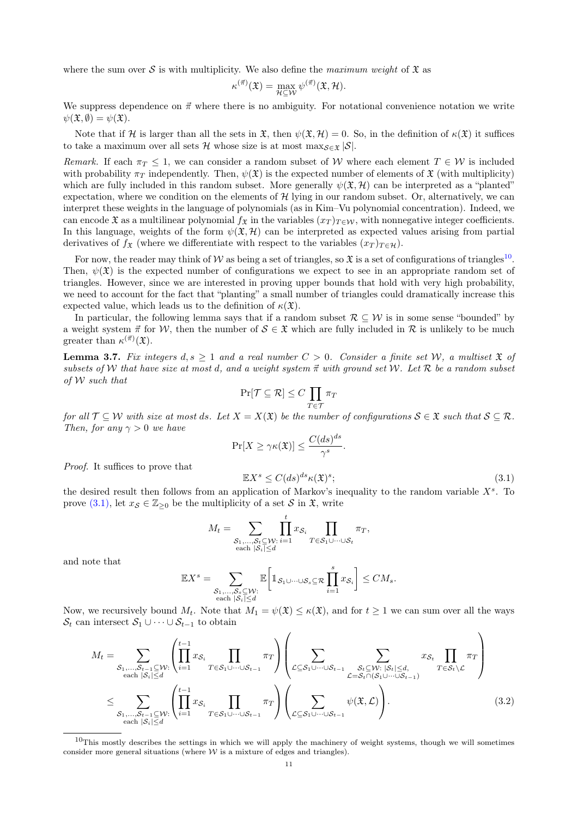where the sum over S is with multiplicity. We also define the maximum weight of  $\mathfrak X$  as

$$
\kappa^{(\vec{\pi})}(\mathfrak{X}) = \max_{\mathcal{H} \subseteq \mathcal{W}} \psi^{(\vec{\pi})}(\mathfrak{X}, \mathcal{H}).
$$

We suppress dependence on  $\vec{\pi}$  where there is no ambiguity. For notational convenience notation we write  $\psi(\mathfrak{X}, \emptyset) = \psi(\mathfrak{X}).$ 

Note that if H is larger than all the sets in  $\mathfrak{X}$ , then  $\psi(\mathfrak{X}, \mathcal{H}) = 0$ . So, in the definition of  $\kappa(\mathfrak{X})$  it suffices to take a maximum over all sets H whose size is at most  $\max_{S \in \mathcal{F}} |S|$ .

Remark. If each  $\pi_T \leq 1$ , we can consider a random subset of W where each element  $T \in \mathcal{W}$  is included with probability  $\pi_T$  independently. Then,  $\psi(\mathfrak{X})$  is the expected number of elements of  $\mathfrak{X}$  (with multiplicity) which are fully included in this random subset. More generally  $\psi(\mathfrak{X}, \mathcal{H})$  can be interpreted as a "planted" expectation, where we condition on the elements of  $H$  lying in our random subset. Or, alternatively, we can interpret these weights in the language of polynomials (as in Kim–Vu polynomial concentration). Indeed, we can encode  $\mathfrak X$  as a multilinear polynomial  $f_{\mathfrak X}$  in the variables  $(x_T)_{T \in \mathcal W}$ , with nonnegative integer coefficients. In this language, weights of the form  $\psi(\mathfrak{X}, \mathcal{H})$  can be interpreted as expected values arising from partial derivatives of  $f_{\mathfrak{X}}$  (where we differentiate with respect to the variables  $(x_T)_{T \in \mathcal{H}}$ ).

For now, the reader may think of W as being a set of triangles, so  $\mathfrak X$  is a set of configurations of triangles<sup>[10](#page-10-0)</sup>. Then,  $\psi(\mathfrak{X})$  is the expected number of configurations we expect to see in an appropriate random set of triangles. However, since we are interested in proving upper bounds that hold with very high probability, we need to account for the fact that "planting" a small number of triangles could dramatically increase this expected value, which leads us to the definition of  $\kappa(\mathfrak{X})$ .

In particular, the following lemma says that if a random subset  $\mathcal{R} \subseteq \mathcal{W}$  is in some sense "bounded" by a weight system  $\vec{\pi}$  for W, then the number of  $\mathcal{S} \in \mathfrak{X}$  which are fully included in  $\mathcal{R}$  is unlikely to be much greater than  $\kappa^{(\vec{\pi})}(\mathfrak{X}).$ 

<span id="page-10-2"></span>**Lemma 3.7.** Fix integers  $d, s \geq 1$  and a real number  $C > 0$ . Consider a finite set W, a multiset  $\mathfrak X$  of subsets of W that have size at most d, and a weight system  $\vec{\pi}$  with ground set W. Let R be a random subset of W such that

$$
\Pr[\mathcal{T} \subseteq \mathcal{R}] \le C \prod_{T \in \mathcal{T}} \pi_T
$$

for all  $\mathcal{T} \subseteq \mathcal{W}$  with size at most ds. Let  $X = X(\mathfrak{X})$  be the number of configurations  $S \in \mathfrak{X}$  such that  $S \subseteq \mathcal{R}$ . Then, for any  $\gamma > 0$  we have

$$
\Pr[X \ge \gamma \kappa(\mathfrak{X})] \le \frac{C(ds)^{ds}}{\gamma^s}.
$$

Proof. It suffices to prove that

<span id="page-10-1"></span>
$$
\mathbb{E}X^s \le C(ds)^{ds} \kappa(\mathfrak{X})^s; \tag{3.1}
$$

the desired result then follows from an application of Markov's inequality to the random variable  $X<sup>s</sup>$ . To prove [\(3.1\),](#page-10-1) let  $x_{\mathcal{S}} \in \mathbb{Z}_{\geq 0}$  be the multiplicity of a set  $\mathcal{S}$  in  $\mathfrak{X}$ , write

$$
M_t = \sum_{\substack{S_1,\ldots,S_t \subseteq \mathcal{W}: \\ \text{each } |S_i| \le d}} \prod_{i=1}^t x_{S_i} \prod_{T \in S_1 \cup \cdots \cup S_t} \pi_T,
$$

and note that

$$
\mathbb{E} X^s = \sum_{\substack{\mathcal{S}_1,\ldots,\mathcal{S}_s\subseteq\mathcal{W}:\\ \text{each } |\mathcal{S}_i|\leq d}} \mathbb{E}\bigg[\mathbbm{1}_{\mathcal{S}_1\cup\cdots\cup\mathcal{S}_s\subseteq\mathcal{R}}\prod_{i=1}^s x_{\mathcal{S}_i}\bigg]\leq CM_s.
$$

Now, we recursively bound  $M_t$ . Note that  $M_1 = \psi(\mathfrak{X}) \leq \kappa(\mathfrak{X})$ , and for  $t \geq 1$  we can sum over all the ways  $S_t$  can intersect  $S_1 \cup \cdots \cup S_{t-1}$  to obtain

$$
M_{t} = \sum_{\substack{S_{1},...,S_{t-1}\subseteq W:\\ \text{each }|S_{i}|\leq d}} \left( \prod_{i=1}^{t-1} x_{S_{i}} \prod_{T\in S_{1}\cup\cdots\cup S_{t-1}} \pi_{T} \right) \left( \sum_{\mathcal{L}\subseteq S_{1}\cup\cdots\cup S_{t-1}} \sum_{\substack{S_{t}\subseteq W:\\ \mathcal{L}=S_{t}\cap(S_{1}\cup\cdots\cup S_{t-1})}} x_{S_{t}} \prod_{T\in S_{t}\setminus\mathcal{L}} \pi_{T} \right)
$$
  

$$
\leq \sum_{\substack{S_{1},...,S_{t-1}\subseteq W:\\ \text{each }|S_{i}|\leq d}} \left( \prod_{i=1}^{t-1} x_{S_{i}} \prod_{T\in S_{1}\cup\cdots\cup S_{t-1}} \pi_{T} \right) \left( \sum_{\mathcal{L}\subseteq S_{1}\cup\cdots\cup S_{t-1}} \psi(\mathfrak{X}, \mathcal{L}) \right).
$$
(3.2)

<span id="page-10-0"></span> $10$ This mostly describes the settings in which we will apply the machinery of weight systems, though we will sometimes consider more general situations (where  $W$  is a mixture of edges and triangles).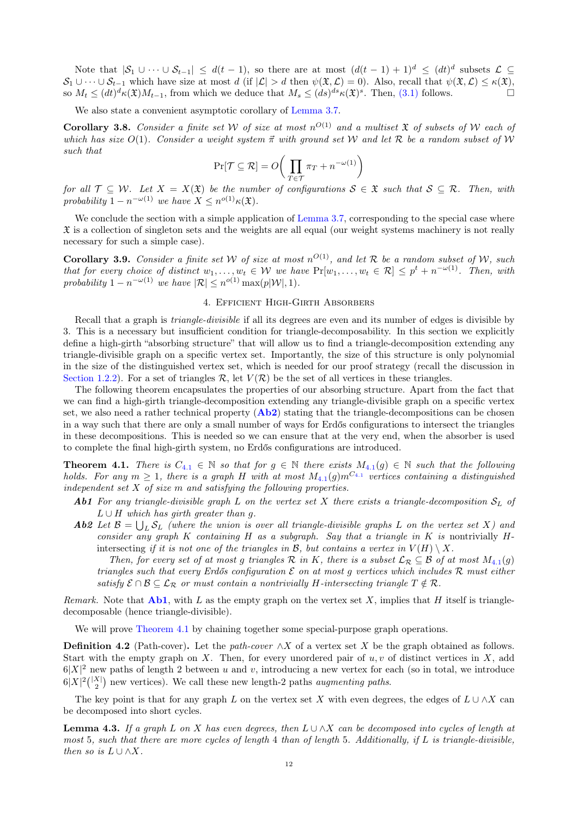Note that  $|\mathcal{S}_1 \cup \cdots \cup \mathcal{S}_{t-1}| \leq d(t-1)$ , so there are at most  $(d(t-1)+1)^d \leq (dt)^d$  subsets  $\mathcal{L} \subseteq$  $S_1 \cup \cdots \cup S_{t-1}$  which have size at most d (if  $|\mathcal{L}| > d$  then  $\psi(\mathfrak{X}, \mathcal{L}) = 0$ ). Also, recall that  $\psi(\mathfrak{X}, \mathcal{L}) \leq \kappa(\mathfrak{X})$ , so  $M_t \leq (dt)^d \kappa(\mathfrak{X}) M_{t-1}$ , from which we deduce that  $M_s \leq (ds)^{ds} \kappa(\mathfrak{X})^s$ . Then,  $(3.1)$  follows.

We also state a convenient asymptotic corollary of [Lemma 3.7.](#page-10-2)

<span id="page-11-5"></span>**Corollary 3.8.** Consider a finite set W of size at most  $n^{O(1)}$  and a multiset  $\mathfrak X$  of subsets of W each of which has size  $O(1)$ . Consider a weight system  $\vec{\pi}$  with ground set W and let R be a random subset of W such that

$$
\Pr[\mathcal{T} \subseteq \mathcal{R}] = O\bigg(\prod_{T \in \mathcal{T}} \pi_T + n^{-\omega(1)}\bigg)
$$

for all  $\mathcal{T} \subseteq \mathcal{W}$ . Let  $X = X(\mathfrak{X})$  be the number of configurations  $S \in \mathfrak{X}$  such that  $S \subseteq \mathcal{R}$ . Then, with probability  $1 - n^{-\omega(1)}$  we have  $X \leq n^{o(1)} \kappa(\mathfrak{X})$ .

We conclude the section with a simple application of [Lemma 3.7,](#page-10-2) corresponding to the special case where  $\mathfrak X$  is a collection of singleton sets and the weights are all equal (our weight systems machinery is not really necessary for such a simple case).

<span id="page-11-6"></span>**Corollary 3.9.** Consider a finite set W of size at most  $n^{O(1)}$ , and let R be a random subset of W, such that for every choice of distinct  $w_1, \ldots, w_t \in W$  we have  $Pr[w_1, \ldots, w_t \in \mathcal{R}] \leq p^t + n^{-\omega(1)}$ . Then, with probability  $1 - n^{-\omega(1)}$  we have  $|\mathcal{R}| \leq n^{o(1)} \max(p|\mathcal{W}|, 1)$ .

# 4. Efficient High-Girth Absorbers

<span id="page-11-0"></span>Recall that a graph is triangle-divisible if all its degrees are even and its number of edges is divisible by 3. This is a necessary but insufficient condition for triangle-decomposability. In this section we explicitly define a high-girth "absorbing structure" that will allow us to find a triangle-decomposition extending any triangle-divisible graph on a specific vertex set. Importantly, the size of this structure is only polynomial in the size of the distinguished vertex set, which is needed for our proof strategy (recall the discussion in [Section 1.2.2\)](#page-1-1). For a set of triangles  $\mathcal{R}$ , let  $V(\mathcal{R})$  be the set of all vertices in these triangles.

The following theorem encapsulates the properties of our absorbing structure. Apart from the fact that we can find a high-girth triangle-decomposition extending any triangle-divisible graph on a specific vertex set, we also need a rather technical property  $(Ab2)$  $(Ab2)$  $(Ab2)$  stating that the triangle-decompositions can be chosen in a way such that there are only a small number of ways for Erdős configurations to intersect the triangles in these decompositions. This is needed so we can ensure that at the very end, when the absorber is used to complete the final high-girth system, no Erdős configurations are introduced.

<span id="page-11-2"></span>**Theorem [4](#page-11-2).1.** There is  $C_{4,1} \in \mathbb{N}$  so that for  $g \in \mathbb{N}$  there exists  $M_{4,1}(g) \in \mathbb{N}$  such that the following holds. For any  $m \geq 1$ , there is a graph H with at most  $M_{4.1}(g) m^{C_{4.1}}$  $M_{4.1}(g) m^{C_{4.1}}$  $M_{4.1}(g) m^{C_{4.1}}$  vertices containing a distinguished independent set  $X$  of size  $m$  and satisfying the following properties.

- <span id="page-11-3"></span>**Ab1** For any triangle-divisible graph L on the vertex set X there exists a triangle-decomposition  $S_L$  of  $L \cup H$  which has girth greater than g.
- <span id="page-11-1"></span>**Ab2** Let  $\mathcal{B} = \bigcup_L \mathcal{S}_L$  (where the union is over all triangle-divisible graphs L on the vertex set X) and consider any graph K containing H as a subgraph. Say that a triangle in K is nontrivially  $H$ intersecting if it is not one of the triangles in  $\mathcal{B}$ , but contains a vertex in  $V(H) \setminus X$ .

Then, for every set of at most g triangles  $\mathcal R$  in K, there is a subset  $\mathcal L_{\mathcal R}\subseteq \mathcal B$  of at most  $M_{4.1}(g)$  $M_{4.1}(g)$  $M_{4.1}(g)$ triangles such that every Erdős configuration  $\mathcal E$  on at most g vertices which includes  $\mathcal R$  must either satisfy  $\mathcal{E} \cap \mathcal{B} \subseteq \mathcal{L}_{\mathcal{R}}$  or must contain a nontrivially H-intersecting triangle  $T \notin \mathcal{R}$ .

Remark. Note that  $\mathbf{Ab1}$  $\mathbf{Ab1}$  $\mathbf{Ab1}$ , with L as the empty graph on the vertex set X, implies that H itself is triangledecomposable (hence triangle-divisible).

We will prove [Theorem 4.1](#page-11-2) by chaining together some special-purpose graph operations.

**Definition 4.2** (Path-cover). Let the *path-cover*  $\wedge X$  of a vertex set X be the graph obtained as follows. Start with the empty graph on X. Then, for every unordered pair of  $u, v$  of distinct vertices in X, add  $6|X|^2$  new paths of length 2 between u and v, introducing a new vertex for each (so in total, we introduce  $6|X|^2\binom{|X|}{2}$  new vertices). We call these new length-2 paths *augmenting paths*.

The key point is that for any graph L on the vertex set X with even degrees, the edges of  $L \cup \wedge X$  can be decomposed into short cycles.

<span id="page-11-4"></span>**Lemma 4.3.** If a graph L on X has even degrees, then  $L \cup \Delta X$  can be decomposed into cycles of length at most 5, such that there are more cycles of length 4 than of length 5. Additionally, if L is triangle-divisible, then so is  $L \cup \wedge X$ .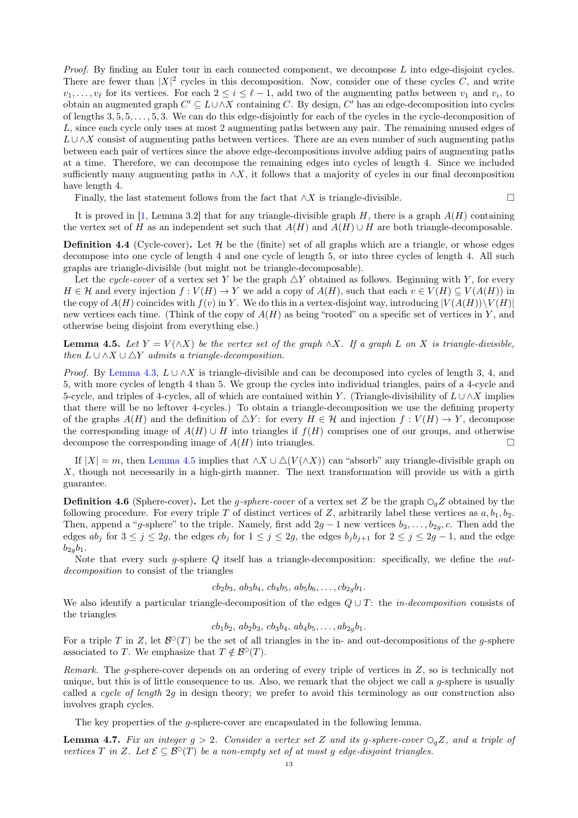*Proof.* By finding an Euler tour in each connected component, we decompose  $L$  into edge-disjoint cycles. There are fewer than  $|X|^2$  cycles in this decomposition. Now, consider one of these cycles C, and write  $v_1, \ldots, v_\ell$  for its vertices. For each  $2 \leq i \leq \ell - 1$ , add two of the augmenting paths between  $v_1$  and  $v_i$ , to obtain an augmented graph  $C' \subseteq L \cup \wedge X$  containing C. By design, C' has an edge-decomposition into cycles of lengths  $3, 5, 5, \ldots, 5, 3$ . We can do this edge-disjointly for each of the cycles in the cycle-decomposition of L, since each cycle only uses at most 2 augmenting paths between any pair. The remaining unused edges of  $L\cup\wedge X$  consist of augmenting paths between vertices. There are an even number of such augmenting paths between each pair of vertices since the above edge-decompositions involve adding pairs of augmenting paths at a time. Therefore, we can decompose the remaining edges into cycles of length 4. Since we included sufficiently many augmenting paths in  $\wedge X$ , it follows that a majority of cycles in our final decomposition have length 4.

Finally, the last statement follows from the fact that  $\wedge X$  is triangle-divisible.

It is proved in [\[1,](#page-49-5) Lemma 3.2] that for any triangle-divisible graph  $H$ , there is a graph  $A(H)$  containing the vertex set of H as an independent set such that  $A(H)$  and  $A(H) \cup H$  are both triangle-decomposable.

**Definition 4.4** (Cycle-cover). Let  $H$  be the (finite) set of all graphs which are a triangle, or whose edges decompose into one cycle of length 4 and one cycle of length 5, or into three cycles of length 4. All such graphs are triangle-divisible (but might not be triangle-decomposable).

Let the cycle-cover of a vertex set Y be the graph  $\Delta Y$  obtained as follows. Beginning with Y, for every  $H \in \mathcal{H}$  and every injection  $f: V(H) \to Y$  we add a copy of  $A(H)$ , such that each  $v \in V(H) \subseteq V(A(H))$  in the copy of  $A(H)$  coincides with  $f(v)$  in Y. We do this in a vertex-disjoint way, introducing  $|V(A(H))\setminus V(H)|$ new vertices each time. (Think of the copy of  $A(H)$  as being "rooted" on a specific set of vertices in Y, and otherwise being disjoint from everything else.)

<span id="page-12-1"></span>**Lemma 4.5.** Let  $Y = V(\wedge X)$  be the vertex set of the graph  $\wedge X$ . If a graph L on X is triangle-divisible, then  $L \cup \wedge X \cup \triangle Y$  admits a triangle-decomposition.

*Proof.* By [Lemma 4.3,](#page-11-4)  $L \cup \bigwedge X$  is triangle-divisible and can be decomposed into cycles of length 3, 4, and 5, with more cycles of length 4 than 5. We group the cycles into individual triangles, pairs of a 4-cycle and 5-cycle, and triples of 4-cycles, all of which are contained within Y. (Triangle-divisibility of  $L \cup \bigwedge X$  implies that there will be no leftover 4-cycles.) To obtain a triangle-decomposition we use the defining property of the graphs  $A(H)$  and the definition of  $\Delta Y$ : for every  $H \in \mathcal{H}$  and injection  $f: V(H) \to Y$ , decompose the corresponding image of  $A(H) \cup H$  into triangles if  $f(H)$  comprises one of our groups, and otherwise decompose the corresponding image of  $A(H)$  into triangles.

If  $|X| = m$ , then [Lemma 4.5](#page-12-1) implies that  $\wedge X \cup \triangle (V(\wedge X))$  can "absorb" any triangle-divisible graph on X, though not necessarily in a high-girth manner. The next transformation will provide us with a girth guarantee.

<span id="page-12-0"></span>**Definition 4.6** (Sphere-cover). Let the g-sphere-cover of a vertex set Z be the graph  $\bigcirc_g Z$  obtained by the following procedure. For every triple T of distinct vertices of Z, arbitrarily label these vertices as  $a, b_1, b_2$ . Then, append a "g-sphere" to the triple. Namely, first add  $2g - 1$  new vertices  $b_3, \ldots, b_{2g}, c$ . Then add the edges  $ab_j$  for  $3 \le j \le 2g$ , the edges  $cb_j$  for  $1 \le j \le 2g$ , the edges  $b_j b_{j+1}$  for  $2 \le j \le 2g-1$ , and the edge  $b_{2a}b_1$ .

Note that every such g-sphere  $Q$  itself has a triangle-decomposition: specifically, we define the *out*decomposition to consist of the triangles

 $cb_2b_3$ ,  $ab_3b_4$ ,  $cb_4b_5$ ,  $ab_5b_6$ , ...,  $cb_{2q}b_1$ .

We also identify a particular triangle-decomposition of the edges  $Q \cup T$ : the *in-decomposition* consists of the triangles

 $cb_1b_2, ab_2b_3, cb_3b_4, ab_4b_5, \ldots, ab_{2g}b_1.$ 

For a triple T in Z, let  $\mathcal{B}^{\circ}(T)$  be the set of all triangles in the in- and out-decompositions of the g-sphere associated to T. We emphasize that  $T \notin \mathcal{B}^{\circ}(T)$ .

Remark. The g-sphere-cover depends on an ordering of every triple of vertices in Z, so is technically not unique, but this is of little consequence to us. Also, we remark that the object we call a  $q$ -sphere is usually called a cycle of length 2g in design theory; we prefer to avoid this terminology as our construction also involves graph cycles.

The key properties of the g-sphere-cover are encapsulated in the following lemma.

<span id="page-12-2"></span>**Lemma 4.7.** Fix an integer  $g > 2$ . Consider a vertex set Z and its g-sphere-cover  $\bigcirc_{g}Z$ , and a triple of vertices T in Z. Let  $\mathcal{E} \subseteq \mathcal{B}^{\circ}(T)$  be a non-empty set of at most g edge-disjoint triangles.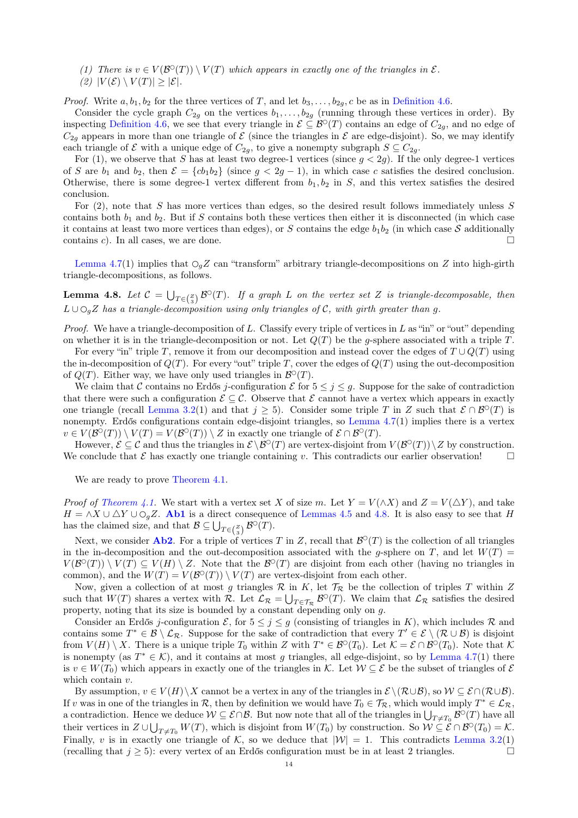(1) There is  $v \in V(\mathcal{B}^{\circ}(T)) \setminus V(T)$  which appears in exactly one of the triangles in  $\mathcal{E}.$ (2)  $|V(\mathcal{E}) \setminus V(T)| \geq |\mathcal{E}|$ .

*Proof.* Write  $a, b_1, b_2$  for the three vertices of T, and let  $b_3, \ldots, b_{2q}$ , c be as in [Definition 4.6.](#page-12-0)

Consider the cycle graph  $C_{2g}$  on the vertices  $b_1, \ldots, b_{2g}$  (running through these vertices in order). By inspecting [Definition 4.6,](#page-12-0) we see that every triangle in  $\mathcal{E} \subseteq \mathcal{B}^{\circ}(T)$  contains an edge of  $C_{2g}$ , and no edge of  $C_{2g}$  appears in more than one triangle of  $\mathcal E$  (since the triangles in  $\mathcal E$  are edge-disjoint). So, we may identify each triangle of  $\mathcal E$  with a unique edge of  $C_{2g}$ , to give a nonempty subgraph  $S \subseteq C_{2g}$ .

For (1), we observe that S has at least two degree-1 vertices (since  $g < 2g$ ). If the only degree-1 vertices of S are  $b_1$  and  $b_2$ , then  $\mathcal{E} = \{cb_1b_2\}$  (since  $g < 2g - 1$ ), in which case c satisfies the desired conclusion. Otherwise, there is some degree-1 vertex different from  $b_1, b_2$  in S, and this vertex satisfies the desired conclusion.

For  $(2)$ , note that S has more vertices than edges, so the desired result follows immediately unless S contains both  $b_1$  and  $b_2$ . But if S contains both these vertices then either it is disconnected (in which case it contains at least two more vertices than edges), or S contains the edge  $b_1b_2$  (in which case S additionally contains c). In all cases, we are done.  $\square$ 

[Lemma 4.7\(](#page-12-2)1) implies that  $\mathcal{O}_qZ$  can "transform" arbitrary triangle-decompositions on Z into high-girth triangle-decompositions, as follows.

<span id="page-13-0"></span>**Lemma 4.8.** Let  $C = \bigcup_{T \in \binom{Z}{3}} \mathcal{B}^{\circ}(T)$ . If a graph L on the vertex set Z is triangle-decomposable, then  $L \cup \bigcirc_{q}Z$  has a triangle-decomposition using only triangles of C, with girth greater than q.

*Proof.* We have a triangle-decomposition of L. Classify every triple of vertices in L as "in" or "out" depending on whether it is in the triangle-decomposition or not. Let  $Q(T)$  be the q-sphere associated with a triple T.

For every "in" triple T, remove it from our decomposition and instead cover the edges of  $T \cup Q(T)$  using the in-decomposition of  $Q(T)$ . For every "out" triple T, cover the edges of  $Q(T)$  using the out-decomposition of  $Q(T)$ . Either way, we have only used triangles in  $\mathcal{B}^{\circ}(T)$ .

We claim that C contains no Erdős j-configuration E for  $5 \leq j \leq g$ . Suppose for the sake of contradiction that there were such a configuration  $\mathcal{E} \subseteq \mathcal{C}$ . Observe that  $\mathcal{E}$  cannot have a vertex which appears in exactly one triangle (recall [Lemma 3.2\(](#page-9-2)1) and that  $j \geq 5$ ). Consider some triple T in Z such that  $\mathcal{E} \cap \mathcal{B}^{\circ}(T)$  is nonempty. Erdős configurations contain edge-disjoint triangles, so [Lemma 4.7\(](#page-12-2)1) implies there is a vertex  $v \in V(\mathcal{B}^{\circ}(T)) \setminus V(T) = V(\mathcal{B}^{\circ}(T)) \setminus Z$  in exactly one triangle of  $\mathcal{E} \cap \mathcal{B}^{\circ}(T)$ .

However,  $\mathcal{E} \subseteq \mathcal{C}$  and thus the triangles in  $\mathcal{E} \setminus \mathcal{B}^{\circ}(T)$  are vertex-disjoint from  $V(\mathcal{B}^{\circ}(T)) \setminus Z$  by construction. We conclude that  $\mathcal E$  has exactly one triangle containing v. This contradicts our earlier observation!

We are ready to prove [Theorem 4.1.](#page-11-2)

*Proof of [Theorem 4.1.](#page-11-2)* We start with a vertex set X of size m. Let  $Y = V(\wedge X)$  and  $Z = V(\triangle Y)$ , and take  $H = \wedge X \cup \triangle Y \cup \bigcirc_{g} Z$ . [Ab1](#page-11-3) is a direct consequence of [Lemmas 4.5](#page-12-1) and [4.8.](#page-13-0) It is also easy to see that H has the claimed size, and that  $\mathcal{B} \subseteq \bigcup_{T \in {Z \choose 3}} \mathcal{B}^{\circ}(T)$ .

Next, we consider **[Ab2](#page-11-1)**. For a triple of vertices T in Z, recall that  $\mathcal{B}^{\circ}(T)$  is the collection of all triangles in the in-decomposition and the out-decomposition associated with the g-sphere on T, and let  $W(T)$  =  $V(\mathcal{B}^{\circ}(T)) \setminus V(T) \subseteq V(H) \setminus Z$ . Note that the  $\mathcal{B}^{\circ}(T)$  are disjoint from each other (having no triangles in common), and the  $W(T) = V(\mathcal{B}^{\circ}(T)) \setminus V(T)$  are vertex-disjoint from each other.

Now, given a collection of at most g triangles  $R$  in K, let  $\mathcal{T}_R$  be the collection of triples T within Z such that  $W(T)$  shares a vertex with  $\mathcal{R}$ . Let  $\mathcal{L}_{\mathcal{R}} = \bigcup_{T \in \mathcal{T}_{\mathcal{R}}} \mathcal{B}^{\circ}(T)$ . We claim that  $\mathcal{L}_{\mathcal{R}}$  satisfies the desired property, noting that its size is bounded by a constant depending only on g.

Consider an Erdős j-configuration  $\mathcal{E}$ , for  $5 \leq j \leq g$  (consisting of triangles in K), which includes  $\mathcal{R}$  and contains some  $T^* \in \mathcal{B} \setminus \mathcal{L}_{\mathcal{R}}$ . Suppose for the sake of contradiction that every  $T' \in \mathcal{E} \setminus (\mathcal{R} \cup \mathcal{B})$  is disjoint from  $V(H) \setminus X$ . There is a unique triple  $T_0$  within Z with  $T^* \in \mathcal{B}^{\circ}(T_0)$ . Let  $\mathcal{K} = \mathcal{E} \cap \mathcal{B}^{\circ}(T_0)$ . Note that K is nonempty (as  $T^* \in \mathcal{K}$ ), and it contains at most g triangles, all edge-disjoint, so by [Lemma 4.7\(](#page-12-2)1) there is  $v \in W(T_0)$  which appears in exactly one of the triangles in K. Let  $W \subseteq \mathcal{E}$  be the subset of triangles of  $\mathcal{E}$ which contain  $v$ .

By assumption,  $v \in V(H) \backslash X$  cannot be a vertex in any of the triangles in  $\mathcal{E} \backslash (\mathcal{R} \cup \mathcal{B})$ , so  $\mathcal{W} \subseteq \mathcal{E} \cap (\mathcal{R} \cup \mathcal{B})$ . If v was in one of the triangles in R, then by definition we would have  $T_0 \in \mathcal{T}_{\mathcal{R}}$ , which would imply  $T^* \in \mathcal{L}_{\mathcal{R}}$ , a contradiction. Hence we deduce  $\mathcal{W} \subseteq \mathcal{E} \cap \mathcal{B}$ . But now note that all of the triangles in  $\bigcup_{T \neq T_0} \mathcal{B}^{\circ}(T)$  have all their vertices in  $Z \cup \bigcup_{T \neq T_0} W(T)$ , which is disjoint from  $W(T_0)$  by construction. So  $W \subseteq \mathcal{E} \cap \mathcal{B}^{\circ}(T_0) = \mathcal{K}$ . Finally, v is in exactly one triangle of K, so we deduce that  $|\mathcal{W}| = 1$ . This contradicts [Lemma 3.2\(](#page-9-2)1) (recalling that  $j \geq 5$ ): every vertex of an Erdős configuration must be in at least 2 triangles.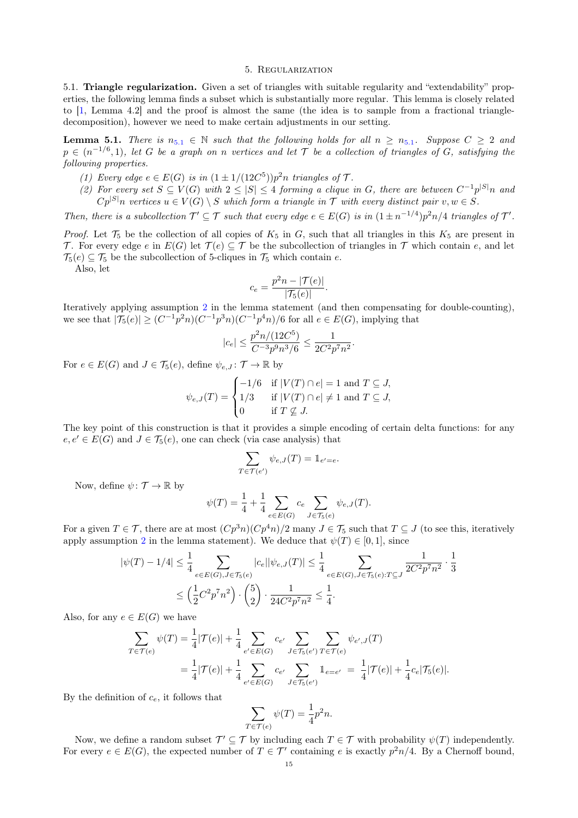#### 5. Regularization

<span id="page-14-0"></span>5.1. Triangle regularization. Given a set of triangles with suitable regularity and "extendability" properties, the following lemma finds a subset which is substantially more regular. This lemma is closely related to [\[1,](#page-49-5) Lemma 4.2] and the proof is almost the same (the idea is to sample from a fractional triangledecomposition), however we need to make certain adjustments in our setting.

<span id="page-14-1"></span>**Lemma [5](#page-14-1).1.** There is  $n_{5,1} \in \mathbb{N}$  such that the following holds for all  $n \geq n_{5,1}$ . Suppose  $C \geq 2$  and  $p \in (n^{-1/6}, 1)$ , let G be a graph on n vertices and let T be a collection of triangles of G, satisfying the following properties.

- (1) Every edge  $e \in E(G)$  is in  $(1 \pm 1/(12C^5))p^2n$  triangles of  $\mathcal{T}$ .
- <span id="page-14-2"></span>(2) For every set  $S \subseteq V(G)$  with  $2 \leq |S| \leq 4$  forming a clique in G, there are between  $C^{-1}p^{|S|}n$  and  $Cp^{|S|}n$  vertices  $u \in V(G) \setminus S$  which form a triangle in  $\mathcal T$  with every distinct pair  $v, w \in S$ .

Then, there is a subcollection  $\mathcal{T}' \subseteq \mathcal{T}$  such that every edge  $e \in E(G)$  is in  $(1 \pm n^{-1/4})p^2n/4$  triangles of  $\mathcal{T}'$ .

*Proof.* Let  $\mathcal{T}_5$  be the collection of all copies of  $K_5$  in G, such that all triangles in this  $K_5$  are present in T. For every edge e in  $E(G)$  let  $\mathcal{T}(e) \subseteq \mathcal{T}$  be the subcollection of triangles in  $\mathcal{T}$  which contain e, and let  $\mathcal{T}_5(e) \subseteq \mathcal{T}_5$  be the subcollection of 5-cliques in  $\mathcal{T}_5$  which contain e.

Also, let

$$
c_e = \frac{p^2n - |\mathcal{T}(e)|}{|\mathcal{T}_5(e)|}.
$$

Iteratively applying assumption [2](#page-14-2) in the lemma statement (and then compensating for double-counting), we see that  $|\mathcal{T}_5(e)| \ge (C^{-1}p^2n)(C^{-1}p^3n)(C^{-1}p^4n)/6$  for all  $e \in E(G)$ , implying that

$$
|c_e| \leq \frac{p^2n/(12C^5)}{C^{-3}p^9n^3/6} \leq \frac{1}{2C^2p^7n^2}.
$$

For  $e \in E(G)$  and  $J \in \mathcal{T}_5(e)$ , define  $\psi_{e,J} : \mathcal{T} \to \mathbb{R}$  by

$$
\psi_{e,J}(T) = \begin{cases}\n-1/6 & \text{if } |V(T) \cap e| = 1 \text{ and } T \subseteq J, \\
1/3 & \text{if } |V(T) \cap e| \neq 1 \text{ and } T \subseteq J, \\
0 & \text{if } T \nsubseteq J.\n\end{cases}
$$

The key point of this construction is that it provides a simple encoding of certain delta functions: for any  $e, e' \in E(G)$  and  $J \in \mathcal{T}_5(e)$ , one can check (via case analysis) that

$$
\sum_{T \in \mathcal{T}(e')} \psi_{e,J}(T) = \mathbb{1}_{e'=e}.
$$

Now, define  $\psi \colon \mathcal{T} \to \mathbb{R}$  by

$$
\psi(T) = \frac{1}{4} + \frac{1}{4} \sum_{e \in E(G)} c_e \sum_{J \in \mathcal{T}_5(e)} \psi_{e,J}(T).
$$

For a given  $T \in \mathcal{T}$ , there are at most  $(Cp^3n)(Cp^4n)/2$  many  $J \in \mathcal{T}_5$  such that  $T \subseteq J$  (to see this, iteratively apply assumption [2](#page-14-2) in the lemma statement). We deduce that  $\psi(T) \in [0, 1]$ , since

$$
|\psi(T) - 1/4| \le \frac{1}{4} \sum_{e \in E(G), J \in \mathcal{T}_5(e)} |c_e||\psi_{e,J}(T)| \le \frac{1}{4} \sum_{e \in E(G), J \in \mathcal{T}_5(e): T \subseteq J} \frac{1}{2C^2 p^7 n^2} \cdot \frac{1}{3}
$$
  

$$
\le \left(\frac{1}{2}C^2 p^7 n^2\right) \cdot \binom{5}{2} \cdot \frac{1}{24C^2 p^7 n^2} \le \frac{1}{4}.
$$

Also, for any  $e \in E(G)$  we have

$$
\sum_{T \in \mathcal{T}(e)} \psi(T) = \frac{1}{4} |\mathcal{T}(e)| + \frac{1}{4} \sum_{e' \in E(G)} c_{e'} \sum_{J \in \mathcal{T}_5(e')} \sum_{T \in \mathcal{T}(e)} \psi_{e',J}(T)
$$
  
=  $\frac{1}{4} |\mathcal{T}(e)| + \frac{1}{4} \sum_{e' \in E(G)} c_{e'} \sum_{J \in \mathcal{T}_5(e')} \mathbb{1}_{e = e'} = \frac{1}{4} |\mathcal{T}(e)| + \frac{1}{4} c_e |\mathcal{T}_5(e)|.$ 

By the definition of  $c_e$ , it follows that

$$
\sum_{T \in \mathcal{T}(e)} \psi(T) = \frac{1}{4} p^2 n.
$$

Now, we define a random subset  $\mathcal{T}' \subseteq \mathcal{T}$  by including each  $T \in \mathcal{T}$  with probability  $\psi(T)$  independently. For every  $e \in E(G)$ , the expected number of  $T \in \mathcal{T}'$  containing e is exactly  $p^2n/4$ . By a Chernoff bound,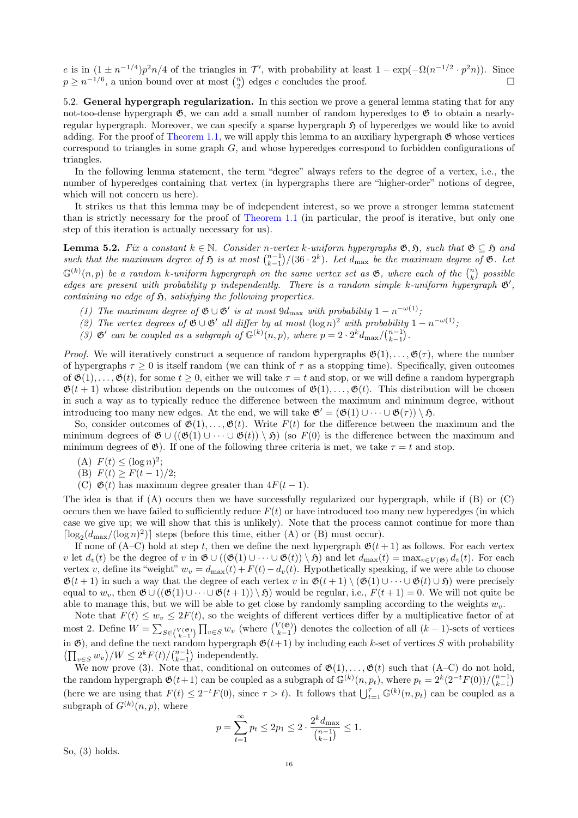e is in  $(1 \pm n^{-1/4})p^2n/4$  of the triangles in T', with probability at least  $1 - \exp(-\Omega(n^{-1/2} \cdot p^2n))$ . Since  $p \geq n^{-1/6}$ , a union bound over at most  $\binom{n}{2}$  edges e concludes the proof.

5.2. General hypergraph regularization. In this section we prove a general lemma stating that for any not-too-dense hypergraph  $\mathfrak{G}$ , we can add a small number of random hyperedges to  $\mathfrak{G}$  to obtain a nearlyregular hypergraph. Moreover, we can specify a sparse hypergraph  $\mathfrak H$  of hyperedges we would like to avoid adding. For the proof of [Theorem 1.1,](#page-0-3) we will apply this lemma to an auxiliary hypergraph  $\mathfrak{G}$  whose vertices correspond to triangles in some graph  $G$ , and whose hyperedges correspond to forbidden configurations of triangles.

In the following lemma statement, the term "degree" always refers to the degree of a vertex, i.e., the number of hyperedges containing that vertex (in hypergraphs there are "higher-order" notions of degree, which will not concern us here).

It strikes us that this lemma may be of independent interest, so we prove a stronger lemma statement than is strictly necessary for the proof of [Theorem 1.1](#page-0-3) (in particular, the proof is iterative, but only one step of this iteration is actually necessary for us).

<span id="page-15-0"></span>**Lemma 5.2.** Fix a constant  $k \in \mathbb{N}$ . Consider n-vertex k-uniform hypergraphs  $\mathfrak{G}, \mathfrak{H}$ , such that  $\mathfrak{G} \subseteq \mathfrak{H}$  and such that the maximum degree of  $\mathfrak{H}$  is at most  $\binom{n-1}{k-1}/(36 \cdot 2^k)$ . Let  $d_{\text{max}}$  be the maximum degree of  $\mathfrak{G}$ . Let  $\mathbb{G}^{(k)}(n,p)$  be a random k-uniform hypergraph on the same vertex set as  $\mathfrak{G}$ , where each of the  $\binom{n}{k}$  possible edges are present with probability p independently. There is a random simple k-uniform hypergraph  $\mathfrak{G}'$ , containing no edge of  $\mathfrak{H}$ , satisfying the following properties.

- (1) The maximum degree of  $\mathfrak{G} \cup \mathfrak{G}'$  is at most  $9d_{\text{max}}$  with probability  $1 n^{-\omega(1)}$ ;
- (2) The vertex degrees of  $\mathfrak{G} \cup \mathfrak{G}'$  all differ by at most  $(\log n)^2$  with probability  $1 n^{-\omega(1)}$ ;
- (3)  $\mathfrak{G}'$  can be coupled as a subgraph of  $\mathbb{G}^{(k)}(n,p)$ , where  $p = 2 \cdot 2^k d_{\max}/\binom{n-1}{k-1}$ .

*Proof.* We will iteratively construct a sequence of random hypergraphs  $\mathfrak{G}(1), \ldots, \mathfrak{G}(\tau)$ , where the number of hypergraphs  $\tau \geq 0$  is itself random (we can think of  $\tau$  as a stopping time). Specifically, given outcomes of  $\mathfrak{G}(1), \ldots, \mathfrak{G}(t)$ , for some  $t \geq 0$ , either we will take  $\tau = t$  and stop, or we will define a random hypergraph  $\mathfrak{G}(t+1)$  whose distribution depends on the outcomes of  $\mathfrak{G}(1), \ldots, \mathfrak{G}(t)$ . This distribution will be chosen in such a way as to typically reduce the difference between the maximum and minimum degree, without introducing too many new edges. At the end, we will take  $\mathfrak{G}' = (\mathfrak{G}(1) \cup \cdots \cup \mathfrak{G}(\tau)) \setminus \mathfrak{H}$ .

So, consider outcomes of  $\mathfrak{G}(1), \ldots, \mathfrak{G}(t)$ . Write  $F(t)$  for the difference between the maximum and the minimum degrees of  $\mathfrak{G} \cup ((\mathfrak{G}(1) \cup \cdots \cup \mathfrak{G}(t)) \setminus \mathfrak{H})$  (so  $F(0)$  is the difference between the maximum and minimum degrees of  $\mathfrak{G}$ ). If one of the following three criteria is met, we take  $\tau = t$  and stop.

- (A)  $F(t) \leq (\log n)^2;$
- (B)  $F(t) > F(t-1)/2$ ;
- (C)  $\mathfrak{G}(t)$  has maximum degree greater than  $4F(t-1)$ .

The idea is that if  $(A)$  occurs then we have successfully regularized our hypergraph, while if  $(B)$  or  $(C)$ occurs then we have failed to sufficiently reduce  $F(t)$  or have introduced too many new hyperedges (in which case we give up; we will show that this is unlikely). Note that the process cannot continue for more than [ $\log_2(d_{\text{max}}/(\log n)^2)$ ] steps (before this time, either (A) or (B) must occur).

If none of (A–C) hold at step t, then we define the next hypergraph  $\mathfrak{G}(t+1)$  as follows. For each vertex v let  $d_v(t)$  be the degree of v in  $\mathfrak{G} \cup ((\mathfrak{G}(1) \cup \cdots \cup \mathfrak{G}(t)) \setminus \mathfrak{H})$  and let  $d_{\max}(t) = \max_{v \in V(\mathfrak{G})} d_v(t)$ . For each vertex v, define its "weight"  $w_v = d_{\text{max}}(t) + F(t) - d_v(t)$ . Hypothetically speaking, if we were able to choose  $\mathfrak{G}(t+1)$  in such a way that the degree of each vertex v in  $\mathfrak{G}(t+1) \setminus (\mathfrak{G}(1) \cup \cdots \cup \mathfrak{G}(t) \cup \mathfrak{H})$  were precisely equal to  $w_v$ , then  $\mathfrak{G} \cup ((\mathfrak{G}(1) \cup \cdots \cup \mathfrak{G}(t+1)) \setminus \mathfrak{H})$  would be regular, i.e.,  $F(t+1) = 0$ . We will not quite be able to manage this, but we will be able to get close by randomly sampling according to the weights  $w_v$ .

Note that  $F(t) \leq w_v \leq 2F(t)$ , so the weights of different vertices differ by a multiplicative factor of at most 2. Define  $W = \sum_{S \in {V(\mathfrak{S})} \atop k=1} \prod_{v \in S} w_v$  (where  ${V(\mathfrak{S}) \choose k-1}$ ) denotes the collection of all  $(k-1)$ -sets of vertices in  $\mathfrak{G}$ ), and define the next random hypergraph  $\mathfrak{G}(t+1)$  by including each k-set of vertices S with probability  $\left(\prod_{v \in S} w_v\right) / W \leq 2^k F(t) / \binom{n-1}{k-1}$  independently.

We now prove (3). Note that, conditional on outcomes of  $\mathfrak{G}(1), \ldots, \mathfrak{G}(t)$  such that (A–C) do not hold, the random hypergraph  $\mathfrak{G}(t+1)$  can be coupled as a subgraph of  $\mathbb{G}^{(k)}(n, p_t)$ , where  $p_t = 2^k (2^{-t} F(0))/\binom{n-1}{k-1}$ (here we are using that  $F(t) \leq 2^{-t} F(0)$ , since  $\tau > t$ ). It follows that  $\bigcup_{t=1}^{\tau} \mathbb{G}^{(k)}(n, p_t)$  can be coupled as a subgraph of  $G^{(k)}(n, p)$ , where

$$
p = \sum_{t=1}^{\infty} p_t \le 2p_1 \le 2 \cdot \frac{2^k d_{\text{max}}}{\binom{n-1}{k-1}} \le 1.
$$

So, (3) holds.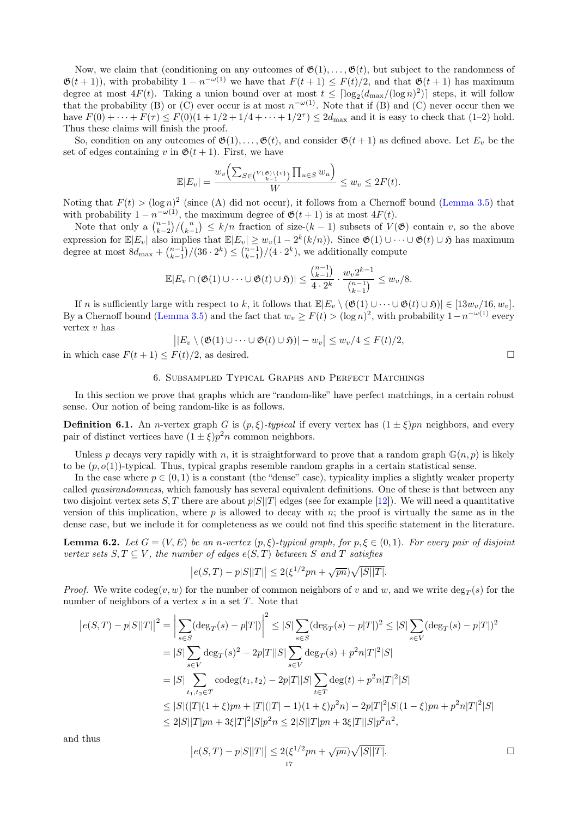Now, we claim that (conditioning on any outcomes of  $\mathfrak{G}(1), \ldots, \mathfrak{G}(t)$ , but subject to the randomness of  $\mathfrak{G}(t+1)$ , with probability  $1-n^{-\omega(1)}$  we have that  $F(t+1) \leq F(t)/2$ , and that  $\mathfrak{G}(t+1)$  has maximum degree at most  $4F(t)$ . Taking a union bound over at most  $t \leq \lceil \log_2(d_{\max}/(\log n)^2) \rceil$  steps, it will follow that the probability (B) or (C) ever occur is at most  $n^{-\omega(1)}$ . Note that if (B) and (C) never occur then we have  $F(0) + \cdots + F(\tau) \leq F(0)(1 + 1/2 + 1/4 + \cdots + 1/2^{\tau}) \leq 2d_{\max}$  and it is easy to check that  $(1-2)$  hold. Thus these claims will finish the proof.

So, condition on any outcomes of  $\mathfrak{G}(1), \ldots, \mathfrak{G}(t)$ , and consider  $\mathfrak{G}(t+1)$  as defined above. Let  $E_v$  be the set of edges containing v in  $\mathfrak{G}(t+1)$ . First, we have

$$
\mathbb{E}|E_v| = \frac{w_v\left(\sum_{S \in \binom{V(\mathfrak{G}) \setminus \{v\}}{k-1}} \prod_{u \in S} w_u\right)}{W} \leq w_v \leq 2F(t).
$$

Noting that  $F(t) > (\log n)^2$  (since (A) did not occur), it follows from a Chernoff bound [\(Lemma 3.5\)](#page-9-3) that with probability  $1 - n^{-\omega(1)}$ , the maximum degree of  $\mathfrak{G}(t+1)$  is at most  $4F(t)$ .

Note that only a  $\binom{n-1}{k-1}\binom{n}{k-1} \leq k/n$  fraction of size- $(k-1)$  subsets of  $V(\mathfrak{G})$  contain v, so the above expression for  $\mathbb{E}|E_v|$  also implies that  $\mathbb{E}|E_v| \geq w_v(1-2^k(k/n))$ . Since  $\mathfrak{G}(1) \cup \cdots \cup \mathfrak{G}(t) \cup \mathfrak{H}$  has maximum degree at most  $8d_{\text{max}} + {n-1 \choose k-1} / (36 \cdot 2^k) \leq {n-1 \choose k-1} / (4 \cdot 2^k)$ , we additionally compute

$$
\mathbb{E}|E_v \cap (\mathfrak{G}(1) \cup \cdots \cup \mathfrak{G}(t) \cup \mathfrak{H})| \leq \frac{{n-1 \choose k-1}}{{4 \cdot 2^k}} \cdot \frac{w_v 2^{k-1}}{{n-1 \choose k-1}} \leq w_v/8.
$$

If n is sufficiently large with respect to k, it follows that  $\mathbb{E}[E_v \setminus (\mathfrak{G}(1) \cup \cdots \cup \mathfrak{G}(t) \cup \mathfrak{H})] \in [13w_v/16, w_v].$ By a Chernoff bound [\(Lemma 3.5\)](#page-9-3) and the fact that  $w_v \geq F(t) > (\log n)^2$ , with probability  $1 - n^{-\omega(1)}$  every vertex v has

$$
||E_v \setminus (\mathfrak{G}(1) \cup \cdots \cup \mathfrak{G}(t) \cup \mathfrak{H})| - w_v|| \leq w_v/4 \leq F(t)/2,
$$

in which case  $F(t + 1) \leq F(t)/2$ , as desired.

### 6. Subsampled Typical Graphs and Perfect Matchings

<span id="page-16-1"></span>In this section we prove that graphs which are "random-like" have perfect matchings, in a certain robust sense. Our notion of being random-like is as follows.

<span id="page-16-2"></span>**Definition 6.1.** An *n*-vertex graph G is  $(p, \xi)$ -typical if every vertex has  $(1 \pm \xi)pn$  neighbors, and every pair of distinct vertices have  $(1 \pm \xi)p^2n$  common neighbors.

Unless p decays very rapidly with n, it is straightforward to prove that a random graph  $\mathbb{G}(n, p)$  is likely to be  $(p, o(1))$ -typical. Thus, typical graphs resemble random graphs in a certain statistical sense.

In the case where  $p \in (0, 1)$  is a constant (the "dense" case), typicality implies a slightly weaker property called *quasirandomness*, which famously has several equivalent definitions. One of these is that between any two disjoint vertex sets S, T there are about  $p|S||T|$  edges (see for example [\[12\]](#page-50-39)). We will need a quantitative version of this implication, where  $p$  is allowed to decay with  $n$ ; the proof is virtually the same as in the dense case, but we include it for completeness as we could not find this specific statement in the literature.

<span id="page-16-0"></span>**Lemma 6.2.** Let  $G = (V, E)$  be an n-vertex  $(p, \xi)$ -typical graph, for  $p, \xi \in (0, 1)$ . For every pair of disjoint vertex sets  $S, T \subseteq V$ , the number of edges  $e(S,T)$  between S and T satisfies

$$
|e(S,T) - p|S||T|| \le 2(\xi^{1/2}pn + \sqrt{pn})\sqrt{|S||T|}.
$$

*Proof.* We write  $\text{codeg}(v, w)$  for the number of common neighbors of v and w, and we write  $\text{deg}_T(s)$  for the number of neighbors of a vertex  $s$  in a set  $T$ . Note that

$$
|e(S,T) - p|S||T||^2 = \left| \sum_{s \in S} (\deg_T(s) - p|T|) \right|^2 \leq |S| \sum_{s \in S} (\deg_T(s) - p|T|)^2 \leq |S| \sum_{s \in V} (\deg_T(s) - p|T|)^2
$$
  
\n
$$
= |S| \sum_{s \in V} \deg_T(s)^2 - 2p|T||S| \sum_{s \in V} \deg_T(s) + p^2 n|T|^2|S|
$$
  
\n
$$
= |S| \sum_{t_1, t_2 \in T} \operatorname{codeg}(t_1, t_2) - 2p|T||S| \sum_{t \in T} \deg(t) + p^2 n|T|^2|S|
$$
  
\n
$$
\leq |S|(|T|(1 + \xi)pn + |T|(|T| - 1)(1 + \xi)p^2n) - 2p|T|^2|S|(1 - \xi)pn + p^2 n|T|^2|S|
$$
  
\n
$$
\leq 2|S||T|pn + 3\xi|T|^2|S|p^2n \leq 2|S||T|pn + 3\xi|T||S|p^2n^2,
$$

and thus

$$
|e(S,T) - p|S||T|| \le 2(\xi^{1/2}pn + \sqrt{pn})\sqrt{|S||T|}.
$$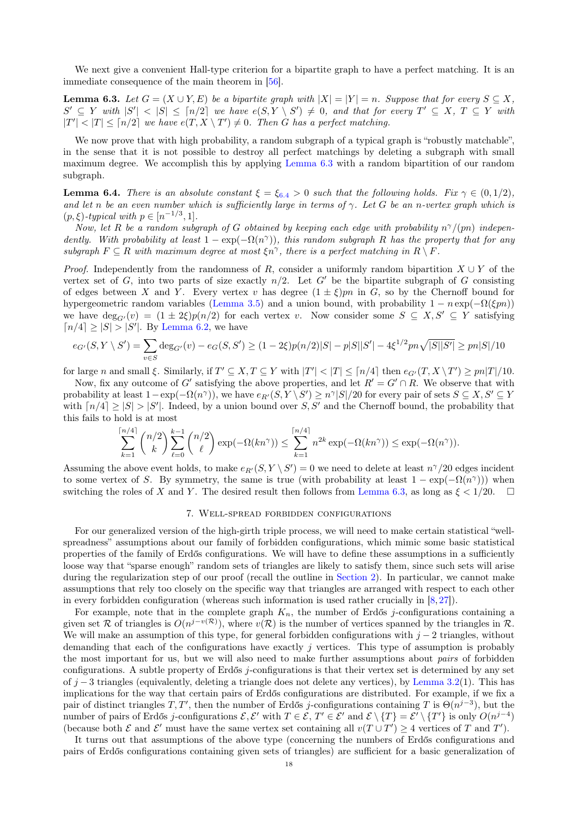We next give a convenient Hall-type criterion for a bipartite graph to have a perfect matching. It is an immediate consequence of the main theorem in [\[56\]](#page-51-9).

<span id="page-17-1"></span>**Lemma 6.3.** Let  $G = (X \cup Y, E)$  be a bipartite graph with  $|X| = |Y| = n$ . Suppose that for every  $S \subseteq X$ ,  $S' \subseteq Y$  with  $|S'| < |S| \leq [n/2]$  we have  $e(S, Y \setminus S') \neq 0$ , and that for every  $T' \subseteq X$ ,  $T \subseteq Y$  with  $|T'| < |T| \leq \lceil n/2 \rceil$  we have  $e(T, X \setminus T') \neq 0$ . Then G has a perfect matching.

We now prove that with high probability, a random subgraph of a typical graph is "robustly matchable", in the sense that it is not possible to destroy all perfect matchings by deleting a subgraph with small maximum degree. We accomplish this by applying [Lemma 6.3](#page-17-1) with a random bipartition of our random subgraph.

<span id="page-17-2"></span>**Lemma [6](#page-17-2).4.** There is an absolute constant  $\xi = \xi_{6,4} > 0$  such that the following holds. Fix  $\gamma \in (0,1/2)$ , and let n be an even number which is sufficiently large in terms of  $\gamma$ . Let G be an n-vertex graph which is  $(p, \xi)$ -typical with  $p \in [n^{-1/3}, 1]$ .

Now, let R be a random subgraph of G obtained by keeping each edge with probability  $n^{\gamma}/(pn)$  independently. With probability at least  $1 - \exp(-\Omega(n^{\gamma}))$ , this random subgraph R has the property that for any subgraph  $F \subseteq R$  with maximum degree at most  $\xi n^{\gamma}$ , there is a perfect matching in  $R \setminus F$ .

*Proof.* Independently from the randomness of R, consider a uniformly random bipartition  $X \cup Y$  of the vertex set of G, into two parts of size exactly  $n/2$ . Let G' be the bipartite subgraph of G consisting of edges between X and Y. Every vertex v has degree  $(1 \pm \xi)pn$  in G, so by the Chernoff bound for hypergeometric random variables [\(Lemma 3.5\)](#page-9-3) and a union bound, with probability  $1 - n \exp(-\Omega(\xi p n))$ we have  $\deg_{G'}(v) = (1 \pm 2\xi)p(n/2)$  for each vertex v. Now consider some  $S \subseteq X, S' \subseteq Y$  satisfying  $\lceil n/4 \rceil \geq |S| > |S'|$ . By [Lemma 6.2,](#page-16-0) we have

$$
e_{G'}(S, Y \setminus S') = \sum_{v \in S} \deg_{G'}(v) - e_G(S, S') \ge (1 - 2\xi)p(n/2)|S| - p|S||S'| - 4\xi^{1/2}pn\sqrt{|S||S'|} \ge pn|S|/10
$$

for large n and small  $\xi$ . Similarly, if  $T' \subseteq X, T \subseteq Y$  with  $|T'| < |T| \leq \lceil n/4 \rceil$  then  $e_{G'}(T, X \setminus T') \geq pn|T|/10$ .

Now, fix any outcome of G' satisfying the above properties, and let  $R' = G' \cap R$ . We observe that with probability at least  $1 - \exp(-\Omega(n^{\gamma}))$ , we have  $e_{R'}(S, Y \setminus S') \geq n^{\gamma} |S|/20$  for every pair of sets  $S \subseteq X, S' \subseteq Y$ with  $\lfloor n/4 \rfloor \geq |S| > |S'|$ . Indeed, by a union bound over S, S' and the Chernoff bound, the probability that this fails to hold is at most

$$
\sum_{k=1}^{\lceil n/4 \rceil} \binom{n/2}{k} \sum_{\ell=0}^{k-1} \binom{n/2}{\ell} \exp(-\Omega(kn^{\gamma})) \le \sum_{k=1}^{\lceil n/4 \rceil} n^{2k} \exp(-\Omega(kn^{\gamma})) \le \exp(-\Omega(n^{\gamma})).
$$

Assuming the above event holds, to make  $e_{R'}(S, Y \setminus S') = 0$  we need to delete at least  $n^{\gamma}/20$  edges incident to some vertex of S. By symmetry, the same is true (with probability at least  $1 - \exp(-\Omega(n^{\gamma}))$ ) when switching the roles of X and Y. The desired result then follows from [Lemma 6.3,](#page-17-1) as long as  $\xi < 1/20$ .  $\Box$ 

### 7. Well-spread forbidden configurations

<span id="page-17-0"></span>For our generalized version of the high-girth triple process, we will need to make certain statistical "wellspreadness" assumptions about our family of forbidden configurations, which mimic some basic statistical properties of the family of Erdős configurations. We will have to define these assumptions in a sufficiently loose way that "sparse enough" random sets of triangles are likely to satisfy them, since such sets will arise during the regularization step of our proof (recall the outline in [Section 2\)](#page-5-0). In particular, we cannot make assumptions that rely too closely on the specific way that triangles are arranged with respect to each other in every forbidden configuration (whereas such information is used rather crucially in [\[8,](#page-49-2) [27\]](#page-50-22)).

For example, note that in the complete graph  $K_n$ , the number of Erdős j-configurations containing a given set R of triangles is  $O(n^{j-v(\mathcal{R})})$ , where  $v(\mathcal{R})$  is the number of vertices spanned by the triangles in R. We will make an assumption of this type, for general forbidden configurations with  $j - 2$  triangles, without demanding that each of the configurations have exactly  $j$  vertices. This type of assumption is probably the most important for us, but we will also need to make further assumptions about pairs of forbidden configurations. A subtle property of Erdős j-configurations is that their vertex set is determined by any set of  $j-3$  triangles (equivalently, deleting a triangle does not delete any vertices), by [Lemma 3.2\(](#page-9-2)1). This has implications for the way that certain pairs of Erdős configurations are distributed. For example, if we fix a pair of distinct triangles T, T', then the number of Erdős j-configurations containing T is  $\Theta(n^{j-3})$ , but the number of pairs of Erdős j-configurations  $\mathcal{E}, \mathcal{E}'$  with  $T \in \mathcal{E}, T' \in \mathcal{E}'$  and  $\mathcal{E} \setminus \{T\} = \mathcal{E}' \setminus \{T'\}$  is only  $O(n^{j-4})$ (because both  $\mathcal E$  and  $\mathcal E'$  must have the same vertex set containing all  $v(T \cup T') \geq 4$  vertices of T and T').

It turns out that assumptions of the above type (concerning the numbers of Erdős configurations and pairs of Erdős configurations containing given sets of triangles) are sufficient for a basic generalization of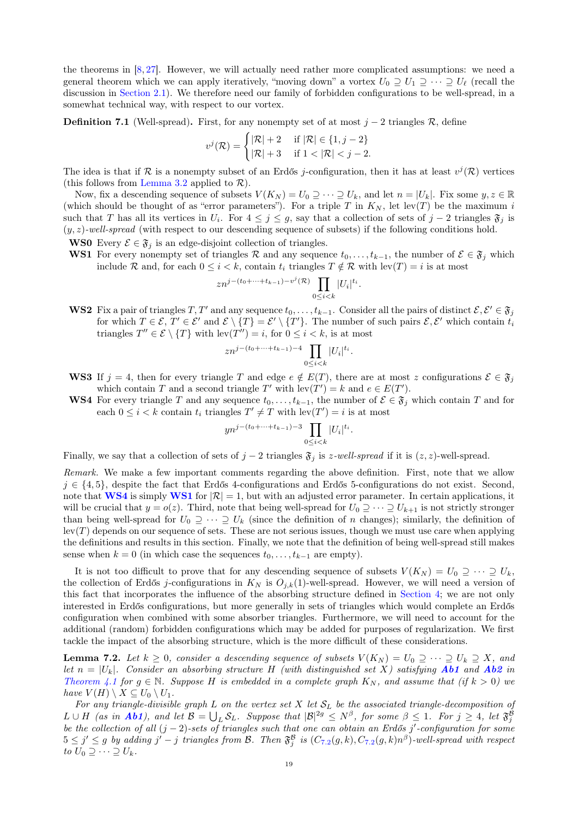the theorems in [\[8,](#page-49-2) [27\]](#page-50-22). However, we will actually need rather more complicated assumptions: we need a general theorem which we can apply iteratively, "moving down" a vortex  $U_0 \supseteq U_1 \supseteq \cdots \supseteq U_\ell$  (recall the discussion in [Section 2.1\)](#page-5-3). We therefore need our family of forbidden configurations to be well-spread, in a somewhat technical way, with respect to our vortex.

<span id="page-18-3"></span>**Definition 7.1** (Well-spread). First, for any nonempty set of at most  $j - 2$  triangles R, define

$$
v^j(\mathcal{R}) = \begin{cases} |\mathcal{R}| + 2 & \text{if } |\mathcal{R}| \in \{1, j - 2\} \\ |\mathcal{R}| + 3 & \text{if } 1 < |\mathcal{R}| < j - 2. \end{cases}
$$

The idea is that if R is a nonempty subset of an Erdős j-configuration, then it has at least  $v^j(\mathcal{R})$  vertices (this follows from [Lemma 3.2](#page-9-2) applied to  $\mathcal{R}$ ).

Now, fix a descending sequence of subsets  $V(K_N) = U_0 \supseteq \cdots \supseteq U_k$ , and let  $n = |U_k|$ . Fix some  $y, z \in \mathbb{R}$ (which should be thought of as "error parameters"). For a triple T in  $K_N$ , let lev(T) be the maximum i such that T has all its vertices in  $U_i$ . For  $4 \leq j \leq g$ , say that a collection of sets of  $j-2$  triangles  $\mathfrak{F}_j$  is  $(y, z)$ -well-spread (with respect to our descending sequence of subsets) if the following conditions hold.

**WS0** Every  $\mathcal{E} \in \mathfrak{F}_j$  is an edge-disjoint collection of triangles.

<span id="page-18-1"></span>WS1 For every nonempty set of triangles R and any sequence  $t_0, \ldots, t_{k-1}$ , the number of  $\mathcal{E} \in \mathfrak{F}_i$  which include R and, for each  $0 \leq i \leq k$ , contain  $t_i$  triangles  $T \notin \mathcal{R}$  with  $\text{lev}(T) = i$  is at most

$$
zn^{j-(t_0+\cdots+t_{k-1})-v^j(\mathcal{R})}\prod_{0\leq i
$$

<span id="page-18-5"></span>WS2 Fix a pair of triangles  $T, T'$  and any sequence  $t_0, \ldots, t_{k-1}$ . Consider all the pairs of distinct  $\mathcal{E}, \mathcal{E}' \in \mathfrak{F}_j$ for which  $T \in \mathcal{E}, T' \in \mathcal{E}'$  and  $\mathcal{E} \setminus \{T\} = \mathcal{E}' \setminus \{T'\}.$  The number of such pairs  $\mathcal{E}, \mathcal{E}'$  which contain  $t_i$ triangles  $T'' \in \mathcal{E} \setminus \{T\}$  with  $\text{lev}(T'') = i$ , for  $0 \leq i < k$ , is at most

$$
z n^{j-(t_0+\cdots+t_{k-1})-4} \prod_{0 \leq i < k} |U_i|^{t_i}.
$$

- <span id="page-18-4"></span>WS3 If  $j = 4$ , then for every triangle T and edge  $e \notin E(T)$ , there are at most z configurations  $\mathcal{E} \in \mathfrak{F}_j$ which contain T and a second triangle T' with  $lev(T') = k$  and  $e \in E(T')$ .
- <span id="page-18-0"></span>WS4 For every triangle T and any sequence  $t_0, \ldots, t_{k-1}$ , the number of  $\mathcal{E} \in \mathfrak{F}_j$  which contain T and for each  $0 \leq i < k$  contain  $t_i$  triangles  $T' \neq T$  with  $lev(T') = i$  is at most

$$
y n^{j-(t_0+\cdots+t_{k-1})-3} \prod_{0 \le i < k} |U_i|^{t_i}.
$$

Finally, we say that a collection of sets of  $j - 2$  triangles  $\mathfrak{F}_j$  is z-well-spread if it is  $(z, z)$ -well-spread.

Remark. We make a few important comments regarding the above definition. First, note that we allow  $j \in \{4, 5\}$ , despite the fact that Erdős 4-configurations and Erdős 5-configurations do not exist. Second, note that [WS4](#page-18-0) is simply [WS1](#page-18-1) for  $|\mathcal{R}| = 1$ , but with an adjusted error parameter. In certain applications, it will be crucial that  $y = o(z)$ . Third, note that being well-spread for  $U_0 \supseteq \cdots \supseteq U_{k+1}$  is not strictly stronger than being well-spread for  $U_0 \supseteq \cdots \supseteq U_k$  (since the definition of n changes); similarly, the definition of  $\text{lev}(T)$  depends on our sequence of sets. These are not serious issues, though we must use care when applying the definitions and results in this section. Finally, we note that the definition of being well-spread still makes sense when  $k = 0$  (in which case the sequences  $t_0, \ldots, t_{k-1}$  are empty).

It is not too difficult to prove that for any descending sequence of subsets  $V(K_N) = U_0 \supseteq \cdots \supseteq U_k$ , the collection of Erdős j-configurations in  $K_N$  is  $O_{j,k}(1)$ -well-spread. However, we will need a version of this fact that incorporates the influence of the absorbing structure defined in [Section 4;](#page-11-0) we are not only interested in Erdős configurations, but more generally in sets of triangles which would complete an Erdős configuration when combined with some absorber triangles. Furthermore, we will need to account for the additional (random) forbidden configurations which may be added for purposes of regularization. We first tackle the impact of the absorbing structure, which is the more difficult of these considerations.

<span id="page-18-2"></span>**Lemma 7.2.** Let  $k \geq 0$ , consider a descending sequence of subsets  $V(K_N) = U_0 \supseteq \cdots \supseteq U_k \supseteq X$ , and let  $n = |U_k|$ . Consider an absorbing structure H (with distinguished set X) satisfying **[Ab1](#page-11-3)** and **[Ab2](#page-11-1)** in [Theorem 4.1](#page-11-2) for  $g \in \mathbb{N}$ . Suppose H is embedded in a complete graph  $K_N$ , and assume that (if  $k > 0$ ) we have  $V(H) \setminus X \subseteq U_0 \setminus U_1$ .

For any triangle-divisible graph L on the vertex set X let  $S_L$  be the associated triangle-decomposition of  $L \cup H$  (as in **[Ab1](#page-11-3)**), and let  $\mathcal{B} = \bigcup_L \mathcal{S}_L$ . Suppose that  $|\mathcal{B}|^{2g} \le N^{\beta}$ , for some  $\beta \le 1$ . For  $j \ge 4$ , let  $\mathfrak{F}_j^{\beta}$ be the collection of all  $(j-2)$ -sets of triangles such that one can obtain an Erdős j'-configuration for some  $5 \leq j' \leq g$  by adding  $j'-j$  triangles from B. Then  $\mathfrak{F}^{\mathcal{B}}_j$  is  $(C_{7,2}(g,k),C_{7,2}(g,k)n^{\beta})$  $(C_{7,2}(g,k),C_{7,2}(g,k)n^{\beta})$  $(C_{7,2}(g,k),C_{7,2}(g,k)n^{\beta})$ -well-spread with respect to  $U_0 \supseteq \cdots \supseteq U_k$ .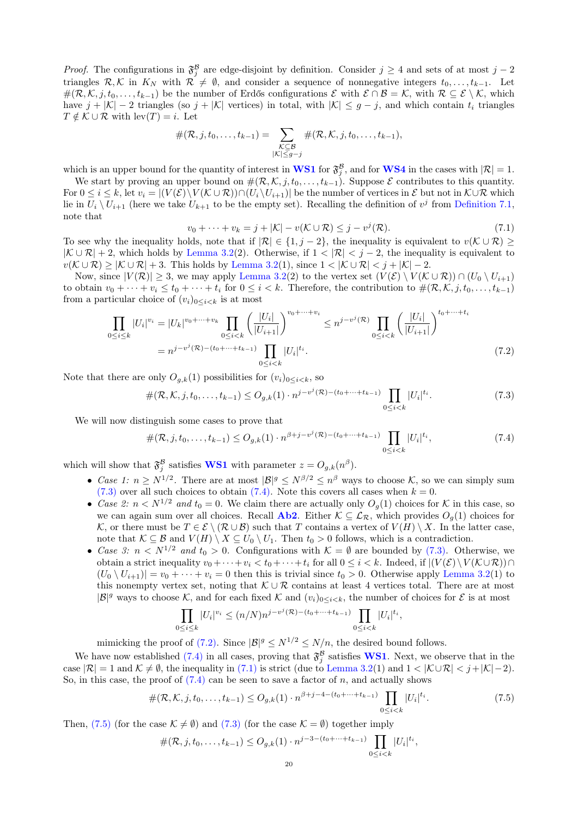*Proof.* The configurations in  $\mathfrak{F}^{\mathcal{B}}_j$  are edge-disjoint by definition. Consider  $j \geq 4$  and sets of at most  $j-2$ triangles  $\mathcal{R}, \mathcal{K}$  in  $K_N$  with  $\mathcal{R} \neq \emptyset$ , and consider a sequence of nonnegative integers  $t_0, \ldots, t_{k-1}$ . Let  $\#(\mathcal{R}, \mathcal{K}, j, t_0, \ldots, t_{k-1})$  be the number of Erdős configurations  $\mathcal{E}$  with  $\mathcal{E} \cap \mathcal{B} = \mathcal{K}$ , with  $\mathcal{R} \subseteq \mathcal{E} \setminus \mathcal{K}$ , which have  $j + |\mathcal{K}| - 2$  triangles (so  $j + |\mathcal{K}|$  vertices) in total, with  $|\mathcal{K}| \leq g - j$ , and which contain  $t_i$  triangles  $T \notin \mathcal{K} \cup \mathcal{R}$  with  $\text{lev}(T) = i$ . Let

$$
\#(\mathcal{R},j,t_0,\ldots,t_{k-1})=\sum_{\substack{\mathcal{K}\subseteq\mathcal{B}\\|\mathcal{K}|\leq g-j}}\#(\mathcal{R},\mathcal{K},j,t_0,\ldots,t_{k-1}),
$$

which is an upper bound for the quantity of interest in **[WS1](#page-18-1)** for  $\mathfrak{F}_{j}^{\mathcal{B}}$ , and for **[WS4](#page-18-0)** in the cases with  $|\mathcal{R}| = 1$ .

We start by proving an upper bound on  $\#(\mathcal{R}, \mathcal{K}, j, t_0, \ldots, t_{k-1})$ . Suppose  $\mathcal E$  contributes to this quantity. For  $0 \leq i \leq k$ , let  $v_i = |(V(\mathcal{E})\setminus V(\mathcal{K}\cup \mathcal{R})) \cap (U_i\setminus U_{i+1})|$  be the number of vertices in  $\mathcal{E}$  but not in  $\mathcal{K}\cup \mathcal{R}$  which lie in  $U_i \setminus U_{i+1}$  (here we take  $U_{k+1}$  to be the empty set). Recalling the definition of  $v^j$  from [Definition 7.1,](#page-18-3) note that

<span id="page-19-3"></span><span id="page-19-2"></span>
$$
v_0 + \dots + v_k = j + |\mathcal{K}| - v(\mathcal{K} \cup \mathcal{R}) \leq j - v^j(\mathcal{R}).
$$
\n
$$
(7.1)
$$

To see why the inequality holds, note that if  $|\mathcal{R}| \in \{1, j-2\}$ , the inequality is equivalent to  $v(\mathcal{K} \cup \mathcal{R}) \geq$  $|K \cup \mathcal{R}| + 2$ , which holds by [Lemma 3.2\(](#page-9-2)2). Otherwise, if  $1 < |\mathcal{R}| < j - 2$ , the inequality is equivalent to  $v(\mathcal{K} \cup \mathcal{R}) \geq |\mathcal{K} \cup \mathcal{R}| + 3$ . This holds by [Lemma 3.2\(](#page-9-2)1), since  $1 < |\mathcal{K} \cup \mathcal{R}| < j + |\mathcal{K}| - 2$ .

Now, since  $|V(\mathcal{R})| \geq 3$ , we may apply [Lemma 3.2\(](#page-9-2)2) to the vertex set  $(V(\mathcal{E}) \setminus V(\mathcal{K} \cup \mathcal{R})) \cap (U_0 \setminus U_{i+1})$ to obtain  $v_0 + \cdots + v_i \le t_0 + \cdots + t_i$  for  $0 \le i < k$ . Therefore, the contribution to  $\#(\mathcal{R}, \mathcal{K}, j, t_0, \ldots, t_{k-1})$ from a particular choice of  $(v_i)_{0 \leq i \leq k}$  is at most

$$
\prod_{0 \le i \le k} |U_i|^{v_i} = |U_k|^{v_0 + \dots + v_k} \prod_{0 \le i < k} \left( \frac{|U_i|}{|U_{i+1}|} \right)^{v_0 + \dots + v_i} \le n^{j - v^j(\mathcal{R})} \prod_{0 \le i < k} \left( \frac{|U_i|}{|U_{i+1}|} \right)^{t_0 + \dots + t_i}
$$
\n
$$
= n^{j - v^j(\mathcal{R}) - (t_0 + \dots + t_{k-1})} \prod_{0 \le i < k} |U_i|^{t_i}.
$$
\n
$$
(7.2)
$$

Note that there are only  $O_{q,k}(1)$  possibilities for  $(v_i)_{0 \leq i \leq k}$ , so

<span id="page-19-0"></span>
$$
\#(\mathcal{R},\mathcal{K},j,t_0,\ldots,t_{k-1}) \leq O_{g,k}(1) \cdot n^{j-v^j(\mathcal{R})-(t_0+\cdots+t_{k-1})} \prod_{0 \leq i < k} |U_i|^{t_i}.\tag{7.3}
$$

We will now distinguish some cases to prove that

<span id="page-19-1"></span>
$$
\#(\mathcal{R}, j, t_0, \dots, t_{k-1}) \le O_{g,k}(1) \cdot n^{\beta + j - v^j(\mathcal{R}) - (t_0 + \dots + t_{k-1})} \prod_{0 \le i < k} |U_i|^{t_i},\tag{7.4}
$$

which will show that  $\mathfrak{F}^{\mathcal{B}}_j$  satisfies **[WS1](#page-18-1)** with parameter  $z = O_{g,k}(n^{\beta})$ .

- Case 1:  $n \ge N^{1/2}$ . There are at most  $|\mathcal{B}|^g \le N^{\beta/2} \le n^{\beta}$  ways to choose K, so we can simply sum  $(7.3)$  over all such choices to obtain  $(7.4)$ . Note this covers all cases when  $k = 0$ .
- Case 2:  $n < N^{1/2}$  and  $t_0 = 0$ . We claim there are actually only  $O_q(1)$  choices for K in this case, so we can again sum over all choices. Recall **[Ab2](#page-11-1)**. Either  $K \subseteq \mathcal{L}_{\mathcal{R}}$ , which provides  $O_q(1)$  choices for K, or there must be  $T \in \mathcal{E} \setminus (\mathcal{R} \cup \mathcal{B})$  such that T contains a vertex of  $V(H) \setminus X$ . In the latter case, note that  $\mathcal{K} \subseteq \mathcal{B}$  and  $V(H) \setminus X \subseteq U_0 \setminus U_1$ . Then  $t_0 > 0$  follows, which is a contradiction.
- Case 3:  $n \le N^{1/2}$  and  $t_0 > 0$ . Configurations with  $K = \emptyset$  are bounded by [\(7.3\).](#page-19-0) Otherwise, we obtain a strict inequality  $v_0 + \cdots + v_i < t_0 + \cdots + t_i$  for all  $0 \leq i < k$ . Indeed, if  $|(V(\mathcal{E}) \setminus V(\mathcal{K} \cup \mathcal{R})) \cap$  $(U_0 \setminus U_{i+1}) = v_0 + \cdots + v_i = 0$  then this is trivial since  $t_0 > 0$ . Otherwise apply [Lemma 3.2\(](#page-9-2)1) to this nonempty vertex set, noting that  $\mathcal{K} \cup \mathcal{R}$  contains at least 4 vertices total. There are at most  $|\mathcal{B}|^g$  ways to choose K, and for each fixed K and  $(v_i)_{0 \leq i \leq k}$ , the number of choices for E is at most

$$
\prod_{0 \le i \le k} |U_i|^{v_i} \le (n/N)n^{j - v^j(\mathcal{R}) - (t_0 + \dots + t_{k-1})} \prod_{0 \le i < k} |U_i|^{t_i},
$$

mimicking the proof of [\(7.2\).](#page-19-2) Since  $|\mathcal{B}|^g \leq N^{1/2} \leq N/n$ , the desired bound follows.

We have now established [\(7.4\)](#page-19-1) in all cases, proving that  $\mathfrak{F}^{\beta}_{j}$  satisfies **[WS1](#page-18-1)**. Next, we observe that in the case  $|\mathcal{R}| = 1$  and  $\mathcal{K} \neq \emptyset$ , the inequality in [\(7.1\)](#page-19-3) is strict (due to [Lemma 3.2\(](#page-9-2)1) and  $1 < |\mathcal{K} \cup \mathcal{R}| < j + |\mathcal{K}| - 2$ ). So, in this case, the proof of  $(7.4)$  can be seen to save a factor of n, and actually shows

<span id="page-19-4"></span>
$$
\#(\mathcal{R},\mathcal{K},j,t_0,\ldots,t_{k-1}) \leq O_{g,k}(1) \cdot n^{\beta+j-4-(t_0+\cdots+t_{k-1})} \prod_{0 \leq i < k} |U_i|^{t_i}.\tag{7.5}
$$

Then, [\(7.5\)](#page-19-4) (for the case  $\mathcal{K} \neq \emptyset$ ) and [\(7.3\)](#page-19-0) (for the case  $\mathcal{K} = \emptyset$ ) together imply

$$
\#(\mathcal{R},j,t_0,\ldots,t_{k-1}) \leq O_{g,k}(1) \cdot n^{j-3-(t_0+\cdots+t_{k-1})} \prod_{0 \leq i < k} |U_i|^{t_i},
$$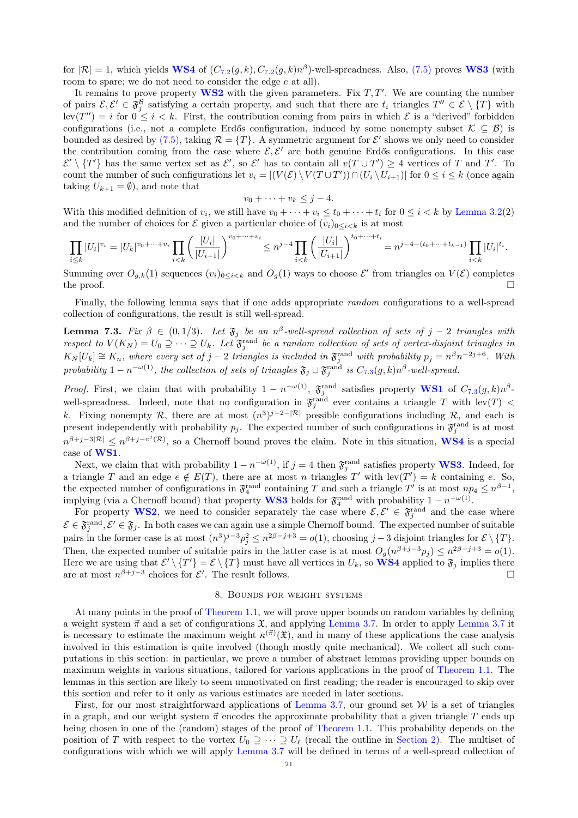for  $|\mathcal{R}| = 1$ , which yields **[WS4](#page-18-0)** of  $(C_{7.2}(g, k), C_{7.2}(g, k)n^{\beta})$  $(C_{7.2}(g, k), C_{7.2}(g, k)n^{\beta})$  $(C_{7.2}(g, k), C_{7.2}(g, k)n^{\beta})$ -well-spreadness. Also, [\(7.5\)](#page-19-4) proves **[WS3](#page-18-4)** (with room to spare; we do not need to consider the edge e at all).

It remains to prove property  $WS2$  with the given parameters. Fix  $T, T'$ . We are counting the number of pairs  $\mathcal{E}, \mathcal{E}' \in \mathfrak{F}_{j}^{\beta}$  satisfying a certain property, and such that there are  $t_i$  triangles  $T'' \in \mathcal{E} \setminus \{T\}$  with  $\text{lev}(T'') = i$  for  $0 \leq i < k$ . First, the contribution coming from pairs in which  $\mathcal E$  is a "derived" forbidden configurations (i.e., not a complete Erdős configuration, induced by some nonempty subset  $\mathcal{K} \subseteq \mathcal{B}$ ) is bounded as desired by [\(7.5\),](#page-19-4) taking  $\mathcal{R} = \{T\}$ . A symmetric argument for  $\mathcal{E}'$  shows we only need to consider the contribution coming from the case where  $\mathcal{E}, \mathcal{E}'$  are both genuine Erdős configurations. In this case  $\mathcal{E}' \setminus \{T'\}$  has the same vertex set as  $\mathcal{E}'$ , so  $\mathcal{E}'$  has to contain all  $v(T \cup T') \geq 4$  vertices of T and T'. To count the number of such configurations let  $v_i = |(V(\mathcal{E}) \setminus V(T \cup T')) \cap (U_i \setminus U_{i+1})|$  for  $0 \le i \le k$  (once again taking  $U_{k+1} = \emptyset$ , and note that

$$
v_0 + \cdots + v_k \leq j - 4.
$$

With this modified definition of  $v_i$ , we still have  $v_0 + \cdots + v_i \le t_0 + \cdots + t_i$  for  $0 \le i < k$  by [Lemma 3.2\(](#page-9-2)2) and the number of choices for  $\mathcal E$  given a particular choice of  $(v_i)_{0 \leq i \leq k}$  is at most

$$
\prod_{i\leq k}|U_i|^{v_i} = |U_k|^{v_0+\cdots+v_i} \prod_{i
$$

Summing over  $O_{g,k}(1)$  sequences  $(v_i)_{0\leq i < k}$  and  $O_g(1)$  ways to choose  $\mathcal{E}'$  from triangles on  $V(\mathcal{E})$  completes the proof.  $\Box$ 

Finally, the following lemma says that if one adds appropriate *random* configurations to a well-spread collection of configurations, the result is still well-spread.

<span id="page-20-1"></span>**Lemma 7.3.** Fix  $\beta \in (0, 1/3)$ . Let  $\mathfrak{F}_j$  be an  $n^{\beta}$ -well-spread collection of sets of  $j-2$  triangles with respect to  $V(K_N) = U_0 \supseteq \cdots \supseteq U_k$ . Let  $\mathfrak{F}^{\text{rand}}_j$  be a random collection of sets of vertex-disjoint triangles in  $K_N[U_k] \cong K_n$ , where every set of j – 2 triangles is included in  $\mathfrak{F}_j^{\text{rand}}$  with probability  $p_j = n^{\beta} n^{-2j+6}$ . With probability  $1-n^{-\omega(1)}$ , the collection of sets of triangles  $\mathfrak{F}_j \cup \mathfrak{F}_j^{\text{rand}}$  is  $C_{7.3}(g,k)n^{\beta}$  $C_{7.3}(g,k)n^{\beta}$  $C_{7.3}(g,k)n^{\beta}$ -well-spread.

*Proof.* First, we claim that with probability  $1 - n^{-\omega(1)}$ ,  $\mathfrak{F}_j^{\text{rand}}$  satisfies property **[WS1](#page-18-1)** of  $C_{7,3}(g,k)n^{\beta}$  $C_{7,3}(g,k)n^{\beta}$  $C_{7,3}(g,k)n^{\beta}$ . well-spreadness. Indeed, note that no configuration in  $\mathfrak{F}^{\text{rand}}_j$  ever contains a triangle T with lev(T) < k. Fixing nonempty R, there are at most  $(n^3)^{j-2-|\mathcal{R}|}$  possible configurations including R, and each is present independently with probability  $p_j$ . The expected number of such configurations in  $\mathfrak{F}^{\text{rand}}_j$  is at most  $n^{\beta+j-3|\mathcal{R}|} \leq n^{\beta+j-v^{j}(\mathcal{R})}$ , so a Chernoff bound proves the claim. Note in this situation, **[WS4](#page-18-0)** is a special case of [WS1](#page-18-1).

Next, we claim that with probability  $1 - n^{-\omega(1)}$ , if  $j = 4$  then  $\mathfrak{F}^{\text{rand}}_j$  satisfies property **[WS3](#page-18-4)**. Indeed, for a triangle T and an edge  $e \notin E(T)$ , there are at most n triangles T' with  $lev(T') = k$  containing e. So, the expected number of configurations in  $\mathfrak{F}_4^{\text{rand}}$  containing T and such a triangle T' is at most  $np_4 \leq n^{\beta-1}$ , implying (via a Chernoff bound) that property **[WS3](#page-18-4)** holds for  $\mathfrak{F}_4^{\text{rand}}$  with probability  $1 - n^{-\omega(1)}$ .

For property [WS2](#page-18-5), we need to consider separately the case where  $\mathcal{E}, \mathcal{E}' \in \mathfrak{F}^{\text{rand}}_j$  and the case where  $\mathcal{E} \in \mathfrak{F}_i^{\text{rand}}, \mathcal{E}' \in \mathfrak{F}_j$ . In both cases we can again use a simple Chernoff bound. The expected number of suitable .j pairs in the former case is at most  $(n^3)^{j-3}p_j^2 \leq n^{2\beta-j+3} = o(1)$ , choosing  $j-3$  disjoint triangles for  $\mathcal{E} \setminus \{T\}$ . Then, the expected number of suitable pairs in the latter case is at most  $O_g(n^{\beta+j-3}p_j) \leq n^{2\beta-j+3} = o(1)$ . Here we are using that  $\mathcal{E}' \setminus \{T'\} = \mathcal{E} \setminus \{T\}$  must have all vertices in  $U_k$ , so **[WS4](#page-18-0)** applied to  $\mathfrak{F}_j$  implies there are at most  $n^{\beta+j-3}$  choices for  $\mathcal{E}'$ . The result follows.

#### 8. Bounds for weight systems

<span id="page-20-0"></span>At many points in the proof of [Theorem 1.1,](#page-0-3) we will prove upper bounds on random variables by defining a weight system  $\vec{\pi}$  and a set of configurations  $\mathfrak{X}$ , and applying [Lemma 3.7.](#page-10-2) In order to apply [Lemma 3.7](#page-10-2) it is necessary to estimate the maximum weight  $\kappa^{(\vec{\pi})}(\mathfrak{X})$ , and in many of these applications the case analysis involved in this estimation is quite involved (though mostly quite mechanical). We collect all such computations in this section: in particular, we prove a number of abstract lemmas providing upper bounds on maximum weights in various situations, tailored for various applications in the proof of [Theorem 1.1.](#page-0-3) The lemmas in this section are likely to seem unmotivated on first reading; the reader is encouraged to skip over this section and refer to it only as various estimates are needed in later sections.

First, for our most straightforward applications of [Lemma 3.7,](#page-10-2) our ground set  $W$  is a set of triangles in a graph, and our weight system  $\vec{\pi}$  encodes the approximate probability that a given triangle T ends up being chosen in one of the (random) stages of the proof of [Theorem 1.1.](#page-0-3) This probability depends on the position of T with respect to the vortex  $U_0 \supseteq \cdots \supseteq U_\ell$  (recall the outline in [Section 2\)](#page-5-0). The multiset of configurations with which we will apply [Lemma 3.7](#page-10-2) will be defined in terms of a well-spread collection of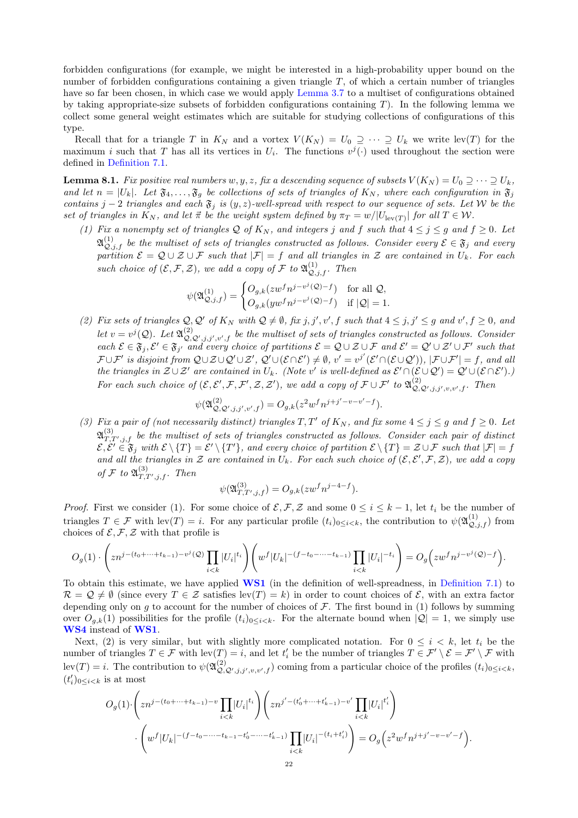forbidden configurations (for example, we might be interested in a high-probability upper bound on the number of forbidden configurations containing a given triangle  $T$ , of which a certain number of triangles have so far been chosen, in which case we would apply [Lemma 3.7](#page-10-2) to a multiset of configurations obtained by taking appropriate-size subsets of forbidden configurations containing  $T$ ). In the following lemma we collect some general weight estimates which are suitable for studying collections of configurations of this type.

Recall that for a triangle T in  $K_N$  and a vortex  $V(K_N) = U_0 \supseteq \cdots \supseteq U_k$  we write lev(T) for the maximum i such that T has all its vertices in  $U_i$ . The functions  $v^j(\cdot)$  used throughout the section were defined in [Definition 7.1.](#page-18-3)

<span id="page-21-0"></span>**Lemma 8.1.** Fix positive real numbers w, y, z, fix a descending sequence of subsets  $V(K_N) = U_0 \supseteq \cdots \supseteq U_k$ , and let  $n = |U_k|$ . Let  $\mathfrak{F}_4, \ldots, \mathfrak{F}_g$  be collections of sets of triangles of  $K_N$ , where each configuration in  $\mathfrak{F}_j$ contains j − 2 triangles and each  $\mathfrak{F}_j$  is  $(y, z)$ -well-spread with respect to our sequence of sets. Let W be the set of triangles in  $K_N$ , and let  $\vec{\pi}$  be the weight system defined by  $\pi_T = w/|U_{\text{lev}(T)}|$  for all  $T \in \mathcal{W}$ .

(1) Fix a nonempty set of triangles Q of  $K_N$ , and integers j and f such that  $4 \leq j \leq g$  and  $f \geq 0$ . Let  $\mathfrak{A}_{\mathcal{Q},j,f}^{(1)}$  be the multiset of sets of triangles constructed as follows. Consider every  $\mathcal{E}\in\mathfrak{F}_j$  and every partition  $\mathcal{E} = \mathcal{Q} \cup \mathcal{Z} \cup \mathcal{F}$  such that  $|\mathcal{F}| = f$  and all triangles in  $\mathcal{Z}$  are contained in  $U_k$ . For each such choice of  $(\mathcal{E}, \mathcal{F}, \mathcal{Z})$ , we add a copy of  $\mathcal{F}$  to  $\mathfrak{A}_{\mathcal{Q},j,f}^{(1)}$ . Then

$$
\psi(\mathfrak{A}^{(1)}_{\mathcal{Q},j,f})=\begin{cases} O_{g,k}(zw^fn^{j-v^j(\mathcal{Q})-f}) & \text{for all $\mathcal{Q}$,}\\ O_{g,k}(yw^fn^{j-v^j(\mathcal{Q})-f}) & \text{if $|\mathcal{Q}|=1$}. \end{cases}
$$

(2) Fix sets of triangles  $Q, Q'$  of  $K_N$  with  $Q \neq \emptyset$ , fix j, j', v', f such that  $4 \leq j, j' \leq g$  and  $v', f \geq 0$ , and let  $v = v^j(Q)$ . Let  $\mathfrak{A}_{Q,Q',j,j',v',f}^{(2)}$  be the multiset of sets of triangles constructed as follows. Consider each  $\mathcal{E} \in \mathfrak{F}_j, \mathcal{E}' \in \mathfrak{F}_{j'}$  and every choice of partitions  $\mathcal{E} = \mathcal{Q} \cup \mathcal{Z} \cup \mathcal{F}$  and  $\mathcal{E}' = \mathcal{Q}' \cup \mathcal{Z}' \cup \mathcal{F}'$  such that  $\mathcal{F} \cup \mathcal{F}'$  is disjoint from  $\mathcal{Q} \cup \mathcal{Z} \cup \mathcal{Q}' \cup \mathcal{Z}'$ ,  $\mathcal{Q}' \cup (\mathcal{E} \cap \mathcal{E}') \neq \emptyset$ ,  $v' = v^{j'}(\mathcal{E}' \cap (\mathcal{E} \cup \mathcal{Q}'))$ ,  $|\mathcal{F} \cup \mathcal{F}'| = f$ , and all the triangles in  $\mathcal{Z}\cup\mathcal{Z}'$  are contained in  $U_k$ . (Note v' is well-defined as  $\mathcal{E}'\cap(\mathcal{E}\cup\mathcal{Q}')=\mathcal{Q}'\cup(\mathcal{E}\cap\mathcal{E}')$ .) For each such choice of  $(\mathcal{E}, \mathcal{E}', \mathcal{F}, \mathcal{F}', \mathcal{Z}, \mathcal{Z}')$ , we add a copy of  $\mathcal{F} \cup \mathcal{F}'$  to  $\mathfrak{A}^{(2)}_{\mathcal{Q}, \mathcal{Q}', j, j', v, v', f}$ . Then

$$
\psi(\mathfrak{A}^{(2)}_{\mathcal{Q},\mathcal{Q}',j,j',v',f})=O_{g,k}(z^2w^fn^{j+j'-v-v'-f}).
$$

(3) Fix a pair of (not necessarily distinct) triangles  $T, T'$  of  $K_N$ , and fix some  $4 \leq j \leq q$  and  $f \geq 0$ . Let  $\mathfrak{A}_{T,T',j,f}^{(3)}$  be the multiset of sets of triangles constructed as follows. Consider each pair of distinct  $\mathcal{E}, \mathcal{E}' \in \mathfrak{F}_j$  with  $\mathcal{E} \setminus \{T\} = \mathcal{E}' \setminus \{T'\}$ , and every choice of partition  $\mathcal{E} \setminus \{T\} = \mathcal{Z} \cup \mathcal{F}$  such that  $|\mathcal{F}| = f$ and all the triangles in  $\mathcal Z$  are contained in  $U_k$ . For each such choice of  $(\mathcal E,\mathcal E',\mathcal F,\mathcal Z)$ , we add a copy of F to  $\mathfrak{A}_{T,T',j,f}^{(3)}$ . Then

$$
\psi(\mathfrak{A}_{T,T',j,f}^{(3)}) = O_{g,k}(zw^fn^{j-4-f}).
$$

*Proof.* First we consider (1). For some choice of  $\mathcal{E}, \mathcal{F}, \mathcal{Z}$  and some  $0 \leq i \leq k-1$ , let  $t_i$  be the number of triangles  $T \in \mathcal{F}$  with  $lev(T) = i$ . For any particular profile  $(t_i)_{0 \leq i \leq k}$ , the contribution to  $\psi(\mathfrak{A}_{\mathcal{Q},j,f}^{(1)})$  from choices of  $\mathcal{E}, \mathcal{F}, \mathcal{Z}$  with that profile is

$$
O_g(1) \cdot \left( zn^{j-(t_0+\cdots+t_{k-1})-v^j(Q)} \prod_{i
$$

To obtain this estimate, we have applied [WS1](#page-18-1) (in the definition of well-spreadness, in [Definition 7.1\)](#page-18-3) to  $\mathcal{R} = \mathcal{Q} \neq \emptyset$  (since every  $T \in \mathcal{Z}$  satisfies lev(T) = k) in order to count choices of  $\mathcal{E}$ , with an extra factor depending only on g to account for the number of choices of  $\mathcal F$ . The first bound in (1) follows by summing over  $O_{g,k}(1)$  possibilities for the profile  $(t_i)_{0\leq i\leq k}$ . For the alternate bound when  $|Q|=1$ , we simply use [WS4](#page-18-0) instead of [WS1](#page-18-1).

Next, (2) is very similar, but with slightly more complicated notation. For  $0 \leq i \leq k$ , let  $t_i$  be the number of triangles  $T \in \mathcal{F}$  with  $lev(T) = i$ , and let  $t_i'$  be the number of triangles  $T \in \mathcal{F}' \setminus \mathcal{E} = \mathcal{F}' \setminus \mathcal{F}$  with  $\text{lev}(T) = i$ . The contribution to  $\psi(\mathfrak{A}_{\mathcal{Q},\mathcal{Q}',j,j',v,v',f}^{(2)})$  coming from a particular choice of the profiles  $(t_i)_{0 \leq i \leq k}$ ,  $(t_i')_{0\leq i < k}$  is at most

$$
O_g(1) \cdot \left( zn^{j-(t_0+\cdots+t_{k-1})-v} \prod_{i < k} |U_i|^{t_i} \right) \left( zn^{j'-(t'_0+\cdots+t'_{k-1})-v'} \prod_{i < k} |U_i|^{t'_i} \right) \cdot \left( w^f |U_k|^{-(f-t_0-\cdots-t_{k-1}-t'_0-\cdots-t'_{k-1})} \prod_{i < k} |U_i|^{-(t_i+t'_i)} \right) = O_g\left(z^2 w^f n^{j+j'-v-v'-f}\right).
$$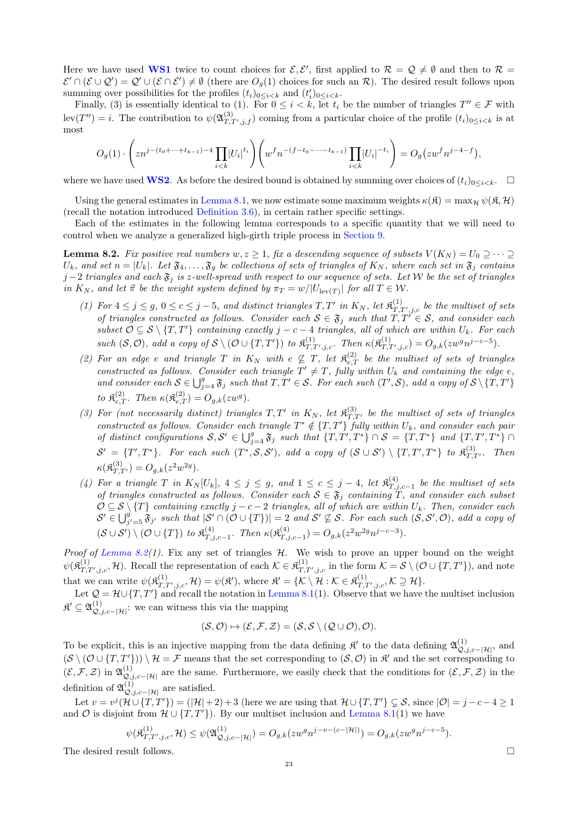Here we have used [WS1](#page-18-1) twice to count choices for  $\mathcal{E}, \mathcal{E}'$ , first applied to  $\mathcal{R} = \mathcal{Q} \neq \emptyset$  and then to  $\mathcal{R} =$  $\mathcal{E}' \cap (\mathcal{E} \cup \mathcal{Q}') = \mathcal{Q}' \cup (\mathcal{E} \cap \mathcal{E}') \neq \emptyset$  (there are  $O_g(1)$  choices for such an  $\mathcal{R}$ ). The desired result follows upon summing over possibilities for the profiles  $(t_i)_{0 \leq i < k}$  and  $(t'_i)_{0 \leq i < k}$ .

Finally, (3) is essentially identical to (1). For  $0 \leq i < k$ , let  $t_i$  be the number of triangles  $T'' \in \mathcal{F}$  with  $\text{lev}(T'') = i$ . The contribution to  $\psi(\mathfrak{A}_{T,T',j,f}^{(3)})$  coming from a particular choice of the profile  $(t_i)_{0 \leq i \leq k}$  is at most

$$
O_g(1) \cdot \left(zn^{j-(t_0+\cdots +t_{k-1})-4} \prod_{i
$$

where we have used [WS2](#page-18-5). As before the desired bound is obtained by summing over choices of  $(t_i)_{0\leq i\leq k}$ .

Using the general estimates in [Lemma 8.1,](#page-21-0) we now estimate some maximum weights  $\kappa(\mathfrak{K}) = \max_{\mathcal{H}} \psi(\mathfrak{K}, \mathcal{H})$ (recall the notation introduced [Definition 3.6\)](#page-9-4), in certain rather specific settings.

Each of the estimates in the following lemma corresponds to a specific quantity that we will need to control when we analyze a generalized high-girth triple process in [Section 9.](#page-31-0)

<span id="page-22-0"></span>**Lemma 8.2.** Fix positive real numbers  $w, z \ge 1$ , fix a descending sequence of subsets  $V(K_N) = U_0 \supseteq \cdots \supseteq$  $U_k$ , and set  $n = |U_k|$ . Let  $\mathfrak{F}_4,\ldots,\mathfrak{F}_g$  be collections of sets of triangles of  $K_N$ , where each set in  $\mathfrak{F}_j$  contains j −2 triangles and each  $\mathfrak{F}_j$  is z-well-spread with respect to our sequence of sets. Let W be the set of triangles in  $K_N$ , and let  $\vec{\pi}$  be the weight system defined by  $\pi_T = w/|U_{\text{lev}(T)}|$  for all  $T \in \mathcal{W}$ .

- (1) For  $4 \leq j \leq g$ ,  $0 \leq c \leq j-5$ , and distinct triangles  $T, T'$  in  $K_N$ , let  $\mathfrak{K}^{(1)}_{T,T',j,c}$  be the multiset of sets of triangles constructed as follows. Consider each  $S \in \mathfrak{F}_j$  such that  $T, T^{\gamma} \in S$ , and consider each subset  $\mathcal{O} \subseteq \mathcal{S} \setminus \{T, T'\}$  containing exactly  $j - c - 4$  triangles, all of which are within  $U_k$ . For each such  $(S, \mathcal{O})$ , add a copy of  $S \setminus (\mathcal{O} \cup \{T, T'\})$  to  $\mathfrak{K}^{(1)}_{T, T', j, c}$ . Then  $\kappa(\mathfrak{K}^{(1)}_{T, T', j, c}) = O_{g,k}(zw^g n^{j-c-5})$ .
- (2) For an edge e and triangle T in  $K_N$  with  $e \nsubseteq T$ , let  $\mathfrak{K}^{(2)}_{e,T}$  be the multiset of sets of triangles constructed as follows. Consider each triangle  $T' \neq T$ , fully within  $U_k$  and containing the edge e, and consider each  $S \in \bigcup_{j=4}^g \mathfrak{F}_j$  such that  $T, T' \in S$ . For each such  $(T', S)$ , add a copy of  $S \setminus \{T, T'\}$ to  $\mathfrak{K}_{e,T}^{(2)}$ . Then  $\kappa(\mathfrak{K}_{e,T}^{(2)}) = O_{g,k}(zw^g)$ .
- (3) For (not necessarily distinct) triangles  $T, T'$  in  $K_N$ , let  $\mathfrak{K}^{(3)}_{T,T'}$  be the multiset of sets of triangles constructed as follows. Consider each triangle  $T^* \notin \{T, T'\}$  fully within  $U_k$ , and consider each pair of distinct configurations  $S, S' \in \bigcup_{j=4}^g \mathfrak{F}_j$  such that  $\{T, T', T^*\} \cap S = \{T, T^*\}$  and  $\{T, T', T^*\} \cap S$  $\mathcal{S}' = \{T', T^*\}$ . For each such  $(T^*, \mathcal{S}, \mathcal{S}')$ , add a copy of  $(\mathcal{S} \cup \mathcal{S}') \setminus \{T, T', T^*\}$  to  $\mathfrak{K}^{(3)}_{T, T'}$ . Then  $\kappa(\mathfrak{K}^{(3)}_{T,T'})=O_{g,k}(z^2w^{2g}).$
- (4) For a triangle T in  $K_N[U_k]$ ,  $4 \leq j \leq g$ , and  $1 \leq c \leq j-4$ , let  $\mathfrak{K}_{T,i}^{(4)}$  $T_{.,j,c-1}^{(4)}$  be the multiset of sets of triangles constructed as follows. Consider each  $S \in \mathfrak{F}_j$  containing T, and consider each subset  $\mathcal{O} \subseteq \mathcal{S} \setminus \{T\}$  containing exactly  $j - c - 2$  triangles, all of which are within  $U_k$ . Then, consider each  $\mathcal{S}' \in \bigcup_{j'=5}^{g} \mathfrak{F}_{j'}$  such that  $|\mathcal{S}' \cap (\mathcal{O} \cup \{T\})| = 2$  and  $\mathcal{S}' \nsubseteq \mathcal{S}$ . For each such  $(\mathcal{S}, \mathcal{S}', \mathcal{O})$ , add a copy of  $(\mathcal{S} \cup \mathcal{S}') \setminus (\mathcal{O} \cup \{T\})$  to  $\mathfrak{K}^{(4)}_{T}$  $T_{T,j,c-1}^{(4)}$ . Then  $\kappa$ ( $\mathfrak{K}_{T,j}^{(4)}$  $T_{,j,c-1}^{(4)}$  =  $O_{g,k}(z^2w^{2g}n^{j-c-3}).$

*Proof of [Lemma 8.2\(](#page-22-0)1).* Fix any set of triangles  $H$ . We wish to prove an upper bound on the weight  $\psi(\mathfrak{K}^{(1)}_{T,T',j,c},\mathcal{H})$ . Recall the representation of each  $\mathcal{K} \in \mathfrak{K}^{(1)}_{T,T',j,c}$  in the form  $\mathcal{K} = \mathcal{S} \setminus (\mathcal{O} \cup \{T,T'\})$ , and note that we can write  $\psi(\mathfrak{K}_{T,T',j,c}^{(1)},\mathcal{H}) = \psi(\mathfrak{K}'),$  where  $\mathfrak{K}' = \{ \mathcal{K} \setminus \mathcal{H} : \mathcal{K} \in \mathfrak{K}_{T,T',j,c}^{(1)}, \mathcal{K} \supseteq \mathcal{H} \}.$ 

Let  $\mathcal{Q} = \mathcal{H} \cup \{T, T'\}$  and recall the notation in [Lemma 8.1\(](#page-21-0)1). Observe that we have the multiset inclusion  $\mathfrak{K}' \subseteq \mathfrak{A}_{\mathcal{Q},j,c-|\mathcal{H}|}^{(1)}$ : we can witness this via the mapping

$$
(\mathcal{S},\mathcal{O})\mapsto(\mathcal{E},\mathcal{F},\mathcal{Z})=(\mathcal{S},\mathcal{S}\setminus(\mathcal{Q}\cup\mathcal{O}),\mathcal{O}).
$$

To be explicit, this is an injective mapping from the data defining  $\mathfrak{K}'$  to the data defining  $\mathfrak{A}_{\mathcal{Q},j,c-|\mathcal{H}|}^{(1)}$ , and  $(S \setminus (O \cup \{T, T'\}) \setminus H = \mathcal{F}$  means that the set corresponding to  $(S, O)$  in  $\mathcal{R}'$  and the set corresponding to  $(\mathcal{E}, \mathcal{F}, \mathcal{Z})$  in  $\mathfrak{A}_{\mathcal{Q},j,c-|\mathcal{H}|}^{(1)}$  are the same. Furthermore, we easily check that the conditions for  $(\mathcal{E}, \mathcal{F}, \mathcal{Z})$  in the definition of  $\mathfrak{A}_{\mathcal{Q},j,c-|\mathcal{H}|}^{(1)}$  are satisfied.

Let  $v = v^j(\mathcal{H} \cup \{T, T'\}) = (|\mathcal{H}| + 2) + 3$  (here we are using that  $\mathcal{H} \cup \{T, T'\} \subsetneq \mathcal{S}$ , since  $|\mathcal{O}| = j - c - 4 \geq 1$ and  $\mathcal O$  is disjoint from  $\mathcal H \cup \{T, T'\}$ . By our multiset inclusion and [Lemma 8.1\(](#page-21-0)1) we have

$$
\psi(\mathfrak{K}^{(1)}_{T,T',j,c},\mathcal{H})\leq \psi(\mathfrak{A}^{(1)}_{\mathcal{Q},j,c-|\mathcal{H}|})=O_{g,k}(zw^gn^{j-v-(c-|\mathcal{H}|)})=O_{g,k}(zw^gn^{j-c-5}).
$$

The desired result follows.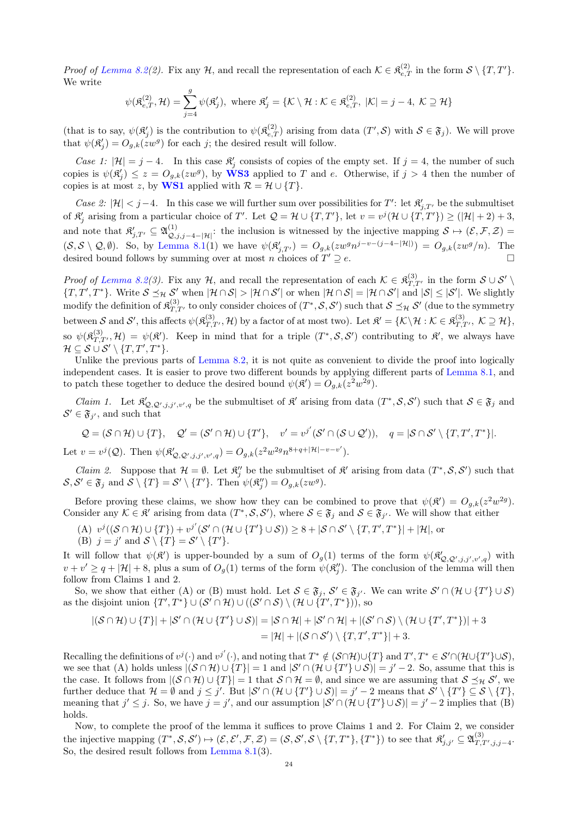Proof of [Lemma 8.2\(](#page-22-0)2). Fix any H, and recall the representation of each  $\mathcal{K} \in \mathfrak{K}_{e,T}^{(2)}$  in the form  $\mathcal{S} \setminus \{T, T'\}$ . We write

$$
\psi(\mathfrak{K}^{(2)}_{e,T},\mathcal{H})=\sum_{j=4}^g\psi(\mathfrak{K}'_j),\text{ where }\mathfrak{K}'_j=\{\mathcal{K}\setminus\mathcal{H}:\mathcal{K}\in\mathfrak{K}^{(2)}_{e,T},\;|\mathcal{K}|=j-4,\;\mathcal{K}\supseteq\mathcal{H}\}
$$

(that is to say,  $\psi(\mathfrak{K}'_j)$  is the contribution to  $\psi(\mathfrak{K}^{(2)}_{e,T})$  arising from data  $(T',\mathcal{S})$  with  $\mathcal{S} \in \mathfrak{F}_j$ ). We will prove that  $\psi(\mathfrak{K}'_j) = O_{g,k}(zw^g)$  for each j; the desired result will follow.

Case 1:  $|\mathcal{H}| = j - 4$ . In this case  $\mathfrak{K}'_j$  consists of copies of the empty set. If  $j = 4$ , the number of such copies is  $\psi(\mathfrak{K}'_j) \leq z = O_{g,k}(zw^g)$ , by **[WS3](#page-18-4)** applied to T and e. Otherwise, if  $j > 4$  then the number of copies is at most z, by [WS1](#page-18-1) applied with  $\mathcal{R} = \mathcal{H} \cup \{T\}.$ 

Case 2:  $|\mathcal{H}| < j-4$ . In this case we will further sum over possibilities for T': let  $\mathfrak{K}'_{j,T'}$  be the submultiset of  $\mathfrak{K}'_j$  arising from a particular choice of T'. Let  $\mathcal{Q} = \mathcal{H} \cup \{T, T'\}$ , let  $v = v^j(\mathcal{H} \cup \{T, T'\}) \geq (|\mathcal{H}| + 2) + 3$ , and note that  $\mathfrak{K}'_{j,T'} \subseteq \mathfrak{A}_{\mathcal{Q},j,j-4-|\mathcal{H}|}^{(1)}$ : the inclusion is witnessed by the injective mapping  $\mathcal{S} \mapsto (\mathcal{E},\mathcal{F},\mathcal{Z}) =$  $(S, \mathcal{S} \setminus \mathcal{Q}, \emptyset)$ . So, by [Lemma 8.1\(](#page-21-0)1) we have  $\psi(\mathfrak{K}'_{j,T'}) = O_{g,k}(zw^g n^{j-v-(j-4-|\mathcal{H}|)}) = O_{g,k}(zw^g/n)$ . The desired bound follows by summing over at most  $n$  choices of  $T' \supseteq e.$  $\vee$  2 e.

Proof of [Lemma 8.2\(](#page-22-0)3). Fix any H, and recall the representation of each  $\mathcal{K} \in \mathfrak{K}^{(3)}_{T,T'}$  in the form  $\mathcal{S} \cup \mathcal{S}'$  ${T, T', T^*}$ . Write  $S \preceq_{\mathcal{H}} S'$  when  $|\mathcal{H} \cap S| > |\mathcal{H} \cap S'|$  or when  $|\mathcal{H} \cap S| = |\mathcal{H} \cap S'|$  and  $|S| \leq |S'|$ . We slightly modify the definition of  $\mathfrak{K}^{(3)}_{T,T'}$  to only consider choices of  $(T^*,\mathcal{S},\mathcal{S}')$  such that  $\mathcal{S}\preceq_{\mathcal{H}}\mathcal{S}'$  (due to the symmetry between S and S', this affects  $\psi(\mathfrak{K}^{(3)}_{T,T'},\mathcal{H})$  by a factor of at most two). Let  $\mathfrak{K}' = \{ \mathcal{K} \setminus \mathcal{H} : \mathcal{K} \in \mathfrak{K}^{(3)}_{T,T'}, \ \mathcal{K} \supseteq \mathcal{H} \},$ so  $\psi(\mathfrak{K}_{T,T'}^{(3)},\mathcal{H}) = \psi(\mathfrak{K}')$ . Keep in mind that for a triple  $(T^*,\mathcal{S},\mathcal{S}')$  contributing to  $\mathfrak{K}'$ , we always have  $\mathcal{H} \subseteq \mathcal{S} \cup \mathcal{S}' \setminus \{T, T', T^*\}.$ 

Unlike the previous parts of [Lemma 8.2,](#page-22-0) it is not quite as convenient to divide the proof into logically independent cases. It is easier to prove two different bounds by applying different parts of [Lemma 8.1,](#page-21-0) and to patch these together to deduce the desired bound  $\psi(\mathfrak{K}') = O_{g,k}(z^2w^{2g}).$ 

*Claim 1.* Let  $\mathcal{R}'_{\mathcal{Q},\mathcal{Q}',j,j',v',q}$  be the submultiset of  $\mathcal{R}'$  arising from data  $(T^*,\mathcal{S},\mathcal{S}')$  such that  $\mathcal{S} \in \mathfrak{F}_j$  and  $\mathcal{S}' \in \mathfrak{F}_{j'}$ , and such that

$$
Q = (\mathcal{S} \cap \mathcal{H}) \cup \{T\}, \quad Q' = (\mathcal{S}' \cap \mathcal{H}) \cup \{T'\}, \quad v' = v^{j'}(\mathcal{S}' \cap (\mathcal{S} \cup \mathcal{Q}')), \quad q = |\mathcal{S} \cap \mathcal{S}' \setminus \{T, T', T^*\}].
$$
  
Let  $v = v^j(Q)$ . Then  $\psi(\mathfrak{K}'_{Q, \mathcal{Q}', j, j', v', q}) = O_{g,k}(z^2 w^{2g} n^{8+q+|\mathcal{H}|-v-v'}).$ 

*Claim 2.* Suppose that  $\mathcal{H} = \emptyset$ . Let  $\mathfrak{K}''_j$  be the submultiset of  $\mathfrak{K}'$  arising from data  $(T^*, \mathcal{S}, \mathcal{S}')$  such that  $S, S' \in \mathfrak{F}_j \text{ and } S \setminus \{T\} = S' \setminus \{T'\}. \text{ Then } \psi(\mathfrak{K}_j'') = O_{g,k}(zw^g).$ 

Before proving these claims, we show how they can be combined to prove that  $\psi(\mathfrak{K}') = O_{g,k}(z^2w^{2g}).$ Consider any  $\mathcal{K} \in \mathcal{R}'$  arising from data  $(T^*, \mathcal{S}, \mathcal{S}')$ , where  $\mathcal{S} \in \mathfrak{F}_j$  and  $\mathcal{S} \in \mathfrak{F}_{j'}$ . We will show that either

- (A)  $v^j((\mathcal{S} \cap \mathcal{H}) \cup \{T\}) + v^{j'}(\mathcal{S}' \cap (\mathcal{H} \cup \{T'\} \cup \mathcal{S})) \geq 8 + |\mathcal{S} \cap \mathcal{S}' \setminus \{T, T', T^*\}| + |\mathcal{H}|$ , or
- (B)  $j = j'$  and  $S \setminus \{T\} = S' \setminus \{T'\}.$

It will follow that  $\psi(\mathfrak{K}')$  is upper-bounded by a sum of  $O_g(1)$  terms of the form  $\psi(\mathfrak{K}'_{Q,Q',j,j',v',q})$  with  $v + v' \geq q + |\mathcal{H}| + 8$ , plus a sum of  $O_g(1)$  terms of the form  $\psi(\mathfrak{K}'_j)$ . The conclusion of the lemma will then follow from Claims 1 and 2.

So, we show that either (A) or (B) must hold. Let  $S \in \mathfrak{F}_j$ ,  $S' \in \mathfrak{F}_{j'}$ . We can write  $S' \cap (\mathcal{H} \cup \{T'\} \cup S)$ as the disjoint union  $\{T',T^*\}\cup(\mathcal{S}'\cap\mathcal{H})\cup((\mathcal{S}'\cap\mathcal{S})\setminus(\mathcal{H}\cup\{T',T^*\})),$  so

$$
|(\mathcal{S} \cap \mathcal{H}) \cup \{T\}| + |\mathcal{S}' \cap (\mathcal{H} \cup \{T'\} \cup \mathcal{S})| = |\mathcal{S} \cap \mathcal{H}| + |\mathcal{S}' \cap \mathcal{H}| + |(\mathcal{S}' \cap \mathcal{S}) \setminus (\mathcal{H} \cup \{T', T^*\})| + 3
$$
  
= |\mathcal{H}| + |(\mathcal{S} \cap \mathcal{S}') \setminus \{T, T', T^\*\}| + 3.

Recalling the definitions of  $v^j(\cdot)$  and  $v^{j'}(\cdot)$ , and noting that  $T^* \notin (\mathcal{S} \cap \mathcal{H}) \cup \{T\}$  and  $T', T^* \in \mathcal{S}' \cap (\mathcal{H} \cup \{T'\} \cup \mathcal{S})$ , we see that (A) holds unless  $|(\mathcal{S} \cap \mathcal{H}) \cup \{T\}| = 1$  and  $|\mathcal{S}' \cap (\mathcal{H} \cup \{T'\} \cup \mathcal{S})| = j' - 2$ . So, assume that this is the case. It follows from  $|(\mathcal{S} \cap \mathcal{H}) \cup \{T\}| = 1$  that  $\mathcal{S} \cap \mathcal{H} = \emptyset$ , and since we are assuming that  $\mathcal{S} \preceq_{\mathcal{H}} \mathcal{S}'$ , we further deduce that  $\mathcal{H} = \emptyset$  and  $j \leq j'$ . But  $|\mathcal{S}' \cap (\mathcal{H} \cup \{T'\} \cup \mathcal{S})| = j' - 2$  means that  $\mathcal{S}' \setminus \{T'\} \subseteq \mathcal{S} \setminus \{T\},$ meaning that  $j' \leq j$ . So, we have  $j = j'$ , and our assumption  $|\mathcal{S}' \cap (\mathcal{H} \cup \{T'\} \cup \mathcal{S})| = j' - 2$  implies that  $(B)$ holds.

Now, to complete the proof of the lemma it suffices to prove Claims 1 and 2. For Claim 2, we consider the injective mapping  $(T^*, \mathcal{S}, \mathcal{S}') \mapsto (\mathcal{E}, \mathcal{E}', \mathcal{F}, \mathcal{Z}) = (\mathcal{S}, \mathcal{S}', \mathcal{S} \setminus \{T, T^*\}, \{T^*\})$  to see that  $\mathfrak{K}'_{j, j'} \subseteq \mathfrak{A}^{(3)}_{T, T', j, j-4}$ . So, the desired result follows from [Lemma 8.1\(](#page-21-0)3).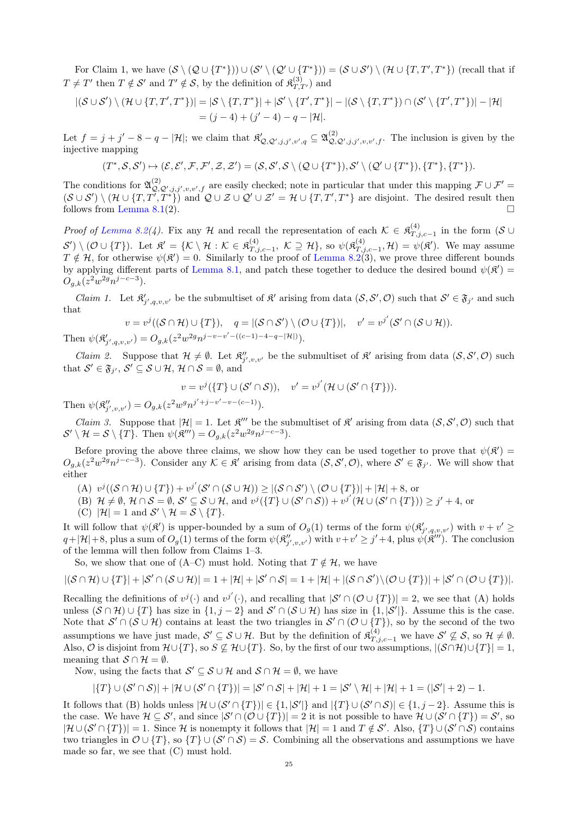For Claim 1, we have  $(S \setminus (Q \cup \{T^*\}) \cup (S' \setminus (Q' \cup \{T^*\})) = (S \cup S') \setminus (H \cup \{T, T', T^*\})$  (recall that if  $T \neq T'$  then  $T \notin \mathcal{S}'$  and  $T' \notin \mathcal{S}$ , by the definition of  $\mathfrak{K}^{(3)}_{T,T'}$  and

$$
|(\mathcal{S} \cup \mathcal{S}') \setminus (\mathcal{H} \cup \{T, T', T^*\})| = |\mathcal{S} \setminus \{T, T^*\}| + |\mathcal{S}' \setminus \{T', T^*\}| - |(\mathcal{S} \setminus \{T, T^*\}) \cap (\mathcal{S}' \setminus \{T', T^*\})| - |\mathcal{H}|
$$
  
=  $(j - 4) + (j' - 4) - q - |\mathcal{H}|.$ 

Let  $f = j + j' - 8 - q - |\mathcal{H}|$ ; we claim that  $\mathcal{R}'_{\mathcal{Q},\mathcal{Q}',j,j',v',q} \subseteq \mathfrak{A}^{(2)}_{\mathcal{Q},\mathcal{Q}',j,j',v,v',f}$ . The inclusion is given by the injective mapping

$$
(T^*,\mathcal{S},\mathcal{S}')\mapsto (\mathcal{E},\mathcal{E}',\mathcal{F},\mathcal{F}',\mathcal{Z},\mathcal{Z}')=(\mathcal{S},\mathcal{S}',\mathcal{S}\setminus(\mathcal{Q}\cup\{T^*\}),\mathcal{S}'\setminus(\mathcal{Q}'\cup\{T^*\}),\{T^*\},\{T^*\}).
$$

The conditions for  $\mathfrak{A}^{(2)}_{\mathcal{Q},\mathcal{Q}',j,j',v,v',f}$  are easily checked; note in particular that under this mapping  $\mathcal{F} \cup \mathcal{F}' =$  $(\mathcal{S} \cup \mathcal{S}') \setminus (\mathcal{H} \cup \{T, T', T^*\})$  and  $\mathcal{Q} \cup \mathcal{Z} \cup \mathcal{Q}' \cup \mathcal{Z}' = \mathcal{H} \cup \{T, T', T^*\}$  are disjoint. The desired result then follows from [Lemma 8.1\(](#page-21-0)2).

Proof of [Lemma 8.2\(](#page-22-0)4). Fix any H and recall the representation of each  $\mathcal{K} \in \mathfrak{K}^{(4)}_{T}$ .  $T_{,j,c-1}^{(4)}$  in the form  $(S \cup$  $\mathcal{S}'$  \ (O \ {T}). Let  $\mathfrak{K}' = \{ \mathcal{K} \setminus \mathcal{H} : \mathcal{K} \in \mathfrak{K}^{(4)}_{T} \}$  $\mathcal{L}_{T,j,c-1}^{(4)}, \mathcal{K} \supseteq \mathcal{H} \},$  so  $\psi(\mathfrak{K}_{T,j,c}^{(4)})$  $\mathcal{T}_{\mathcal{T},j,c-1}^{(4)}$ ,  $\mathcal{H}$ ) =  $\psi(\mathfrak{K}')$ . We may assume  $T \notin \mathcal{H}$ , for otherwise  $\psi(\mathfrak{K}') = 0$ . Similarly to the proof of [Lemma 8.2\(](#page-22-0)3), we prove three different bounds by applying different parts of [Lemma 8.1,](#page-21-0) and patch these together to deduce the desired bound  $\psi(\mathfrak{K}')$  =  $O_{g,k}(z^2w^{2g}n^{j-c-3}).$ 

*Claim 1.* Let  $\mathfrak{K}'_{j',q,v,v'}$  be the submultiset of  $\mathfrak{K}'$  arising from data  $(\mathcal{S}, \mathcal{S}', \mathcal{O})$  such that  $\mathcal{S}' \in \mathfrak{F}_{j'}$  and such that

$$
v = v^j((\mathcal{S} \cap \mathcal{H}) \cup \{T\}), \quad q = |(\mathcal{S} \cap \mathcal{S}') \setminus (\mathcal{O} \cup \{T\})|, \quad v' = v^{j'}(\mathcal{S}' \cap (\mathcal{S} \cup \mathcal{H})).
$$
  
Then  $\psi(\mathfrak{K}'_{j',q,v,v'}) = O_{g,k}(z^2w^{2g}n^{j-v-v'}-((c-1)-4-q-|\mathcal{H}|)).$ 

*Claim 2.* Suppose that  $\mathcal{H} \neq \emptyset$ . Let  $\mathfrak{K}'_{j',v,v'}$  be the submultiset of  $\mathfrak{K}'$  arising from data  $(\mathcal{S}, \mathcal{S}', \mathcal{O})$  such that  $\mathcal{S}' \in \mathfrak{F}_{j'}$ ,  $\mathcal{S}' \subseteq \mathcal{S} \cup \mathcal{H}$ ,  $\mathcal{H} \cap \mathcal{S} = \emptyset$ , and

$$
v = v^{j}(\lbrace T \rbrace \cup (\mathcal{S}' \cap \mathcal{S})), \quad v' = v^{j'}(\mathcal{H} \cup (\mathcal{S}' \cap \lbrace T \rbrace)).
$$

Then  $\psi(\mathfrak{K}''_{j',v,v'}) = O_{g,k}(z^2 w^g n^{j'+j-v'-v-(c-1)}).$ 

*Claim 3.* Suppose that  $|\mathcal{H}| = 1$ . Let  $\mathcal{R}'''$  be the submultiset of  $\mathcal{R}'$  arising from data  $(\mathcal{S}, \mathcal{S}', \mathcal{O})$  such that  $\mathcal{S}' \setminus \mathcal{H} = \mathcal{S} \setminus \{T\}.$  Then  $\psi(\mathfrak{K}''') = O_{g,k}(z^2w^{2g}n^{j-c-3}).$ 

Before proving the above three claims, we show how they can be used together to prove that  $\psi(\mathfrak{K}') =$  $O_{g,k}(z^2w^{2g}n^{j-c-3})$ . Consider any  $\mathcal{K} \in \mathfrak{K}'$  arising from data  $(\mathcal{S}, \mathcal{S}', \mathcal{O})$ , where  $\mathcal{S}' \in \mathfrak{F}_{j'}$ . We will show that either

- (A)  $v^j((\mathcal{S} \cap \mathcal{H}) \cup \{T\}) + v^{j'}(\mathcal{S}' \cap (\mathcal{S} \cup \mathcal{H})) \geq |(\mathcal{S} \cap \mathcal{S}') \setminus (\mathcal{O} \cup \{T\})| + |\mathcal{H}| + 8$ , or
- (B)  $\mathcal{H} \neq \emptyset$ ,  $\mathcal{H} \cap \mathcal{S} = \emptyset$ ,  $\mathcal{S}' \subseteq \mathcal{S} \cup \mathcal{H}$ , and  $v^j(\{T\} \cup (\mathcal{S}' \cap \mathcal{S})) + v^{j'}(\mathcal{H} \cup (\mathcal{S}' \cap \{T\})) \geq j' + 4$ , or
- (C)  $|\mathcal{H}| = 1$  and  $\mathcal{S}' \setminus \mathcal{H} = \mathcal{S} \setminus \{T\}.$

It will follow that  $\psi(\mathfrak{K}')$  is upper-bounded by a sum of  $O_g(1)$  terms of the form  $\psi(\mathfrak{K}'_{j',q,v,v'})$  with  $v + v' \geq$  $q+|\mathcal{H}|+8$ , plus a sum of  $O_g(1)$  terms of the form  $\psi(\mathfrak{K}''_{j',v,v'})$  with  $v+v'\geq j'+4$ , plus  $\check{\psi}(\hat{\mathfrak{K}}''')$ . The conclusion of the lemma will then follow from Claims 1–3.

So, we show that one of (A–C) must hold. Noting that  $T \notin \mathcal{H}$ , we have

$$
|(\mathcal{S}\cap\mathcal{H})\cup\{T\}|+|\mathcal{S}'\cap(\mathcal{S}\cup\mathcal{H})|=1+|\mathcal{H}|+|\mathcal{S}'\cap\mathcal{S}|=1+|\mathcal{H}|+|(\mathcal{S}\cap\mathcal{S}')\setminus(\mathcal{O}\cup\{T\})|+|\mathcal{S}'\cap(\mathcal{O}\cup\{T\})|.
$$

Recalling the definitions of  $v^j(\cdot)$  and  $v^{j'}(\cdot)$ , and recalling that  $|S' \cap (\mathcal{O} \cup \{T\})| = 2$ , we see that (A) holds unless  $(S \cap \mathcal{H}) \cup \{T\}$  has size in  $\{1, j - 2\}$  and  $S' \cap (S \cup \mathcal{H})$  has size in  $\{1, |S'|\}$ . Assume this is the case. Note that  $\mathcal{S}' \cap (\mathcal{S} \cup \mathcal{H})$  contains at least the two triangles in  $\mathcal{S}' \cap (\mathcal{O} \cup \{T\})$ , so by the second of the two assumptions we have just made,  $\mathcal{S}' \subseteq \mathcal{S} \cup \mathcal{H}$ . But by the definition of  $\mathfrak{K}^{(4)}_{T,j,c-1}$  we have  $\mathcal{S}' \not\subseteq \mathcal{S}$ , so  $\mathcal{H} \neq \emptyset$ . Also,  $\mathcal O$  is disjoint from  $\mathcal H \cup \{T\}$ , so  $S \not\subseteq \mathcal H \cup \{T\}$ . So, by the first of our two assumptions,  $|(\mathcal S \cap \mathcal H) \cup \{T\}| = 1$ , meaning that  $S \cap \mathcal{H} = \emptyset$ .

Now, using the facts that  $\mathcal{S}' \subseteq \mathcal{S} \cup \mathcal{H}$  and  $\mathcal{S} \cap \mathcal{H} = \emptyset$ , we have

$$
|\{T\}\cup(\mathcal{S}'\cap\mathcal{S})|+|\mathcal{H}\cup(\mathcal{S}'\cap\{T\})|=|\mathcal{S}'\cap\mathcal{S}|+|\mathcal{H}|+1=|\mathcal{S}'\setminus\mathcal{H}|+|\mathcal{H}|+1=(|\mathcal{S}'|+2)-1.
$$

It follows that (B) holds unless  $|\mathcal{H} \cup (\mathcal{S}' \cap \{T\})| \in \{1, |\mathcal{S}'| \}$  and  $|\{T\} \cup (\mathcal{S}' \cap \mathcal{S})| \in \{1, j-2\}$ . Assume this is the case. We have  $\mathcal{H} \subseteq \mathcal{S}'$ , and since  $|\mathcal{S}' \cap (\mathcal{O} \cup \{T\})| = 2$  it is not possible to have  $\mathcal{H} \cup (\mathcal{S}' \cap \{T\}) = \mathcal{S}'$ , so  $|\mathcal{H} \cup (\mathcal{S}' \cap \{T\})| = 1$ . Since H is nonempty it follows that  $|\mathcal{H}| = 1$  and  $T \notin \mathcal{S}'$ . Also,  $\{T\} \cup (\mathcal{S}' \cap \mathcal{S})$  contains two triangles in  $\mathcal{O} \cup \{T\}$ , so  $\{T\} \cup (\mathcal{S}' \cap \mathcal{S}) = \mathcal{S}$ . Combining all the observations and assumptions we have made so far, we see that (C) must hold.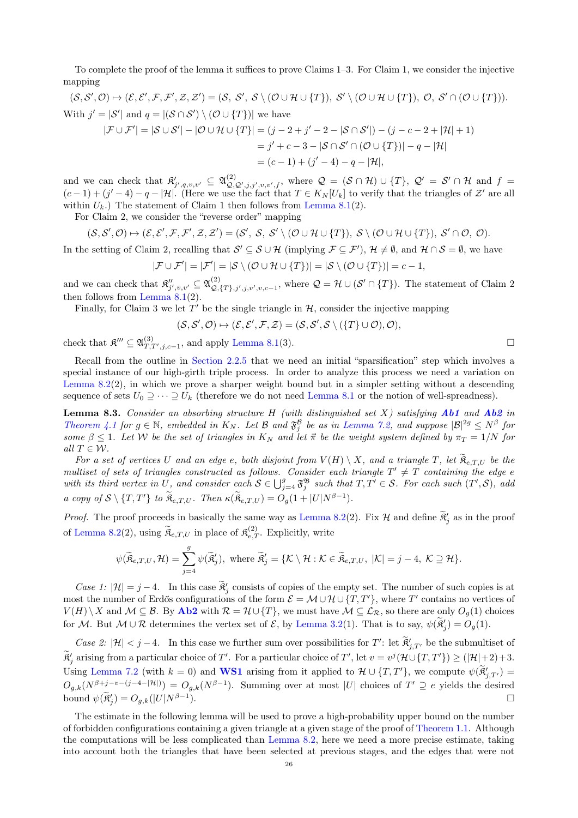To complete the proof of the lemma it suffices to prove Claims 1–3. For Claim 1, we consider the injective mapping

 $(S, \mathcal{S}', \mathcal{O}) \mapsto (\mathcal{E}, \mathcal{E}', \mathcal{F}, \mathcal{F}', \mathcal{Z}, \mathcal{Z}') = (S, \mathcal{S}', \mathcal{S} \setminus (\mathcal{O} \cup \mathcal{H} \cup \{T\}), \mathcal{S}' \setminus (\mathcal{O} \cup \mathcal{H} \cup \{T\}), \mathcal{O}, \mathcal{S}' \cap (\mathcal{O} \cup \{T\})).$ With  $j' = |\mathcal{S}'|$  and  $q = |(\mathcal{S} \cap \mathcal{S}') \setminus (\mathcal{O} \cup \{T\})|$  we have

$$
|\mathcal{F} \cup \mathcal{F}'| = |\mathcal{S} \cup \mathcal{S}'| - |\mathcal{O} \cup \mathcal{H} \cup \{T\}| = (j - 2 + j' - 2 - |\mathcal{S} \cap \mathcal{S}'|) - (j - c - 2 + |\mathcal{H}| + 1)
$$
  
=  $j' + c - 3 - |\mathcal{S} \cap \mathcal{S}' \cap (\mathcal{O} \cup \{T\})| - q - |\mathcal{H}|$   
=  $(c - 1) + (j' - 4) - q - |\mathcal{H}|$ ,

and we can check that  $\mathfrak{K}'_{j',q,v,v'} \subseteq \mathfrak{A}_{\mathcal{Q},\mathcal{Q}',j,j',v,v',f}^{(2)},$  where  $\mathcal{Q} = (\mathcal{S} \cap \mathcal{H}) \cup \{T\}, \mathcal{Q}' = \mathcal{S}' \cap \mathcal{H}$  and  $f =$  $(c-1) + (j'-4) - q - |\mathcal{H}|$ . (Here we use the fact that  $T \in K_N[U_k]$  to verify that the triangles of  $\mathcal{Z}'$  are all within  $U_k$ .) The statement of Claim 1 then follows from [Lemma 8.1\(](#page-21-0)2).

For Claim 2, we consider the "reverse order" mapping

$$
(\mathcal{S},\mathcal{S}',\mathcal{O})\mapsto (\mathcal{E},\mathcal{E}',\mathcal{F},\mathcal{F}',\mathcal{Z},\mathcal{Z}')=(\mathcal{S}',\mathcal{S},\mathcal{S}'\setminus(\mathcal{O}\cup\mathcal{H}\cup\{T\}),\,\mathcal{S}\setminus(\mathcal{O}\cup\mathcal{H}\cup\{T\}),\,\mathcal{S}'\cap\mathcal{O},\,\mathcal{O}).
$$

In the setting of Claim 2, recalling that  $\mathcal{S}' \subseteq \mathcal{S} \cup \mathcal{H}$  (implying  $\mathcal{F} \subseteq \mathcal{F}'$ ),  $\mathcal{H} \neq \emptyset$ , and  $\mathcal{H} \cap \mathcal{S} = \emptyset$ , we have

$$
|\mathcal{F} \cup \mathcal{F}'| = |\mathcal{F}'| = |\mathcal{S} \setminus (\mathcal{O} \cup \mathcal{H} \cup \{T\})| = |\mathcal{S} \setminus (\mathcal{O} \cup \{T\})| = c - 1,
$$

and we can check that  $\mathfrak{K}''_{j',v,v'} \subseteq \mathfrak{A}_{\mathcal{Q},\mathcal{C}}^{(2)}$  $Q_{\mathcal{Q},\{T\},j',j,v',v,c-1}$ , where  $\mathcal{Q} = \mathcal{H} \cup (\mathcal{S}' \cap \{T\})$ . The statement of Claim 2 then follows from Lemma  $8.1(2)$ .

Finally, for Claim 3 we let  $T'$  be the single triangle in  $H$ , consider the injective mapping

$$
(\mathcal{S}, \mathcal{S}', \mathcal{O}) \mapsto (\mathcal{E}, \mathcal{E}', \mathcal{F}, \mathcal{Z}) = (\mathcal{S}, \mathcal{S}', \mathcal{S} \setminus (\{T\} \cup \mathcal{O}), \mathcal{O}),
$$

check that  $\mathfrak{K}''' \subseteq \mathfrak{A}^{(3)}_{T,T',j,c-1}$ , and apply [Lemma 8.1\(](#page-21-0)3).

Recall from the outline in [Section 2.2.5](#page-7-0) that we need an initial "sparsification" step which involves a special instance of our high-girth triple process. In order to analyze this process we need a variation on [Lemma 8.2\(](#page-22-0)2), in which we prove a sharper weight bound but in a simpler setting without a descending sequence of sets  $U_0 \supseteq \cdots \supseteq U_k$  (therefore we do not need [Lemma 8.1](#page-21-0) or the notion of well-spreadness).

<span id="page-25-0"></span>**Lemma 8.3.** Consider an absorbing structure H (with distinguished set X) satisfying  $Ab1$  and  $Ab2$  in [Theorem 4.1](#page-11-2) for  $g \in \mathbb{N}$ , embedded in  $K_N$ . Let  $\mathcal{B}$  and  $\mathfrak{F}^{\mathcal{B}}_j$  be as in [Lemma 7.2,](#page-18-2) and suppose  $|\mathcal{B}|^{2g} \leq N^{\beta}$  for some  $\beta \leq 1$ . Let W be the set of triangles in  $K_N$  and let  $\vec{\pi}$  be the weight system defined by  $\pi_T = 1/N$  for all  $T \in \mathcal{W}$ .

For a set of vertices U and an edge e, both disjoint from  $V(H) \setminus X$ , and a triangle T, let  $\mathfrak{K}_{e,T,U}$  be the multiset of sets of triangles constructed as follows. Consider each triangle  $T' \neq T$  containing the edge e with its third vertex in U, and consider each  $S \in \bigcup_{j=4}^g \mathfrak{F}_j^{\mathfrak{B}}$  such that  $T, T' \in S$ . For each such  $(T', S)$ , add a copy of  $S \setminus \{T, T'\}$  to  $\widetilde{R}_{e,T,U}$ . Then  $\kappa(\widetilde{R}_{e,T,U}) = O_g(1+|U|N^{\beta-1}).$ 

*Proof.* The proof proceeds in basically the same way as [Lemma 8.2\(](#page-22-0)2). Fix H and define  $\tilde{\mathfrak{K}}'_j$  as in the proof of [Lemma 8.2\(](#page-22-0)2), using  $\widetilde{\mathfrak{K}}_{e,T,U}$  in place of  $\mathfrak{K}_{e,T}^{(2)}$ . Explicitly, write

$$
\psi(\widetilde{\mathfrak{K}}_{e,T,U},\mathcal{H})=\sum_{j=4}^g\psi(\widetilde{\mathfrak{K}}'_j),\text{ where }\widetilde{\mathfrak{K}}'_j=\{\mathcal{K}\setminus\mathcal{H}:\mathcal{K}\in\widetilde{\mathfrak{K}}_{e,T,U},\;|\mathcal{K}|=j-4,\;\mathcal{K}\supseteq\mathcal{H}\}.
$$

Case 1:  $|\mathcal{H}| = j - 4$ . In this case  $\mathbb{R}'_j$  consists of copies of the empty set. The number of such copies is at most the number of Erdős configurations of the form  $\mathcal{E} = \mathcal{M} \cup \mathcal{H} \cup \{T, T'\}$ , where T' contains no vertices of  $V(H) \setminus X$  and  $\mathcal{M} \subseteq \mathcal{B}$ . By [Ab2](#page-11-1) with  $\mathcal{R} = \mathcal{H} \cup \{T\}$ , we must have  $\mathcal{M} \subseteq \mathcal{L}_{\mathcal{R}}$ , so there are only  $O_q(1)$  choices for M. But  $M \cup \mathcal{R}$  determines the vertex set of  $\mathcal{E}$ , by [Lemma 3.2\(](#page-9-2)1). That is to say,  $\psi(\tilde{\mathfrak{K}}'_j) = O_g(1)$ .

Case 2:  $|\mathcal{H}| < j-4$ . In this case we further sum over possibilities for T': let  $\mathfrak{F}'_{j,T'}$  be the submultiset of  $\widetilde{\mathfrak{R}}_j'$  arising from a particular choice of T'. For a particular choice of T', let  $v = v^j(\mathcal{H} \cup \{T, T'\}) \geq (|\mathcal{H}| + 2) + 3$ . Using [Lemma 7.2](#page-18-2) (with  $k = 0$ ) and **[WS1](#page-18-1)** arising from it applied to  $\mathcal{H} \cup \{T, T'\}$ , we compute  $\psi(\tilde{\mathfrak{K}}'_{j,T'}) =$  $O_{g,k}(N^{\beta+j-v-(j-4-|\mathcal{H}|)}) = O_{g,k}(N^{\beta-1}).$  Summing over at most |U| choices of  $T' \supseteqeqeq{e}$  yields the desired bound  $\psi(\tilde{\mathfrak{K}}'_j) = O_{g,k}(|U|N^{\beta-1})$ ).

The estimate in the following lemma will be used to prove a high-probability upper bound on the number of forbidden configurations containing a given triangle at a given stage of the proof of [Theorem 1.1.](#page-0-3) Although the computations will be less complicated than [Lemma 8.2,](#page-22-0) here we need a more precise estimate, taking into account both the triangles that have been selected at previous stages, and the edges that were not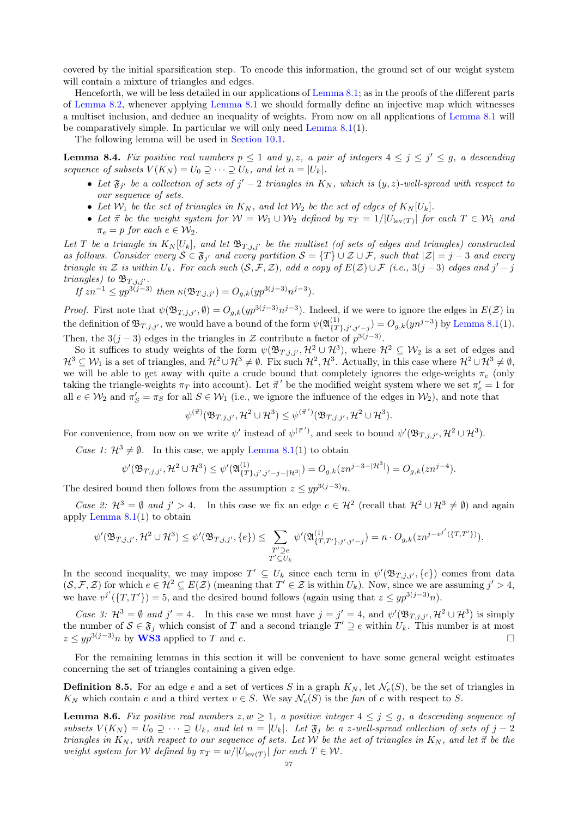covered by the initial sparsification step. To encode this information, the ground set of our weight system will contain a mixture of triangles and edges.

Henceforth, we will be less detailed in our applications of [Lemma 8.1;](#page-21-0) as in the proofs of the different parts of [Lemma 8.2,](#page-22-0) whenever applying [Lemma 8.1](#page-21-0) we should formally define an injective map which witnesses a multiset inclusion, and deduce an inequality of weights. From now on all applications of [Lemma 8.1](#page-21-0) will be comparatively simple. In particular we will only need [Lemma 8.1\(](#page-21-0)1).

The following lemma will be used in [Section 10.1.](#page-43-0)

<span id="page-26-1"></span>**Lemma 8.4.** Fix positive real numbers  $p \le 1$  and  $y, z$ , a pair of integers  $4 \le j \le j' \le g$ , a descending sequence of subsets  $V(K_N) = U_0 \supseteq \cdots \supseteq U_k$ , and let  $n = |U_k|$ .

- Let  $\mathfrak{F}_{j'}$  be a collection of sets of  $j'-2$  triangles in  $K_N$ , which is  $(y, z)$ -well-spread with respect to our sequence of sets.
- Let  $W_1$  be the set of triangles in  $K_N$ , and let  $W_2$  be the set of edges of  $K_N[U_k]$ .
- Let  $\vec{\pi}$  be the weight system for  $\mathcal{W} = \mathcal{W}_1 \cup \mathcal{W}_2$  defined by  $\pi_T = 1/|U_{\text{lev}(T)}|$  for each  $T \in \mathcal{W}_1$  and  $\pi_e = p$  for each  $e \in \mathcal{W}_2$ .

Let T be a triangle in  $K_N[U_k]$ , and let  $\mathfrak{B}_{T,j,j'}$  be the multiset (of sets of edges and triangles) constructed as follows. Consider every  $S \in \mathfrak{F}_{j'}$  and every partition  $S = \{T\} \cup \mathcal{Z} \cup \mathcal{F}$ , such that  $|\mathcal{Z}| = j - 3$  and every triangle in Z is within  $U_k$ . For each such  $(S, \mathcal{F}, \mathcal{Z})$ , add a copy of  $E(\mathcal{Z}) \cup \mathcal{F}$  (i.e., 3(j – 3) edges and j' – j triangles) to  $\mathfrak{B}_{T, j, j'}$ .

If 
$$
zn^{-1} \leq yp^{3(j-3)}
$$
 then  $\kappa(\mathfrak{B}_{T,j,j'}) = O_{g,k}(yp^{3(j-3)}n^{j-3}).$ 

*Proof.* First note that  $\psi(\mathfrak{B}_{T,j,j'},\emptyset) = O_{g,k}(yp^{3(j-3)}n^{j-3})$ . Indeed, if we were to ignore the edges in  $E(\mathcal{Z})$  in the definition of  $\mathfrak{B}_{T,j,j'}$ , we would have a bound of the form  $\psi(\mathfrak{A}_{\{T\}}^{(1)})$  $\mathcal{F}_{\{T\},j',j'-j}^{(1)} = O_{g,k}(yn^{j-3})$  by [Lemma 8.1\(](#page-21-0)1). Then, the 3(j – 3) edges in the triangles in  $\mathcal Z$  contribute a factor of  $p^{3(j-3)}$ .

So it suffices to study weights of the form  $\psi(\mathfrak{B}_{T,j,j'},\mathcal{H}^2\cup\mathcal{H}^3)$ , where  $\mathcal{H}^2\subseteq\mathcal{W}_2$  is a set of edges and  $\mathcal{H}^3 \subseteq \mathcal{W}_1$  is a set of triangles, and  $\mathcal{H}^2 \cup \mathcal{H}^3 \neq \emptyset$ . Fix such  $\mathcal{H}^2, \mathcal{H}^3$ . Actually, in this case where  $\mathcal{H}^2 \cup \mathcal{H}^3 \neq \emptyset$ , we will be able to get away with quite a crude bound that completely ignores the edge-weights  $\pi_e$  (only taking the triangle-weights  $\pi_T$  into account). Let  $\vec{\pi}'$  be the modified weight system where we set  $\pi'_e = 1$  for all  $e \in W_2$  and  $\pi'_S = \pi_S$  for all  $S \in W_1$  (i.e., we ignore the influence of the edges in  $W_2$ ), and note that

$$
\psi^{(\vec{\pi})}(\mathfrak{B}_{T,j,j'},\mathcal{H}^2\cup\mathcal{H}^3)\leq \psi^{(\vec{\pi}')}(\mathfrak{B}_{T,j,j'},\mathcal{H}^2\cup\mathcal{H}^3).
$$

For convenience, from now on we write  $\psi'$  instead of  $\psi^{(\vec{\pi}')}$ , and seek to bound  $\psi'(\mathfrak{B}_{T,j,j'},\mathcal{H}^2\cup\mathcal{H}^3)$ .

Case 1:  $\mathcal{H}^3 \neq \emptyset$ . In this case, we apply [Lemma 8.1\(](#page-21-0)1) to obtain

$$
\psi'(\mathfrak{B}_{T,j,j'},\mathcal{H}^2\cup\mathcal{H}^3)\leq\psi'(\mathfrak{A}_{\{T\},j',j'-j-|\mathcal{H}^3|}^{(1)})=O_{g,k}(zn^{j-3-|\mathcal{H}^3|})=O_{g,k}(zn^{j-4}).
$$

The desired bound then follows from the assumption  $z \leq y p^{3(j-3)}n$ .

Case 2:  $\mathcal{H}^3 = \emptyset$  and  $j' > 4$ . In this case we fix an edge  $e \in \mathcal{H}^2$  (recall that  $\mathcal{H}^2 \cup \mathcal{H}^3 \neq \emptyset$ ) and again apply [Lemma 8.1\(](#page-21-0)1) to obtain

$$
\psi'(\mathfrak{B}_{T,j,j'},\mathcal{H}^2\cup \mathcal{H}^3)\leq \psi'(\mathfrak{B}_{T,j,j'},\{e\})\leq \sum_{\substack{T'\supseteq e\\ T'\subseteq U_k}}\psi'(\mathfrak{A}_{\{T,T'\},j',j'-j}^{(1)})=n\cdot O_{g,k}(zn^{j-v^{j'}}(\{T,T'\})).
$$

In the second inequality, we may impose  $T' \subseteq U_k$  since each term in  $\psi'(\mathfrak{B}_{T,j,j'},\{e\})$  comes from data  $(S, \mathcal{F}, \mathcal{Z})$  for which  $e \in \mathcal{H}^2 \subseteq E(\mathcal{Z})$  (meaning that  $T' \in \mathcal{Z}$  is within  $U_k$ ). Now, since we are assuming  $j' > 4$ , we have  $v^{j'}(\lbrace T, T' \rbrace) = 5$ , and the desired bound follows (again using that  $z \leq y p^{3(j-3)}n$ ).

Case 3:  $\mathcal{H}^3 = \emptyset$  and  $j' = 4$ . In this case we must have  $j = j' = 4$ , and  $\psi'(\mathfrak{B}_{T,j,j'}, \mathcal{H}^2 \cup \mathcal{H}^3)$  is simply the number of  $\mathcal{S} \in \mathfrak{F}_j$  which consist of T and a second triangle  $T' \supseteq e$  within  $U_k$ . This number is at most  $z \leq y p^{3(j-3)} n$  by [WS3](#page-18-4) applied to T and e.

For the remaining lemmas in this section it will be convenient to have some general weight estimates concerning the set of triangles containing a given edge.

**Definition 8.5.** For an edge e and a set of vertices S in a graph  $K_N$ , let  $\mathcal{N}_e(S)$ , be the set of triangles in  $K_N$  which contain e and a third vertex  $v \in S$ . We say  $\mathcal{N}_e(S)$  is the fan of e with respect to S.

<span id="page-26-0"></span>**Lemma 8.6.** Fix positive real numbers  $z, w \ge 1$ , a positive integer  $4 \le j \le g$ , a descending sequence of subsets  $V(K_N) = U_0 \supseteq \cdots \supseteq U_k$ , and let  $n = |U_k|$ . Let  $\mathfrak{F}_i$  be a z-well-spread collection of sets of  $j - 2$ triangles in  $K_N$ , with respect to our sequence of sets. Let W be the set of triangles in  $K_N$ , and let  $\vec{\pi}$  be the weight system for W defined by  $\pi_T = w/|U_{\text{lev}(T)}|$  for each  $T \in \mathcal{W}$ .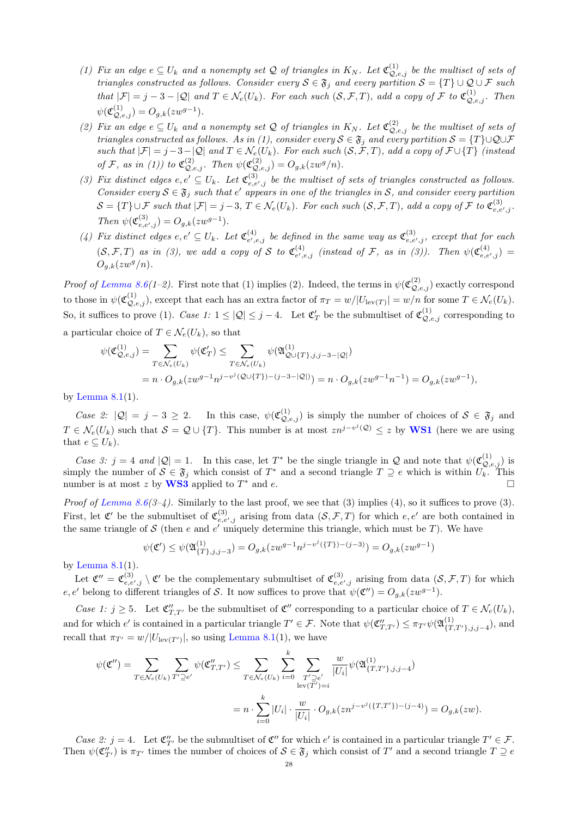- (1) Fix an edge  $e \subseteq U_k$  and a nonempty set Q of triangles in  $K_N$ . Let  $\mathfrak{C}_{Q,e,j}^{(1)}$  be the multiset of sets of triangles constructed as follows. Consider every  $S \in \mathfrak{F}_j$  and every partition  $S = \{T\} \cup \mathcal{Q} \cup \mathcal{F}$  such that  $|\mathcal{F}| = j - 3 - |\mathcal{Q}|$  and  $T \in \mathcal{N}_e(U_k)$ . For each such  $(\mathcal{S}, \mathcal{F}, T)$ , add a copy of  $\mathcal{F}$  to  $\mathfrak{C}_{\mathcal{Q}, e, j}^{(1)}$ . Then  $\psi(\mathfrak{C}^{(1)}_{\mathcal{Q},e,j}) = O_{g,k}(zw^{g-1}).$
- (2) Fix an edge  $e \subseteq U_k$  and a nonempty set Q of triangles in  $K_N$ . Let  $\mathfrak{C}_{Q,e,j}^{(2)}$  be the multiset of sets of triangles constructed as follows. As in (1), consider every  $S \in \mathfrak{F}_j$  and every partition  $S = \{T\} \cup \mathcal{Q} \cup \mathcal{F}$ such that  $|\mathcal{F}| = j - 3 - |\mathcal{Q}|$  and  $T \in \mathcal{N}_e(U_k)$ . For each such  $(\mathcal{S}, \mathcal{F}, T)$ , add a copy of  $\mathcal{F} \cup \{T\}$  (instead of F, as in (1)) to  $\mathfrak{C}_{\mathcal{Q},e,j}^{(2)}$ . Then  $\psi(\mathfrak{C}_{\mathcal{Q},e,j}^{(2)}) = O_{g,k}(zw^g/n)$ .
- (3) Fix distinct edges  $e, e' \subseteq U_k$ . Let  $\mathfrak{C}^{(3)}_{e, e', j}$  be the multiset of sets of triangles constructed as follows. Consider every  $S \in \mathfrak{F}_j$  such that e' appears in one of the triangles in S, and consider every partition  $\mathcal{S} = \{T\} \cup \mathcal{F}$  such that  $|\mathcal{F}| = j - 3$ ,  $T \in \mathcal{N}_e(U_k)$ . For each such  $(\mathcal{S}, \mathcal{F}, T)$ , add a copy of  $\mathcal{F}$  to  $\mathfrak{C}^{(3)}_{e,e',j}$ . Then  $\psi(\mathfrak{C}_{e,e',j}^{(3)}) = O_{g,k}(zw^{g-1}).$
- (4) Fix distinct edges  $e, e' \subseteq U_k$ . Let  $\mathfrak{C}_{e', e}^{(4)}$  $\mathcal{C}^{(4)}_{e',e,j}$  be defined in the same way as  $\mathfrak{C}^{(3)}_{e,e',j}$ , except that for each  $(S, \mathcal{F}, T)$  as in (3), we add a copy of S to  $\mathfrak{C}^{(4)}_{e'}$  $\mathcal{L}^{(4)}_{e',e,j}$  (instead of F, as in (3)). Then  $\psi(\mathfrak{C}^{(4)}_{e,e',j})=$  $O_{a,k}(zw^g/n)$ .

Proof of [Lemma 8.6\(](#page-26-0)1-2). First note that (1) implies (2). Indeed, the terms in  $\psi(\mathfrak{C}_{Q,e,j}^{(2)})$  exactly correspond to those in  $\psi(\mathfrak{C}^{(1)}_{\mathcal{Q},e,j})$ , except that each has an extra factor of  $\pi_T = w/|U_{\text{lev}(T)}| = w/n$  for some  $T \in \mathcal{N}_e(U_k)$ . So, it suffices to prove (1). Case 1:  $1 \leq |\mathcal{Q}| \leq j-4$ . Let  $\mathfrak{C}'_T$  be the submultiset of  $\mathfrak{C}_{\mathcal{Q},e,j}^{(1)}$  corresponding to a particular choice of  $T \in \mathcal{N}_e(U_k)$ , so that

$$
\begin{split} \psi(\mathfrak{C}^{(1)}_{\mathcal{Q},e,j})&=\sum_{T\in\mathcal{N}_e(U_k)}\psi(\mathfrak{C}'_T)\leq \sum_{T\in\mathcal{N}_e(U_k)}\psi(\mathfrak{A}^{(1)}_{\mathcal{Q}\cup\{T\},j,j-3-|\mathcal{Q}|})\\ &=n\cdot O_{g,k}(zw^{g-1}n^{j-v^j}(\mathcal{Q}\cup\{T\})-(j-3-|\mathcal{Q}|))=n\cdot O_{g,k}(zw^{g-1}n^{-1})=O_{g,k}(zw^{g-1}), \end{split}
$$

by Lemma  $8.1(1)$ .

Case 2:  $|Q| = j - 3 \ge 2$ . In this case,  $\psi(\mathfrak{C}_{Q,e,j}^{(1)})$  is simply the number of choices of  $S \in \mathfrak{F}_j$  and  $T \in \mathcal{N}_e(U_k)$  such that  $S = \mathcal{Q} \cup \{T\}$ . This number is at most  $zn^{j-v^j(\mathcal{Q})} \leq z$  by **[WS1](#page-18-1)** (here we are using that  $e \subset U_k$ ).

Case 3:  $j = 4$  and  $|Q| = 1$ . In this case, let  $T^*$  be the single triangle in Q and note that  $\psi(\mathfrak{C}_{Q,e,j}^{(1)})$  is simply the number of  $S \in \mathfrak{F}_j$  which consist of  $T^*$  and a second triangle  $T \supseteq e$  which is within  $U_k$ . This number is at most z by [WS3](#page-18-4) applied to  $T^*$  and  $e$ .

*Proof of [Lemma 8.6\(](#page-26-0)3-4)*. Similarly to the last proof, we see that (3) implies (4), so it suffices to prove (3). First, let  $\mathfrak{C}'$  be the submultiset of  $\mathfrak{C}^{(3)}_{e,e',j}$  arising from data  $(S, \mathcal{F}, T)$  for which  $e, e'$  are both contained in the same triangle of S (then e and e' uniquely determine this triangle, which must be T). We have

$$
\psi(\mathfrak{C}') \le \psi(\mathfrak{A}_{\{T\},j,j-3}^{(1)}) = O_{g,k}(zw^{g-1}n^{j-v^j(\{T\})-(j-3)}) = O_{g,k}(zw^{g-1})
$$

by Lemma  $8.1(1)$ .

Let  $\mathfrak{C}'' = \mathfrak{C}_{e,e',j}^{(3)} \setminus \mathfrak{C}'$  be the complementary submultiset of  $\mathfrak{C}_{e,e',j}^{(3)}$  arising from data  $(\mathcal{S},\mathcal{F},T)$  for which e, e' belong to different triangles of S. It now suffices to prove that  $\psi(\mathfrak{C}'') = O_{g,k}(zw^{g-1}).$ 

Case 1:  $j \geq 5$ . Let  $\mathfrak{C}''_{T,T'}$  be the submultiset of  $\mathfrak{C}''$  corresponding to a particular choice of  $T \in \mathcal{N}_e(U_k)$ , and for which  $e'$  is contained in a particular triangle  $T' \in \mathcal{F}$ . Note that  $\psi(\mathfrak{C}''_{T,T'}) \leq \pi_{T'}\psi(\mathfrak{A}^{(1)}_{\{T\}})$  $\{T,T'\},j,j=4$ ), and recall that  $\pi_{T'} = w/|U_{\text{lev}(T')}|$ , so using [Lemma 8.1\(](#page-21-0)1), we have

$$
\psi(\mathfrak{C}'') = \sum_{T \in \mathcal{N}_e(U_k)} \sum_{T' \supseteq e'} \psi(\mathfrak{C}''_{T,T'}) \leq \sum_{T \in \mathcal{N}_e(U_k)} \sum_{i=0}^k \sum_{\substack{T' \supseteq e'\\ \text{lev}(T') = i}} \frac{w}{|U_i|} \psi(\mathfrak{A}_{\{T,T'\},j,j-4}^{(1)})
$$

$$
= n \cdot \sum_{i=0}^k |U_i| \cdot \frac{w}{|U_i|} \cdot O_{g,k}(zn^{j-v^j(\{T,T'\})-(j-4)}) = O_{g,k}(zw).
$$

Case 2:  $j = 4$ . Let  $\mathfrak{C}''_{T'}$  be the submultiset of  $\mathfrak{C}''$  for which  $e'$  is contained in a particular triangle  $T' \in \mathcal{F}$ . Then  $\psi(\mathfrak{C}_{T'}'')$  is  $\pi_{T'}$  times the number of choices of  $\mathcal{S} \in \mathfrak{F}_j$  which consist of  $T'$  and a second triangle  $T \supseteq e$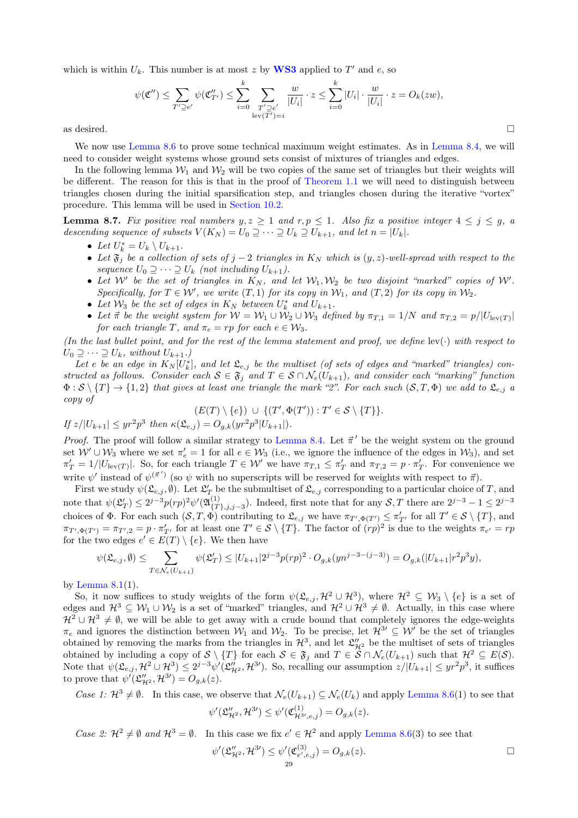which is within  $U_k$ . This number is at most z by **[WS3](#page-18-4)** applied to  $T'$  and e, so

$$
\psi(\mathfrak{C}'') \le \sum_{T' \supseteq e'} \psi(\mathfrak{C}''_{T'}) \le \sum_{i=0}^k \sum_{\substack{T' \supseteq e'\\ \text{lev}(T')=i}} \frac{w}{|U_i|} \cdot z \le \sum_{i=0}^k |U_i| \cdot \frac{w}{|U_i|} \cdot z = O_k(zw),
$$
 as desired.

We now use [Lemma 8.6](#page-26-0) to prove some technical maximum weight estimates. As in [Lemma 8.4,](#page-26-1) we will need to consider weight systems whose ground sets consist of mixtures of triangles and edges.

In the following lemma  $W_1$  and  $W_2$  will be two copies of the same set of triangles but their weights will be different. The reason for this is that in the proof of [Theorem 1.1](#page-0-3) we will need to distinguish between triangles chosen during the initial sparsification step, and triangles chosen during the iterative "vortex" procedure. This lemma will be used in [Section 10.2.](#page-45-0)

<span id="page-28-0"></span>**Lemma 8.7.** Fix positive real numbers  $y, z \ge 1$  and  $r, p \le 1$ . Also fix a positive integer  $4 \le j \le g$ , a descending sequence of subsets  $V(K_N) = U_0 \supseteq \cdots \supseteq U_k \supseteq U_{k+1}$ , and let  $n = |U_k|$ .

- Let  $U_k^* = U_k \setminus U_{k+1}$ .
- Let  $\mathfrak{F}_j$  be a collection of sets of j 2 triangles in  $K_N$  which is  $(y, z)$ -well-spread with respect to the sequence  $U_0 \supseteq \cdots \supseteq U_k$  (not including  $U_{k+1}$ ).
- Let W' be the set of triangles in  $K_N$ , and let  $W_1, W_2$  be two disjoint "marked" copies of W'. Specifically, for  $T \in \mathcal{W}'$ , we write  $(T, 1)$  for its copy in  $\mathcal{W}_1$ , and  $(T, 2)$  for its copy in  $\mathcal{W}_2$ .
- Let  $W_3$  be the set of edges in  $K_N$  between  $U_k^*$  and  $U_{k+1}$ .
- Let  $\vec{\pi}$  be the weight system for  $W = W_1 \cup W_2 \cup W_3$  defined by  $\pi_{T,1} = 1/N$  and  $\pi_{T,2} = p/|U_{\text{lev}(T)}|$ for each triangle T, and  $\pi_e = rp$  for each  $e \in \mathcal{W}_3$ .

(In the last bullet point, and for the rest of the lemma statement and proof, we define  $lev(\cdot)$  with respect to  $U_0 \supseteq \cdots \supseteq U_k$ , without  $U_{k+1}$ .)

Let e be an edge in  $K_N[U_k^*]$ , and let  $\mathfrak{L}_{e,j}$  be the multiset (of sets of edges and "marked" triangles) constructed as follows. Consider each  $S \in \mathfrak{F}_j$  and  $T \in S \cap \mathcal{N}_e(U_{k+1})$ , and consider each "marking" function  $\Phi : \mathcal{S} \setminus \{T\} \to \{1,2\}$  that gives at least one triangle the mark "2". For each such  $(\mathcal{S}, T, \Phi)$  we add to  $\mathfrak{L}_{e,j}$  a copy of

$$
(E(T)\setminus\{e\}) \cup \{(T',\Phi(T')) : T' \in \mathcal{S} \setminus \{T\}\}.
$$
  
If  $z/|U_{k+1}| \leq yr^2 p^3$  then  $\kappa(\mathfrak{L}_{e,j}) = O_{g,k}(yr^2 p^3 |U_{k+1}|).$ 

*Proof.* The proof will follow a similar strategy to [Lemma 8.4.](#page-26-1) Let  $\vec{\pi}'$  be the weight system on the ground set  $W' \cup W_3$  where we set  $\pi'_e = 1$  for all  $e \in W_3$  (i.e., we ignore the influence of the edges in  $W_3$ ), and set  $\pi'_T = 1/|U_{\text{lev}(T)}|$ . So, for each triangle  $T \in \mathcal{W}'$  we have  $\pi_{T,1} \leq \pi'_T$  and  $\pi_{T,2} = p \cdot \pi'_T$ . For convenience we write  $\psi'$  instead of  $\psi^{(\vec{\pi}')}$  (so  $\psi$  with no superscripts will be reserved for weights with respect to  $\vec{\pi}$ ).

First we study  $\psi(\mathfrak{L}_{e,j}, \emptyset)$ . Let  $\mathfrak{L}'_T$  be the submultiset of  $\mathfrak{L}_{e,j}$  corresponding to a particular choice of T, and note that  $\psi(\mathfrak{L}_T') \leq 2^{j-3}p(rp)^2\psi'(\mathfrak{A}_{\{T\}}^{(1)})$  $\{T\}_{{T},j,j-3}$ ). Indeed, first note that for any  $S,T$  there are  $2^{j-3}-1 \leq 2^{j-3}$ choices of  $\Phi$ . For each such  $(S, T, \Phi)$  contributing to  $\mathfrak{L}_{e,j}$  we have  $\pi_{T', \Phi(T')} \leq \pi'_{T'}$  for all  $T' \in S \setminus \{T\}$ , and  $\pi_{T',\Phi(T')} = \pi_{T',2} = p \cdot \pi'_{T'}$  for at least one  $T' \in \mathcal{S} \setminus \{T\}$ . The factor of  $(rp)^2$  is due to the weights  $\pi_{e'} = rp$ for the two edges  $e' \in E(T) \setminus \{e\}$ . We then have

$$
\psi(\mathfrak{L}_{e,j}, \emptyset) \le \sum_{T \in \mathcal{N}_e(U_{k+1})} \psi(\mathfrak{L}'_T) \le |U_{k+1}| 2^{j-3} p(r p)^2 \cdot O_{g,k}(y n^{j-3-(j-3)}) = O_{g,k}(|U_{k+1}| r^2 p^3 y),
$$

by Lemma  $8.1(1)$ .

So, it now suffices to study weights of the form  $\psi(\mathfrak{L}_{e,j}, \mathcal{H}^2 \cup \mathcal{H}^3)$ , where  $\mathcal{H}^2 \subseteq \mathcal{W}_3 \setminus \{e\}$  is a set of edges and  $\mathcal{H}^3 \subseteq \mathcal{W}_1 \cup \mathcal{W}_2$  is a set of "marked" triangles, and  $\mathcal{H}^2 \cup \mathcal{H}^3 \neq \emptyset$ . Actually, in this case where  $H^2 \cup H^3 \neq \emptyset$ , we will be able to get away with a crude bound that completely ignores the edge-weights  $\pi_e$  and ignores the distinction between  $\mathcal{W}_1$  and  $\mathcal{W}_2$ . To be precise, let  $\mathcal{H}^{3} \subseteq \mathcal{W}$  be the set of triangles obtained by removing the marks from the triangles in  $\mathcal{H}^3$ , and let  $\mathcal{L}''_{\mathcal{H}^2}$  be the multiset of sets of triangles obtained by including a copy of  $S \setminus \{T\}$  for each  $S \in \mathfrak{F}_j$  and  $T \in \mathcal{S} \cap \mathcal{N}_e(U_{k+1})$  such that  $\mathcal{H}^2 \subseteq E(\mathcal{S})$ . Note that  $\psi(\mathfrak{L}_{e,j}, \mathcal{H}^2 \cup \mathcal{H}^3) \leq 2^{j-3} \psi'(\mathfrak{L}_{\mathcal{H}^2}''', \mathcal{H}^{3'})$ . So, recalling our assumption  $z/|U_{k+1}| \leq yr^2p^3$ , it suffices to prove that  $\psi'(\mathfrak{L}''_{\mathcal{H}^2}, \mathcal{H}^{3\prime}) = O_{g,k}(z)$ .

Case 1:  $\mathcal{H}^3 \neq \emptyset$ . In this case, we observe that  $\mathcal{N}_e(U_{k+1}) \subseteq \mathcal{N}_e(U_k)$  and apply [Lemma 8.6\(](#page-26-0)1) to see that

$$
\psi'(\mathfrak{L}_{\mathcal{H}^2}'' , \mathcal{H}^{3\prime}) \leq \psi'(\mathfrak{C}_{\mathcal{H}^{3\prime}, e, j}^{(1)}) = O_{g,k}(z).
$$

Case 2:  $\mathcal{H}^2 \neq \emptyset$  and  $\mathcal{H}^3 = \emptyset$ . In this case we fix  $e' \in \mathcal{H}^2$  and apply [Lemma 8.6\(](#page-26-0)3) to see that

$$
\psi'(\mathfrak{L}''_{\mathcal{H}^2}, \mathcal{H}^{3\prime}) \leq \psi'(\mathfrak{C}^{(3)}_{e',e,j}) = O_{g,k}(z).
$$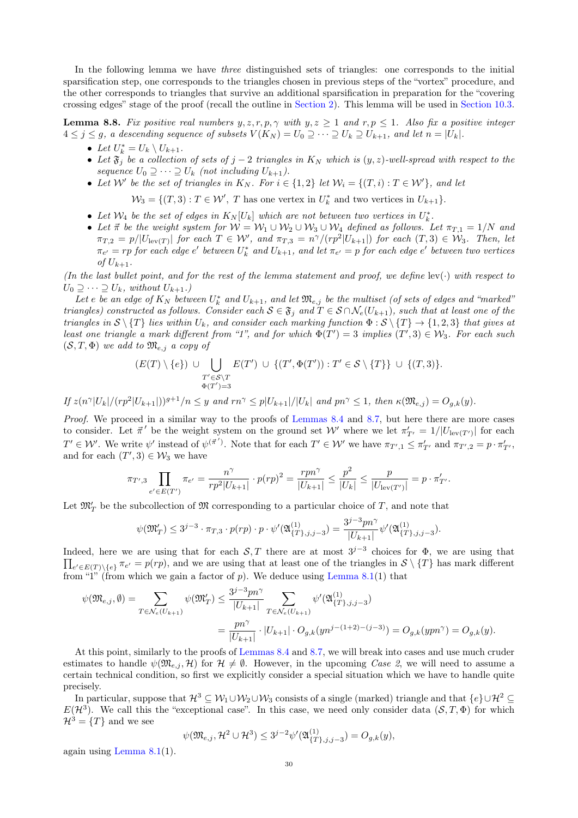In the following lemma we have three distinguished sets of triangles: one corresponds to the initial sparsification step, one corresponds to the triangles chosen in previous steps of the "vortex" procedure, and the other corresponds to triangles that survive an additional sparsification in preparation for the "covering crossing edges" stage of the proof (recall the outline in [Section 2\)](#page-5-0). This lemma will be used in [Section 10.3.](#page-46-0)

<span id="page-29-0"></span>**Lemma 8.8.** Fix positive real numbers  $y, z, r, p, \gamma$  with  $y, z \ge 1$  and  $r, p \le 1$ . Also fix a positive integer  $4 \leq j \leq g$ , a descending sequence of subsets  $V(K_N) = U_0 \supseteq \cdots \supseteq U_k \supseteq U_{k+1}$ , and let  $n = |U_k|$ .

- Let  $U_k^* = U_k \setminus U_{k+1}$ .
- Let  $\mathfrak{F}_j$  be a collection of sets of j 2 triangles in  $K_N$  which is  $(y, z)$ -well-spread with respect to the sequence  $U_0 \supseteq \cdots \supseteq U_k$  (not including  $U_{k+1}$ ).
- Let W' be the set of triangles in  $K_N$ . For  $i \in \{1,2\}$  let  $\mathcal{W}_i = \{(T,i) : T \in \mathcal{W}'\}$ , and let

 $\mathcal{W}_3 = \{(T,3) : T \in \mathcal{W}', T \text{ has one vertex in } U_k^* \text{ and two vertices in } U_{k+1}\}.$ 

- Let  $W_4$  be the set of edges in  $K_N[U_k]$  which are not between two vertices in  $U_k^*$ .
- Let  $\vec{\pi}$  be the weight system for  $W = W_1 \cup W_2 \cup W_3 \cup W_4$  defined as follows. Let  $\pi_{T,1} = 1/N$  and  $\pi_{T,2} = p/|U_{\text{lev}(T)}|$  for each  $T \in \mathcal{W}'$ , and  $\pi_{T,3} = n^{\gamma}/(rp^2|U_{k+1}|)$  for each  $(T,3) \in \mathcal{W}_3$ . Then, let  $\pi_{e'}=rp$  for each edge  $e'$  between  $U_k^*$  and  $U_{k+1}$ , and let  $\pi_{e'}=p$  for each edge  $e'$  between two vertices of  $U_{k+1}$ .

(In the last bullet point, and for the rest of the lemma statement and proof, we define  $lev(\cdot)$  with respect to  $U_0 \supseteq \cdots \supseteq U_k$ , without  $U_{k+1}$ .)

Let e be an edge of  $K_N$  between  $U_k^*$  and  $U_{k+1}$ , and let  $\mathfrak{M}_{e,j}$  be the multiset (of sets of edges and "marked" triangles) constructed as follows. Consider each  $S \in \mathfrak{F}_j$  and  $T \in S \cap \mathcal{N}_e(U_{k+1})$ , such that at least one of the triangles in  $S \setminus \{T\}$  lies within  $U_k$ , and consider each marking function  $\Phi : \mathcal{S} \setminus \{T\} \to \{1,2,3\}$  that gives at least one triangle a mark different from "1", and for which  $\Phi(T') = 3$  implies  $(T', 3) \in \mathcal{W}_3$ . For each such  $(S, T, \Phi)$  we add to  $\mathfrak{M}_{e,j}$  a copy of

$$
(E(T)\setminus\{e\})\ \cup\ \bigcup_{\substack{T'\in\mathcal{S}\setminus T \\ \Phi(T')=3}} E(T')\ \cup\ \{(T',\Phi(T')) : T'\in\mathcal{S}\setminus\{T\}\}\ \cup\ \{(T,3)\}.
$$

If  $z(n^{\gamma}|U_k|/(rp^2|U_{k+1}|))^{g+1}/n \leq y$  and  $rn^{\gamma} \leq p|U_{k+1}|/|U_k|$  and  $pn^{\gamma} \leq 1$ , then  $\kappa(\mathfrak{M}_{e,j}) = O_{g,k}(y)$ .

Proof. We proceed in a similar way to the proofs of [Lemmas 8.4](#page-26-1) and [8.7,](#page-28-0) but here there are more cases to consider. Let  $\vec{\pi}'$  be the weight system on the ground set W' where we let  $\pi'_{T'} = 1/|U_{\text{lev}(T')}|$  for each  $T' \in \mathcal{W}'$ . We write  $\psi'$  instead of  $\psi^{(\vec{\pi}')}$ . Note that for each  $T' \in \mathcal{W}'$  we have  $\pi_{T',1} \leq \pi'_{T'}$  and  $\pi_{T',2} = p \cdot \pi'_{T'}$ , and for each  $(T', 3) \in W_3$  we have

$$
\pi_{T',3} \prod_{e' \in E(T')} \pi_{e'} = \frac{n^{\gamma}}{rp^2 |U_{k+1}|} \cdot p(rp)^2 = \frac{rpn^{\gamma}}{|U_{k+1}|} \le \frac{p^2}{|U_k|} \le \frac{p}{|U_{\text{lev}(T')}|} = p \cdot \pi'_{T'}.
$$

Let  $\mathfrak{M}'_T$  be the subcollection of  $\mathfrak M$  corresponding to a particular choice of T, and note that

$$
\psi(\mathfrak{M}_T') \le 3^{j-3} \cdot \pi_{T,3} \cdot p(rp) \cdot p \cdot \psi'(\mathfrak{A}_{\{T\},j,j-3}^{(1)}) = \frac{3^{j-3} p n^{\gamma}}{|U_{k+1}|} \psi'(\mathfrak{A}_{\{T\},j,j-3}^{(1)}).
$$

Indeed, here we are using that for each  $S,T$  there are at most  $3^{j-3}$  choices for  $\Phi$ , we are using that  $\prod_{e' \in E(T) \setminus \{e\}} \pi_{e'} = p(rp)$ , and we are using that at least one of the triangles in  $S \setminus \{T\}$  has mark different from "1" (from which we gain a factor of p). We deduce using [Lemma 8.1\(](#page-21-0)1) that

$$
\begin{split} \psi(\mathfrak{M}_{e,j},\emptyset)=&\sum_{T\in\mathcal{N}_e(U_{k+1})}\psi(\mathfrak{M}'_T)\leq\frac{3^{j-3}pn^\gamma}{|U_{k+1}|}\sum_{T\in\mathcal{N}_e(U_{k+1})}\psi'(\mathfrak{A}^{(1)}_{\{T\},j,j-3})\\ &=\frac{pn^\gamma}{|U_{k+1}|}\cdot|U_{k+1}|\cdot O_{g,k}(yn^{j-(1+2)-(j-3)})=O_{g,k}(ypn^\gamma)=O_{g,k}(y). \end{split}
$$

At this point, similarly to the proofs of [Lemmas 8.4](#page-26-1) and [8.7,](#page-28-0) we will break into cases and use much cruder estimates to handle  $\psi(\mathfrak{M}_{e,i}, \mathcal{H})$  for  $\mathcal{H} \neq \emptyset$ . However, in the upcoming Case 2, we will need to assume a certain technical condition, so first we explicitly consider a special situation which we have to handle quite precisely.

In particular, suppose that  $\mathcal{H}^3 \subseteq \mathcal{W}_1 \cup \mathcal{W}_2 \cup \mathcal{W}_3$  consists of a single (marked) triangle and that  $\{e\} \cup \mathcal{H}^2 \subseteq$  $E(\mathcal{H}^3)$ . We call this the "exceptional case". In this case, we need only consider data  $(S,T,\Phi)$  for which  $\mathcal{H}^3 = \{T\}$  and we see

$$
\psi(\mathfrak{M}_{e,j},\mathcal{H}^2 \cup \mathcal{H}^3) \le 3^{j-2} \psi'(\mathfrak{A}_{\{T\},j,j-3}^{(1)}) = O_{g,k}(y),
$$

again using [Lemma 8.1\(](#page-21-0)1).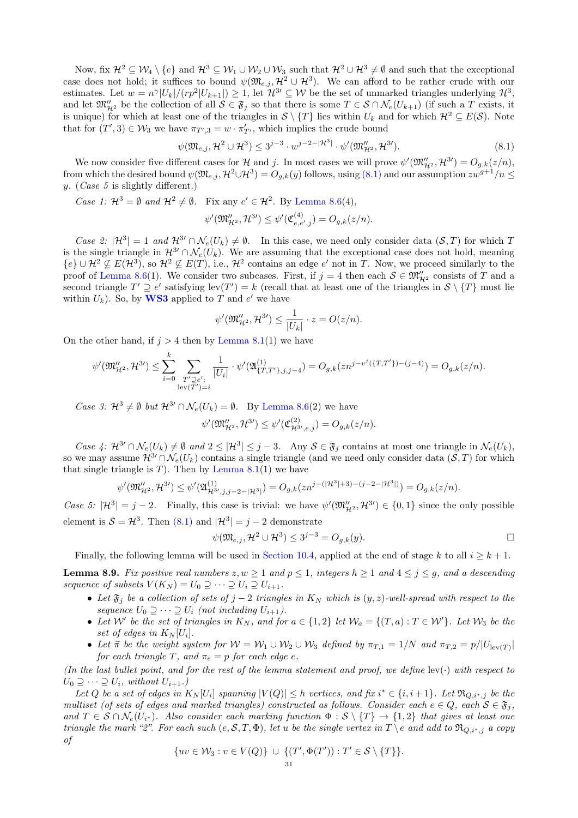Now, fix  $\mathcal{H}^2 \subseteq \mathcal{W}_4 \setminus \{e\}$  and  $\mathcal{H}^3 \subseteq \mathcal{W}_1 \cup \mathcal{W}_2 \cup \mathcal{W}_3$  such that  $\mathcal{H}^2 \cup \mathcal{H}^3 \neq \emptyset$  and such that the exceptional case does not hold; it suffices to bound  $\psi(\mathfrak{M}_{e,j}, \mathcal{H}^2 \cup \mathcal{H}^3)$ . We can afford to be rather crude with our estimates. Let  $w = n^{\gamma} |U_k|/(rp^2|U_{k+1}|) \geq 1$ , let  $\mathcal{H}^{3} \subseteq \mathcal{W}$  be the set of unmarked triangles underlying  $\mathcal{H}^3$ , and let  $\mathfrak{M}_{\mathcal{H}^2}''$  be the collection of all  $\mathcal{S} \in \mathfrak{F}_j$  so that there is some  $T \in \mathcal{S} \cap \mathcal{N}_e(U_{k+1})$  (if such a T exists, it is unique) for which at least one of the triangles in  $S \setminus \{T\}$  lies within  $U_k$  and for which  $\mathcal{H}^2 \subseteq E(\mathcal{S})$ . Note that for  $(T', 3) \in W_3$  we have  $\pi_{T', 3} = w \cdot \pi'_{T'}$ , which implies the crude bound

<span id="page-30-0"></span>
$$
\psi(\mathfrak{M}_{e,j}, \mathcal{H}^2 \cup \mathcal{H}^3) \le 3^{j-3} \cdot w^{j-2-|\mathcal{H}^3|} \cdot \psi'(\mathfrak{M}_{\mathcal{H}^2}''', \mathcal{H}^{3'}).
$$
\n(8.1)

We now consider five different cases for  $\mathcal{H}$  and j. In most cases we will prove  $\psi'(\mathfrak{M}_{\mathcal{H}^2}''', \mathcal{H}^{3\prime}) = O_{g,k}(z/n)$ , from which the desired bound  $\psi(\mathfrak{M}_{e,j}, \mathcal{H}^2 \cup \mathcal{H}^3) = O_{g,k}(y)$  follows, using  $(8.1)$  and our assumption  $zw^{g+1}/n \leq$ y. (*Case 5* is slightly different.)

Case 1:  $\mathcal{H}^3 = \emptyset$  and  $\mathcal{H}^2 \neq \emptyset$ . Fix any  $e' \in \mathcal{H}^2$ . By [Lemma 8.6\(](#page-26-0)4),

$$
\psi'(\mathfrak{M}''_{\mathcal{H}^2}, \mathcal{H}^{3\prime}) \leq \psi'(\mathfrak{C}^{(4)}_{e,e',j}) = O_{g,k}(z/n).
$$

Case 2:  $|\mathcal{H}^3| = 1$  and  $\mathcal{H}^{3} \cap \mathcal{N}_e(U_k) \neq \emptyset$ . In this case, we need only consider data  $(\mathcal{S}, T)$  for which T is the single triangle in  $\mathcal{H}^{3} \cap \mathcal{N}_e(U_k)$ . We are assuming that the exceptional case does not hold, meaning  ${e} \cup \mathcal{H}^2 \nsubseteq E(\mathcal{H}^3)$ , so  $\mathcal{H}^2 \nsubseteq E(T)$ , i.e.,  $\mathcal{H}^2$  contains an edge e' not in T. Now, we proceed similarly to the proof of [Lemma 8.6\(](#page-26-0)1). We consider two subcases. First, if  $j = 4$  then each  $S \in \mathfrak{M}''_{\mathcal{H}^2}$  consists of T and a second triangle  $T' \supseteq e'$  satisfying lev $(T') = k$  (recall that at least one of the triangles in  $S \setminus \{T\}$  must lie within  $U_k$ ). So, by **[WS3](#page-18-4)** applied to T and e' we have

$$
\psi'(\mathfrak{M}''_{\mathcal{H}^2}, \mathcal{H}^{3\prime}) \leq \frac{1}{|U_k|} \cdot z = O(z/n).
$$

On the other hand, if  $j > 4$  then by [Lemma 8.1\(](#page-21-0)1) we have

$$
\psi'(\mathfrak{M}''_{\mathcal{H}^2},\mathcal{H}^{3\prime})\leq \sum_{i=0}^k\sum_{\substack{T'\supseteq e':\\ \mathrm{lev}(T')=i}}\frac{1}{|U_i|}\cdot \psi'(\mathfrak{A}_{\{T,T'\},j,j-4}^{(1)})=O_{g,k}(zn^{j-v^j(\{T,T'\})-(j-4)})=O_{g,k}(z/n).
$$

Case 3:  $\mathcal{H}^3 \neq \emptyset$  but  $\mathcal{H}^{3'} \cap \mathcal{N}_e(U_k) = \emptyset$ . By [Lemma 8.6\(](#page-26-0)2) we have

$$
\psi'(\mathfrak{M}''_{\mathcal{H}^2}, \mathcal{H}^{3\prime}) \leq \psi'(\mathfrak{C}^{(2)}_{\mathcal{H}^{3\prime}, e,j}) = O_{g,k}(z/n).
$$

Case 4:  $\mathcal{H}^{3} \cap \mathcal{N}_e(U_k) \neq \emptyset$  and  $2 \leq |\mathcal{H}^3| \leq j-3$ . Any  $\mathcal{S} \in \mathfrak{F}_j$  contains at most one triangle in  $\mathcal{N}_e(U_k)$ , so we may assume  $\mathcal{H}^{3} \cap \mathcal{N}_e(U_k)$  contains a single triangle (and we need only consider data  $(\mathcal{S}, T)$  for which that single triangle is  $T$ ). Then by [Lemma 8.1\(](#page-21-0)1) we have

$$
\psi'(\mathfrak{M}''_{\mathcal{H}^2},\mathcal{H}^{3\prime})\leq \psi'(\mathfrak{A}^{(1)}_{\mathcal{H}^{3\prime},j,j-2-|\mathcal{H}^3|})=O_{g,k}(zn^{j-(|\mathcal{H}^3|+3)-(j-2-|\mathcal{H}^3|)})=O_{g,k}(z/n).
$$

Case 5:  $|\mathcal{H}^3| = j - 2$ . Finally, this case is trivial: we have  $\psi'(\mathfrak{M}_{\mathcal{H}^2}''', \mathcal{H}^{3}) \in \{0, 1\}$  since the only possible element is  $S = H^3$ . Then [\(8.1\)](#page-30-0) and  $|H^3| = j - 2$  demonstrate

$$
\psi(\mathfrak{M}_{e,j}, \mathcal{H}^2 \cup \mathcal{H}^3) \le 3^{j-3} = O_{g,k}(y).
$$

Finally, the following lemma will be used in [Section 10.4,](#page-48-0) applied at the end of stage k to all  $i \geq k+1$ .

<span id="page-30-1"></span>**Lemma 8.9.** Fix positive real numbers  $z, w \ge 1$  and  $p \le 1$ , integers  $h \ge 1$  and  $4 \le j \le g$ , and a descending sequence of subsets  $V(K_N) = U_0 \supseteq \cdots \supseteq U_i \supseteq U_{i+1}$ .

- Let  $\mathfrak{F}_j$  be a collection of sets of  $j-2$  triangles in  $K_N$  which is  $(y, z)$ -well-spread with respect to the sequence  $U_0 \supseteq \cdots \supseteq U_i$  (not including  $U_{i+1}$ ).
- Let W' be the set of triangles in  $K_N$ , and for  $a \in \{1,2\}$  let  $\mathcal{W}_a = \{(T,a) : T \in \mathcal{W}'\}$ . Let  $\mathcal{W}_3$  be the set of edges in  $K_N[U_i]$ .
- Let  $\vec{\pi}$  be the weight system for  $W = W_1 \cup W_2 \cup W_3$  defined by  $\pi_{T,1} = 1/N$  and  $\pi_{T,2} = p/|U_{\text{lev}(T)}|$ for each triangle T, and  $\pi_e = p$  for each edge e.

(In the last bullet point, and for the rest of the lemma statement and proof, we define  $lev(\cdot)$  with respect to  $U_0 \supseteq \cdots \supseteq U_i$ , without  $U_{i+1}$ .)

Let Q be a set of edges in  $K_N[U_i]$  spanning  $|V(Q)| \leq h$  vertices, and fix  $i^* \in \{i, i+1\}$ . Let  $\Re_{Q,i^*,j}$  be the multiset (of sets of edges and marked triangles) constructed as follows. Consider each  $e \in Q$ , each  $S \in \mathfrak{F}_i$ , and  $T \in S \cap N_e(U_{i^*})$ . Also consider each marking function  $\Phi : S \setminus \{T\} \to \{1,2\}$  that gives at least one triangle the mark "2". For each such  $(e, \mathcal{S}, T, \Phi)$ , let u be the single vertex in  $T \setminus e$  and add to  $\mathfrak{R}_{Q,i^*,j}$  a copy of

$$
\{uv \in \mathcal{W}_3 : v \in V(Q)\} \ \cup \ \{(T', \Phi(T')) : T' \in \mathcal{S} \setminus \{T\}\}.
$$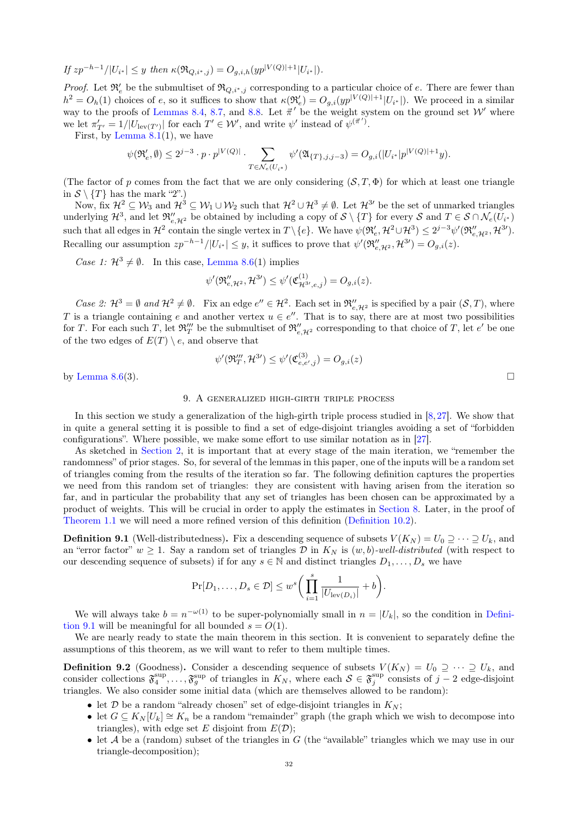If 
$$
zp^{-h-1}/|U_{i^*}| \leq y
$$
 then  $\kappa(\Re_{Q,i^*,j}) = O_{g,i,h}(yp^{|V(Q)|+1}|U_{i^*}|).$ 

*Proof.* Let  $\mathfrak{R}'_e$  be the submultiset of  $\mathfrak{R}_{Q,i^*,j}$  corresponding to a particular choice of e. There are fewer than  $h^2 = O_h(1)$  choices of e, so it suffices to show that  $\kappa(\mathfrak{R}_e') = O_{g,i}(yp^{|V(Q)|+1}|U_{i^*}|)$ . We proceed in a similar way to the proofs of [Lemmas 8.4,](#page-26-1) [8.7,](#page-28-0) and [8.8.](#page-29-0) Let  $\vec{\pi}'$  be the weight system on the ground set W' where we let  $\pi'_{T'} = 1/|U_{\text{lev}(T')}|$  for each  $T' \in W'$ , and write  $\psi'$  instead of  $\psi^{(\vec{\pi}')}$ .

First, by Lemma  $8.1(1)$ , we have

$$
\psi(\mathfrak{R}'_{e},\emptyset)\leq 2^{j-3}\cdot p\cdot p^{|V(Q)|}\cdot \sum_{T\in \mathcal{N}_{e}(U_{i^*})}\psi'(\mathfrak{A}_{\{T\},j,j-3})=O_{g,i}(|U_{i^*}|p^{|V(Q)|+1}y).
$$

(The factor of p comes from the fact that we are only considering  $(S, T, \Phi)$  for which at least one triangle in  $S \setminus \{T\}$  has the mark "2".)

Now, fix  $\mathcal{H}^2 \subseteq \mathcal{W}_3$  and  $\mathcal{H}^3 \subseteq \mathcal{W}_1 \cup \mathcal{W}_2$  such that  $\mathcal{H}^2 \cup \mathcal{H}^3 \neq \emptyset$ . Let  $\mathcal{H}^{3}$  be the set of unmarked triangles underlying  $\mathcal{H}^3$ , and let  $\mathfrak{R}''_{e,\mathcal{H}^2}$  be obtained by including a copy of  $\mathcal{S} \setminus \{T\}$  for every  $\mathcal{S}$  and  $T \in \mathcal{S} \cap \mathcal{N}_e(U_{i^*})$ such that all edges in  $\mathcal{H}^2$  contain the single vertex in  $T \setminus \{e\}$ . We have  $\psi(\mathfrak{R}_e', \mathcal{H}^2 \cup \mathcal{H}^3) \leq 2^{j-3} \psi'(\mathfrak{R}_{e, \mathcal{H}^2}', \mathcal{H}^{3'})$ . Recalling our assumption  $zp^{-h-1}/|U_{i^*}| \leq y$ , it suffices to prove that  $\psi'(\mathfrak{R}''_{e,\mathcal{H}^2},\mathcal{H}^{3})=O_{g,i}(z)$ .

Case 1:  $\mathcal{H}^3 \neq \emptyset$ . In this case, [Lemma 8.6\(](#page-26-0)1) implies

$$
\psi'(\mathfrak{R}_{e,\mathcal{H}^2}'' ,\mathcal{H}^{3\prime})\leq \psi'(\mathfrak{C}_{\mathcal{H}^{3\prime},e,j}^{(1)})=O_{g,i}(z).
$$

Case 2:  $\mathcal{H}^3 = \emptyset$  and  $\mathcal{H}^2 \neq \emptyset$ . Fix an edge  $e'' \in \mathcal{H}^2$ . Each set in  $\mathfrak{R}_{e,\mathcal{H}^2}''$  is specified by a pair  $(\mathcal{S}, T)$ , where T is a triangle containing e and another vertex  $u \in e''$ . That is to say, there are at most two possibilities for T. For each such T, let  $\mathfrak{R}_T''$  be the submultiset of  $\mathfrak{R}_{e,\mathcal{H}^2}''$  corresponding to that choice of T, let  $e'$  be one of the two edges of  $E(T) \setminus e$ , and observe that

$$
\psi'(\mathfrak{R}_T'''', \mathcal{H}^{3\prime}) \le \psi'(\mathfrak{C}_{e,e',j}^{(3)}) = O_{g,i}(z)
$$
 by Lemma 8.6(3).

<span id="page-31-0"></span>

## 9. A generalized high-girth triple process

In this section we study a generalization of the high-girth triple process studied in  $[8, 27]$  $[8, 27]$  $[8, 27]$ . We show that in quite a general setting it is possible to find a set of edge-disjoint triangles avoiding a set of "forbidden configurations". Where possible, we make some effort to use similar notation as in [\[27\]](#page-50-22).

As sketched in [Section 2,](#page-5-0) it is important that at every stage of the main iteration, we "remember the randomness" of prior stages. So, for several of the lemmas in this paper, one of the inputs will be a random set of triangles coming from the results of the iteration so far. The following definition captures the properties we need from this random set of triangles: they are consistent with having arisen from the iteration so far, and in particular the probability that any set of triangles has been chosen can be approximated by a product of weights. This will be crucial in order to apply the estimates in [Section 8.](#page-20-0) Later, in the proof of [Theorem 1.1](#page-0-3) we will need a more refined version of this definition [\(Definition 10.2\)](#page-42-0).

<span id="page-31-1"></span>**Definition 9.1** (Well-distributedness). Fix a descending sequence of subsets  $V(K_N) = U_0 \supseteq \cdots \supseteq U_k$ , and an "error factor"  $w \ge 1$ . Say a random set of triangles D in  $K_N$  is  $(w, b)$ -well-distributed (with respect to our descending sequence of subsets) if for any  $s \in \mathbb{N}$  and distinct triangles  $D_1, \ldots, D_s$  we have

$$
\Pr[D_1,\ldots,D_s \in \mathcal{D}] \leq w^s \bigg(\prod_{i=1}^s \frac{1}{|U_{\text{lev}(D_i)}|} + b\bigg).
$$

We will always take  $b = n^{-\omega(1)}$  to be super-polynomially small in  $n = |U_k|$ , so the condition in [Defini](#page-31-1)[tion 9.1](#page-31-1) will be meaningful for all bounded  $s = O(1)$ .

We are nearly ready to state the main theorem in this section. It is convenient to separately define the assumptions of this theorem, as we will want to refer to them multiple times.

<span id="page-31-2"></span>**Definition 9.2** (Goodness). Consider a descending sequence of subsets  $V(K_N) = U_0 \supseteq \cdots \supseteq U_k$ , and consider collections  $\mathfrak{F}_4^{\text{sup}}$ , ...,  $\mathfrak{F}_g^{\text{sup}}$  of triangles in  $K_N$ , where each  $S \in \mathfrak{F}_j^{\text{sup}}$  consists of  $j-2$  edge-disjoint triangles. We also consider some initial data (which are themselves allowed to be random):

- let  $\mathcal D$  be a random "already chosen" set of edge-disjoint triangles in  $K_N$ ;
- let  $G \subseteq K_N[U_k] \cong K_n$  be a random "remainder" graph (the graph which we wish to decompose into triangles), with edge set E disjoint from  $E(\mathcal{D})$ ;
- $\bullet$  let  $A$  be a (random) subset of the triangles in  $G$  (the "available" triangles which we may use in our triangle-decomposition);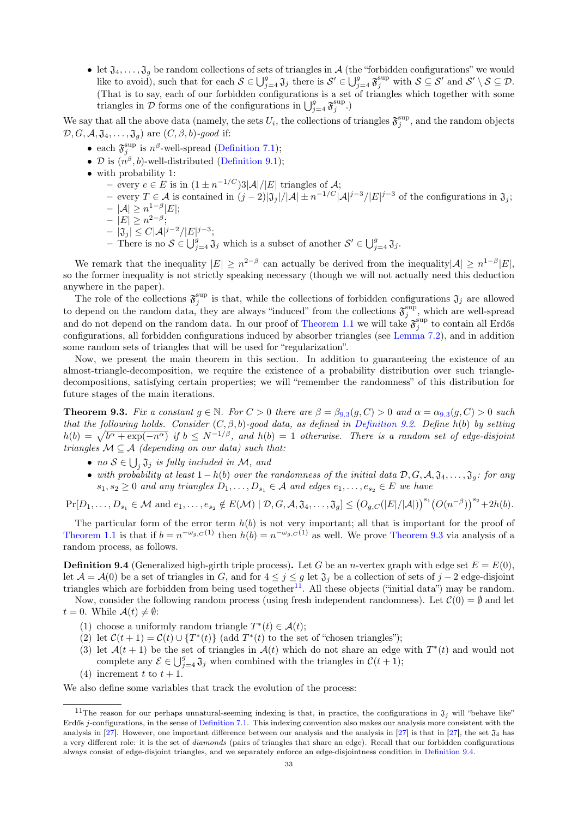• let  $\mathfrak{J}_4,\ldots,\mathfrak{J}_q$  be random collections of sets of triangles in A (the "forbidden configurations" we would like to avoid), such that for each  $S \in \bigcup_{j=4}^g \mathfrak{J}_j$  there is  $S' \in \bigcup_{j=4}^g \mathfrak{F}_j^{\text{sup}}$  with  $S \subseteq S'$  and  $S' \setminus S \subseteq \mathcal{D}$ . (That is to say, each of our forbidden configurations is a set of triangles which together with some triangles in  $\mathcal{D}$  forms one of the configurations in  $\bigcup_{j=4}^{g} \mathfrak{F}_j^{\text{sup}}$ .)

We say that all the above data (namely, the sets  $U_i$ , the collections of triangles  $\mathfrak{F}^{\text{sup}}_j$ , and the random objects  $\mathcal{D}, G, \mathcal{A}, \mathfrak{J}_4, \ldots, \mathfrak{J}_q$  are  $(C, \beta, b)$ -good if:

- each  $\mathfrak{F}^{\sup}_{j}$  is  $n^{\beta}$ -well-spread [\(Definition 7.1\)](#page-18-3);
- D is  $(n^{\beta}, b)$ -well-distributed [\(Definition 9.1\)](#page-31-1);
- with probability 1:
	- − every  $e \in E$  is in  $(1 \pm n^{-1/C})$ 3| $\mathcal{A}$ |/|E| triangles of  $\mathcal{A}$ ;
	- $-$  every  $T \in \mathcal{A}$  is contained in  $(j-2)|\mathfrak{J}_j|/|\mathcal{A}| \pm n^{-1/C}|\mathcal{A}|^{j-3}/|E|^{j-3}$  of the configurations in  $\mathfrak{J}_j$ ;  $|\mathcal{A}| \geq n^{1-\beta} |E|$ ;
	- $|E| \geq n^{2-\beta}$ ;
	- $|\mathfrak{J}_j| \leq C |\mathcal{A}|^{j-2} / |E|^{j-3};$
	- There is no  $S \in \bigcup_{j=4}^g \mathfrak{J}_j$  which is a subset of another  $S' \in \bigcup_{j=4}^g \mathfrak{J}_j$ .

We remark that the inequality  $|E| \geq n^{2-\beta}$  can actually be derived from the inequality  $|A| \geq n^{1-\beta} |E|$ , so the former inequality is not strictly speaking necessary (though we will not actually need this deduction anywhere in the paper).

The role of the collections  $\mathfrak{F}_j^{\text{sup}}$  is that, while the collections of forbidden configurations  $\mathfrak{J}_j$  are allowed to depend on the random data, they are always "induced" from the collections  $\mathfrak{F}^{\text{sup}}_j$ , which are well-spread and do not depend on the random data. In our proof of [Theorem 1.1](#page-0-3) we will take  $\mathfrak{F}^{\text{sup}}_j$  to contain all Erdős configurations, all forbidden configurations induced by absorber triangles (see [Lemma 7.2\)](#page-18-2), and in addition some random sets of triangles that will be used for "regularization".

Now, we present the main theorem in this section. In addition to guaranteeing the existence of an almost-triangle-decomposition, we require the existence of a probability distribution over such triangledecompositions, satisfying certain properties; we will "remember the randomness" of this distribution for future stages of the main iterations.

<span id="page-32-0"></span>**Theorem [9](#page-32-0).3.** Fix a constant  $g \in \mathbb{N}$ . For  $C > 0$  there are  $\beta = \beta_{9,3}(g, C) > 0$  and  $\alpha = \alpha_{9,3}(g, C) > 0$  such that the following holds. Consider  $(C, \beta, b)$ -good data, as defined in [Definition 9.2.](#page-31-2) Define h(b) by setting  $h(b) = \sqrt{b^{\alpha} + \exp(-n^{\alpha})}$  if  $b \le N^{-1/\beta}$ , and  $h(b) = 1$  otherwise. There is a random set of edge-disjoint triangles  $M \subseteq A$  (depending on our data) such that:

- no  $S \in \bigcup_j \mathfrak{J}_j$  is fully included in M, and
- with probability at least  $1-h(b)$  over the randomness of the initial data  $\mathcal{D}, G, \mathcal{A}, \mathfrak{J}_4, \ldots, \mathfrak{J}_g$ : for any  $s_1, s_2 \geq 0$  and any triangles  $D_1, \ldots, D_{s_1} \in \mathcal{A}$  and edges  $e_1, \ldots, e_{s_2} \in E$  we have

 $\Pr[D_1, \ldots, D_{s_1} \in \mathcal{M} \text{ and } e_1, \ldots, e_{s_2} \notin E(\mathcal{M}) \mid \mathcal{D}, G, \mathcal{A}, \mathfrak{J}_4, \ldots, \mathfrak{J}_g] \leq (O_{g,C}(|E|/|\mathcal{A}|))^{s_1} (O(n^{-\beta}))^{s_2} + 2h(b).$ 

The particular form of the error term  $h(b)$  is not very important; all that is important for the proof of [Theorem 1.1](#page-0-3) is that if  $b = n^{-\omega_{g,C}(1)}$  then  $h(b) = n^{-\omega_{g,C}(1)}$  as well. We prove [Theorem 9.3](#page-32-0) via analysis of a random process, as follows.

<span id="page-32-2"></span>**Definition 9.4** (Generalized high-girth triple process). Let G be an *n*-vertex graph with edge set  $E = E(0)$ , let  $\mathcal{A} = \mathcal{A}(0)$  be a set of triangles in G, and for  $4 \leq j \leq g$  let  $\mathfrak{J}_j$  be a collection of sets of  $j - 2$  edge-disjoint triangles which are forbidden from being used together<sup>[11](#page-32-1)</sup>. All these objects ("initial data") may be random. Now, consider the following random process (using fresh independent randomness). Let  $\mathcal{C}(0) = \emptyset$  and let

 $t = 0$ . While  $\mathcal{A}(t) \neq \emptyset$ :

- (1) choose a uniformly random triangle  $T^*(t) \in \mathcal{A}(t)$ ;
- (2) let  $\mathcal{C}(t+1) = \mathcal{C}(t) \cup \{T^*(t)\}\$  (add  $T^*(t)$  to the set of "chosen triangles");
- (3) let  $\mathcal{A}(t+1)$  be the set of triangles in  $\mathcal{A}(t)$  which do not share an edge with  $T^*(t)$  and would not complete any  $\mathcal{E} \in \bigcup_{j=4}^g \mathfrak{J}_j$  when combined with the triangles in  $\mathcal{C}(t+1)$ ;
- (4) increment t to  $t + 1$ .

We also define some variables that track the evolution of the process:

<span id="page-32-1"></span><sup>&</sup>lt;sup>11</sup>The reason for our perhaps unnatural-seeming indexing is that, in practice, the configurations in  $\mathfrak{J}_j$  will "behave like" Erdős *j*-configurations, in the sense of [Definition 7.1.](#page-18-3) This indexing convention also makes our analysis more consistent with the analysis in [\[27\]](#page-50-22). However, one important difference between our analysis and the analysis in [27] is that in [27], the set  $\mathfrak{J}_4$  has a very different role: it is the set of diamonds (pairs of triangles that share an edge). Recall that our forbidden configurations always consist of edge-disjoint triangles, and we separately enforce an edge-disjointness condition in [Definition 9.4.](#page-32-2)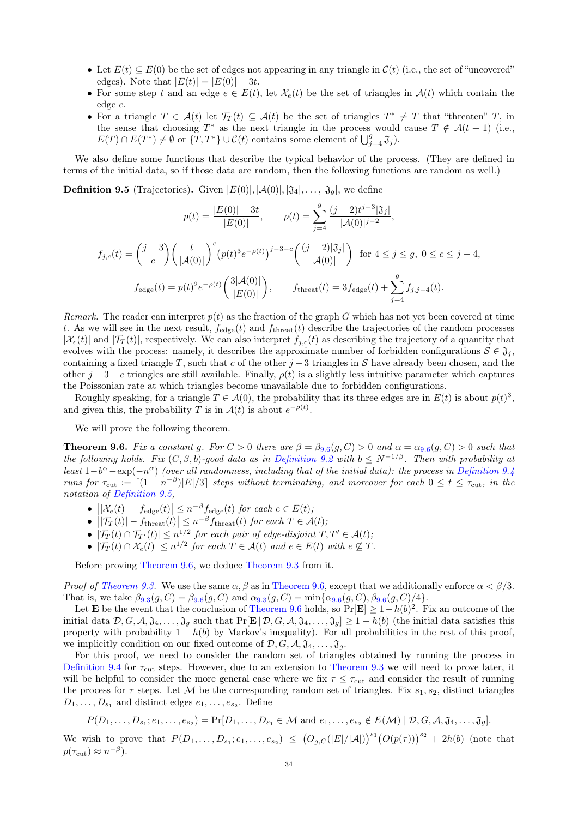- Let  $E(t) \subseteq E(0)$  be the set of edges not appearing in any triangle in  $\mathcal{C}(t)$  (i.e., the set of "uncovered" edges). Note that  $|E(t)| = |E(0)| - 3t$ .
- For some step t and an edge  $e \in E(t)$ , let  $\mathcal{X}_e(t)$  be the set of triangles in  $\mathcal{A}(t)$  which contain the edge e.
- For a triangle  $T \in \mathcal{A}(t)$  let  $\mathcal{T}_T(t) \subseteq \mathcal{A}(t)$  be the set of triangles  $T^* \neq T$  that "threaten"  $T$ , in the sense that choosing  $T^*$  as the next triangle in the process would cause  $T \notin \mathcal{A}(t+1)$  (i.e.,  $E(T) \cap E(T^*) \neq \emptyset$  or  $\{T, T^*\} \cup C(t)$  contains some element of  $\bigcup_{j=4}^g \mathfrak{J}_j$ .

We also define some functions that describe the typical behavior of the process. (They are defined in terms of the initial data, so if those data are random, then the following functions are random as well.)

<span id="page-33-1"></span>**Definition 9.5** (Trajectories). Given  $|E(0)|, |\mathcal{A}(0)|, |\mathfrak{J}_4|, \ldots, |\mathfrak{J}_g|$ , we define

$$
p(t) = \frac{|E(0)| - 3t}{|E(0)|}, \qquad \rho(t) = \sum_{j=4}^{g} \frac{(j-2)t^{j-3}|\mathfrak{J}_j|}{|\mathcal{A}(0)|^{j-2}},
$$
  

$$
f_{j,c}(t) = {j-3 \choose c} \left(\frac{t}{|\mathcal{A}(0)|}\right)^c \left(p(t)^3 e^{-\rho(t)}\right)^{j-3-c} \left(\frac{(j-2)|\mathfrak{J}_j|}{|\mathcal{A}(0)|}\right) \text{ for } 4 \le j \le g, 0 \le c \le j-4,
$$
  

$$
f_{\text{edge}}(t) = p(t)^2 e^{-\rho(t)} \left(\frac{3|\mathcal{A}(0)|}{|E(0)|}\right), \qquad f_{\text{thread}}(t) = 3f_{\text{edge}}(t) + \sum_{j=4}^{g} f_{j,j-4}(t).
$$

Remark. The reader can interpret  $p(t)$  as the fraction of the graph G which has not yet been covered at time t. As we will see in the next result,  $f_{\text{edge}}(t)$  and  $f_{\text{thread}}(t)$  describe the trajectories of the random processes  $|\mathcal{X}_e(t)|$  and  $|\mathcal{T}_T(t)|$ , respectively. We can also interpret  $f_{j,c}(t)$  as describing the trajectory of a quantity that evolves with the process: namely, it describes the approximate number of forbidden configurations  $S \in \mathfrak{J}_i$ , containing a fixed triangle T, such that c of the other  $j-3$  triangles in S have already been chosen, and the other  $j - 3 - c$  triangles are still available. Finally,  $\rho(t)$  is a slightly less intuitive parameter which captures the Poissonian rate at which triangles become unavailable due to forbidden configurations.

Roughly speaking, for a triangle  $T \in \mathcal{A}(0)$ , the probability that its three edges are in  $E(t)$  is about  $p(t)^3$ , and given this, the probability T is in  $\mathcal{A}(t)$  is about  $e^{-\rho(t)}$ .

We will prove the following theorem.

<span id="page-33-0"></span>**Theorem [9](#page-33-0).6.** Fix a constant g. For  $C > 0$  there are  $\beta = \beta_{9.6}(g, C) > 0$  and  $\alpha = \alpha_{9.6}(g, C) > 0$  such that the following holds. Fix  $(C, \beta, b)$ -good data as in [Definition 9.2](#page-31-2) with  $b \leq N^{-1/\beta}$ . Then with probability at least  $1-b^{\alpha}-\exp(-n^{\alpha})$  (over all randomness, including that of the initial data): the process in [Definition 9.4](#page-32-2) runs for  $\tau_{\text{cut}} := [(1 - n^{-\beta})|E|/3]$  steps without terminating, and moreover for each  $0 \le t \le \tau_{\text{cut}}$ , in the notation of [Definition 9.5,](#page-33-1)

- $|\mathcal{X}_e(t)| f_{\text{edge}}(t)| \leq n^{-\beta} f_{\text{edge}}(t)$  for each  $e \in E(t)$ ;
- $||\mathcal{T}_T(t)| f_{\text{thresh}}(t)| \leq n^{-\beta} f_{\text{thresh}}(t)$  for each  $T \in \mathcal{A}(t)$ ; ļ
- $|\mathcal{T}_T(t) \cap \mathcal{T}_{T'}(t)| \leq n^{1/2}$  for each pair of edge-disjoint  $T, T' \in \mathcal{A}(t)$ ;
- $|\mathcal{T}_T(t) \cap \mathcal{X}_e(t)| \leq n^{1/2}$  for each  $T \in \mathcal{A}(t)$  and  $e \in E(t)$  with  $e \nsubseteq T$ .

Before proving [Theorem 9.6,](#page-33-0) we deduce [Theorem 9.3](#page-32-0) from it.

*Proof of [Theorem 9.3.](#page-32-0)* We use the same  $\alpha, \beta$  as in [Theorem 9.6,](#page-33-0) except that we additionally enforce  $\alpha < \beta/3$ . That is, we take  $\beta_{9.3}(g, C) = \beta_{9.6}(g, C)$  $\beta_{9.3}(g, C) = \beta_{9.6}(g, C)$  $\beta_{9.3}(g, C) = \beta_{9.6}(g, C)$  and  $\alpha_{9.3}(g, C) = \min{\{\alpha_{9.6}(g, C), \beta_{9.6}(g, C)/4\}}$ .

Let **E** be the event that the conclusion of [Theorem 9.6](#page-33-0) holds, so Pr[**E**]  $\geq 1 - h(b)^2$ . Fix an outcome of the initial data  $\mathcal{D}, G, \mathcal{A}, \mathfrak{J}_4, \ldots, \mathfrak{J}_g$  such that  $\Pr[\mathbf{E} | \mathcal{D}, G, \mathcal{A}, \mathfrak{J}_4, \ldots, \mathfrak{J}_g] \geq 1 - h(b)$  (the initial data satisfies this property with probability  $1 - h(b)$  by Markov's inequality). For all probabilities in the rest of this proof, we implicitly condition on our fixed outcome of  $\mathcal{D}, G, \mathcal{A}, \mathfrak{J}_4, \ldots, \mathfrak{J}_q$ .

For this proof, we need to consider the random set of triangles obtained by running the process in [Definition 9.4](#page-32-2) for  $\tau_{\text{cut}}$  steps. However, due to an extension to [Theorem 9.3](#page-32-0) we will need to prove later, it will be helpful to consider the more general case where we fix  $\tau \leq \tau_{\text{cut}}$  and consider the result of running the process for  $\tau$  steps. Let M be the corresponding random set of triangles. Fix  $s_1, s_2$ , distinct triangles  $D_1, \ldots, D_{s_1}$  and distinct edges  $e_1, \ldots, e_{s_2}$ . Define

$$
P(D_1,\ldots,D_{s_1};e_1,\ldots,e_{s_2})=\Pr[D_1,\ldots,D_{s_1}\in\mathcal{M} \text{ and } e_1,\ldots,e_{s_2}\notin E(\mathcal{M})\mid \mathcal{D},G,\mathcal{A},\mathfrak{J}_4,\ldots,\mathfrak{J}_g].
$$

We wish to prove that  $P(D_1,\ldots,D_{s_1};e_1,\ldots,e_{s_2}) \leq (O_{g,C}(|E|/|A|))^{s_1}(O(p(\tau)))^{s_2} + 2h(b)$  (note that  $p(\tau_{\text{cut}}) \approx n^{-\beta}).$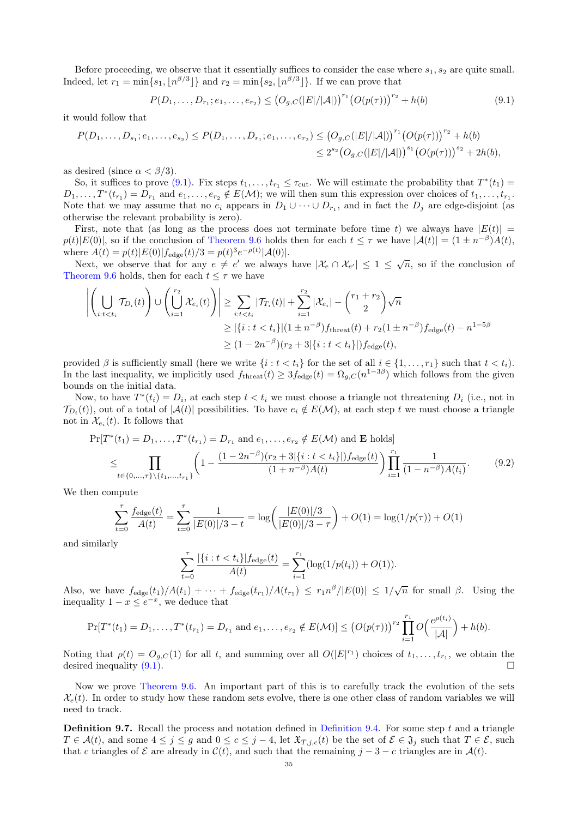Before proceeding, we observe that it essentially suffices to consider the case where  $s_1, s_2$  are quite small. Indeed, let  $r_1 = \min\{s_1, \lfloor n^{\beta/3} \rfloor\}$  and  $r_2 = \min\{s_2, \lfloor n^{\beta/3} \rfloor\}$ . If we can prove that

<span id="page-34-0"></span>
$$
P(D_1, \ldots, D_{r_1}; e_1, \ldots, e_{r_2}) \le (O_{g,C}(|E|/|\mathcal{A}|))^{r_1} (O(p(\tau)))^{r_2} + h(b)
$$
\n(9.1)

it would follow that

 $\sim$   $\sim$ 

$$
P(D_1, \ldots, D_{s_1}; e_1, \ldots, e_{s_2}) \le P(D_1, \ldots, D_{r_1}; e_1, \ldots, e_{r_2}) \le (O_{g,C}(|E|/|A|))^{r_1} (O(p(\tau)))^{r_2} + h(b) \le 2^{s_2} (O_{g,C}(|E|/|A|))^{s_1} (O(p(\tau)))^{s_2} + 2h(b),
$$

as desired (since  $\alpha < \beta/3$ ).

**1000** 

So, it suffices to prove [\(9.1\).](#page-34-0) Fix steps  $t_1, \ldots, t_{r_1} \leq \tau_{\text{cut}}$ . We will estimate the probability that  $T^*(t_1)$  $D_1,\ldots,T^*(t_{r_1})=D_{r_1}$  and  $e_1,\ldots,e_{r_2}\notin E(\mathcal{M})$ ; we will then sum this expression over choices of  $t_1,\ldots,t_{r_1}$ . Note that we may assume that no  $e_i$  appears in  $D_1 \cup \cdots \cup D_{r_1}$ , and in fact the  $D_j$  are edge-disjoint (as otherwise the relevant probability is zero).

First, note that (as long as the process does not terminate before time t) we always have  $|E(t)| =$  $p(t)|E(0)|$ , so if the conclusion of [Theorem 9.6](#page-33-0) holds then for each  $t \leq \tau$  we have  $|\mathcal{A}(t)| = (1 \pm n^{-\beta})A(t)$ , where  $A(t) = p(t)|E(0)|f_{\text{edge}}(t)/3 = p(t)^3 e^{-\rho(t)} |\mathcal{A}(0)|$ .

Sete  $A(t) = p(t)|E(0)|I_{\text{edge}}(t)/\delta = p(t) e^{-\epsilon t/\epsilon}|\mathcal{A}(0)|$ .<br>Next, we observe that for any  $e \neq e'$  we always have  $|\mathcal{X}_e \cap \mathcal{X}_{e'}| \leq 1 \leq \sqrt{n}$ , so if the conclusion of [Theorem 9.6](#page-33-0) holds, then for each  $t \leq \tau$  we have

$$
\left| \left( \bigcup_{i:t < t_i} \mathcal{T}_{D_i}(t) \right) \cup \left( \bigcup_{i=1}^{r_2} \mathcal{X}_{e_i}(t) \right) \right| \geq \sum_{i:t < t_i} |\mathcal{T}_{T_i}(t)| + \sum_{i=1}^{r_2} |\mathcal{X}_{e_i}| - {r_1 + r_2 \choose 2} \sqrt{n}
$$
\n
$$
\geq |\{i : t < t_i\}| (1 \pm n^{-\beta}) f_{\text{three}}(t) + r_2 (1 \pm n^{-\beta}) f_{\text{edge}}(t) - n^{1-5\beta}
$$
\n
$$
\geq (1 - 2n^{-\beta})(r_2 + 3|\{i : t < t_i\}|) f_{\text{edge}}(t),
$$

provided  $\beta$  is sufficiently small (here we write  $\{i : t < t_i\}$  for the set of all  $i \in \{1, \ldots, r_1\}$  such that  $t < t_i$ ). In the last inequality, we implicitly used  $f_{\text{thresh}}(t) \geq 3f_{\text{edge}}(t) = \Omega_{g,C}(n^{1-3\beta})$  which follows from the given bounds on the initial data.

Now, to have  $T^*(t_i) = D_i$ , at each step  $t < t_i$  we must choose a triangle not threatening  $D_i$  (i.e., not in  $\mathcal{T}_{D_i}(t)$ , out of a total of  $|\mathcal{A}(t)|$  possibilities. To have  $e_i \notin E(\mathcal{M})$ , at each step t we must choose a triangle not in  $\mathcal{X}_{e_i}(t)$ . It follows that

$$
\Pr[T^*(t_1) = D_1, \dots, T^*(t_{r_1}) = D_{r_1} \text{ and } e_1, \dots, e_{r_2} \notin E(\mathcal{M}) \text{ and } \mathbf{E} \text{ holds}]
$$
\n
$$
\leq \prod_{t \in \{0, \dots, \tau\} \setminus \{t_1, \dots, t_{r_1}\}} \left(1 - \frac{(1 - 2n^{-\beta})(r_2 + 3|\{i : t < t_i\}|) f_{\text{edge}}(t)}{(1 + n^{-\beta}) A(t)}\right) \prod_{i=1}^{r_1} \frac{1}{(1 - n^{-\beta}) A(t_i)}. \tag{9.2}
$$

We then compute

$$
\sum_{t=0}^{\tau} \frac{f_{\text{edge}}(t)}{A(t)} = \sum_{t=0}^{\tau} \frac{1}{|E(0)|/3 - t} = \log \left( \frac{|E(0)|/3}{|E(0)|/3 - \tau} \right) + O(1) = \log(1/p(\tau)) + O(1)
$$

and similarly

$$
\sum_{t=0}^{\tau} \frac{|\{i : t < t_i\}| f_{\text{edge}}(t)}{A(t)} = \sum_{i=1}^{r_1} (\log(1/p(t_i)) + O(1)).
$$

Also, we have  $f_{\text{edge}}(t_1)/A(t_1) + \cdots + f_{\text{edge}}(t_{r_1})/A(t_{r_1}) \leq r_1 n^{\beta} / |E(0)| \leq 1/\sqrt{n}$  for small  $\beta$ . Using the inequality  $1 - x \leq e^{-x}$ , we deduce that

$$
\Pr[T^*(t_1) = D_1, \ldots, T^*(t_{r_1}) = D_{r_1} \text{ and } e_1, \ldots, e_{r_2} \notin E(\mathcal{M})] \le (O(p(\tau)))^{r_2} \prod_{i=1}^{r_1} O\left(\frac{e^{\rho(t_i)}}{|\mathcal{A}|}\right) + h(b).
$$

Noting that  $\rho(t) = O_{g,C}(1)$  for all t, and summing over all  $O(|E|^{r_1})$  choices of  $t_1, \ldots, t_{r_1}$ , we obtain the desired inequality  $(9.1)$ .

Now we prove [Theorem 9.6.](#page-33-0) An important part of this is to carefully track the evolution of the sets  $\mathcal{X}_{e}(t)$ . In order to study how these random sets evolve, there is one other class of random variables we will need to track.

<span id="page-34-1"></span>**Definition 9.7.** Recall the process and notation defined in [Definition 9.4.](#page-32-2) For some step t and a triangle  $T \in \mathcal{A}(t)$ , and some  $4 \leq j \leq g$  and  $0 \leq c \leq j-4$ , let  $\mathfrak{X}_{T,j,c}(t)$  be the set of  $\mathcal{E} \in \mathfrak{J}_j$  such that  $T \in \mathcal{E}$ , such that c triangles of  $\mathcal E$  are already in  $\mathcal C(t)$ , and such that the remaining  $j-3-c$  triangles are in  $\mathcal A(t)$ .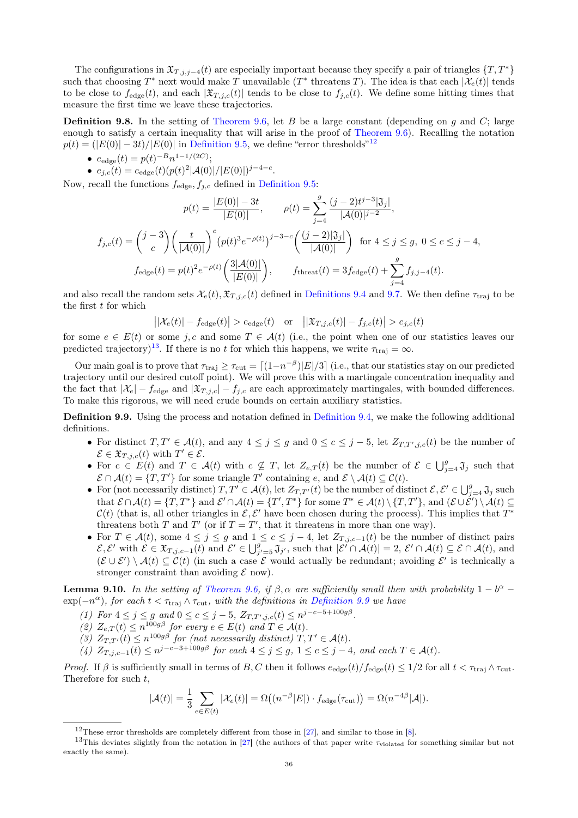The configurations in  $\mathfrak{X}_{T,i,j-4}(t)$  are especially important because they specify a pair of triangles  $\{T, T^*\}$ such that choosing  $T^*$  next would make T unavailable  $(T^*$  threatens T). The idea is that each  $|\mathcal{X}_e(t)|$  tends to be close to  $f_{\text{edge}}(t)$ , and each  $|\mathfrak{X}_{T,i,c}(t)|$  tends to be close to  $f_{i,c}(t)$ . We define some hitting times that measure the first time we leave these trajectories.

**Definition 9.8.** In the setting of [Theorem 9.6,](#page-33-0) let B be a large constant (depending on  $g$  and  $C$ ; large enough to satisfy a certain inequality that will arise in the proof of [Theorem 9.6\)](#page-33-0). Recalling the notation  $p(t) = (|E(0)| - 3t)/|E(0)|$  in [Definition 9.5,](#page-33-1) we define "error thresholds"<sup>[12](#page-35-0)</sup>

- $e_{\text{edge}}(t) = p(t)^{-B} n^{1-1/(2C)};$
- $e_{j,c}(t) = e_{\text{edge}}(t) (p(t)^2 |A(0)| / |E(0)|)^{j-4-c}.$

Now, recall the functions  $f_{\text{edge}}$ ,  $f_{j,c}$  defined in [Definition 9.5:](#page-33-1)

$$
p(t) = \frac{|E(0)| - 3t}{|E(0)|}, \qquad \rho(t) = \sum_{j=4}^{g} \frac{(j-2)t^{j-3}|\mathfrak{J}_j|}{|\mathcal{A}(0)|^{j-2}},
$$
  

$$
f_{j,c}(t) = {j-3 \choose c} \left(\frac{t}{|\mathcal{A}(0)|}\right)^c \left(p(t)^3 e^{-\rho(t)}\right)^{j-3-c} \left(\frac{(j-2)|\mathfrak{J}_j|}{|\mathcal{A}(0)|}\right) \text{ for } 4 \le j \le g, \ 0 \le c \le j-4,
$$
  

$$
f_{\text{edge}}(t) = p(t)^2 e^{-\rho(t)} \left(\frac{3|\mathcal{A}(0)|}{|E(0)|}\right), \qquad f_{\text{thread}}(t) = 3f_{\text{edge}}(t) + \sum_{j=4}^{g} f_{j,j-4}(t).
$$

and also recall the random sets  $\mathcal{X}_{e}(t), \mathfrak{X}_{T,j,c}(t)$  defined in [Definitions 9.4](#page-32-2) and [9.7.](#page-34-1) We then define  $\tau_{\text{traj}}$  to be the first  $t$  for which

$$
|\mathcal{X}_e(t)| - f_{\text{edge}}(t)| > e_{\text{edge}}(t) \quad \text{or} \quad ||\mathfrak{X}_{T,j,c}(t)| - f_{j,c}(t)| > e_{j,c}(t)
$$

for some  $e \in E(t)$  or some j, c and some  $T \in \mathcal{A}(t)$  (i.e., the point when one of our statistics leaves our predicted trajectory)<sup>[13](#page-35-1)</sup>. If there is no t for which this happens, we write  $\tau_{\text{traj}} = \infty$ .

Our main goal is to prove that  $\tau_{\text{traj}} \ge \tau_{\text{cut}} = \frac{\left[ (1 - n^{-\beta}) |E| / 3 \right]}{\left[ (1 - n^{-\beta}) |E| / 3 \right]}$  (i.e., that our statistics stay on our predicted trajectory until our desired cutoff point). We will prove this with a martingale concentration inequality and the fact that  $|\mathcal{X}_e| - f_{\text{edge}}$  and  $|\mathfrak{X}_{T,j,c}| - f_{j,c}$  are each approximately martingales, with bounded differences. To make this rigorous, we will need crude bounds on certain auxiliary statistics.

<span id="page-35-2"></span>Definition 9.9. Using the process and notation defined in [Definition 9.4,](#page-32-2) we make the following additional definitions.

- For distinct  $T, T' \in \mathcal{A}(t)$ , and any  $4 \leq j \leq g$  and  $0 \leq c \leq j-5$ , let  $Z_{T, T', j, c}(t)$  be the number of  $\mathcal{E} \in \mathfrak{X}_{T,j,c}(t)$  with  $T' \in \mathcal{E}$ .
- For  $e \in E(t)$  and  $T \in \mathcal{A}(t)$  with  $e \nsubseteq T$ , let  $Z_{e,T}(t)$  be the number of  $\mathcal{E} \in \bigcup_{j=4}^{g} \mathfrak{J}_j$  such that  $\mathcal{E} \cap \mathcal{A}(t) = \{T, T'\}$  for some triangle T' containing e, and  $\mathcal{E} \setminus \mathcal{A}(t) \subseteq \mathcal{C}(t)$ .
- For (not necessarily distinct)  $T, T' \in \mathcal{A}(t)$ , let  $Z_{T,T'}(t)$  be the number of distinct  $\mathcal{E}, \mathcal{E}' \in \bigcup_{j=4}^g \mathfrak{J}_j$  such that  $\mathcal{E} \cap \mathcal{A}(t) = \{T, T^*\}$  and  $\mathcal{E}' \cap \mathcal{A}(t) = \{T', T^*\}$  for some  $T^* \in \mathcal{A}(t) \setminus \{T, T'\}$ , and  $(\mathcal{E} \cup \mathcal{E}') \setminus \mathcal{A}(t) \subseteq$  $\mathcal{C}(t)$  (that is, all other triangles in  $\mathcal{E}, \mathcal{E}'$  have been chosen during the process). This implies that  $T^*$ threatens both T and T' (or if  $T = T'$ , that it threatens in more than one way).
- For  $T \in \mathcal{A}(t)$ , some  $4 \leq j \leq g$  and  $1 \leq c \leq j-4$ , let  $Z_{T,j,c-1}(t)$  be the number of distinct pairs  $\mathcal{E}, \mathcal{E}'$  with  $\mathcal{E} \in \mathfrak{X}_{T, j, c-1}(t)$  and  $\mathcal{E}' \in \bigcup_{j'=5}^g \mathfrak{J}_{j'}$ , such that  $|\mathcal{E}' \cap \mathcal{A}(t)| = 2$ ,  $\mathcal{E}' \cap \mathcal{A}(t) \subseteq \mathcal{E} \cap \mathcal{A}(t)$ , and  $(\mathcal{E} \cup \mathcal{E}') \setminus \mathcal{A}(t) \subseteq \mathcal{C}(t)$  (in such a case  $\mathcal{E}$  would actually be redundant; avoiding  $\mathcal{E}'$  is technically a stronger constraint than avoiding  $\mathcal E$  now).

<span id="page-35-3"></span>**Lemma 9.10.** In the setting of [Theorem 9.6,](#page-33-0) if  $\beta$ ,  $\alpha$  are sufficiently small then with probability  $1 - b^{\alpha}$  –  $\exp(-n^{\alpha})$ , for each  $t < \tau_{\text{traj}} \wedge \tau_{\text{cut}}$ , with the definitions in [Definition 9.9](#page-35-2) we have

- (1) For  $4 \le j \le g$  and  $0 \le c \le j-5$ ,  $Z_{T,T',j,c}(t) \le n^{j-c-5+100g\beta}$ .
- (2)  $Z_{e,T}(t) \leq n^{100g\beta}$  for every  $e \in E(t)$  and  $T \in \mathcal{A}(t)$ .
- (3)  $Z_{T,T'}(t) \leq n^{100g\beta}$  for (not necessarily distinct)  $T, T' \in \mathcal{A}(t)$ .
- (4)  $Z_{T,j,c-1}(t) \leq n^{j-c-3+100g\beta}$  for each  $4 \leq j \leq g, 1 \leq c \leq j-4$ , and each  $T \in \mathcal{A}(t)$ .

Proof. If  $\beta$  is sufficiently small in terms of B, C then it follows  $e_{\text{edge}}(t)/f_{\text{edge}}(t) \leq 1/2$  for all  $t < \tau_{\text{traj}} \wedge \tau_{\text{cut}}$ . Therefore for such  $t$ ,

$$
|\mathcal{A}(t)| = \frac{1}{3} \sum_{e \in E(t)} |\mathcal{X}_e(t)| = \Omega((n^{-\beta}|E|) \cdot f_{\text{edge}}(\tau_{\text{cut}})) = \Omega(n^{-4\beta}|\mathcal{A}|).
$$

<span id="page-35-1"></span><span id="page-35-0"></span> $12$ These error thresholds are completely different from those in [\[27\]](#page-50-22), and similar to those in [\[8\]](#page-49-2).

<sup>&</sup>lt;sup>13</sup>This deviates slightly from the notation in [\[27\]](#page-50-22) (the authors of that paper write  $\tau_{\text{violated}}$  for something similar but not exactly the same).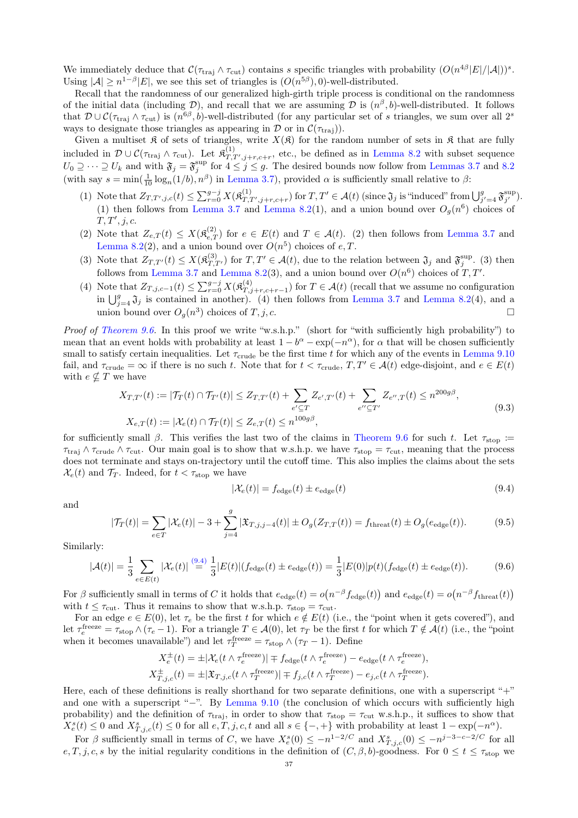We immediately deduce that  $\mathcal{C}(\tau_{\text{traj}} \wedge \tau_{\text{cut}})$  contains s specific triangles with probability  $(O(n^{4\beta}|E|/|A|))^s$ . Using  $|\mathcal{A}| \geq n^{1-\beta} |E|$ , we see this set of triangles is  $(O(n^{5\beta}), 0)$ -well-distributed.

Recall that the randomness of our generalized high-girth triple process is conditional on the randomness of the initial data (including D), and recall that we are assuming D is  $(n^{\beta}, b)$ -well-distributed. It follows that  $\mathcal{D} \cup \mathcal{C}(\tau_{\text{traj}} \wedge \tau_{\text{cut}})$  is  $(n^{6\beta}, b)$ -well-distributed (for any particular set of s triangles, we sum over all  $2^s$ ways to designate those triangles as appearing in  $\mathcal D$  or in  $\mathcal C(\tau_{\text{traj}})$ .

Given a multiset  $\mathfrak K$  of sets of triangles, write  $X(\mathfrak K)$  for the random number of sets in  $\mathfrak K$  that are fully included in  $\mathcal{D} \cup \mathcal{C}(\tau_{\text{traj}} \wedge \tau_{\text{cut}})$ . Let  $\mathfrak{K}^{(1)}_{T,T',j+r,c+r}$ , etc., be defined as in [Lemma 8.2](#page-22-0) with subset sequence  $U_0 \supseteq \cdots \supseteq U_k$  and with  $\mathfrak{F}_j = \mathfrak{F}_j^{\text{sup}}$  for  $4 \leq j \leq g$ . The desired bounds now follow from [Lemmas 3.7](#page-10-2) and [8.2](#page-22-0) (with say  $s = \min(\frac{1}{10} \log_n(1/b), n^{\beta})$  in [Lemma 3.7\)](#page-10-2), provided  $\alpha$  is sufficiently small relative to  $\beta$ :

- (1) Note that  $Z_{T,T',j,c}(t) \leq \sum_{r=0}^{g-j} X(\mathfrak{K}_{T,T',j+r,c+r}^{(1)})$  for  $T,T' \in \mathcal{A}(t)$  (since  $\mathfrak{J}_j$  is "induced" from  $\bigcup_{j'=4}^{g} \mathfrak{F}_{j'}^{\text{sup}}$ ). (1) then follows from [Lemma 3.7](#page-10-2) and [Lemma 8.2\(](#page-22-0)1), and a union bound over  $O_g(n^6)$  choices of  $T, T', j, c.$
- (2) Note that  $Z_{e,T}(t) \leq X(\mathfrak{K}_{e,T}^{(2)})$  for  $e \in E(t)$  and  $T \in \mathcal{A}(t)$ . (2) then follows from [Lemma 3.7](#page-10-2) and [Lemma 8.2\(](#page-22-0)2), and a union bound over  $O(n^5)$  choices of e, T.
- (3) Note that  $Z_{T,T'}(t) \leq X(\mathfrak{K}_{T,T'}^{(3)})$  for  $T,T' \in \mathcal{A}(t)$ , due to the relation between  $\mathfrak{J}_j$  and  $\mathfrak{F}_j^{\text{sup}}$ . (3) then follows from [Lemma 3.7](#page-10-2) and [Lemma 8.2\(](#page-22-0)3), and a union bound over  $O(n^6)$  choices of T, T'.
- (4) Note that  $Z_{T,j,c-1}(t) \leq \sum_{r=0}^{g-j} X(\mathfrak{K}^{(4)}_{T,j})$  $T_{T,j+r,c+r-1}^{(4)}$  for  $T \in \mathcal{A}(t)$  (recall that we assume no configuration in  $\bigcup_{j=4}^g \mathfrak{J}_j$  is contained in another). (4) then follows from [Lemma 3.7](#page-10-2) and [Lemma 8.2\(](#page-22-0)4), and a union bound over  $O_g(n^3)$  choices of  $T, j, c$ .

Proof of [Theorem 9.6.](#page-33-0) In this proof we write "w.s.h.p." (short for "with sufficiently high probability") to mean that an event holds with probability at least  $1 - b^{\alpha} - \exp(-n^{\alpha})$ , for  $\alpha$  that will be chosen sufficiently small to satisfy certain inequalities. Let  $\tau_{\text{crude}}$  be the first time t for which any of the events in [Lemma 9.10](#page-35-3) fail, and  $\tau_{\text{crude}} = \infty$  if there is no such t. Note that for  $t < \tau_{\text{crude}}$ ,  $T, T' \in \mathcal{A}(t)$  edge-disjoint, and  $e \in E(t)$ with  $e \nsubseteq T$  we have

$$
X_{T,T'}(t) := |\mathcal{T}_T(t) \cap \mathcal{T}_{T'}(t)| \le Z_{T,T'}(t) + \sum_{e' \subseteq T} Z_{e',T'}(t) + \sum_{e'' \subseteq T'} Z_{e'',T}(t) \le n^{200g\beta},
$$
  
\n
$$
X_{e,T}(t) := |\mathcal{X}_e(t) \cap \mathcal{T}_T(t)| \le Z_{e,T}(t) \le n^{100g\beta},
$$
\n(9.3)

<span id="page-36-3"></span>for sufficiently small β. This verifies the last two of the claims in [Theorem 9.6](#page-33-0) for such t. Let  $\tau_{\rm stop}$  :=  $\tau_{\text{traj}} \wedge \tau_{\text{crude}} \wedge \tau_{\text{cut}}$ . Our main goal is to show that w.s.h.p. we have  $\tau_{\text{stop}} = \tau_{\text{cut}}$ , meaning that the process does not terminate and stays on-trajectory until the cutoff time. This also implies the claims about the sets  $\mathcal{X}_{e}(t)$  and  $\mathcal{T}_{T}$ . Indeed, for  $t < \tau_{\text{stop}}$  we have

<span id="page-36-0"></span>
$$
|\mathcal{X}_e(t)| = f_{\text{edge}}(t) \pm e_{\text{edge}}(t) \tag{9.4}
$$

and

<span id="page-36-1"></span>
$$
|\mathcal{T}_T(t)| = \sum_{e \in T} |\mathcal{X}_e(t)| - 3 + \sum_{j=4}^g |\mathfrak{X}_{T,j,j-4}(t)| \pm O_g(Z_{T,T}(t)) = f_{\text{thread}}(t) \pm O_g(e_{\text{edge}}(t)). \tag{9.5}
$$

Similarly:

<span id="page-36-2"></span>
$$
|\mathcal{A}(t)| = \frac{1}{3} \sum_{e \in E(t)} |\mathcal{X}_e(t)| \stackrel{(9.4)}{=} \frac{1}{3} |E(t)| (f_{\text{edge}}(t) \pm e_{\text{edge}}(t)) = \frac{1}{3} |E(0)| p(t) (f_{\text{edge}}(t) \pm e_{\text{edge}}(t)). \tag{9.6}
$$

For  $\beta$  sufficiently small in terms of C it holds that  $e_{\text{edge}}(t) = o(n^{-\beta} f_{\text{edge}}(t))$  and  $e_{\text{edge}}(t) = o(n^{-\beta} f_{\text{thresh}}(t))$ with  $t \leq \tau_{\text{cut}}$ . Thus it remains to show that w.s.h.p.  $\tau_{\text{stop}} = \tau_{\text{cut}}$ .

For an edge  $e \in E(0)$ , let  $\tau_e$  be the first t for which  $e \notin E(t)$  (i.e., the "point when it gets covered"), and let  $\tau_e^{\text{freeze}} = \tau_{\text{stop}} \wedge (\tau_e - 1)$ . For a triangle  $T \in \mathcal{A}(0)$ , let  $\tau_T$  be the first t for which  $T \notin \mathcal{A}(t)$  (i.e., the "point when it becomes unavailable") and let  $\tau_T^{\text{freeze}} = \tau_{\text{stop}} \wedge (\tau_T - 1)$ . Define

$$
X_e^{\pm}(t) = \pm |\mathcal{X}_e(t \wedge \tau_e^{\text{freeze}})| \mp f_{\text{edge}}(t \wedge \tau_e^{\text{freeze}}) - e_{\text{edge}}(t \wedge \tau_e^{\text{freeze}}),
$$
  

$$
X_{T,j,c}^{\pm}(t) = \pm |\mathfrak{X}_{T,j,c}(t \wedge \tau_T^{\text{freeze}})| \mp f_{j,c}(t \wedge \tau_T^{\text{freeze}}) - e_{j,c}(t \wedge \tau_T^{\text{freeze}}).
$$

Here, each of these definitions is really shorthand for two separate definitions, one with a superscript "+" and one with a superscript "−". By [Lemma 9.10](#page-35-3) (the conclusion of which occurs with sufficiently high probability) and the definition of  $\tau_{\text{traj}}$ , in order to show that  $\tau_{\text{stop}} = \tau_{\text{cut}}$  w.s.h.p., it suffices to show that  $X_e^s(t) \leq 0$  and  $X_{T,j,c}^s(t) \leq 0$  for all  $e, T, j, c, t$  and all  $s \in \{-, +\}$  with probability at least  $1 - \exp(-n^{\alpha})$ .

For  $\beta$  sufficiently small in terms of C, we have  $X_e^s(0) \leq -n^{1-2/C}$  and  $X_{T,j,c}^s(0) \leq -n^{j-3-c-2/C}$  for all e, T, j, c, s by the initial regularity conditions in the definition of  $(C, \beta, b)$ -goodness. For  $0 \le t \le \tau_{\text{stop}}$  we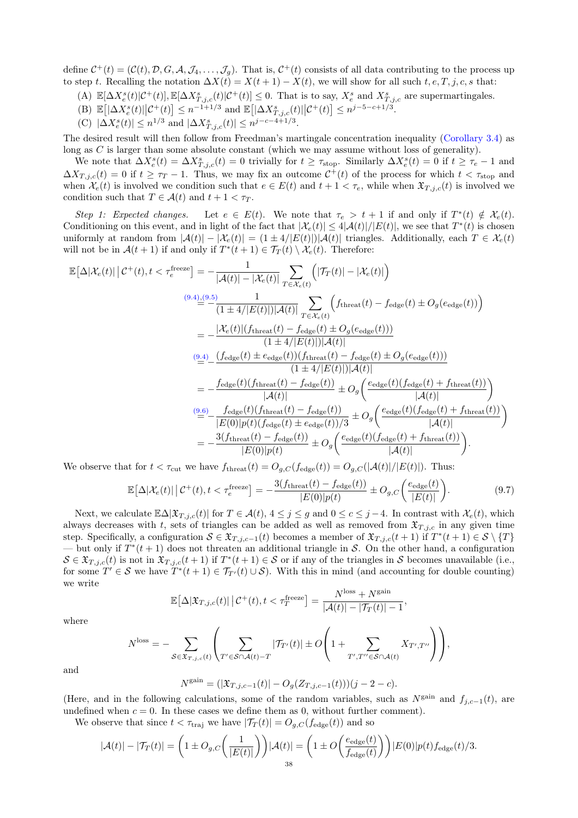define  $C^+(t) = (C(t), D, G, \mathcal{A}, \mathcal{J}_4, \dots, \mathcal{J}_g)$ . That is,  $C^+(t)$  consists of all data contributing to the process up to step t. Recalling the notation  $\Delta X(t) = X(t+1) - X(t)$ , we will show for all such  $t, e, T, j, c, s$  that:

- (A)  $\mathbb{E}[\Delta X_e^s(t)|\mathcal{C}^+(t)], \mathbb{E}[\Delta X_{T,j,c}^s(t)|\mathcal{C}^+(t)] \leq 0$ . That is to say,  $X_e^s$  and  $X_{T,j,c}^s$  are supermartingales.
- (B)  $\mathbb{E} [|\Delta X_e^s(t)| |C^+(t)] \leq n^{-1+1/3}$  and  $\mathbb{E} [|\Delta X_{T,j,c}^s(t)| |C^+(t)] \leq n^{j-5-c+1/3}$ .
- (C)  $|\Delta X_e^s(t)| \leq n^{1/3}$  and  $|\Delta X_{T,j,c}^s(t)| \leq n^{j-c-4+1/3}$ .

The desired result will then follow from Freedman's martingale concentration inequality [\(Corollary 3.4\)](#page-9-5) as long as  $C$  is larger than some absolute constant (which we may assume without loss of generality).

We note that  $\Delta X_e^s(t) = \Delta X_{T,j,c}^s(t) = 0$  trivially for  $t \ge \tau_{\text{stop}}$ . Similarly  $\Delta X_e^s(t) = 0$  if  $t \ge \tau_e - 1$  and  $\Delta X_{T,j,c}(t) = 0$  if  $t \geq \tau_T - 1$ . Thus, we may fix an outcome  $C^+(t)$  of the process for which  $t < \tau_{stop}$  and when  $\mathcal{X}_e(t)$  is involved we condition such that  $e \in E(t)$  and  $t + 1 < \tau_e$ , while when  $\mathfrak{X}_{T,i,c}(t)$  is involved we condition such that  $T \in \mathcal{A}(t)$  and  $t + 1 < \tau_T$ .

Step 1: Expected changes. Let  $e \in E(t)$ . We note that  $\tau_e > t + 1$  if and only if  $T^*(t) \notin \mathcal{X}_e(t)$ . Conditioning on this event, and in light of the fact that  $|\mathcal{X}_e(t)| \leq 4|\mathcal{A}(t)|/|E(t)|$ , we see that  $T^*(t)$  is chosen uniformly at random from  $|\mathcal{A}(t)| - |\mathcal{X}_e(t)| = (1 \pm 4/|E(t)|) |\mathcal{A}(t)|$  triangles. Additionally, each  $T \in \mathcal{X}_e(t)$ will not be in  $\mathcal{A}(t+1)$  if and only if  $T^*(t+1) \in \mathcal{T}_T(t) \setminus \mathcal{X}_e(t)$ . Therefore:

$$
\mathbb{E}[\Delta|\mathcal{X}_e(t)| | \mathcal{C}^+(t), t < \tau_e^{\text{freeze}}] = -\frac{1}{|\mathcal{A}(t)| - |\mathcal{X}_e(t)|} \sum_{T \in \mathcal{X}_e(t)} \left( |\mathcal{T}_T(t)| - |\mathcal{X}_e(t)| \right)
$$
\n
$$
\frac{(9.4)\underline{.}^{(9.5)}}{(1 \pm 4/|E(t)|)|\mathcal{A}(t)} \sum_{T \in \mathcal{X}_e(t)} \left( f_{\text{thresh}}(t) - f_{\text{edge}}(t) \pm O_g(e_{\text{edge}}(t)) \right)
$$
\n
$$
= -\frac{|\mathcal{X}_e(t)| (f_{\text{thresh}}(t) - f_{\text{edge}}(t) \pm O_g(e_{\text{edge}}(t)))}{(1 \pm 4/|E(t)|)|\mathcal{A}(t)|}
$$
\n
$$
\stackrel{(9.4)}{=} -\frac{(f_{\text{edge}}(t) \pm e_{\text{edge}}(t))(f_{\text{thresh}}(t) - f_{\text{edge}}(t) \pm O_g(e_{\text{edge}}(t)))}{(1 \pm 4/|E(t)|)|\mathcal{A}(t)|}
$$
\n
$$
= -\frac{f_{\text{edge}}(t)(f_{\text{thresh}}(t) - f_{\text{edge}}(t))}{|\mathcal{A}(t)|} \pm O_g\left(\frac{e_{\text{edge}}(t)(f_{\text{edge}}(t) + f_{\text{thresh}}(t))}{|\mathcal{A}(t)|}\right)
$$
\n
$$
\stackrel{(9.6)}{=} -\frac{f_{\text{edge}}(t)(f_{\text{thresh}}(t) - f_{\text{edge}}(t))}{|E(0)|p(t)(f_{\text{edge}}(t) \pm e_{\text{edge}}(t))/3} \pm O_g\left(\frac{e_{\text{edge}}(t)(f_{\text{edge}}(t) + f_{\text{thresh}}(t))}{|\mathcal{A}(t)|}\right)
$$
\n
$$
= -\frac{3(f_{\text{three}}(t) - f_{\text{edge}}(t))}{|E(0)|p(t)} \pm O_g\left(\frac{e_{\text{edge}}(t)(f_{\text{edge}}(t) + f_{\text{thresh}}(t))}{|\mathcal{A}(t)|}\right).
$$

We observe that for  $t < \tau_{\text{cut}}$  we have  $f_{\text{thresh}}(t) = O_{g,C}(f_{\text{edge}}(t)) = O_{g,C}(|\mathcal{A}(t)|/|E(t)|)$ . Thus:

<span id="page-37-0"></span>
$$
\mathbb{E}\big[\Delta|\mathcal{X}_e(t)|\,\big|\,\mathcal{C}^+(t), t < \tau_e^{\text{freeze}}\big] = -\frac{3(f_{\text{three}}(t) - f_{\text{edge}}(t))}{|E(0)|p(t)} \pm O_{g,C}\bigg(\frac{e_{\text{edge}}(t)}{|E(t)|}\bigg). \tag{9.7}
$$

Next, we calculate  $\mathbb{E}\Delta|\mathfrak{X}_{T,j,c}(t)|$  for  $T \in \mathcal{A}(t), 4 \leq j \leq g$  and  $0 \leq c \leq j-4$ . In contrast with  $\mathcal{X}_e(t)$ , which always decreases with t, sets of triangles can be added as well as removed from  $\mathfrak{X}_{T,i,c}$  in any given time step. Specifically, a configuration  $S \in \mathfrak{X}_{T,j,c-1}(t)$  becomes a member of  $\mathfrak{X}_{T,j,c}(t+1)$  if  $T^*(t+1) \in S \setminus \{T\}$ — but only if  $T^*(t+1)$  does not threaten an additional triangle in S. On the other hand, a configuration  $S \in \mathfrak{X}_{T,j,c}(t)$  is not in  $\mathfrak{X}_{T,j,c}(t+1)$  if  $T^*(t+1) \in S$  or if any of the triangles in S becomes unavailable (i.e., for some  $T' \in \mathcal{S}$  we have  $T^*(t+1) \in \mathcal{T}_{T'}(t) \cup \mathcal{S}$ . With this in mind (and accounting for double counting) we write

$$
\mathbb{E}\big[\Delta|\mathfrak{X}_{T,j,c}(t)|\,\big|\,\mathcal{C}^+(t), t < \tau_T^{\text{freeze}}\big] = \frac{N^{\text{loss}} + N^{\text{gain}}}{|\mathcal{A}(t)| - |\mathcal{T}_T(t)| - 1},
$$

where

$$
N^{\text{loss}} = -\sum_{\mathcal{S} \in \mathfrak{X}_{T,j,c}(t)} \left( \sum_{T' \in \mathcal{S} \cap \mathcal{A}(t) - T} |\mathcal{T}_{T'}(t)| \pm O\left(1 + \sum_{T',T'' \in \mathcal{S} \cap \mathcal{A}(t)} X_{T',T''}\right) \right),
$$

and

$$
N^{\text{gain}} = (|\mathfrak{X}_{T,j,c-1}(t)| - O_g(Z_{T,j,c-1}(t)))(j-2-c).
$$

(Here, and in the following calculations, some of the random variables, such as  $N^{\text{gain}}$  and  $f_{i,c-1}(t)$ , are undefined when  $c = 0$ . In these cases we define them as 0, without further comment).

We observe that since  $t < \tau_{\text{traj}}$  we have  $|\mathcal{T}_T(t)| = O_{g,C}(f_{\text{edge}}(t))$  and so

$$
|\mathcal{A}(t)| - |\mathcal{T}_T(t)| = \left(1 \pm O_{g,C}\left(\frac{1}{|E(t)|}\right)\right)|\mathcal{A}(t)| = \left(1 \pm O\left(\frac{e_{\text{edge}}(t)}{f_{\text{edge}}(t)}\right)\right)|E(0)|p(t)f_{\text{edge}}(t)/3.
$$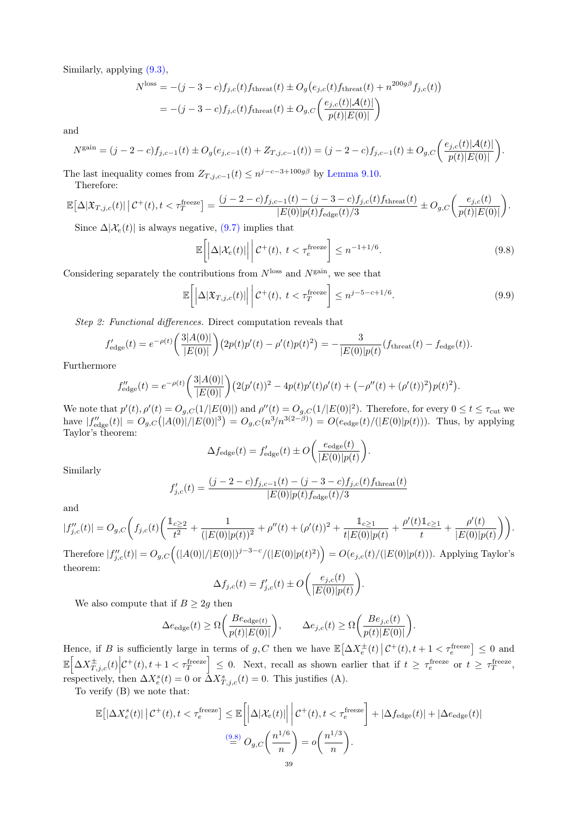Similarly, applying [\(9.3\),](#page-36-3)

$$
N^{\text{loss}} = -(j - 3 - c)f_{j,c}(t)f_{\text{thread}}(t) \pm O_g(e_{j,c}(t)f_{\text{thread}}(t) + n^{200g\beta}f_{j,c}(t))
$$
  
= -(j - 3 - c)f\_{j,c}(t)f\_{\text{thread}}(t) \pm O\_{g,C}\left(\frac{e\_{j,c}(t)|\mathcal{A}(t)|}{p(t)|E(0)|}\right)

and

$$
N^{\text{gain}} = (j - 2 - c)f_{j,c-1}(t) \pm O_g(e_{j,c-1}(t) + Z_{T,j,c-1}(t)) = (j - 2 - c)f_{j,c-1}(t) \pm O_{g,C}\bigg(\frac{e_{j,c}(t)|\mathcal{A}(t)|}{p(t)|E(0)|}\bigg).
$$

The last inequality comes from  $Z_{T,j,c-1}(t) \leq n^{j-c-3+100g\beta}$  by [Lemma 9.10.](#page-35-3) Therefore:

$$
\mathbb{E}\big[\Delta |\mathfrak{X}_{T,j,c}(t)| \,\big|\, \mathcal{C}^+(t), t < \tau_T^{\text{freeze}} \big] = \frac{(j-2-c)f_{j,c-1}(t) - (j-3-c)f_{j,c}(t)f_{\text{thread}}(t)}{|E(0)|p(t)f_{\text{edge}}(t)/3} \pm O_{g,C}\bigg(\frac{e_{j,c}(t)}{p(t)|E(0)|}\bigg).
$$

Since  $\Delta |\mathcal{X}_e(t)|$  is always negative, [\(9.7\)](#page-37-0) implies that

<span id="page-38-0"></span>
$$
\mathbb{E}\left[\left|\Delta|\mathcal{X}_e(t)|\right|\bigg|\mathcal{C}^+(t),\ t<\tau_e^{\text{freeze}}\right]\leq n^{-1+1/6}.\tag{9.8}
$$

Considering separately the contributions from  $N^{\text{loss}}$  and  $N^{\text{gain}}$ , we see that

<span id="page-38-1"></span>
$$
\mathbb{E}\left[\left|\Delta|\mathfrak{X}_{T,j,c}(t)|\right|\bigg|\mathcal{C}^+(t),\ t<\tau_T^{\text{freeze}}\right]\leq n^{j-5-c+1/6}.\tag{9.9}
$$

Step 2: Functional differences. Direct computation reveals that

$$
f'_{\text{edge}}(t) = e^{-\rho(t)} \left( \frac{3|A(0)|}{|E(0)|} \right) \left( 2p(t)p'(t) - \rho'(t)p(t)^2 \right) = -\frac{3}{|E(0)|p(t)} (f_{\text{thread}}(t) - f_{\text{edge}}(t)).
$$

Furthermore

$$
f''_{\text{edge}}(t) = e^{-\rho(t)} \left( \frac{3|A(0)|}{|E(0)|} \right) \left( 2(p'(t))^2 - 4p(t)p'(t)\rho'(t) + \left( -\rho''(t) + (\rho'(t))^2 \right) p(t)^2 \right).
$$

We note that  $p'(t)$ ,  $\rho'(t) = O_{g,C}(1/|E(0)|)$  and  $\rho''(t) = O_{g,C}(1/|E(0)|^2)$ . Therefore, for every  $0 \le t \le \tau_{\text{cut}}$  we have  $|f''_{\text{edge}}(t)| = O_{g,C}(|A(0)|/|E(0)|^3) = O_{g,C}(n^3/n^{3(2-\beta)}) = O(e_{\text{edge}}(t)/(|E(0)|p(t))).$  Thus, by applying Taylor's theorem:

$$
\Delta f_{\text{edge}}(t) = f_{\text{edge}}'(t) \pm O\bigg(\frac{e_{\text{edge}}(t)}{|E(0)|p(t)}\bigg).
$$

Similarly

$$
f'_{j,c}(t) = \frac{(j-2-c)f_{j,c-1}(t) - (j-3-c)f_{j,c}(t)f_{\text{thread}}(t)}{|E(0)|p(t)f_{\text{edge}}(t)/3}
$$

and

$$
|f_{j,c}''(t)| = O_{g,C}\bigg(f_{j,c}(t)\bigg(\frac{\mathbbm{1}_{c\geq 2}}{t^2}+\frac{1}{(|E(0)|p(t))^2}+\rho''(t)+(\rho'(t))^2+\frac{\mathbbm{1}_{c\geq 1}}{t|E(0)|p(t)}+\frac{\rho'(t)\mathbbm{1}_{c\geq 1}}{t}+\frac{\rho'(t)}{|E(0)|p(t)}\bigg)\bigg).
$$

Therefore  $|f''_{j,c}(t)| = O_{g,C}((|A(0)|/|E(0)|)^{j-3-c}/(|E(0)|p(t)^{2})) = O(e_{j,c}(t)/(|E(0)|p(t)))$ . Applying Taylor's theorem:

$$
\Delta f_{j,c}(t) = f'_{j,c}(t) \pm O\bigg(\frac{e_{j,c}(t)}{|E(0)|p(t)}\bigg).
$$

We also compute that if  $B \geq 2g$  then

$$
\Delta e_{\text{edge}}(t) \ge \Omega \bigg( \frac{Be_{\text{edge}(t)}}{p(t)|E(0)|} \bigg), \qquad \Delta e_{j,c}(t) \ge \Omega \bigg( \frac{Be_{j,c}(t)}{p(t)|E(0)|} \bigg).
$$

Hence, if B is sufficiently large in terms of g, C then we have  $\mathbb{E}[\Delta X_e^{\pm}(t) | \mathcal{C}^+(t), t+1 < \tau_e^{\text{freeze}}] \leq 0$  and  $\mathbb{E}\left[\Delta X_{T,j,c}^{\pm}(t)\Big|\mathcal{C}^{+}(t),t+1<\tau_T^{\text{freeze}}\right] \leq 0.$  Next, recall as shown earlier that if  $t \geq \tau_c^{\text{freeze}}$  or  $t \geq \tau_T^{\text{freeze}}$ , respectively, then  $\Delta X_e^s(t) = 0$  or  $\Delta X_{i,j,c}^s(t) = 0$ . This justifies (A).

To verify (B) we note that:

$$
\mathbb{E}\left[\left|\Delta X_e^s(t)\right|\left|\mathcal{C}^+(t), t < \tau_e^{\text{freeze}}\right]\right] \le \mathbb{E}\left[\left|\Delta |\mathcal{X}_e(t)|\right|\left|\mathcal{C}^+(t), t < \tau_e^{\text{freeze}}\right] + \left|\Delta f_{\text{edge}}(t)\right| + \left|\Delta e_{\text{edge}}(t)\right|\right] \le \frac{(9.8)}{2} O_{g,C}\left(\frac{n^{1/6}}{n}\right) = o\left(\frac{n^{1/3}}{n}\right).
$$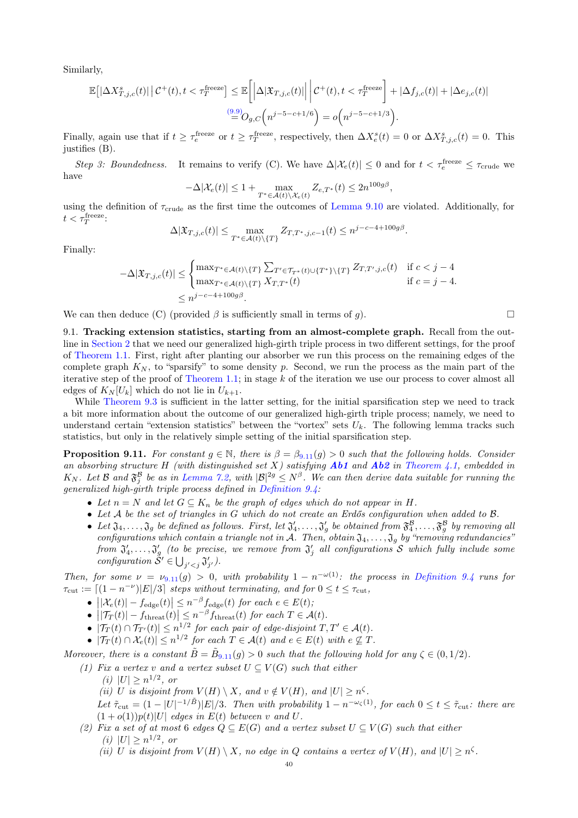Similarly,

$$
\mathbb{E}\left[\left|\Delta X^{s}_{T,j,c}(t)\right|\left|C^{+}(t),t<\tau_{T}^{\text{freeze}}\right]\leq\mathbb{E}\left[\left|\Delta|\mathfrak{X}_{T,j,c}(t)|\right|\left|C^{+}(t),t<\tau_{T}^{\text{freeze}}\right|+\left|\Delta f_{j,c}(t)\right|+\left|\Delta e_{j,c}(t)\right|\right]\right]
$$

$$
\overset{(9.9)}{=}O_{g,C}\left(n^{j-5-c+1/6}\right)=o\left(n^{j-5-c+1/3}\right).
$$

Finally, again use that if  $t \geq \tau_e^{\text{freeze}}$  or  $t \geq \tau_T^{\text{freeze}}$ , respectively, then  $\Delta X_e^s(t) = 0$  or  $\Delta X_{T,j,c}^s(t) = 0$ . This justifies (B).

Step 3: Boundedness. It remains to verify (C). We have  $\Delta |\mathcal{X}_e(t)| \leq 0$  and for  $t < \tau_e^{\text{freeze}} \leq \tau_{\text{crude}}$  we have

$$
-\Delta |\mathcal{X}_e(t)| \le 1 + \max_{T^* \in \mathcal{A}(t) \backslash \mathcal{X}_e(t)} Z_{e,T^*}(t) \le 2n^{100g\beta},
$$

using the definition of  $\tau_{\text{crude}}$  as the first time the outcomes of [Lemma 9.10](#page-35-3) are violated. Additionally, for  $t < \tau_T^{\text{freeze}}$ :

$$
\Delta |\mathfrak{X}_{T,j,c}(t)| \leq \max_{T^* \in \mathcal{A}(t) \setminus \{T\}} Z_{T,T^*,j,c-1}(t) \leq n^{j-c-4+100g\beta}.
$$

Finally:

$$
-\Delta |\mathfrak{X}_{T,j,c}(t)| \leq \begin{cases} \max_{T^* \in \mathcal{A}(t) \setminus \{T\}} \sum_{T' \in \mathcal{T}_{T^*}(t) \cup \{T^*\} \setminus \{T\}} Z_{T,T',j,c}(t) & \text{if } c < j - 4 \\ \max_{T^* \in \mathcal{A}(t) \setminus \{T\}} X_{T,T^*}(t) & \text{if } c = j - 4. \end{cases}
$$
\n
$$
\leq n^{j - c - 4 + 100g\beta}.
$$

We can then deduce (C) (provided  $\beta$  is sufficiently small in terms of g).

9.1. Tracking extension statistics, starting from an almost-complete graph. Recall from the outline in [Section 2](#page-5-0) that we need our generalized high-girth triple process in two different settings, for the proof of [Theorem 1.1.](#page-0-3) First, right after planting our absorber we run this process on the remaining edges of the complete graph  $K_N$ , to "sparsify" to some density p. Second, we run the process as the main part of the iterative step of the proof of [Theorem 1.1;](#page-0-3) in stage k of the iteration we use our process to cover almost all edges of  $K_N[U_k]$  which do not lie in  $U_{k+1}$ .

While [Theorem 9.3](#page-32-0) is sufficient in the latter setting, for the initial sparsification step we need to track a bit more information about the outcome of our generalized high-girth triple process; namely, we need to understand certain "extension statistics" between the "vortex" sets  $U_k$ . The following lemma tracks such statistics, but only in the relatively simple setting of the initial sparsification step.

<span id="page-39-0"></span>**Proposition 9.[11](#page-39-0).** For constant  $g \in \mathbb{N}$ , there is  $\beta = \beta_{9,11}(g) > 0$  such that the following holds. Consider an absorbing structure H (with distinguished set X) satisfying  $Ab1$  and  $Ab2$  in [Theorem 4.1,](#page-11-2) embedded in  $K_N$ . Let B and  $\mathfrak{F}^{\mathcal{B}}_j$  be as in [Lemma 7.2,](#page-18-2) with  $|\mathcal{B}|^{2g} \leq N^{\beta}$ . We can then derive data suitable for running the generalized high-girth triple process defined in [Definition 9.4:](#page-32-2)

- Let  $n = N$  and let  $G \subseteq K_n$  be the graph of edges which do not appear in H.
- Let A be the set of triangles in G which do not create an Erdős configuration when added to B.
- Let  $\mathfrak{J}_4,\ldots,\mathfrak{J}_g$  be defined as follows. First, let  $\mathfrak{J}'_4,\ldots,\mathfrak{J}'_g$  be obtained from  $\mathfrak{F}^{\mathcal{B}}_4,\ldots,\mathfrak{F}^{\mathcal{B}}_g$  by removing all configurations which contain a triangle not in A. Then, obtain  $\mathfrak{J}_4, \ldots, \mathfrak{J}_g$  by "removing redundancies" from  $\mathfrak{J}'_4,\ldots, \mathfrak{J}'_g$  (to be precise, we remove from  $\mathfrak{J}'_j$  all configurations  ${\cal S}$  which fully include some configuration  $\tilde{S}' \in \bigcup_{j' < j} \mathfrak{J}'_{j'}$ .

Then, for some  $\nu = \nu_{9.11}(g) > 0$  $\nu = \nu_{9.11}(g) > 0$  $\nu = \nu_{9.11}(g) > 0$ , with probability  $1 - n^{-\omega(1)}$ : the process in [Definition 9.4](#page-32-2) runs for  $\tau_{\text{cut}} := \lceil (1 - n^{-\nu}) |E|/3 \rceil$  steps without terminating, and for  $0 \le t \le \tau_{\text{cut}}$ ,

- $\left| \left| \mathcal{X}_e(t) \right| f_{\text{edge}}(t) \right| \leq n^{-\beta} f_{\text{edge}}(t)$  for each  $e \in E(t)$ ;
- $||\mathcal{T}_T(t)| f_{\text{thresh}}(t)| \leq n^{-\beta} f_{\text{thresh}}(t)$  for each  $T \in \mathcal{A}(t)$ .
- $|\mathcal{T}_T(t) \cap \mathcal{T}_{T'}(t)| \leq n^{1/2}$  for each pair of edge-disjoint  $T, T' \in \mathcal{A}(t)$ .
- $|\mathcal{T}_T(t) \cap \mathcal{X}_e(t)| \leq n^{1/2}$  for each  $T \in \mathcal{A}(t)$  and  $e \in E(t)$  with  $e \nsubseteq T$ .

Moreover, there is a constant  $\tilde{B} = \tilde{B}_{9,11}(g) > 0$  $\tilde{B} = \tilde{B}_{9,11}(g) > 0$  $\tilde{B} = \tilde{B}_{9,11}(g) > 0$  such that the following hold for any  $\zeta \in (0,1/2)$ .

- (1) Fix a vertex v and a vertex subset  $U \subseteq V(G)$  such that either
	- (*i*)  $|U| \ge n^{1/2}$ , or
	- (ii) U is disjoint from  $V(H) \setminus X$ , and  $v \notin V(H)$ , and  $|U| \ge n^{\zeta}$ .

Let  $\tilde{\tau}_{\text{cut}} = (1 - |U|^{-1/\tilde{B}})|E|/3$ . Then with probability  $1 - n^{-\omega_{\zeta}(1)}$ , for each  $0 \le t \le \tilde{\tau}_{\text{cut}}$ : there are  $(1+o(1))p(t)|U|$  edges in  $E(t)$  between v and U.

- (2) Fix a set of at most 6 edges  $Q \subseteq E(G)$  and a vertex subset  $U \subseteq V(G)$  such that either (*i*)  $|U| \ge n^{1/2}$ , or
	- (ii) U is disjoint from  $V(H) \setminus X$ , no edge in Q contains a vertex of  $V(H)$ , and  $|U| \ge n^{\zeta}$ .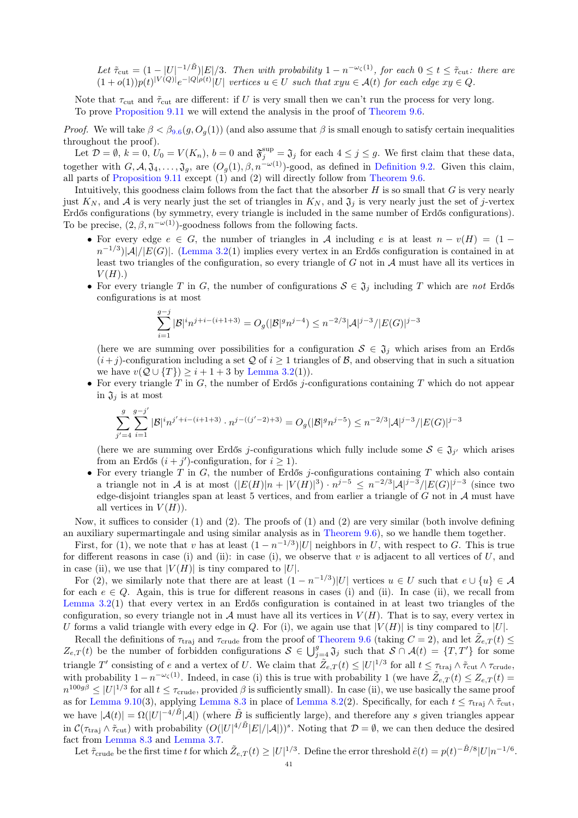Let  $\tilde{\tau}_{\text{cut}} = (1 - |U|^{-1/\tilde{B}})|E|/3$ . Then with probability  $1 - n^{-\omega_{\zeta}(1)}$ , for each  $0 \le t \le \tilde{\tau}_{\text{cut}}$ : there are  $(1+o(1))p(t)^{|V(Q)|}e^{-|Q|\rho(t)}|U|$  vertices  $u \in U$  such that  $xyu \in \mathcal{A}(t)$  for each edge  $xy \in Q$ .

Note that  $\tau_{\text{cut}}$  and  $\tilde{\tau}_{\text{cut}}$  are different: if U is very small then we can't run the process for very long. To prove [Proposition 9.11](#page-39-0) we will extend the analysis in the proof of [Theorem 9.6.](#page-33-0)

*Proof.* We will take  $\beta < \beta_{9.6}(g, O_q(1))$  $\beta < \beta_{9.6}(g, O_q(1))$  $\beta < \beta_{9.6}(g, O_q(1))$  (and also assume that  $\beta$  is small enough to satisfy certain inequalities throughout the proof).

Let  $\mathcal{D} = \emptyset$ ,  $k = 0$ ,  $U_0 = V(K_n)$ ,  $b = 0$  and  $\mathfrak{F}_j^{\text{sup}} = \mathfrak{J}_j$  for each  $4 \leq j \leq g$ . We first claim that these data, together with  $G, \mathcal{A}, \mathfrak{J}_4, \ldots, \mathfrak{J}_g$ , are  $(O_g(1), \beta, n^{-\omega(1)})$ -good, as defined in [Definition 9.2.](#page-31-2) Given this claim, all parts of [Proposition 9.11](#page-39-0) except  $(1)$  and  $(2)$  will directly follow from [Theorem 9.6.](#page-33-0)

Intuitively, this goodness claim follows from the fact that the absorber  $H$  is so small that  $G$  is very nearly just  $K_N$ , and A is very nearly just the set of triangles in  $K_N$ , and  $\mathfrak{J}_j$  is very nearly just the set of j-vertex Erdős configurations (by symmetry, every triangle is included in the same number of Erdős configurations). To be precise,  $(2, \beta, n^{-\omega(1)})$ -goodness follows from the following facts.

- For every edge  $e \in G$ , the number of triangles in A including e is at least  $n v(H) = (1$  $n^{-1/3}$ | $\mathcal{A}$ |/ $|E(G)|$ . [\(Lemma 3.2\(](#page-9-2)1) implies every vertex in an Erdős configuration is contained in at least two triangles of the configuration, so every triangle of  $G$  not in  $A$  must have all its vertices in  $V(H)$ .)
- For every triangle T in G, the number of configurations  $S \in \mathfrak{J}_j$  including T which are not Erdős configurations is at most

$$
\sum_{i=1}^{g-j} |\mathcal{B}|^i n^{j+i-(i+1+3)} = O_g(|\mathcal{B}|^g n^{j-4}) \le n^{-2/3} |\mathcal{A}|^{j-3} / |E(G)|^{j-3}
$$

(here we are summing over possibilities for a configuration  $S \in \mathfrak{J}_j$  which arises from an Erdős  $(i+j)$ -configuration including a set Q of  $i \geq 1$  triangles of B, and observing that in such a situation we have  $v(Q \cup \{T\}) \geq i + 1 + 3$  by [Lemma 3.2\(](#page-9-2)1)).

• For every triangle T in G, the number of Erdős j-configurations containing T which do not appear in  $\mathfrak{J}_j$  is at most

$$
\sum_{j'=4}^g\sum_{i=1}^{g-j'}|\mathcal{B}|^in^{j'+i-(i+1+3)}\cdot n^{j-((j'-2)+3)}=O_g(|\mathcal{B}|^g n^{j-5})\leq n^{-2/3}|\mathcal{A}|^{j-3}/|E(G)|^{j-3}
$$

(here we are summing over Erdős j-configurations which fully include some  $S \in \mathfrak{J}_{j'}$  which arises from an Erdős  $(i + j')$ -configuration, for  $i \ge 1$ ).

• For every triangle  $T$  in  $G$ , the number of Erdős j-configurations containing  $T$  which also contain a triangle not in A is at most  $(|E(H)|n+|V(H)|^3) \cdot n^{j-5} \leq n^{-2/3} |\mathcal{A}|^{j-3} / |E(G)|^{j-3}$  (since two edge-disjoint triangles span at least 5 vertices, and from earlier a triangle of  $G$  not in  $\mathcal A$  must have all vertices in  $V(H)$ ).

Now, it suffices to consider (1) and (2). The proofs of (1) and (2) are very similar (both involve defining an auxiliary supermartingale and using similar analysis as in [Theorem 9.6\)](#page-33-0), so we handle them together.

First, for (1), we note that v has at least  $(1 - n^{-1/3})|U|$  neighbors in U, with respect to G. This is true for different reasons in case (i) and (ii): in case (i), we observe that  $v$  is adjacent to all vertices of  $U$ , and in case (ii), we use that  $|V(H)|$  is tiny compared to  $|U|$ .

For (2), we similarly note that there are at least  $(1 - n^{-1/3})|U|$  vertices  $u \in U$  such that  $e \cup \{u\} \in \mathcal{A}$ for each  $e \in Q$ . Again, this is true for different reasons in cases (i) and (ii). In case (ii), we recall from [Lemma 3.2\(](#page-9-2)1) that every vertex in an Erdős configuration is contained in at least two triangles of the configuration, so every triangle not in A must have all its vertices in  $V(H)$ . That is to say, every vertex in U forms a valid triangle with every edge in Q. For (i), we again use that  $|V(H)|$  is tiny compared to  $|U|$ .

Recall the definitions of  $\tau_{\text{traj}}$  and  $\tau_{\text{crude}}$  from the proof of [Theorem 9.6](#page-33-0) (taking  $C = 2$ ), and let  $\tilde{Z}_{e,T}(t) \leq$  $Z_{e,T}(t)$  be the number of forbidden configurations  $S \in \bigcup_{j=4}^{g} \mathfrak{J}_j$  such that  $S \cap \mathcal{A}(t) = \{T, T'\}$  for some triangle T' consisting of e and a vertex of U. We claim that  $\tilde{Z}_{e,T}(t) \leq |U|^{1/3}$  for all  $t \leq \tau_{\text{traj}} \wedge \tilde{\tau}_{\text{cut}} \wedge \tau_{\text{crude}}$ , with probability  $1 - n^{-\omega_{\zeta}(1)}$ . Indeed, in case (i) this is true with probability 1 (we have  $\tilde{Z}_{e,T}(t) \leq Z_{e,T}(t)$  $n^{100g\beta} \leq |U|^{1/3}$  for all  $t \leq \tau_{\text{crude}}$ , provided  $\beta$  is sufficiently small). In case (ii), we use basically the same proof as for [Lemma 9.10\(](#page-35-3)3), applying [Lemma 8.3](#page-25-0) in place of [Lemma 8.2\(](#page-22-0)2). Specifically, for each  $t \leq \tau_{\text{traj}} \wedge \tilde{\tau}_{\text{cut}}$ , we have  $|\mathcal{A}(t)| = \Omega(|U|^{-4/\tilde{B}}|\mathcal{A}|)$  (where  $\tilde{B}$  is sufficiently large), and therefore any s given triangles appear in  $\mathcal{C}(\tau_{\text{traj}} \wedge \tilde{\tau}_{\text{cut}})$  with probability  $(O(|U|^{4/\tilde{B}}|E|/|\mathcal{A}|))^s$ . Noting that  $\mathcal{D} = \emptyset$ , we can then deduce the desired fact from [Lemma 8.3](#page-25-0) and [Lemma 3.7.](#page-10-2)

Let  $\tilde{\tau}_{\text{crude}}$  be the first time t for which  $\tilde{Z}_{e,T}(t) \geq |U|^{1/3}$ . Define the error threshold  $\tilde{e}(t) = p(t)^{-\tilde{B}/8}|U|n^{-1/6}$ .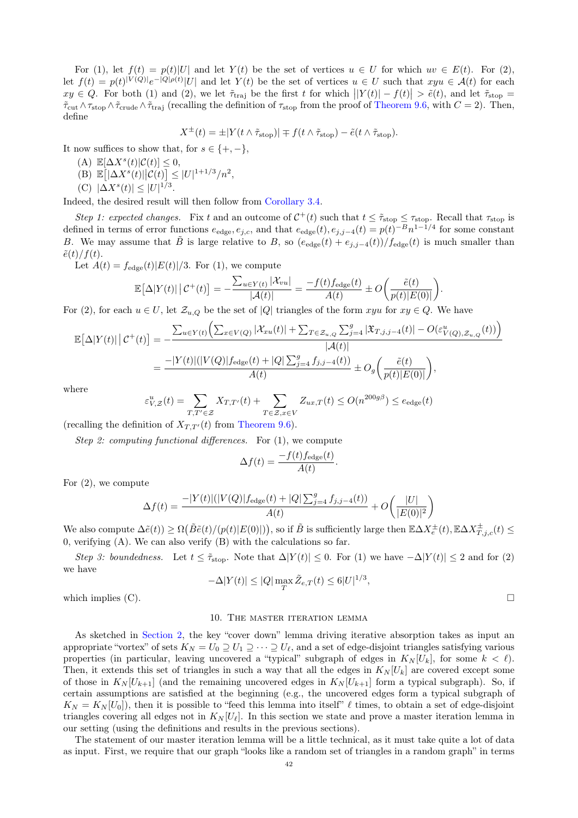For (1), let  $f(t) = p(t)|U|$  and let  $Y(t)$  be the set of vertices  $u \in U$  for which  $uv \in E(t)$ . For (2), let  $f(t) = p(t)^{|V(Q)|}e^{-|Q|\rho(t)}|U|$  and let  $Y(t)$  be the set of vertices  $u \in U$  such that  $xyu \in \mathcal{A}(t)$  for each  $xy \in Q$ . For both (1) and (2), we let  $\tilde{\tau}_{\text{traj}}$  be the first t for which  $||Y(t)| - f(t)| > \tilde{e}(t)$ , and let  $\tilde{\tau}_{\text{stop}} =$  $\tilde{\tau}_{\rm cut}\wedge\tau_{\rm stop}\wedge\tilde{\tau}_{\rm crude}\wedge\tilde{\tau}_{\rm traj}$  (recalling the definition of  $\tau_{\rm stop}$  from the proof of [Theorem 9.6,](#page-33-0) with  $C=2$ ). Then, define

$$
X^{\pm}(t) = \pm |Y(t \wedge \tilde{\tau}_{\text{stop}})| \mp f(t \wedge \tilde{\tau}_{\text{stop}}) - \tilde{e}(t \wedge \tilde{\tau}_{\text{stop}}).
$$

It now suffices to show that, for  $s \in \{+, -\},\$ 

- (A)  $\mathbb{E}[\Delta X^s(t)|\mathcal{C}(t)] \leq 0,$
- (B)  $\mathbb{E} [|\Delta X^{s}(t)||\mathcal{C}(t)] \leq |U|^{1+1/3}/n^2,$
- (C)  $|\Delta X^{s}(t)| \leq |U|^{1/3}$ .

Indeed, the desired result will then follow from [Corollary 3.4.](#page-9-5)

Step 1: expected changes. Fix t and an outcome of  $C^+(t)$  such that  $t \leq \tilde{\tau}_{\text{stop}} \leq \tau_{\text{stop}}$ . Recall that  $\tau_{\text{stop}}$  is defined in terms of error functions  $e_{\text{edge}}$ ,  $e_{j,c}$ , and that  $e_{\text{edge}}(t)$ ,  $e_{j,j-4}(t) = p(t)^{-B}n^{1-1/4}$  for some constant B. We may assume that  $\tilde{B}$  is large relative to B, so  $(e_{\text{edge}}(t) + e_{j,j-4}(t))/f_{\text{edge}}(t)$  is much smaller than  $\tilde{e}(t)/f(t)$ .

Let  $A(t) = f_{\text{edge}}(t)|E(t)|/3$ . For (1), we compute

$$
\mathbb{E}\big[\Delta|Y(t)|\,\big|\,\mathcal{C}^+(t)\big] = -\frac{\sum_{u\in Y(t)}|\mathcal{X}_{vu}|}{|\mathcal{A}(t)|} = \frac{-f(t)f_{\text{edge}}(t)}{A(t)} \pm O\bigg(\frac{\tilde{e}(t)}{p(t)|E(0)|}\bigg).
$$

For (2), for each  $u \in U$ , let  $\mathcal{Z}_{u,Q}$  be the set of  $|Q|$  triangles of the form  $xyu$  for  $xy \in Q$ . We have

$$
\mathbb{E}[\Delta|Y(t)| | C^+(t)] = -\frac{\sum_{u \in Y(t)} (\sum_{x \in V(Q)} |\mathcal{X}_{xu}(t)| + \sum_{T \in \mathcal{Z}_{u,Q}} \sum_{j=4}^g |\mathcal{X}_{T,j,j-4}(t)| - O(\varepsilon_{V(Q),\mathcal{Z}_{u,Q}}^u(t)))}{|\mathcal{A}(t)|}
$$
\n
$$
= \frac{-|Y(t)|(|V(Q)|f_{\text{edge}}(t) + |Q| \sum_{j=4}^g f_{j,j-4}(t))}{A(t)} \pm O_g\left(\frac{\tilde{e}(t)}{p(t)|E(0)|}\right),
$$

where

$$
\varepsilon_{V,Z}^u(t) = \sum_{T,T' \in \mathcal{Z}} X_{T,T'}(t) + \sum_{T \in \mathcal{Z}, x \in V} Z_{ux,T}(t) \le O(n^{200g\beta}) \le e_{\text{edge}}(t)
$$

(recalling the definition of  $X_{TT'}(t)$  from [Theorem 9.6\)](#page-33-0).

Step 2: computing functional differences. For (1), we compute

$$
\Delta f(t) = \frac{-f(t)f_{\text{edge}}(t)}{A(t)}
$$

For (2), we compute

$$
\Delta f(t) = \frac{-|Y(t)|(|V(Q)|f_{\text{edge}}(t) + |Q| \sum_{j=4}^{g} f_{j,j-4}(t))}{A(t)} + O\left(\frac{|U|}{|E(0)|^2}\right)
$$

We also compute  $\Delta \tilde{e}(t) \ge \Omega(\tilde{B} \tilde{e}(t)/(p(t)|E(0)|)),$  so if  $\tilde{B}$  is sufficiently large then  $\mathbb{E} \Delta X_e^{\pm}(t), \mathbb{E} \Delta X_{T,j,c}^{\pm}(t) \le$ 0, verifying (A). We can also verify (B) with the calculations so far.

Step 3: boundedness. Let  $t \leq \tilde{\tau}_{\text{stop}}$ . Note that  $\Delta |Y(t)| \leq 0$ . For (1) we have  $-\Delta |Y(t)| \leq 2$  and for (2) we have

$$
-\Delta|Y(t)| \le |Q| \max_T \tilde{Z}_{e,T}(t) \le 6|U|^{1/3},
$$

.

<span id="page-41-0"></span>which implies (C).  $\Box$ 

#### 10. The master iteration lemma

As sketched in [Section 2,](#page-5-0) the key "cover down" lemma driving iterative absorption takes as input an appropriate "vortex" of sets  $K_N = U_0 \supseteq U_1 \supseteq \cdots \supseteq U_\ell$ , and a set of edge-disjoint triangles satisfying various properties (in particular, leaving uncovered a "typical" subgraph of edges in  $K_N[U_k]$ , for some  $k < \ell$ ). Then, it extends this set of triangles in such a way that all the edges in  $K_N[U_k]$  are covered except some of those in  $K_N[U_{k+1}]$  (and the remaining uncovered edges in  $K_N[U_{k+1}]$  form a typical subgraph). So, if certain assumptions are satisfied at the beginning (e.g., the uncovered edges form a typical subgraph of  $K_N = K_N[U_0]$ , then it is possible to "feed this lemma into itself"  $\ell$  times, to obtain a set of edge-disjoint triangles covering all edges not in  $K_N[U_\ell]$ . In this section we state and prove a master iteration lemma in our setting (using the definitions and results in the previous sections).

The statement of our master iteration lemma will be a little technical, as it must take quite a lot of data as input. First, we require that our graph "looks like a random set of triangles in a random graph" in terms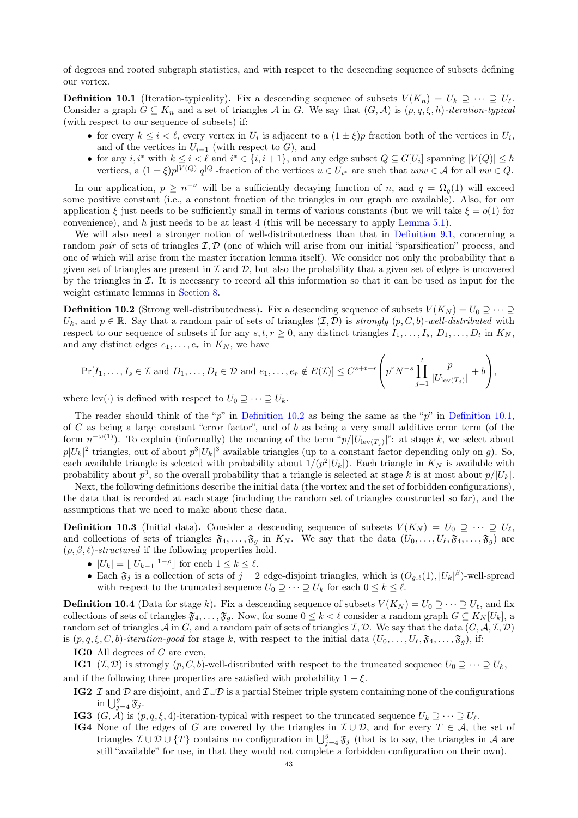of degrees and rooted subgraph statistics, and with respect to the descending sequence of subsets defining our vortex.

<span id="page-42-1"></span>**Definition 10.1** (Iteration-typicality). Fix a descending sequence of subsets  $V(K_n) = U_k \supseteq \cdots \supseteq U_\ell$ . Consider a graph  $G \subseteq K_n$  and a set of triangles A in G. We say that  $(G, \mathcal{A})$  is  $(p, q, \xi, h)$ -iteration-typical (with respect to our sequence of subsets) if:

- for every  $k \leq i < \ell$ , every vertex in  $U_i$  is adjacent to a  $(1 \pm \xi)p$  fraction both of the vertices in  $U_i$ , and of the vertices in  $U_{i+1}$  (with respect to G), and
- for any  $i, i^*$  with  $k \leq i < \ell$  and  $i^* \in \{i, i + 1\}$ , and any edge subset  $Q \subseteq G[U_i]$  spanning  $|V(Q)| \leq h$ vertices, a  $(1 \pm \xi)p^{|V(Q)|}q^{|Q|}$ -fraction of the vertices  $u \in U_{i^*}$  are such that  $uvw \in \mathcal{A}$  for all  $vw \in Q$ .

In our application,  $p \geq n^{-\nu}$  will be a sufficiently decaying function of n, and  $q = \Omega_q(1)$  will exceed some positive constant (i.e., a constant fraction of the triangles in our graph are available). Also, for our application  $\xi$  just needs to be sufficiently small in terms of various constants (but we will take  $\xi = o(1)$  for convenience), and h just needs to be at least 4 (this will be necessary to apply [Lemma 5.1\)](#page-14-1).

We will also need a stronger notion of well-distributedness than that in [Definition 9.1,](#page-31-1) concerning a random pair of sets of triangles  $\mathcal{I}, \mathcal{D}$  (one of which will arise from our initial "sparsification" process, and one of which will arise from the master iteration lemma itself). We consider not only the probability that a given set of triangles are present in  $\mathcal I$  and  $\mathcal D$ , but also the probability that a given set of edges is uncovered by the triangles in  $I$ . It is necessary to record all this information so that it can be used as input for the weight estimate lemmas in [Section 8.](#page-20-0)

<span id="page-42-0"></span>**Definition 10.2** (Strong well-distributedness). Fix a descending sequence of subsets  $V(K_N) = U_0 \supseteq \cdots \supseteq$  $U_k$ , and  $p \in \mathbb{R}$ . Say that a random pair of sets of triangles  $(\mathcal{I}, \mathcal{D})$  is strongly  $(p, C, b)$ -well-distributed with respect to our sequence of subsets if for any  $s, t, r \geq 0$ , any distinct triangles  $I_1, \ldots, I_s, D_1, \ldots, D_t$  in  $K_N$ , and any distinct edges  $e_1, \ldots, e_r$  in  $K_N$ , we have

$$
\Pr[I_1,\ldots,I_s \in \mathcal{I} \text{ and } D_1,\ldots,D_t \in \mathcal{D} \text{ and } e_1,\ldots,e_r \notin E(\mathcal{I})] \leq C^{s+t+r} \left( p^r N^{-s} \prod_{j=1}^t \frac{p}{|U_{\text{lev}(T_j)}|} + b \right),
$$

where lev(·) is defined with respect to  $U_0 \supseteq \cdots \supseteq U_k$ .

The reader should think of the "p" in [Definition 10.2](#page-42-0) as being the same as the "p" in [Definition 10.1,](#page-42-1) of C as being a large constant "error factor", and of b as being a very small additive error term (of the form  $n^{-\omega(1)}$ ). To explain (informally) the meaning of the term " $p/|U_{\text{lev}(T_j)}|$ ": at stage k, we select about  $p|U_k|^2$  triangles, out of about  $p^3|U_k|^3$  available triangles (up to a constant factor depending only on g). So, each available triangle is selected with probability about  $1/(p^2|U_k|)$ . Each triangle in  $K_N$  is available with probability about  $p^3$ , so the overall probability that a triangle is selected at stage k is at most about  $p/|U_k|$ .

Next, the following definitions describe the initial data (the vortex and the set of forbidden configurations), the data that is recorded at each stage (including the random set of triangles constructed so far), and the assumptions that we need to make about these data.

**Definition 10.3** (Initial data). Consider a descending sequence of subsets  $V(K_N) = U_0 \supseteq \cdots \supseteq U_\ell$ , and collections of sets of triangles  $\mathfrak{F}_4, \ldots, \mathfrak{F}_g$  in  $K_N$ . We say that the data  $(U_0, \ldots, U_\ell, \mathfrak{F}_4, \ldots, \mathfrak{F}_g)$  are  $(\rho, \beta, \ell)$ -structured if the following properties hold.

- $|U_k| = \lfloor |U_{k-1}|^{1-\rho} \rfloor$  for each  $1 \le k \le \ell$ .
- Each  $\mathfrak{F}_j$  is a collection of sets of  $j-2$  edge-disjoint triangles, which is  $(O_{g,\ell}(1), |U_k|^{\beta})$ -well-spread with respect to the truncated sequence  $U_0 \supseteq \cdots \supseteq U_k$  for each  $0 \leq k \leq \ell$ .

**Definition 10.4** (Data for stage k). Fix a descending sequence of subsets  $V(K_N) = U_0 \supseteq \cdots \supseteq U_\ell$ , and fix collections of sets of triangles  $\mathfrak{F}_4, \ldots, \mathfrak{F}_g$ . Now, for some  $0 \leq k < \ell$  consider a random graph  $G \subseteq K_N[U_k]$ , a random set of triangles A in G, and a random pair of sets of triangles  $\mathcal{I}, \mathcal{D}$ . We say that the data  $(G, \mathcal{A}, \mathcal{I}, \mathcal{D})$ is  $(p, q, \xi, C, b)$ -iteration-good for stage k, with respect to the initial data  $(U_0, \ldots, U_\ell, \mathfrak{F}_4, \ldots, \mathfrak{F}_q)$ , if:

IG0 All degrees of G are even,

<span id="page-42-4"></span>**IG1** (*I, D*) is strongly  $(p, C, b)$ -well-distributed with respect to the truncated sequence  $U_0 \supseteq \cdots \supseteq U_k$ , and if the following three properties are satisfied with probability  $1 - \xi$ .

- <span id="page-42-2"></span>IG2 I and D are disjoint, and  $\mathcal{I} \cup \mathcal{D}$  is a partial Steiner triple system containing none of the configurations in  $\bigcup_{j=4}^g \mathfrak{F}_j$ .
- <span id="page-42-5"></span>**IG3** (G, A) is  $(p, q, \xi, 4)$ -iteration-typical with respect to the truncated sequence  $U_k \supseteq \cdots \supseteq U_\ell$ .
- <span id="page-42-3"></span>**IG4** None of the edges of G are covered by the triangles in  $\mathcal{I} \cup \mathcal{D}$ , and for every  $T \in \mathcal{A}$ , the set of triangles  $\mathcal{I} \cup \mathcal{D} \cup \{T\}$  contains no configuration in  $\bigcup_{j=4}^g \mathfrak{F}_j$  (that is to say, the triangles in A are still "available" for use, in that they would not complete a forbidden configuration on their own).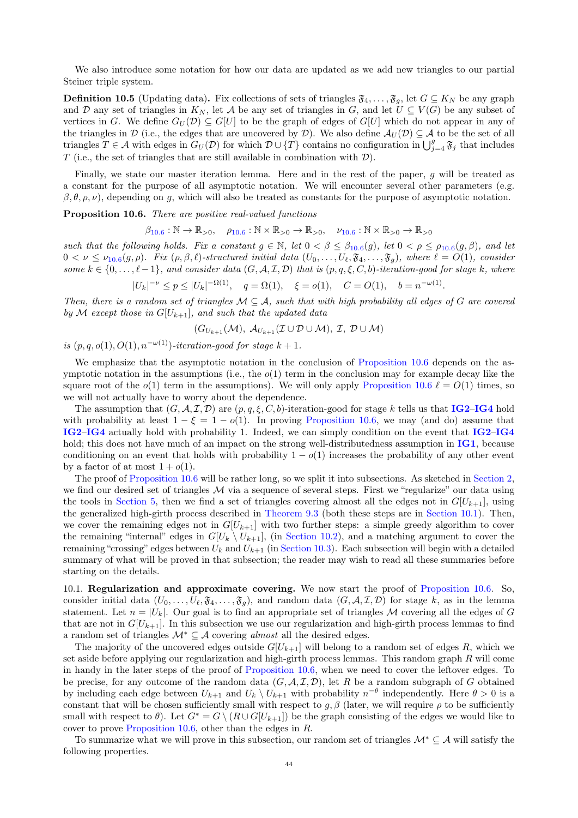We also introduce some notation for how our data are updated as we add new triangles to our partial Steiner triple system.

**Definition 10.5** (Updating data). Fix collections of sets of triangles  $\mathfrak{F}_4, \ldots, \mathfrak{F}_g$ , let  $G \subseteq K_N$  be any graph and D any set of triangles in  $K_N$ , let A be any set of triangles in G, and let  $U \subseteq V(G)$  be any subset of vertices in G. We define  $G_U(\mathcal{D}) \subseteq G[U]$  to be the graph of edges of  $G[U]$  which do not appear in any of the triangles in D (i.e., the edges that are uncovered by D). We also define  $\mathcal{A}_{U}(D) \subset \mathcal{A}$  to be the set of all triangles  $T \in \mathcal{A}$  with edges in  $G_U(\mathcal{D})$  for which  $\mathcal{D} \cup \{T\}$  contains no configuration in  $\bigcup_{j=4}^g \mathfrak{F}_j$  that includes T (i.e., the set of triangles that are still available in combination with  $\mathcal{D}$ ).

Finally, we state our master iteration lemma. Here and in the rest of the paper, g will be treated as a constant for the purpose of all asymptotic notation. We will encounter several other parameters (e.g.  $\beta$ ,  $\theta$ ,  $\rho$ ,  $\nu$ ), depending on q, which will also be treated as constants for the purpose of asymptotic notation.

<span id="page-43-1"></span>**Proposition 10.6.** There are positive real-valued functions

$$
\beta_{10.6}: \mathbb{N} \to \mathbb{R}_{>0}, \quad \rho_{10.6}: \mathbb{N} \times \mathbb{R}_{>0} \to \mathbb{R}_{>0}, \quad \nu_{10.6}: \mathbb{N} \times \mathbb{R}_{>0} \to \mathbb{R}_{>0}
$$

such that the following holds. Fix a constant  $g \in \mathbb{N}$ , let  $0 < \beta \leq \beta_{10.6}(g)$  $0 < \beta \leq \beta_{10.6}(g)$  $0 < \beta \leq \beta_{10.6}(g)$ , let  $0 < \rho \leq \rho_{10.6}(g,\beta)$ , and let  $0 < \nu \leq \nu_{10.6}(g,\rho)$  $0 < \nu \leq \nu_{10.6}(g,\rho)$  $0 < \nu \leq \nu_{10.6}(g,\rho)$ . Fix  $(\rho,\beta,\ell)$ -structured initial data  $(U_0,\ldots,U_\ell,\mathfrak{F}_4,\ldots,\mathfrak{F}_g)$ , where  $\ell = O(1)$ , consider some  $k \in \{0, \ldots, \ell-1\}$ , and consider data  $(G, \mathcal{A}, \mathcal{I}, \mathcal{D})$  that is  $(p, q, \xi, C, b)$ -iteration-good for stage k, where  $|U|$ 

$$
|U_k|^{-\nu} \le p \le |U_k|^{-\Omega(1)}, \quad q = \Omega(1), \quad \xi = o(1), \quad C = O(1), \quad b = n^{-\omega(1)}.
$$

Then, there is a random set of triangles  $\mathcal{M} \subseteq \mathcal{A}$ , such that with high probability all edges of G are covered by M except those in  $G[U_{k+1}]$ , and such that the updated data

$$
(G_{U_{k+1}}(\mathcal{M}), \mathcal{A}_{U_{k+1}}(\mathcal{I} \cup \mathcal{D} \cup \mathcal{M}), \mathcal{I}, \mathcal{D} \cup \mathcal{M})
$$

is  $(p, q, o(1), O(1), n^{-\omega(1)})$ -iteration-good for stage  $k + 1$ .

We emphasize that the asymptotic notation in the conclusion of [Proposition 10.6](#page-43-1) depends on the asymptotic notation in the assumptions (i.e., the  $o(1)$  term in the conclusion may for example decay like the square root of the  $o(1)$  term in the assumptions). We will only apply [Proposition 10.6](#page-43-1)  $\ell = O(1)$  times, so we will not actually have to worry about the dependence.

The assumption that  $(G, \mathcal{A}, \mathcal{I}, \mathcal{D})$  are  $(p, q, \xi, C, b)$ -iteration-good for stage k tells us that **[IG2](#page-42-2)–[IG4](#page-42-3)** hold with probability at least  $1 - \xi = 1 - o(1)$ . In proving [Proposition 10.6,](#page-43-1) we may (and do) assume that [IG2](#page-42-2)–[IG4](#page-42-3) actually hold with probability 1. Indeed, we can simply condition on the event that [IG2](#page-42-2)–[IG4](#page-42-3) hold; this does not have much of an impact on the strong well-distributedness assumption in  $\overline{IG1}$  $\overline{IG1}$  $\overline{IG1}$ , because conditioning on an event that holds with probability  $1 - o(1)$  increases the probability of any other event by a factor of at most  $1 + o(1)$ .

The proof of [Proposition 10.6](#page-43-1) will be rather long, so we split it into subsections. As sketched in [Section 2,](#page-5-0) we find our desired set of triangles  $M$  via a sequence of several steps. First we "regularize" our data using the tools in [Section 5,](#page-14-0) then we find a set of triangles covering almost all the edges not in  $G[U_{k+1}]$ , using the generalized high-girth process described in [Theorem 9.3](#page-32-0) (both these steps are in [Section 10.1\)](#page-43-0). Then, we cover the remaining edges not in  $G[U_{k+1}]$  with two further steps: a simple greedy algorithm to cover the remaining "internal" edges in  $G[U_k \setminus U_{k+1}]$ , (in [Section 10.2\)](#page-45-0), and a matching argument to cover the remaining "crossing" edges between  $U_k$  and  $U_{k+1}$  (in [Section 10.3\)](#page-46-0). Each subsection will begin with a detailed summary of what will be proved in that subsection; the reader may wish to read all these summaries before starting on the details.

<span id="page-43-0"></span>10.1. Regularization and approximate covering. We now start the proof of [Proposition 10.6.](#page-43-1) So, consider initial data  $(U_0, \ldots, U_\ell, \mathfrak{F}_4, \ldots, \mathfrak{F}_q)$ , and random data  $(G, \mathcal{A}, \mathcal{I}, \mathcal{D})$  for stage k, as in the lemma statement. Let  $n = |U_k|$ . Our goal is to find an appropriate set of triangles M covering all the edges of G that are not in  $G[U_{k+1}]$ . In this subsection we use our regularization and high-girth process lemmas to find a random set of triangles  $\mathcal{M}^* \subseteq \mathcal{A}$  covering *almost* all the desired edges.

The majority of the uncovered edges outside  $G[U_{k+1}]$  will belong to a random set of edges R, which we set aside before applying our regularization and high-girth process lemmas. This random graph  $R$  will come in handy in the later steps of the proof of [Proposition 10.6,](#page-43-1) when we need to cover the leftover edges. To be precise, for any outcome of the random data  $(G, \mathcal{A}, \mathcal{I}, \mathcal{D})$ , let R be a random subgraph of G obtained by including each edge between  $U_{k+1}$  and  $U_k \setminus U_{k+1}$  with probability  $n^{-\theta}$  independently. Here  $\theta > 0$  is a constant that will be chosen sufficiently small with respect to  $g, \beta$  (later, we will require  $\rho$  to be sufficiently small with respect to  $\theta$ ). Let  $G^* = G \setminus (R \cup G[U_{k+1}])$  be the graph consisting of the edges we would like to cover to prove [Proposition 10.6,](#page-43-1) other than the edges in R.

To summarize what we will prove in this subsection, our random set of triangles  $\mathcal{M}^* \subseteq \mathcal{A}$  will satisfy the following properties.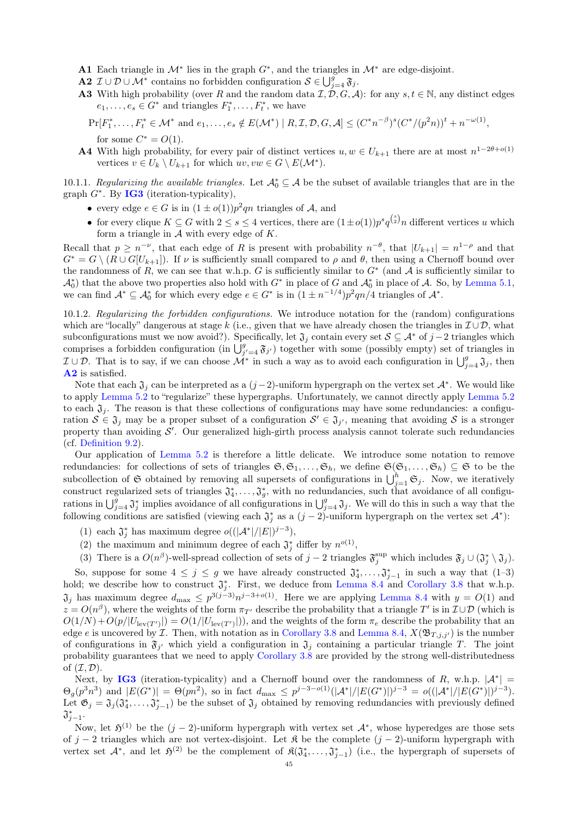- <span id="page-44-1"></span>A1 Each triangle in  $\mathcal{M}^*$  lies in the graph  $G^*$ , and the triangles in  $\mathcal{M}^*$  are edge-disjoint.
- <span id="page-44-0"></span>**A2**  $\mathcal{I} \cup \mathcal{D} \cup \mathcal{M}^*$  contains no forbidden configuration  $\mathcal{S} \in \bigcup_{j=4}^g \mathfrak{F}_j$ .
- <span id="page-44-2"></span>**A3** With high probability (over R and the random data  $\mathcal{I}, \mathcal{D}, G, \mathcal{A}$ ): for any  $s, t \in \mathbb{N}$ , any distinct edges  $e_1, \ldots, e_s \in G^*$  and triangles  $F_1^*, \ldots, F_t^*$ , we have

 $\Pr[F_1^*, \ldots, F_t^* \in M^* \text{ and } e_1, \ldots, e_s \notin E(M^*) \mid R, \mathcal{I}, \mathcal{D}, G, \mathcal{A}] \leq (C^* n^{-\beta})^s (C^*/(p^2 n))^t + n^{-\omega(1)},$ for some  $C^* = O(1)$ .

<span id="page-44-3"></span>**A4** With high probability, for every pair of distinct vertices  $u, w \in U_{k+1}$  there are at most  $n^{1-2\theta+o(1)}$ vertices  $v \in U_k \setminus U_{k+1}$  for which  $uv, vw \in G \setminus E(\mathcal{M}^*)$ .

10.1.1. Regularizing the available triangles. Let  $\mathcal{A}_0^* \subseteq \mathcal{A}$  be the subset of available triangles that are in the graph  $G^*$ . By **[IG3](#page-42-5)** (iteration-typicality),

- every edge  $e \in G$  is in  $(1 \pm o(1))p^2qn$  triangles of A, and
- for every clique  $K \subseteq G$  with  $2 \leq s \leq 4$  vertices, there are  $(1 \pm o(1))p^s q^{{s \choose 2}} n$  different vertices u which form a triangle in  $A$  with every edge of  $K$ .

Recall that  $p \geq n^{-\nu}$ , that each edge of R is present with probability  $n^{-\theta}$ , that  $|U_{k+1}| = n^{1-\rho}$  and that  $G^* = G \setminus (R \cup G[U_{k+1}])$ . If  $\nu$  is sufficiently small compared to  $\rho$  and  $\theta$ , then using a Chernoff bound over the randomness of R, we can see that w.h.p. G is sufficiently similar to  $G^*$  (and A is sufficiently similar to  $\mathcal{A}_0^*$  that the above two properties also hold with  $G^*$  in place of G and  $\mathcal{A}_0^*$  in place of A. So, by [Lemma 5.1,](#page-14-1)  $\mathcal{A}_0$  is the above two properties also note with G in place of G and  $\mathcal{A}_0$  in place of  $\mathcal{A}$ . So, we can find  $\mathcal{A}^* \subseteq \mathcal{A}_0^*$  for which every edge  $e \in G^*$  is in  $(1 \pm n^{-1/4})p^2qn/4$  triangles of  $\mathcal{A}^*$ 

10.1.2. Regularizing the forbidden configurations. We introduce notation for the (random) configurations which are "locally" dangerous at stage k (i.e., given that we have already chosen the triangles in  $\mathcal{I} \cup \mathcal{D}$ , what subconfigurations must we now avoid?). Specifically, let  $\mathfrak{J}_i$  contain every set  $\mathcal{S} \subseteq \mathcal{A}^*$  of  $j-2$  triangles which comprises a forbidden configuration (in  $\bigcup_{j'=4}^g \mathfrak{F}_{j'}$ ) together with some (possibly empty) set of triangles in  $\mathcal{I} \cup \mathcal{D}$ . That is to say, if we can choose  $\mathcal{M}^*$  in such a way as to avoid each configuration in  $\bigcup_{j=4}^g \mathfrak{J}_j$ , then [A2](#page-44-0) is satisfied.

Note that each  $\mathfrak{J}_j$  can be interpreted as a  $(j-2)$ -uniform hypergraph on the vertex set  $\mathcal{A}^*$ . We would like to apply [Lemma 5.2](#page-15-0) to "regularize" these hypergraphs. Unfortunately, we cannot directly apply [Lemma 5.2](#page-15-0) to each  $\mathfrak{J}_j$ . The reason is that these collections of configurations may have some redundancies: a configuration  $S \in \mathfrak{J}_j$  may be a proper subset of a configuration  $S' \in \mathfrak{J}_{j'}$ , meaning that avoiding S is a stronger property than avoiding  $\mathcal{S}'$ . Our generalized high-girth process analysis cannot tolerate such redundancies (cf. [Definition 9.2\)](#page-31-2).

Our application of [Lemma 5.2](#page-15-0) is therefore a little delicate. We introduce some notation to remove redundancies: for collections of sets of triangles  $\mathfrak{S}, \mathfrak{S}_1, \ldots, \mathfrak{S}_h$ , we define  $\mathfrak{S}(\mathfrak{S}_1, \ldots, \mathfrak{S}_h) \subseteq \mathfrak{S}$  to be the subcollection of G obtained by removing all supersets of configurations in  $\bigcup_{j=1}^h \mathfrak{S}_j$ . Now, we iteratively construct regularized sets of triangles  $\mathfrak{J}_4^*, \ldots, \mathfrak{J}_g^*$ , with no redundancies, such that avoidance of all configurations in  $\bigcup_{j=4}^g \mathfrak{J}_j^*$  implies avoidance of all configurations in  $\bigcup_{j=4}^g \mathfrak{J}_j$ . We will do this in such a way that the following conditions are satisfied (viewing each  $\mathfrak{J}_j^*$  as a  $(j-2)$ -uniform hypergraph on the vertex set  $\mathcal{A}^*$ ):

- (1) each  $\mathfrak{J}_j^*$  has maximum degree  $o((|\mathcal{A}^*|/|E|)^{j-3}),$
- (2) the maximum and minimum degree of each  $\mathfrak{J}_j^*$  differ by  $n^{o(1)}$ ,
- (3) There is a  $O(n^{\beta})$ -well-spread collection of sets of  $j-2$  triangles  $\mathfrak{F}_j^{\text{sup}}$  which includes  $\mathfrak{F}_j \cup (\mathfrak{J}_j^* \setminus \mathfrak{J}_j)$ .

So, suppose for some  $4 \leq j \leq g$  we have already constructed  $\mathfrak{J}_{4}^*, \ldots, \mathfrak{J}_{j-1}^*$  in such a way that  $(1-3)$ hold; we describe how to construct  $\mathfrak{J}_j^*$ . First, we deduce from [Lemma 8.4](#page-26-1) and [Corollary 3.8](#page-11-5) that w.h.p.  $\mathfrak{J}_j$  has maximum degree  $d_{\text{max}} \leq p^{3(j-3)}n^{j-3+o(1)}$ . Here we are applying [Lemma 8.4](#page-26-1) with  $y = O(1)$  and  $z = O(n^{\beta})$ , where the weights of the form  $\pi_{T'}$  describe the probability that a triangle T' is in  $\mathcal{I} \cup \mathcal{D}$  (which is  $O(1/N)+O(p/|U_{\text{lev}(T')}|) = O(1/|U_{\text{lev}(T')}|)$ , and the weights of the form  $\pi_e$  describe the probability that an edge e is uncovered by  $\mathcal I$ . Then, with notation as in [Corollary 3.8](#page-11-5) and [Lemma 8.4,](#page-26-1)  $X(\mathfrak{B}_{T,j,j'})$  is the number of configurations in  $\mathfrak{F}_{j'}$  which yield a configuration in  $\mathfrak{J}_j$  containing a particular triangle T. The joint probability guarantees that we need to apply [Corollary 3.8](#page-11-5) are provided by the strong well-distributedness of  $(\mathcal{I}, \mathcal{D})$ .

Next, by [IG3](#page-42-5) (iteration-typicality) and a Chernoff bound over the randomness of R, w.h.p.  $|\mathcal{A}^*|$  =  $\Theta_g(p^3n^3)$  and  $|E(G^*)| = \Theta(pn^2)$ , so in fact  $d_{\max} \leq p^{j-3-o(1)}(|A^*|/|E(G^*)|)^{j-3} = o((|A^*|/|E(G^*)|)^{j-3})$ . Let  $\mathfrak{G}_j = \mathfrak{J}_j(\mathfrak{J}_4^*, \ldots, \mathfrak{J}_{j-1}^*)$  be the subset of  $\mathfrak{J}_j$  obtained by removing redundancies with previously defined  $\mathfrak{J}^*_{j-1}.$ 

Now, let  $\mathfrak{H}^{(1)}$  be the  $(j-2)$ -uniform hypergraph with vertex set  $\mathcal{A}^*$ , whose hyperedges are those sets of j – 2 triangles which are not vertex-disjoint. Let R be the complete  $(j-2)$ -uniform hypergraph with vertex set  $\mathcal{A}^*$ , and let  $\mathfrak{H}^{(2)}$  be the complement of  $\mathfrak{K}(\mathfrak{J}_4^*, \ldots, \mathfrak{J}_{j-1}^*)$  (i.e., the hypergraph of supersets of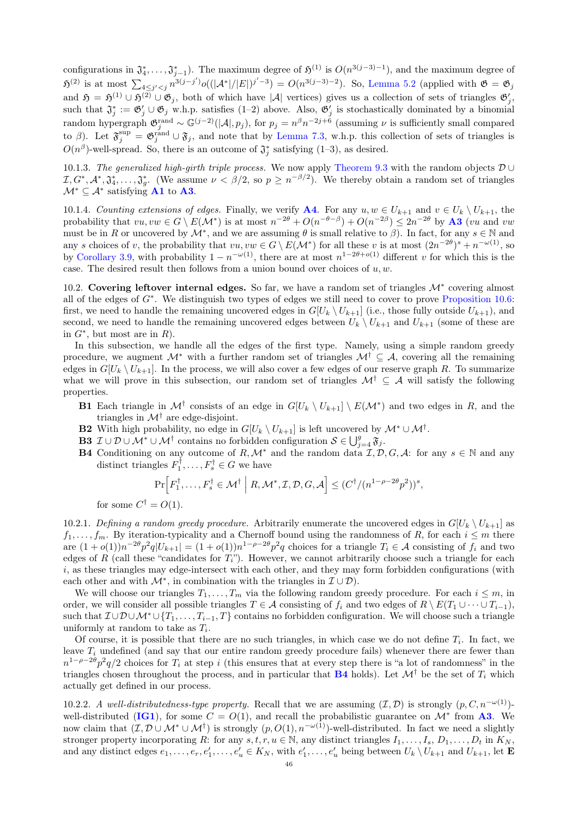configurations in  $\mathfrak{J}_4^*, \ldots, \mathfrak{J}_{j-1}^*$ ). The maximum degree of  $\mathfrak{H}^{(1)}$  is  $O(n^{3(j-3)-1})$ , and the maximum degree of  $\mathfrak{H}^{(2)}$  is at most  $\sum_{4 \leq j' < j} n^{3(j-j')} o((|\mathcal{A}^*|/|E|)^{j'-3}) = O(n^{3(j-3)-2})$ . So, [Lemma 5.2](#page-15-0) (applied with  $\mathfrak{G} = \mathfrak{G}_j$ and  $\mathfrak{H} = \mathfrak{H}^{(1)} \cup \mathfrak{H}^{(2)} \cup \mathfrak{G}_j$ , both of which have |A| vertices) gives us a collection of sets of triangles  $\mathfrak{G}'_j$ , such that  $\mathfrak{J}_j^* := \mathfrak{G}_j' \cup \mathfrak{G}_j$  w.h.p. satisfies (1–2) above. Also,  $\mathfrak{G}_j'$  is stochastically dominated by a binomial random hypergraph  $\mathfrak{G}^{\text{rand}}_j \sim \mathbb{G}^{(j-2)}(|A|, p_j)$ , for  $p_j = n^{\beta} n^{-2j+\delta}$  (assuming  $\nu$  is sufficiently small compared to  $\beta$ ). Let  $\mathfrak{F}^{\text{sup}}_j = \mathfrak{G}^{\text{rand}}_j \cup \mathfrak{F}_j$ , and note that by [Lemma 7.3,](#page-20-1) w.h.p. this collection of sets of triangles is  $O(n^{\beta})$ -well-spread. So, there is an outcome of  $\mathfrak{J}^*_j$  satisfying (1–3), as desired.

10.1.3. The generalized high-girth triple process. We now apply [Theorem 9.3](#page-32-0) with the random objects D ∪  $I, G^*, \mathcal{A}^*, \mathfrak{J}_4^*, \ldots, \mathfrak{J}_g^*$ . (We assume  $\nu < \beta/2$ , so  $p \geq n^{-\beta/2}$ ). We thereby obtain a random set of triangles  $\mathcal{M}^* \subseteq \mathcal{A}^*$  satisfying **[A1](#page-44-1)** to **[A3](#page-44-2)**.

10.1.4. Counting extensions of edges. Finally, we verify **[A4](#page-44-3)**. For any  $u, w \in U_{k+1}$  and  $v \in U_k \setminus U_{k+1}$ , the probability that  $vu, vw \in G \setminus E(\mathcal{M}^*)$  is at most  $n^{-2\theta} + O(n^{-\theta-\beta}) + O(n^{-2\beta}) \leq 2n^{-2\theta}$  by **[A3](#page-44-2)** (vu and vw must be in R or uncovered by  $\mathcal{M}^*$ , and we are assuming  $\theta$  is small relative to  $\beta$ ). In fact, for any  $s \in \mathbb{N}$  and any s choices of v, the probability that  $vu, vw \in G \setminus E(\mathcal{M}^*)$  for all these v is at most  $(2n^{-2\theta})^s + n^{-\omega(1)}$ , so by [Corollary 3.9,](#page-11-6) with probability  $1 - n^{-\omega(1)}$ , there are at most  $n^{1-2\theta + o(1)}$  different v for which this is the case. The desired result then follows from a union bound over choices of  $u, w$ .

<span id="page-45-0"></span>10.2. Covering leftover internal edges. So far, we have a random set of triangles  $\mathcal{M}^*$  covering almost all of the edges of  $G^*$ . We distinguish two types of edges we still need to cover to prove [Proposition 10.6:](#page-43-1) first, we need to handle the remaining uncovered edges in  $G[U_k \setminus U_{k+1}]$  (i.e., those fully outside  $U_{k+1}$ ), and second, we need to handle the remaining uncovered edges between  $U_k \setminus U_{k+1}$  and  $U_{k+1}$  (some of these are in  $G^*$ , but most are in  $R$ ).

In this subsection, we handle all the edges of the first type. Namely, using a simple random greedy procedure, we augment  $\mathcal{M}^*$  with a further random set of triangles  $\mathcal{M}^{\dagger} \subseteq \mathcal{A}$ , covering all the remaining edges in  $G[U_k \setminus U_{k+1}]$ . In the process, we will also cover a few edges of our reserve graph R. To summarize what we will prove in this subsection, our random set of triangles  $\mathcal{M}^{\dagger} \subseteq \mathcal{A}$  will satisfy the following properties.

- **B1** Each triangle in  $\mathcal{M}^{\dagger}$  consists of an edge in  $G[U_k \setminus U_{k+1}] \setminus E(\mathcal{M}^*)$  and two edges in R, and the triangles in  $\mathcal{M}^{\dagger}$  are edge-disjoint.
- **B2** With high probability, no edge in  $G[U_k \setminus U_{k+1}]$  is left uncovered by  $\mathcal{M}^* \cup \mathcal{M}^{\dagger}$ .
- **B3**  $\mathcal{I} \cup \mathcal{D} \cup \mathcal{M}^* \cup \mathcal{M}^{\dagger}$  contains no forbidden configuration  $\mathcal{S} \in \bigcup_{j=4}^g \mathfrak{F}_j$ .
- <span id="page-45-1"></span>**B4** Conditioning on any outcome of R,  $\mathcal{M}^*$  and the random data  $\mathcal{I}, \mathcal{D}, G, \mathcal{A}$ : for any  $s \in \mathbb{N}$  and any distinct triangles  $F_1^{\dagger}, \ldots, F_s^{\dagger} \in G$  we have

$$
\Pr\Big[F_1^{\dagger},\ldots,F_s^{\dagger} \in \mathcal{M}^{\dagger} \Big| R,\mathcal{M}^*,\mathcal{I},\mathcal{D},G,\mathcal{A}\Big] \leq (C^{\dagger}/(n^{1-\rho-2\theta}p^2))^s,
$$

for some  $C^{\dagger} = O(1)$ .

10.2.1. Defining a random greedy procedure. Arbitrarily enumerate the uncovered edges in  $G[U_k \setminus U_{k+1}]$  as  $f_1, \ldots, f_m$ . By iteration-typicality and a Chernoff bound using the randomness of R, for each  $i \leq m$  there are  $(1+o(1))n^{-2\theta}p^2q|U_{k+1}| = (1+o(1))n^{1-\rho-2\theta}p^2q$  choices for a triangle  $T_i \in \mathcal{A}$  consisting of  $f_i$  and two edges of R (call these "candidates for  $T_i$ "). However, we cannot arbitrarily choose such a triangle for each  $i$ , as these triangles may edge-intersect with each other, and they may form forbidden configurations (with each other and with  $\mathcal{M}^*$ , in combination with the triangles in  $\mathcal{I} \cup \mathcal{D}$ ).

We will choose our triangles  $T_1, \ldots, T_m$  via the following random greedy procedure. For each  $i \leq m$ , in order, we will consider all possible triangles  $T \in \mathcal{A}$  consisting of  $f_i$  and two edges of  $R \setminus E(T_1 \cup \cdots \cup T_{i-1}),$ such that  $\mathcal{I} \cup \mathcal{D} \cup \mathcal{M}^* \cup \{T_1, \ldots, T_{i-1}, T\}$  contains no forbidden configuration. We will choose such a triangle uniformly at random to take as  $T_i$ .

Of course, it is possible that there are no such triangles, in which case we do not define  $T_i$ . In fact, we leave  $T_i$  undefined (and say that our entire random greedy procedure fails) whenever there are fewer than  $n^{1-\rho-2\theta}p^2q/2$  choices for  $T_i$  at step i (this ensures that at every step there is "a lot of randomness" in the triangles chosen throughout the process, and in particular that **[B4](#page-45-1)** holds). Let  $\mathcal{M}^{\dagger}$  be the set of  $T_i$  which actually get defined in our process.

<span id="page-45-2"></span>10.2.2. A well-distributedness-type property. Recall that we are assuming  $(\mathcal{I}, \mathcal{D})$  is strongly  $(p, C, n^{-\omega(1)})$ -well-distributed ([IG1](#page-42-4)), for some  $C = O(1)$ , and recall the probabilistic guarantee on  $\mathcal{M}^*$  from [A3](#page-44-2). We now claim that  $(\mathcal{I}, \mathcal{D} \cup \mathcal{M}^* \cup \mathcal{M}^*)$  is strongly  $(p, O(1), n^{-\omega(1)})$ -well-distributed. In fact we need a slightly stronger property incorporating R: for any  $s, t, r, u \in \mathbb{N}$ , any distinct triangles  $I_1, \ldots, I_s, D_1, \ldots, D_t$  in  $K_N$ , and any distinct edges  $e_1, \ldots, e_r, e'_1, \ldots, e'_u \in K_N$ , with  $e'_1, \ldots, e'_u$  being between  $U_k \setminus U_{k+1}$  and  $U_{k+1}$ , let **E**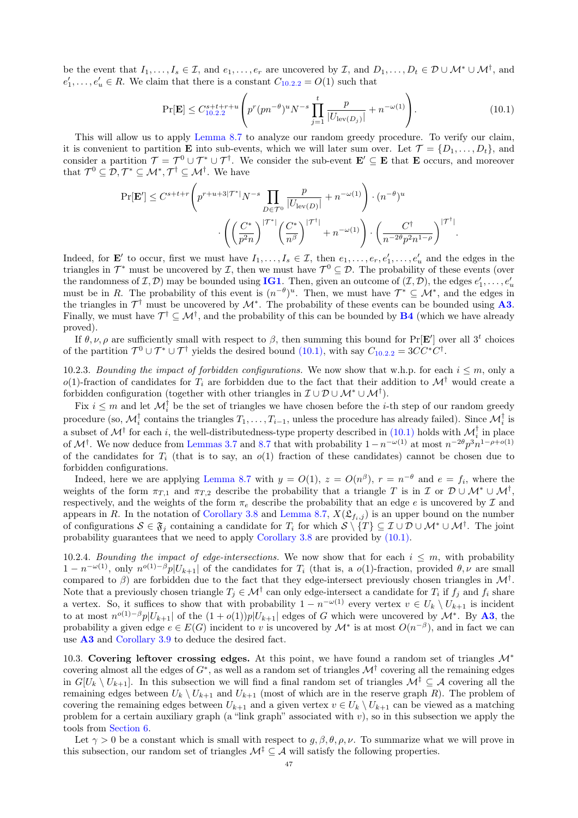be the event that  $I_1, \ldots, I_s \in \mathcal{I}$ , and  $e_1, \ldots, e_r$  are uncovered by  $\mathcal{I}$ , and  $D_1, \ldots, D_t \in \mathcal{D} \cup \mathcal{M}^* \cup \mathcal{M}^{\dagger}$ , and  $e'_1, \ldots, e'_u \in R$ . We claim that there is a constant  $C_{10,2,2} = O(1)$  $C_{10,2,2} = O(1)$  $C_{10,2,2} = O(1)$  such that

<span id="page-46-1"></span>
$$
\Pr[\mathbf{E}] \le C_{10.2.2}^{s+t+r+u} \left( p^r (pn^{-\theta})^u N^{-s} \prod_{j=1}^t \frac{p}{|U_{\text{lev}(D_j)}|} + n^{-\omega(1)} \right). \tag{10.1}
$$

This will allow us to apply [Lemma 8.7](#page-28-0) to analyze our random greedy procedure. To verify our claim, it is convenient to partition **E** into sub-events, which we will later sum over. Let  $\mathcal{T} = \{D_1, \ldots, D_t\}$ , and consider a partition  $\mathcal{T} = \mathcal{T}^0 \cup \mathcal{T}^* \cup \mathcal{T}^{\dagger}$ . We consider the sub-event  $\mathbf{E}' \subseteq \mathbf{E}$  that  $\mathbf{E}$  occurs, and moreover that  $\mathcal{T}^0 \subseteq \mathcal{D}, \mathcal{T}^* \subseteq \mathcal{M}^*, \mathcal{T}^{\dagger} \subseteq \mathcal{M}^{\dagger}$ . We have

$$
\Pr[\mathbf{E}'] \leq C^{s+t+r} \left( p^{r+u+3|\mathcal{T}^*|} N^{-s} \prod_{D \in \mathcal{T}^0} \frac{p}{|U_{\text{lev}(D)}|} + n^{-\omega(1)} \right) \cdot (n^{-\theta})^u
$$

$$
\cdot \left( \left( \frac{C^*}{p^2 n} \right)^{|\mathcal{T}^*|} \left( \frac{C^*}{n^{\beta}} \right)^{|\mathcal{T}^{\dagger}|} + n^{-\omega(1)} \right) \cdot \left( \frac{C^{\dagger}}{n^{-2\theta} p^2 n^{1-\rho}} \right)^{|\mathcal{T}^{\dagger}|}.
$$

Indeed, for **E'** to occur, first we must have  $I_1, \ldots, I_s \in \mathcal{I}$ , then  $e_1, \ldots, e_r, e'_1, \ldots, e'_u$  and the edges in the triangles in  $\mathcal{T}^*$  must be uncovered by  $\mathcal{I}$ , then we must have  $\mathcal{T}^0 \subseteq \mathcal{D}$ . The probability of these events (over the randomness of  $(\mathcal{I}, \mathcal{D})$  may be bounded using **[IG1](#page-42-4)**. Then, given an outcome of  $(\mathcal{I}, \mathcal{D})$ , the edges  $e'_1, \ldots, e'_u$ must be in R. The probability of this event is  $(n^{-\theta})^u$ . Then, we must have  $\mathcal{T}^* \subseteq \mathcal{M}^*$ , and the edges in the triangles in  $\mathcal{T}^{\dagger}$  must be uncovered by  $\mathcal{M}^*$ . The probability of these events can be bounded using [A3](#page-44-2). Finally, we must have  $\mathcal{T}^{\dagger} \subseteq \mathcal{M}^{\dagger}$ , and the probability of this can be bounded by **[B4](#page-45-1)** (which we have already proved).

If  $\theta, \nu, \rho$  are sufficiently small with respect to  $\beta$ , then summing this bound for Pr[E<sup>'</sup>] over all 3<sup>t</sup> choices of the partition  $\mathcal{T}^0 \cup \mathcal{T}^* \cup \mathcal{T}^{\dagger}$  yields the desired bound [\(10.1\),](#page-46-1) with say  $C_{10.2.2} = 3CC^*C^{\dagger}$  $C_{10.2.2} = 3CC^*C^{\dagger}$  $C_{10.2.2} = 3CC^*C^{\dagger}$ .

10.2.3. Bounding the impact of forbidden configurations. We now show that w.h.p. for each  $i \leq m$ , only a  $o(1)$ -fraction of candidates for  $T_i$  are forbidden due to the fact that their addition to  $\mathcal{M}^{\dagger}$  would create a forbidden configuration (together with other triangles in  $\mathcal{I} \cup \mathcal{D} \cup \mathcal{M}^* \cup \mathcal{M}^{\dagger}$ ).

Fix  $i \leq m$  and let  $\mathcal{M}_i^{\dagger}$  be the set of triangles we have chosen before the *i*-th step of our random greedy procedure (so,  $\mathcal{M}_i^{\dagger}$  contains the triangles  $T_1,\ldots,T_{i-1}$ , unless the procedure has already failed). Since  $\mathcal{M}_i^{\dagger}$  is a subset of  $\mathcal{M}^{\dagger}$  for each *i*, the well-distributedness-type property described in [\(10.1\)](#page-46-1) holds with  $\mathcal{M}_i^{\dagger}$  in place of  $\mathcal{M}^{\dagger}$ . We now deduce from [Lemmas 3.7](#page-10-2) and [8.7](#page-28-0) that with probability  $1-n^{-\omega(1)}$  at most  $n^{-2\theta}p^3n^{1-\rho+o(1)}$ of the candidates for  $T_i$  (that is to say, an  $o(1)$  fraction of these candidates) cannot be chosen due to forbidden configurations.

Indeed, here we are applying [Lemma 8.7](#page-28-0) with  $y = O(1)$ ,  $z = O(n^{\beta})$ ,  $r = n^{-\theta}$  and  $e = f_i$ , where the weights of the form  $\pi_{T,1}$  and  $\pi_{T,2}$  describe the probability that a triangle T is in I or  $\mathcal{D} \cup \mathcal{M}^* \cup \mathcal{M}^{\dagger}$ , respectively, and the weights of the form  $\pi_e$  describe the probability that an edge e is uncovered by  $\mathcal I$  and appears in R. In the notation of [Corollary 3.8](#page-11-5) and [Lemma 8.7,](#page-28-0)  $X(\mathfrak{L}_{f_i,j})$  is an upper bound on the number of configurations  $S \in \mathfrak{F}_j$  containing a candidate for  $T_i$  for which  $S \setminus \{T\} \subseteq \mathcal{I} \cup \mathcal{D} \cup \mathcal{M}^* \cup \mathcal{M}^{\dagger}$ . The joint probability guarantees that we need to apply [Corollary 3.8](#page-11-5) are provided by [\(10.1\).](#page-46-1)

<span id="page-46-2"></span>10.2.4. Bounding the impact of edge-intersections. We now show that for each  $i \leq m$ , with probability  $1-n^{-\omega(1)}$ , only  $n^{o(1)-\beta}p|U_{k+1}|$  of the candidates for  $T_i$  (that is, a  $o(1)$ -fraction, provided  $\theta,\nu$  are small compared to  $\beta$ ) are forbidden due to the fact that they edge-intersect previously chosen triangles in  $\mathcal{M}^{\dagger}$ . Note that a previously chosen triangle  $T_j \in \mathcal{M}^\dagger$  can only edge-intersect a candidate for  $T_i$  if  $f_j$  and  $f_i$  share a vertex. So, it suffices to show that with probability  $1 - n^{-\omega(1)}$  every vertex  $v \in U_k \setminus U_{k+1}$  is incident to at most  $n^{o(1)-\beta}p|U_{k+1}|$  of the  $(1+o(1))p|U_{k+1}|$  edges of G which were uncovered by  $\mathcal{M}^*$ . By [A3](#page-44-2), the probability a given edge  $e \in E(G)$  incident to v is uncovered by  $\mathcal{M}^*$  is at most  $O(n^{-\beta})$ , and in fact we can use [A3](#page-44-2) and [Corollary 3.9](#page-11-6) to deduce the desired fact.

<span id="page-46-0"></span>10.3. Covering leftover crossing edges. At this point, we have found a random set of triangles  $\mathcal{M}^*$ covering almost all the edges of  $G^*$ , as well as a random set of triangles  $\mathcal{M}^{\dagger}$  covering all the remaining edges in  $G[U_k \setminus U_{k+1}]$ . In this subsection we will find a final random set of triangles  $\mathcal{M}^{\ddagger} \subseteq \mathcal{A}$  covering all the remaining edges between  $U_k \setminus U_{k+1}$  and  $U_{k+1}$  (most of which are in the reserve graph R). The problem of covering the remaining edges between  $U_{k+1}$  and a given vertex  $v \in U_k \setminus U_{k+1}$  can be viewed as a matching problem for a certain auxiliary graph (a "link graph" associated with  $v$ ), so in this subsection we apply the tools from [Section 6.](#page-16-1)

Let  $\gamma > 0$  be a constant which is small with respect to  $g, \beta, \theta, \rho, \nu$ . To summarize what we will prove in this subsection, our random set of triangles  $\mathcal{M}^{\ddagger} \subseteq \mathcal{A}$  will satisfy the following properties.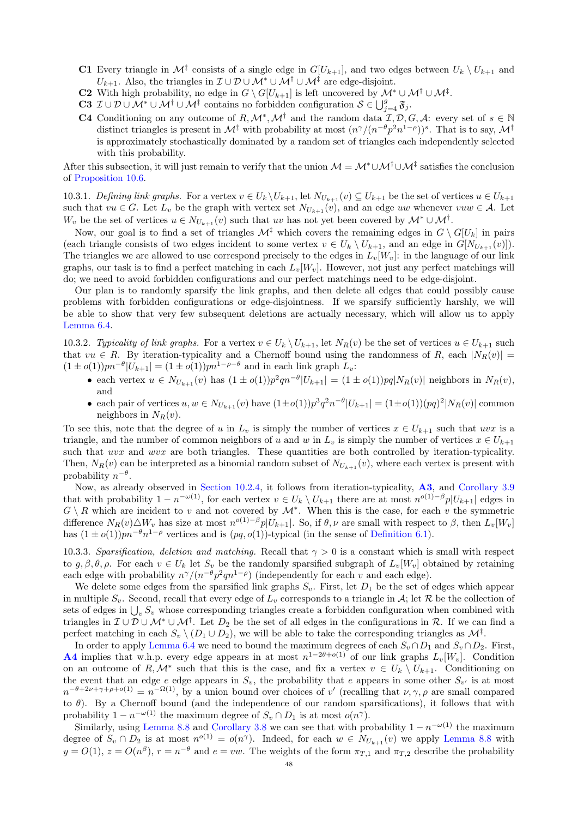- **C1** Every triangle in  $\mathcal{M}^{\ddagger}$  consists of a single edge in  $G[U_{k+1}]$ , and two edges between  $U_k \setminus U_{k+1}$  and  $U_{k+1}$ . Also, the triangles in  $\mathcal{I} \cup \mathcal{D} \cup \mathcal{M}^* \cup \mathcal{M}^{\dagger} \cup \mathcal{M}^{\dagger}$  are edge-disjoint.
- **C2** With high probability, no edge in  $G \setminus G[U_{k+1}]$  is left uncovered by  $\mathcal{M}^* \cup \mathcal{M}^{\dagger} \cup \mathcal{M}^{\dagger}$ .
- C3  $\mathcal{I} \cup \mathcal{D} \cup \mathcal{M}^* \cup \mathcal{M}^{\dagger} \cup \mathcal{M}^{\ddagger}$  contains no forbidden configuration  $\mathcal{S} \in \bigcup_{j=4}^g \mathfrak{F}_j$ .
- <span id="page-47-0"></span>**C4** Conditioning on any outcome of  $R, \mathcal{M}^*, \mathcal{M}^{\dagger}$  and the random data  $\mathcal{I}, \mathcal{D}, G, \mathcal{A}$ : every set of  $s \in \mathbb{N}$ distinct triangles is present in  $\mathcal{M}^{\ddagger}$  with probability at most  $(n^{\gamma}/(n^{-\theta}p^2n^{1-\rho}))^s$ . That is to say,  $\mathcal{M}^{\ddagger}$ is approximately stochastically dominated by a random set of triangles each independently selected with this probability.

After this subsection, it will just remain to verify that the union  $M = M^* \cup M^{\dagger} \cup M^{\dagger}$  satisfies the conclusion of [Proposition 10.6.](#page-43-1)

10.3.1. Defining link graphs. For a vertex  $v \in U_k \setminus U_{k+1}$ , let  $N_{U_{k+1}}(v) \subseteq U_{k+1}$  be the set of vertices  $u \in U_{k+1}$ such that  $vu \in G$ . Let  $L_v$  be the graph with vertex set  $N_{U_{k+1}}(v)$ , and an edge uw whenever  $vuw \in A$ . Let W<sub>v</sub> be the set of vertices  $u \in N_{U_{k+1}}(v)$  such that uv has not yet been covered by  $\mathcal{M}^* \cup \mathcal{M}^{\dagger}$ .

Now, our goal is to find a set of triangles  $\mathcal{M}^{\ddagger}$  which covers the remaining edges in  $G \setminus G[U_k]$  in pairs (each triangle consists of two edges incident to some vertex  $v \in U_k \setminus U_{k+1}$ , and an edge in  $G[N_{U_{k+1}}(v)]$ ). The triangles we are allowed to use correspond precisely to the edges in  $L_v[W_v]$ : in the language of our link graphs, our task is to find a perfect matching in each  $L_v[W_v]$ . However, not just any perfect matchings will do; we need to avoid forbidden configurations and our perfect matchings need to be edge-disjoint.

Our plan is to randomly sparsify the link graphs, and then delete all edges that could possibly cause problems with forbidden configurations or edge-disjointness. If we sparsify sufficiently harshly, we will be able to show that very few subsequent deletions are actually necessary, which will allow us to apply [Lemma 6.4.](#page-17-2)

10.3.2. Typicality of link graphs. For a vertex  $v \in U_k \setminus U_{k+1}$ , let  $N_R(v)$  be the set of vertices  $u \in U_{k+1}$  such that  $vu \in R$ . By iteration-typicality and a Chernoff bound using the randomness of R, each  $|N_R(v)| =$  $(1 \pm o(1))pn^{-\theta}|U_{k+1}| = (1 \pm o(1))pn^{1-\rho-\theta}$  and in each link graph  $L_v$ :

- each vertex  $u \in N_{U_{k+1}}(v)$  has  $(1 \pm o(1))p^2qn^{-\theta}|U_{k+1}| = (1 \pm o(1))pq|N_R(v)|$  neighbors in  $N_R(v)$ , and
- each pair of vertices  $u, w \in N_{U_{k+1}}(v)$  have  $(1 \pm o(1))p^3q^2n^{-\theta}|U_{k+1}| = (1 \pm o(1))(pq)^2|N_R(v)|$  common neighbors in  $N_R(v)$ .

To see this, note that the degree of u in  $L_v$  is simply the number of vertices  $x \in U_{k+1}$  such that uvx is a triangle, and the number of common neighbors of u and w in  $L_v$  is simply the number of vertices  $x \in U_{k+1}$ such that uvx and wvx are both triangles. These quantities are both controlled by iteration-typicality. Then,  $N_R(v)$  can be interpreted as a binomial random subset of  $N_{U_{k+1}}(v)$ , where each vertex is present with probability  $n^{-\theta}$ .

Now, as already observed in [Section 10.2.4,](#page-46-2) it follows from iteration-typicality, [A3](#page-44-2), and [Corollary 3.9](#page-11-6) that with probability  $1 - n^{-\omega(1)}$ , for each vertex  $v \in U_k \setminus U_{k+1}$  there are at most  $n^{o(1)-\beta}p|U_{k+1}|$  edges in  $G \setminus R$  which are incident to v and not covered by  $\mathcal{M}^*$ . When this is the case, for each v the symmetric difference  $N_R(v) \triangle W_v$  has size at most  $n^{o(1)-\beta}p|U_{k+1}|$ . So, if  $\theta, \nu$  are small with respect to  $\beta$ , then  $L_v[W_v]$ has  $(1 \pm o(1))pn^{-\theta}n^{1-\rho}$  vertices and is  $(pq, o(1))$ -typical (in the sense of [Definition 6.1\)](#page-16-2).

<span id="page-47-1"></span>10.3.3. Sparsification, deletion and matching. Recall that  $\gamma > 0$  is a constant which is small with respect to  $g, \beta, \theta, \rho$ . For each  $v \in U_k$  let  $S_v$  be the randomly sparsified subgraph of  $L_v[W_v]$  obtained by retaining each edge with probability  $n^{\gamma}/(n^{-\theta}p^2qn^{1-\rho})$  (independently for each v and each edge).

We delete some edges from the sparsified link graphs  $S_v$ . First, let  $D_1$  be the set of edges which appear in multiple  $S_v$ . Second, recall that every edge of  $L_v$  corresponds to a triangle in A; let R be the collection of sets of edges in  $\bigcup_{v} S_v$  whose corresponding triangles create a forbidden configuration when combined with triangles in  $\mathcal{I} \cup \mathcal{D} \cup \mathcal{M}^* \cup \mathcal{M}^{\dagger}$ . Let  $D_2$  be the set of all edges in the configurations in R. If we can find a perfect matching in each  $S_v \setminus (D_1 \cup D_2)$ , we will be able to take the corresponding triangles as  $\mathcal{M}^{\ddagger}$ .

In order to apply [Lemma 6.4](#page-17-2) we need to bound the maximum degrees of each  $S_v \cap D_1$  and  $S_v \cap D_2$ . First, **[A4](#page-44-3)** implies that w.h.p. every edge appears in at most  $n^{1-2\theta+o(1)}$  of our link graphs  $L_v[W_v]$ . Condition on an outcome of R, M<sup>\*</sup> such that this is the case, and fix a vertex  $v \in U_k \setminus U_{k+1}$ . Conditioning on the event that an edge e edge appears in  $S_v$ , the probability that e appears in some other  $S_{v'}$  is at most  $n^{-\theta+2\nu+\gamma+\rho+o(1)}=n^{-\Omega(1)}$ , by a union bound over choices of v' (recalling that  $\nu,\gamma,\rho$  are small compared to  $\theta$ ). By a Chernoff bound (and the independence of our random sparsifications), it follows that with probability  $1 - n^{-\omega(1)}$  the maximum degree of  $S_v \cap D_1$  is at most  $o(n^{\gamma})$ .

Similarly, using [Lemma 8.8](#page-29-0) and [Corollary 3.8](#page-11-5) we can see that with probability  $1 - n^{-\omega(1)}$  the maximum degree of  $S_v \cap D_2$  is at most  $n^{o(1)} = o(n^{\gamma})$ . Indeed, for each  $w \in N_{U_{k+1}}(v)$  we apply [Lemma 8.8](#page-29-0) with  $y = O(1)$ ,  $z = O(n^{\beta})$ ,  $r = n^{-\theta}$  and  $e = vw$ . The weights of the form  $\pi_{T,1}$  and  $\pi_{T,2}$  describe the probability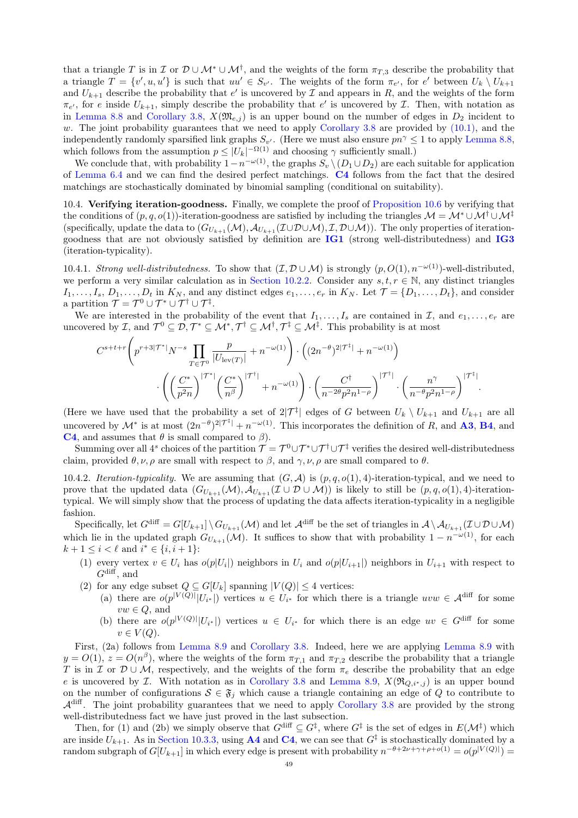that a triangle T is in I or  $\mathcal{D} \cup \mathcal{M}^* \cup \mathcal{M}^{\dagger}$ , and the weights of the form  $\pi_{T,3}$  describe the probability that a triangle  $T = \{v', u, u'\}$  is such that  $uu' \in S_{v'}$ . The weights of the form  $\pi_{e'}$ , for e' between  $U_k \setminus U_{k+1}$ and  $U_{k+1}$  describe the probability that e' is uncovered by  $\mathcal I$  and appears in R, and the weights of the form  $\pi_{e'}$ , for e inside  $U_{k+1}$ , simply describe the probability that e' is uncovered by  $\mathcal{I}$ . Then, with notation as in [Lemma 8.8](#page-29-0) and [Corollary 3.8,](#page-11-5)  $X(\mathfrak{M}_{e,i})$  is an upper bound on the number of edges in  $D_2$  incident to w. The joint probability guarantees that we need to apply [Corollary 3.8](#page-11-5) are provided by  $(10.1)$ , and the independently randomly sparsified link graphs  $S_{v'}$ . (Here we must also ensure  $pn^{\gamma} \leq 1$  to apply [Lemma 8.8,](#page-29-0) which follows from the assumption  $p \leq |U_k|^{-\Omega(1)}$  and choosing  $\gamma$  sufficiently small.)

We conclude that, with probability  $1-n^{-\omega(1)}$ , the graphs  $S_v \setminus (D_1 \cup D_2)$  are each suitable for application of [Lemma 6.4](#page-17-2) and we can find the desired perfect matchings. [C4](#page-47-0) follows from the fact that the desired matchings are stochastically dominated by binomial sampling (conditional on suitability).

<span id="page-48-0"></span>10.4. Verifying iteration-goodness. Finally, we complete the proof of [Proposition 10.6](#page-43-1) by verifying that the conditions of  $(p, q, o(1))$ -iteration-goodness are satisfied by including the triangles  $\mathcal{M} = \mathcal{M}^* \cup \mathcal{M}^{\dagger} \cup \mathcal{M}^{\dagger}$ (specifically, update the data to  $(G_{U_{k+1}}(\mathcal{M}), \mathcal{A}_{U_{k+1}}(\mathcal{I} \cup \mathcal{D} \cup \mathcal{M}), \mathcal{I}, \mathcal{D} \cup \mathcal{M})$ ). The only properties of iterationgoodness that are not obviously satisfied by definition are [IG1](#page-42-4) (strong well-distributedness) and [IG3](#page-42-5) (iteration-typicality).

10.4.1. Strong well-distributedness. To show that  $(\mathcal{I}, \mathcal{D} \cup \mathcal{M})$  is strongly  $(p, O(1), n^{-\omega(1)})$ -well-distributed, we perform a very similar calculation as in [Section 10.2.2.](#page-45-2) Consider any  $s, t, r \in \mathbb{N}$ , any distinct triangles  $I_1, \ldots, I_s, D_1, \ldots, D_t$  in  $K_N$ , and any distinct edges  $e_1, \ldots, e_r$  in  $K_N$ . Let  $\mathcal{T} = \{D_1, \ldots, D_t\}$ , and consider a partition  $\mathcal{T} = \mathcal{T}^0 \cup \mathcal{T}^* \cup \mathcal{T}^{\dagger} \cup \mathcal{T}^{\ddagger}.$ 

We are interested in the probability of the event that  $I_1, \ldots, I_s$  are contained in  $\mathcal{I}$ , and  $e_1, \ldots, e_r$  are uncovered by *I*, and  $\mathcal{T}^0 \subseteq \mathcal{D}, \mathcal{T}^* \subseteq \mathcal{M}^*, \mathcal{T}^{\dagger} \subseteq \mathcal{M}^{\dagger}, \mathcal{T}^{\ddagger} \subseteq \mathcal{M}^{\ddagger}$ . This probability is at most

$$
C^{s+t+r}\left(p^{r+3|\mathcal{T}^*|}N^{-s}\prod_{T\in\mathcal{T}^0}\frac{p}{|U_{\text{lev}(T)}|}+n^{-\omega(1)}\right)\cdot\left((2n^{-\theta})^{2|\mathcal{T}^*|}+n^{-\omega(1)}\right)\cdot\left(\left(2n^{-\theta}\right)^{2|\mathcal{T}^*|}+n^{-\omega(1)}\right)\cdot\left(\frac{C^*}{n^{-2\theta}p^2n^{1-\rho}}\right)^{|\mathcal{T}^*|}\cdot\left(\frac{n^{\gamma}}{n^{-\theta}p^2n^{1-\rho}}\right)^{|\mathcal{T}^*|}.
$$

(Here we have used that the probability a set of  $2|\mathcal{T}^{\ddagger}|$  edges of G between  $U_k \setminus U_{k+1}$  and  $U_{k+1}$  are all uncovered by  $\mathcal{M}^*$  is at most  $(2n^{-\theta})^{2|\mathcal{T}^{\ddagger}|}+n^{-\omega(1)}$ . This incorporates the definition of R, and **[A3](#page-44-2)**, **[B4](#page-45-1)**, and **[C4](#page-47-0)**, and assumes that  $\theta$  is small compared to  $\beta$ ).

Summing over all 4<sup>s</sup> choices of the partition  $\mathcal{T} = \mathcal{T}^0 \cup \mathcal{T}^* \cup \mathcal{T}^{\ddagger} \cup \mathcal{T}^{\ddagger}$  verifies the desired well-distributedness claim, provided  $\theta$ ,  $\nu$ ,  $\rho$  are small with respect to  $\beta$ , and  $\gamma$ ,  $\nu$ ,  $\rho$  are small compared to  $\theta$ .

10.4.2. Iteration-typicality. We are assuming that  $(G, \mathcal{A})$  is  $(p, q, o(1), 4)$ -iteration-typical, and we need to prove that the updated data  $(G_{U_{k+1}}(\mathcal{M}), \mathcal{A}_{U_{k+1}}(\mathcal{I} \cup \mathcal{D} \cup \mathcal{M}))$  is likely to still be  $(p, q, o(1), 4)$ -iterationtypical. We will simply show that the process of updating the data affects iteration-typicality in a negligible fashion.

Specifically, let  $G^{\text{diff}} = G[U_{k+1}] \setminus G_{U_{k+1}}(\mathcal{M})$  and let  $\mathcal{A}^{\text{diff}}$  be the set of triangles in  $\mathcal{A} \setminus \mathcal{A}_{U_{k+1}}(\mathcal{I} \cup \mathcal{D} \cup \mathcal{M})$ which lie in the updated graph  $G_{U_{k+1}}(\mathcal{M})$ . It suffices to show that with probability  $1 - n^{-\omega(1)}$ , for each  $k + 1 \leq i < \ell$  and  $i^* \in \{i, i + 1\}$ :

- (1) every vertex  $v \in U_i$  has  $o(p|U_i|)$  neighbors in  $U_i$  and  $o(p|U_{i+1}|)$  neighbors in  $U_{i+1}$  with respect to  $G^{\text{diff}}$ , and
- (2) for any edge subset  $Q \subseteq G[U_k]$  spanning  $|V(Q)| \leq 4$  vertices:
	- (a) there are  $o(p^{|V(Q)|} |U_{i^*}|)$  vertices  $u \in U_{i^*}$  for which there is a triangle  $uvw \in \mathcal{A}^{\text{diff}}$  for some  $vw \in Q$ , and
	- (b) there are  $o(p^{|V(Q)|} |U_{i^*}|)$  vertices  $u \in U_{i^*}$  for which there is an edge  $uv \in G^{\text{diff}}$  for some  $v \in V(Q)$ .

First, (2a) follows from [Lemma 8.9](#page-30-1) and [Corollary 3.8.](#page-11-5) Indeed, here we are applying [Lemma 8.9](#page-30-1) with  $y = O(1)$ ,  $z = O(n^{\beta})$ , where the weights of the form  $\pi_{T,1}$  and  $\pi_{T,2}$  describe the probability that a triangle T is in I or  $\mathcal{D} \cup \mathcal{M}$ , respectively, and the weights of the form  $\pi_e$  describe the probability that an edge e is uncovered by *I*. With notation as in [Corollary 3.8](#page-11-5) and [Lemma 8.9,](#page-30-1)  $X(\mathfrak{R}_{Q,i^*,j})$  is an upper bound on the number of configurations  $S \in \mathfrak{F}_j$  which cause a triangle containing an edge of Q to contribute to  $\mathcal{A}^{\text{diff}}$ . The joint probability guarantees that we need to apply [Corollary 3.8](#page-11-5) are provided by the strong well-distributedness fact we have just proved in the last subsection.

Then, for (1) and (2b) we simply observe that  $G^{\text{diff}} \subseteq G^{\ddagger}$ , where  $G^{\ddagger}$  is the set of edges in  $E(\mathcal{M}^{\ddagger})$  which are inside  $U_{k+1}$ . As in [Section 10.3.3,](#page-47-1) using **[A4](#page-44-3)** and **[C4](#page-47-0)**, we can see that  $G^{\ddagger}$  is stochastically dominated by a random subgraph of  $G[U_{k+1}]$  in which every edge is present with probability  $n^{-\theta+2\nu+\gamma+\rho+o(1)} = o(p^{|V(Q)|})$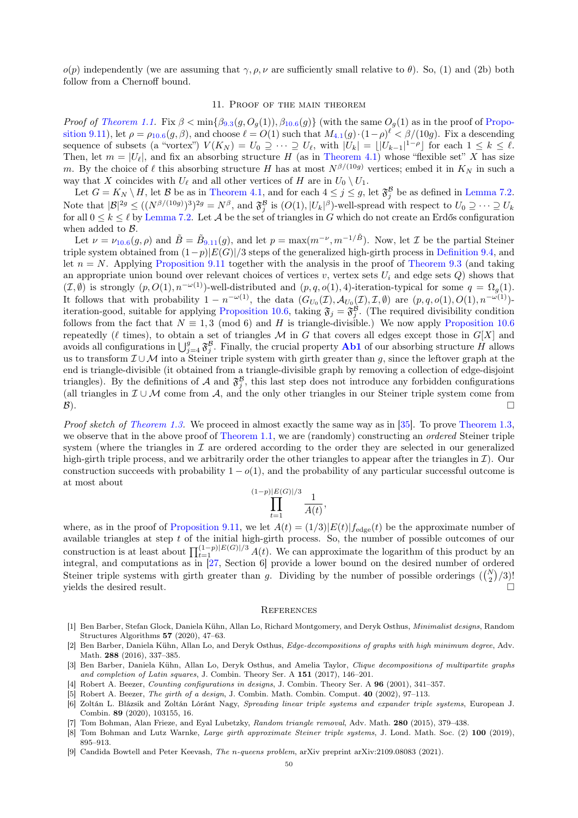$o(p)$  independently (we are assuming that  $\gamma, \rho, \nu$  are sufficiently small relative to  $\theta$ ). So, (1) and (2b) both follow from a Chernoff bound.

## 11. Proof of the main theorem

<span id="page-49-7"></span>Proof of [Theorem 1.1.](#page-0-3) Fix  $\beta < \min\{\beta_{9.3}(g, O_g(1)), \beta_{10.6}(g)\}\$  $\beta < \min\{\beta_{9.3}(g, O_g(1)), \beta_{10.6}(g)\}\$  $\beta < \min\{\beta_{9.3}(g, O_g(1)), \beta_{10.6}(g)\}\$  $\beta < \min\{\beta_{9.3}(g, O_g(1)), \beta_{10.6}(g)\}\$  $\beta < \min\{\beta_{9.3}(g, O_g(1)), \beta_{10.6}(g)\}\$  (with the same  $O_g(1)$  as in the proof of [Propo](#page-39-0)[sition 9.11\)](#page-39-0), let  $\rho = \rho_{10.6}(g,\beta)$  $\rho = \rho_{10.6}(g,\beta)$  $\rho = \rho_{10.6}(g,\beta)$ , and choose  $\ell = O(1)$  such that  $M_{4.1}(g) \cdot (1-\rho)^{\ell} < \beta/(10g)$  $M_{4.1}(g) \cdot (1-\rho)^{\ell} < \beta/(10g)$  $M_{4.1}(g) \cdot (1-\rho)^{\ell} < \beta/(10g)$ . Fix a descending sequence of subsets (a "vortex")  $V(K_N) = U_0 \supseteq \cdots \supseteq U_\ell$ , with  $|U_k| = \lfloor |U_{k-1}|^{1-\rho} \rfloor$  for each  $1 \leq k \leq \ell$ . Then, let  $m = |U_{\ell}|$ , and fix an absorbing structure H (as in [Theorem 4.1\)](#page-11-2) whose "flexible set" X has size m. By the choice of  $\ell$  this absorbing structure H has at most  $N^{\beta/(10g)}$  vertices; embed it in  $K_N$  in such a way that X coincides with  $U_{\ell}$  and all other vertices of H are in  $U_0 \setminus U_1$ .

Let  $G = K_N \setminus H$ , let B be as in [Theorem 4.1,](#page-11-2) and for each  $4 \leq j \leq g$ , let  $\mathfrak{F}_{j}^{\mathcal{B}}$  be as defined in [Lemma 7.2.](#page-18-2) Note that  $|\mathcal{B}|^{2g} \leq ((N^{\beta/(10g)})^3)^{2g} = N^{\beta}$ , and  $\mathfrak{F}_{j}^{\mathcal{B}}$  is  $(O(1), |U_k|^{\beta})$ -well-spread with respect to  $U_0 \supseteq \cdots \supseteq U_k$ for all  $0 \leq k \leq \ell$  by [Lemma 7.2.](#page-18-2) Let A be the set of triangles in G which do not create an Erdős configuration when added to B.

Let  $\nu = \nu_{10.6}(g,\rho)$  $\nu = \nu_{10.6}(g,\rho)$  $\nu = \nu_{10.6}(g,\rho)$  and  $\tilde{B} = \tilde{B}_{9.11}(g)$  $\tilde{B} = \tilde{B}_{9.11}(g)$  $\tilde{B} = \tilde{B}_{9.11}(g)$ , and let  $p = \max(m^{-\nu}, m^{-1/\tilde{B}})$ . Now, let  $\mathcal I$  be the partial Steiner triple system obtained from  $(1-p)|E(G)|/3$  steps of the generalized high-girth process in [Definition 9.4,](#page-32-2) and let  $n = N$ . Applying [Proposition 9.11](#page-39-0) together with the analysis in the proof of [Theorem 9.3](#page-32-0) (and taking an appropriate union bound over relevant choices of vertices v, vertex sets  $U_i$  and edge sets Q) shows that  $(\mathcal{I}, \emptyset)$  is strongly  $(p, O(1), n^{-\omega(1)})$ -well-distributed and  $(p, q, o(1), 4)$ -iteration-typical for some  $q = \Omega_q(1)$ . It follows that with probability  $1 - n^{-\omega(1)}$ , the data  $(G_{U_0}(\mathcal{I}), \mathcal{A}_{U_0}(\mathcal{I}), \mathcal{I}, \emptyset)$  are  $(p, q, o(1), O(1), n^{-\omega(1)})$ -iteration-good, suitable for applying [Proposition 10.6,](#page-43-1) taking  $\mathfrak{F}_j = \mathfrak{F}_j^{\mathcal{B}}$ . (The required divisibility condition follows from the fact that  $N \equiv 1, 3 \pmod{6}$  and H is triangle-divisible.) We now apply [Proposition 10.6](#page-43-1) repeatedly ( $\ell$  times), to obtain a set of triangles M in G that covers all edges except those in  $G[X]$  and avoids all configurations in  $\bigcup_{j=4}^g \mathfrak{F}_j^B$ . Finally, the crucial property **[Ab1](#page-11-3)** of our absorbing structure H allows us to transform  $\mathcal{I} \cup \mathcal{M}$  into a Steiner triple system with girth greater than g, since the leftover graph at the end is triangle-divisible (it obtained from a triangle-divisible graph by removing a collection of edge-disjoint triangles). By the definitions of A and  $\mathfrak{F}_j^{\mathcal{B}}$ , this last step does not introduce any forbidden configurations (all triangles in  $\mathcal{I} \cup \mathcal{M}$  come from A, and the only other triangles in our Steiner triple system come from  $\mathcal{B}$ ).

Proof sketch of [Theorem 1.3.](#page-3-2) We proceed in almost exactly the same way as in [\[35\]](#page-50-26). To prove [Theorem 1.3,](#page-3-2) we observe that in the above proof of [Theorem 1.1,](#page-0-3) we are (randomly) constructing an *ordered* Steiner triple system (where the triangles in  $\mathcal I$  are ordered according to the order they are selected in our generalized high-girth triple process, and we arbitrarily order the other triangles to appear after the triangles in  $\mathcal{I}$ ). Our construction succeeds with probability  $1 - o(1)$ , and the probability of any particular successful outcome is at most about

$$
\prod_{t=1}^{(1-p)|E(G)|/3} \frac{1}{A(t)},
$$

where, as in the proof of [Proposition 9.11,](#page-39-0) we let  $A(t) = (1/3)|E(t)|f_{\text{edge}}(t)$  be the approximate number of available triangles at step  $t$  of the initial high-girth process. So, the number of possible outcomes of our construction is at least about  $\prod_{t=1}^{(1-p)|E(G)|/3} A(t)$ . We can approximate the logarithm of this product by an integral, and computations as in [\[27,](#page-50-22) Section 6] provide a lower bound on the desired number of ordered Steiner triple systems with girth greater than g. Dividing by the number of possible orderings  $\binom{N}{2}/3$ ! yields the desired result.  $\Box$ 

#### **REFERENCES**

- <span id="page-49-5"></span>[1] Ben Barber, Stefan Glock, Daniela Kühn, Allan Lo, Richard Montgomery, and Deryk Osthus, Minimalist designs, Random Structures Algorithms 57 (2020), 47–63.
- [2] Ben Barber, Daniela Kühn, Allan Lo, and Deryk Osthus, Edge-decompositions of graphs with high minimum degree, Adv. Math. 288 (2016), 337–385.
- <span id="page-49-6"></span>[3] Ben Barber, Daniela Kühn, Allan Lo, Deryk Osthus, and Amelia Taylor, Clique decompositions of multipartite graphs and completion of Latin squares, J. Combin. Theory Ser. A 151 (2017), 146–201.
- <span id="page-49-0"></span>[4] Robert A. Beezer, Counting configurations in designs, J. Combin. Theory Ser. A 96 (2001), 341–357.
- [5] Robert A. Beezer, The girth of a design, J. Combin. Math. Combin. Comput. 40 (2002), 97-113.
- <span id="page-49-1"></span>[6] Zoltán L. Blázsik and Zoltán Lóránt Nagy, Spreading linear triple systems and expander triple systems, European J. Combin. 89 (2020), 103155, 16.
- <span id="page-49-3"></span>[7] Tom Bohman, Alan Frieze, and Eyal Lubetzky, Random triangle removal, Adv. Math. 280 (2015), 379-438.
- <span id="page-49-2"></span>[8] Tom Bohman and Lutz Warnke, *Large girth approximate Steiner triple systems*, J. Lond. Math. Soc. (2) 100 (2019), 895–913.
- <span id="page-49-4"></span>[9] Candida Bowtell and Peter Keevash, The n-queens problem, arXiv preprint arXiv:2109.08083 (2021).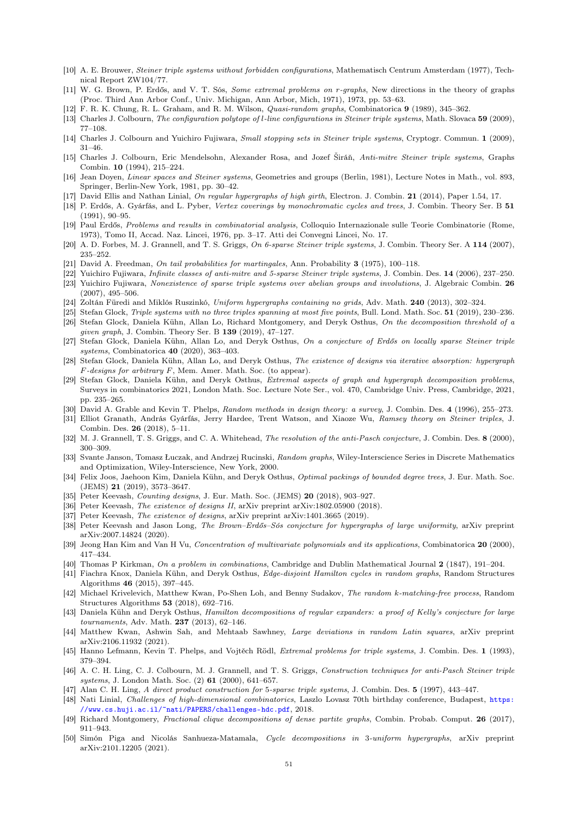- <span id="page-50-15"></span>[10] A. E. Brouwer, Steiner triple systems without forbidden configurations, Mathematisch Centrum Amsterdam (1977), Technical Report ZW104/77.
- <span id="page-50-0"></span>[11] W. G. Brown, P. Erdős, and V. T. Sós, *Some extremal problems on r-graphs*, New directions in the theory of graphs (Proc. Third Ann Arbor Conf., Univ. Michigan, Ann Arbor, Mich, 1971), 1973, pp. 53–63.
- <span id="page-50-39"></span>[12] F. R. K. Chung, R. L. Graham, and R. M. Wilson, Quasi-random graphs, Combinatorica 9 (1989), 345–362.
- <span id="page-50-2"></span>[13] Charles J. Colbourn, The configuration polytope of l-line configurations in Steiner triple systems, Math. Slovaca 59 (2009), 77–108.
- <span id="page-50-3"></span>[14] Charles J. Colbourn and Yuichiro Fujiwara, Small stopping sets in Steiner triple systems, Cryptogr. Commun. 1 (2009), 31–46.
- <span id="page-50-18"></span>[15] Charles J. Colbourn, Eric Mendelsohn, Alexander Rosa, and Jozef Širáň, Anti-mitre Steiner triple systems, Graphs Combin. 10 (1994), 215–224.
- <span id="page-50-16"></span>[16] Jean Doyen, Linear spaces and Steiner systems, Geometries and groups (Berlin, 1981), Lecture Notes in Math., vol. 893, Springer, Berlin-New York, 1981, pp. 30–42.
- <span id="page-50-4"></span>[17] David Ellis and Nathan Linial, On regular hypergraphs of high girth, Electron. J. Combin. 21 (2014), Paper 1.54, 17.
- <span id="page-50-25"></span>[18] P. Erdős, A. Gyárfás, and L. Pyber, Vertex coverings by monochromatic cycles and trees, J. Combin. Theory Ser. B 51 (1991), 90–95.
- <span id="page-50-1"></span>[19] Paul Erdős, Problems and results in combinatorial analysis, Colloquio Internazionale sulle Teorie Combinatorie (Rome, 1973), Tomo II, Accad. Naz. Lincei, 1976, pp. 3–17. Atti dei Convegni Lincei, No. 17.
- <span id="page-50-21"></span>[20] A. D. Forbes, M. J. Grannell, and T. S. Griggs, On 6-sparse Steiner triple systems, J. Combin. Theory Ser. A 114 (2007), 235–252.
- <span id="page-50-37"></span>[21] David A. Freedman, On tail probabilities for martingales, Ann. Probability 3 (1975), 100–118.
- <span id="page-50-19"></span>[22] Yuichiro Fujiwara, Infinite classes of anti-mitre and 5-sparse Steiner triple systems, J. Combin. Des. 14 (2006), 237–250.
- <span id="page-50-33"></span>[23] Yuichiro Fujiwara, Nonexistence of sparse triple systems over abelian groups and involutions, J. Algebraic Combin. 26 (2007), 495–506.
- <span id="page-50-5"></span>[24] Zoltán Füredi and Miklós Ruszinkó, Uniform hypergraphs containing no grids, Adv. Math. 240 (2013), 302–324.
- <span id="page-50-30"></span><span id="page-50-6"></span>[25] Stefan Glock, Triple systems with no three triples spanning at most five points, Bull. Lond. Math. Soc. 51 (2019), 230–236. [26] Stefan Glock, Daniela Kühn, Allan Lo, Richard Montgomery, and Deryk Osthus, On the decomposition threshold of a
- given graph, J. Combin. Theory Ser. B 139 (2019), 47–127. [27] Stefan Glock, Daniela Kühn, Allan Lo, and Deryk Osthus, On a conjecture of Erdős on locally sparse Steiner triple
- <span id="page-50-22"></span>systems, Combinatorica 40 (2020), 363–403.
- <span id="page-50-24"></span>[28] Stefan Glock, Daniela Kühn, Allan Lo, and Deryk Osthus, The existence of designs via iterative absorption: hypergraph  $F$ -designs for arbitrary  $F$ , Mem. Amer. Math. Soc. (to appear).
- <span id="page-50-7"></span>[29] Stefan Glock, Daniela Kühn, and Deryk Osthus, Extremal aspects of graph and hypergraph decomposition problems, Surveys in combinatorics 2021, London Math. Soc. Lecture Note Ser., vol. 470, Cambridge Univ. Press, Cambridge, 2021, pp. 235–265.
- [30] David A. Grable and Kevin T. Phelps, Random methods in design theory: a survey, J. Combin. Des. 4 (1996), 255–273.
- <span id="page-50-8"></span>[31] Elliot Granath, András Gyárfás, Jerry Hardee, Trent Watson, and Xiaoze Wu, Ramsey theory on Steiner triples, J. Combin. Des. 26 (2018), 5–11.
- <span id="page-50-14"></span>[32] M. J. Grannell, T. S. Griggs, and C. A. Whitehead, *The resolution of the anti-Pasch conjecture*, J. Combin. Des. 8 (2000), 300–309.
- <span id="page-50-38"></span>[33] Svante Janson, Tomasz Łuczak, and Andrzej Rucinski, Random graphs, Wiley-Interscience Series in Discrete Mathematics and Optimization, Wiley-Interscience, New York, 2000.
- <span id="page-50-31"></span>[34] Felix Joos, Jaehoon Kim, Daniela Kühn, and Deryk Osthus, Optimal packings of bounded degree trees, J. Eur. Math. Soc. (JEMS) 21 (2019), 3573–3647.
- <span id="page-50-26"></span>[35] Peter Keevash, Counting designs, J. Eur. Math. Soc. (JEMS) 20 (2018), 903–927.
- <span id="page-50-27"></span>[36] Peter Keevash, The existence of designs II, arXiv preprint arXiv:1802.05900 (2018).
- <span id="page-50-23"></span>[37] Peter Keevash, The existence of designs, arXiv preprint arXiv:1401.3665 (2019).
- <span id="page-50-9"></span>[38] Peter Keevash and Jason Long, The Brown–Erdős–Sós conjecture for hypergraphs of large uniformity, arXiv preprint arXiv:2007.14824 (2020).
- <span id="page-50-34"></span>[39] Jeong Han Kim and Van H Vu, Concentration of multivariate polynomials and its applications, Combinatorica 20 (2000), 417–434.
- <span id="page-50-13"></span>[40] Thomas P Kirkman, On a problem in combinations, Cambridge and Dublin Mathematical Journal 2 (1847), 191–204.
- <span id="page-50-29"></span>[41] Fiachra Knox, Daniela Kühn, and Deryk Osthus, Edge-disjoint Hamilton cycles in random graphs, Random Structures Algorithms 46 (2015), 397–445.
- <span id="page-50-10"></span>[42] Michael Krivelevich, Matthew Kwan, Po-Shen Loh, and Benny Sudakov, The random k-matching-free process, Random Structures Algorithms 53 (2018), 692–716.
- <span id="page-50-28"></span>[43] Daniela Kühn and Deryk Osthus, Hamilton decompositions of regular expanders: a proof of Kelly's conjecture for large tournaments, Adv. Math. 237 (2013), 62–146.
- <span id="page-50-35"></span>[44] Matthew Kwan, Ashwin Sah, and Mehtaab Sawhney, Large deviations in random Latin squares, arXiv preprint arXiv:2106.11932 (2021).
- <span id="page-50-11"></span>[45] Hanno Lefmann, Kevin T. Phelps, and Vojtěch Rödl, Extremal problems for triple systems, J. Combin. Des. 1 (1993), 379–394.
- <span id="page-50-17"></span>[46] A. C. H. Ling, C. J. Colbourn, M. J. Grannell, and T. S. Griggs, Construction techniques for anti-Pasch Steiner triple systems, J. London Math. Soc. (2) 61 (2000), 641–657.
- <span id="page-50-20"></span>[47] Alan C. H. Ling, A direct product construction for 5-sparse triple systems, J. Combin. Des. 5 (1997), 443–447.
- <span id="page-50-12"></span>[48] Nati Linial, Challenges of high-dimensional combinatorics, Laszlo Lovasz 70th birthday conference, Budapest, [https:](https://www.cs.huji.ac.il/~nati/PAPERS/challenges-hdc.pdf) [//www.cs.huji.ac.il/~nati/PAPERS/challenges-hdc.pdf](https://www.cs.huji.ac.il/~nati/PAPERS/challenges-hdc.pdf), 2018.
- <span id="page-50-36"></span>[49] Richard Montgomery, Fractional clique decompositions of dense partite graphs, Combin. Probab. Comput. 26 (2017), 911–943.
- <span id="page-50-32"></span>[50] Simón Piga and Nicolás Sanhueza-Matamala, Cycle decompositions in 3-uniform hypergraphs, arXiv preprint arXiv:2101.12205 (2021).